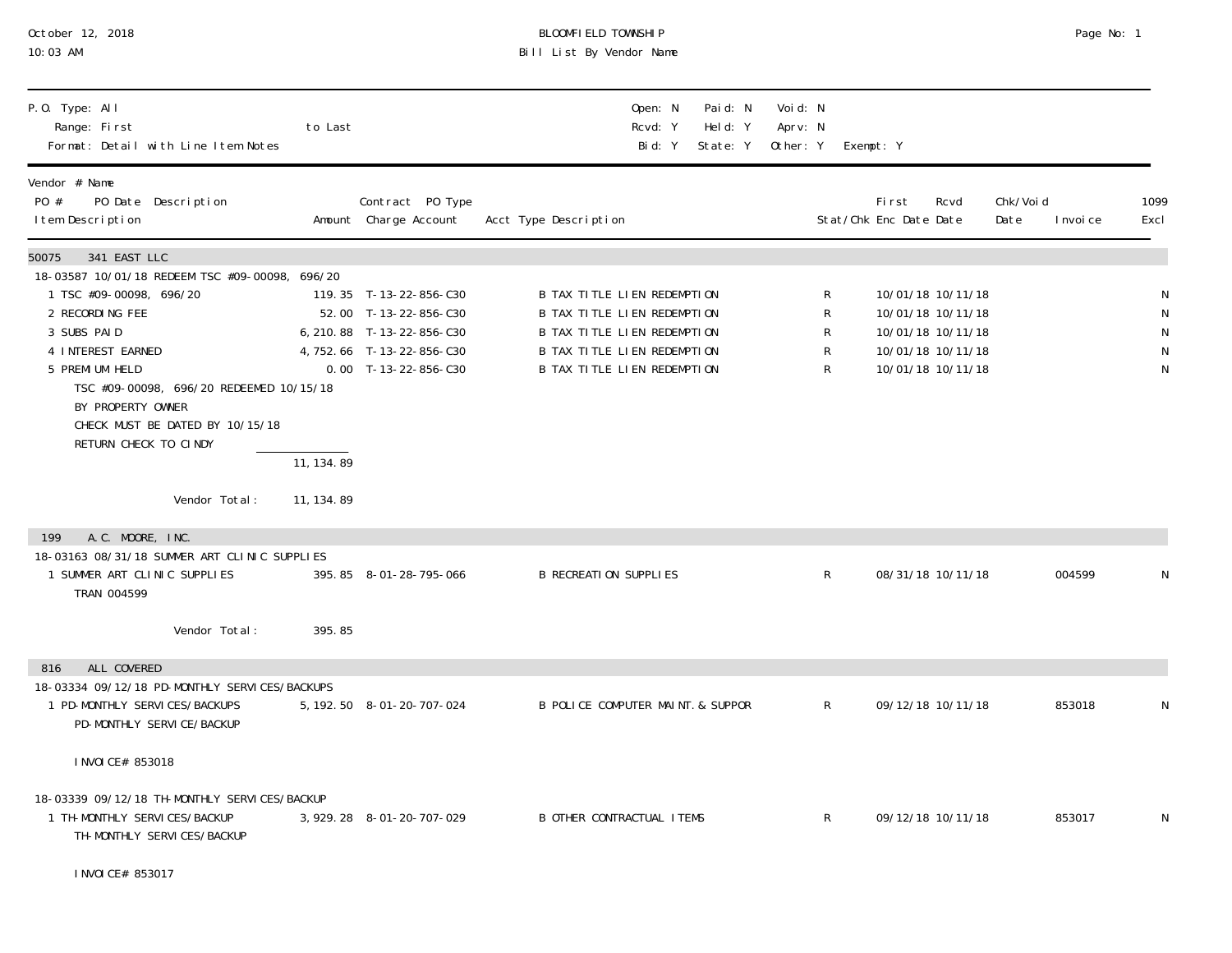| October 12, 2018<br>10:03 AM                                                                                                                                                                                                                                                                                              |                          |                                                                                                                                     | BLOOMFIELD TOWNSHIP<br>Bill List By Vendor Name                                                                                                                |                                 |                                                                                                       | Page No: 1                     |              |
|---------------------------------------------------------------------------------------------------------------------------------------------------------------------------------------------------------------------------------------------------------------------------------------------------------------------------|--------------------------|-------------------------------------------------------------------------------------------------------------------------------------|----------------------------------------------------------------------------------------------------------------------------------------------------------------|---------------------------------|-------------------------------------------------------------------------------------------------------|--------------------------------|--------------|
| P.O. Type: All<br>Range: First<br>Format: Detail with Line I tem Notes                                                                                                                                                                                                                                                    | to Last                  |                                                                                                                                     | Paid: N<br>Open: N<br>Held: Y<br>Rcvd: Y<br>Bid: Y<br>State: Y                                                                                                 | Voi d: N<br>Aprv: N<br>Other: Y | Exempt: Y                                                                                             |                                |              |
| Vendor # Name<br>PO Date Description<br>PO #<br>I tem Description                                                                                                                                                                                                                                                         |                          | Contract PO Type<br>Amount Charge Account                                                                                           | Acct Type Description                                                                                                                                          |                                 | First<br>Rcvd<br>Stat/Chk Enc Date Date                                                               | Chk/Voi d<br>Date<br>I nvoi ce | 1099<br>Excl |
| 341 EAST LLC<br>50075<br>18-03587 10/01/18 REDEEM TSC #09-00098, 696/20<br>1 TSC #09-00098, 696/20<br>2 RECORDING FEE<br>3 SUBS PAID<br>4 INTEREST EARNED<br>5 PREMI UM HELD<br>TSC #09-00098, 696/20 REDEEMED 10/15/18<br>BY PROPERTY OWNER<br>CHECK MUST BE DATED BY 10/15/18<br>RETURN CHECK TO CINDY<br>Vendor Total: | 11, 134.89<br>11, 134.89 | 119.35 T-13-22-856-C30<br>52.00 T-13-22-856-C30<br>6, 210.88 T-13-22-856-C30<br>4, 752.66 T-13-22-856-C30<br>$0.00$ T-13-22-856-C30 | B TAX TITLE LIEN REDEMPTION<br>B TAX TITLE LIEN REDEMPTION<br>B TAX TITLE LIEN REDEMPTION<br><b>B TAX TITLE LIEN REDEMPTION</b><br>B TAX TITLE LIEN REDEMPTION | R<br>R<br>R<br>R<br>R           | 10/01/18 10/11/18<br>10/01/18 10/11/18<br>10/01/18 10/11/18<br>10/01/18 10/11/18<br>10/01/18 10/11/18 |                                | N            |
| A.C. MOORE, INC.<br>199<br>18-03163 08/31/18 SUMMER ART CLINIC SUPPLIES<br>1 SUMMER ART CLINIC SUPPLIES<br>TRAN 004599<br>Vendor Total:                                                                                                                                                                                   | 395.85                   | 395.85 8-01-28-795-066                                                                                                              | <b>B RECREATION SUPPLIES</b>                                                                                                                                   | R                               | 08/31/18 10/11/18                                                                                     | 004599                         | N            |
| ALL COVERED<br>816<br>18-03334 09/12/18 PD-MONTHLY SERVICES/BACKUPS<br>1 PD-MONTHLY SERVICES/BACKUPS<br>PD-MONTHLY SERVICE/BACKUP                                                                                                                                                                                         |                          | 5, 192. 50 8-01-20-707-024                                                                                                          | B POLICE COMPUTER MAINT & SUPPOR                                                                                                                               | R                               | 09/12/18 10/11/18                                                                                     | 853018                         | N            |
| I NVOI CE# 853018<br>18-03339 09/12/18 TH-MONTHLY SERVICES/BACKUP<br>1 TH-MONTHLY SERVICES/BACKUP<br>TH-MONTHLY SERVICES/BACKUP<br>I NVOI CE# 853017                                                                                                                                                                      |                          | 3, 929. 28 8-01-20-707-029                                                                                                          | <b>B OTHER CONTRACTUAL ITEMS</b>                                                                                                                               | R                               | 09/12/18 10/11/18                                                                                     | 853017                         |              |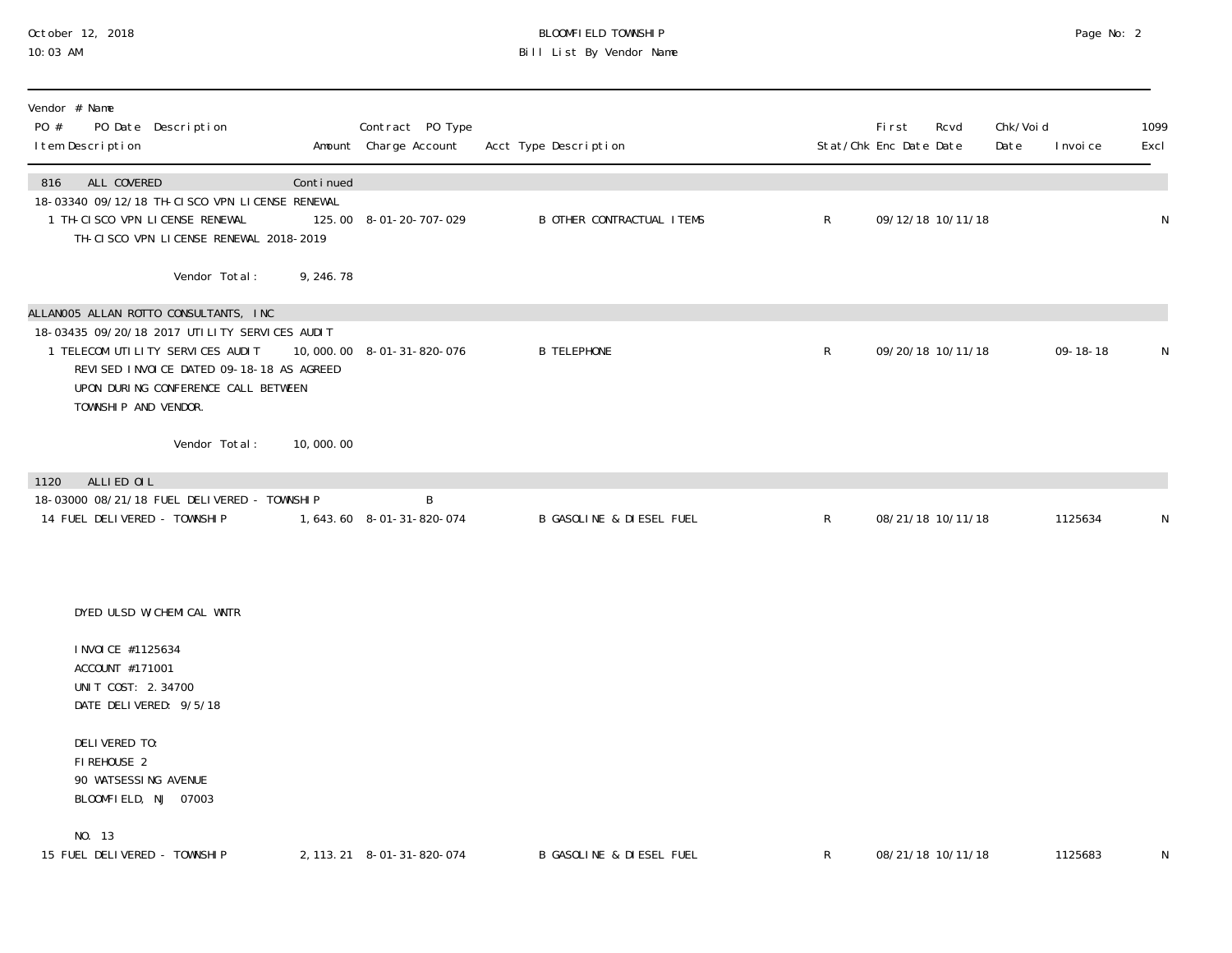#### October 12, 2018 BLOOMFIELD TOWNSHIP Page No: 2 10:03 AM Bill List By Vendor Name

| Vendor # Name<br>PO #<br>PO Date Description<br>I tem Description                                                                                                                                                                     |            | Contract PO Type<br>Amount Charge Account | Acct Type Description               |              | <b>First</b><br>Stat/Chk Enc Date Date | Rcvd              | Chk/Voi d<br>Date | I nvoi ce      | 1099<br>Excl |
|---------------------------------------------------------------------------------------------------------------------------------------------------------------------------------------------------------------------------------------|------------|-------------------------------------------|-------------------------------------|--------------|----------------------------------------|-------------------|-------------------|----------------|--------------|
| ALL COVERED<br>816<br>18-03340 09/12/18 TH-CISCO VPN LICENSE RENEWAL<br>1 TH-CI SCO VPN LI CENSE RENEWAL<br>TH-CISCO VPN LICENSE RENEWAL 2018-2019                                                                                    | Continued  | 125.00 8-01-20-707-029                    | <b>B OTHER CONTRACTUAL ITEMS</b>    | $\mathsf{R}$ |                                        | 09/12/18 10/11/18 |                   |                | $\mathsf N$  |
| Vendor Total:                                                                                                                                                                                                                         | 9, 246. 78 |                                           |                                     |              |                                        |                   |                   |                |              |
| ALLANOO5 ALLAN ROTTO CONSULTANTS, INC<br>18-03435 09/20/18 2017 UTILITY SERVICES AUDIT<br>1 TELECOM UTILITY SERVICES AUDIT<br>REVISED INVOLCE DATED 09-18-18 AS AGREED<br>UPON DURING CONFERENCE CALL BETWEEN<br>TOWNSHIP AND VENDOR. |            | 10,000.00 8-01-31-820-076                 | <b>B TELEPHONE</b>                  | $\mathsf{R}$ |                                        | 09/20/18 10/11/18 |                   | $09 - 18 - 18$ | N            |
| Vendor Total:                                                                                                                                                                                                                         | 10,000.00  |                                           |                                     |              |                                        |                   |                   |                |              |
| ALLIED OIL<br>1120<br>18-03000 08/21/18 FUEL DELIVERED - TOWNSHIP                                                                                                                                                                     |            | B                                         |                                     |              |                                        |                   |                   |                |              |
| 14 FUEL DELIVERED - TOWNSHIP                                                                                                                                                                                                          |            | 1,643.60 8-01-31-820-074                  | <b>B GASOLINE &amp; DIESEL FUEL</b> | $\mathsf{R}$ |                                        | 08/21/18 10/11/18 |                   | 1125634        | N            |
| DYED ULSD W/CHEMICAL WNTR                                                                                                                                                                                                             |            |                                           |                                     |              |                                        |                   |                   |                |              |
| I NVOI CE #1125634<br>ACCOUNT #171001<br>UNIT COST: 2.34700<br>DATE DELIVERED: 9/5/18                                                                                                                                                 |            |                                           |                                     |              |                                        |                   |                   |                |              |
| DELIVERED TO:<br>FIREHOUSE 2<br>90 WATSESSING AVENUE<br>BLOOMFIELD, NJ 07003                                                                                                                                                          |            |                                           |                                     |              |                                        |                   |                   |                |              |
| NO. 13<br>15 FUEL DELIVERED - TOWNSHIP                                                                                                                                                                                                |            | 2, 113. 21 8-01-31-820-074                | B GASOLINE & DIESEL FUEL            | R            |                                        | 08/21/18 10/11/18 |                   | 1125683        | N            |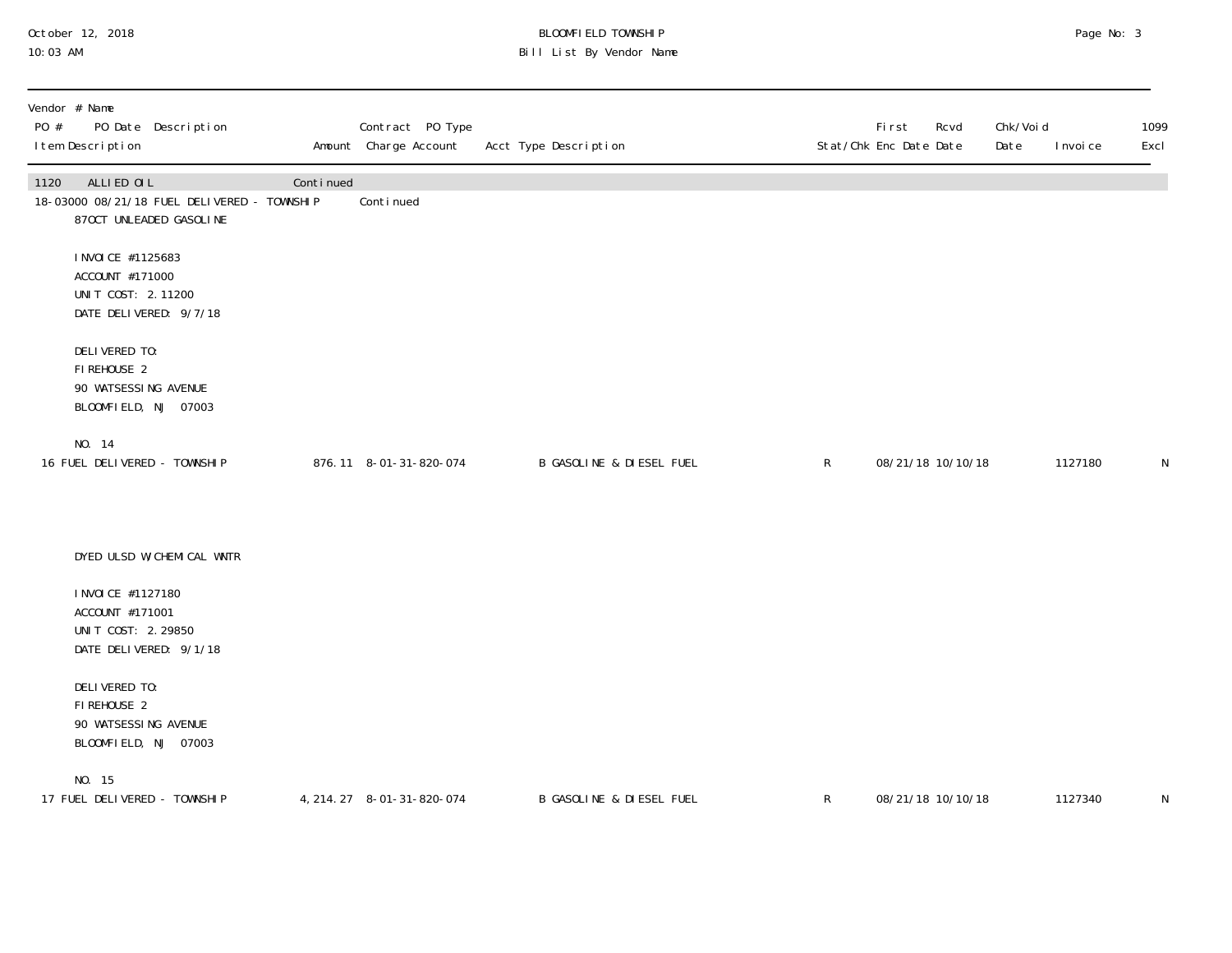## October 12, 2018 BLOOMFIELD TOWNSHIP Page No: 3 10:03 AM Bill List By Vendor Name

| Vendor # Name<br>PO #<br>PO Date Description<br>I tem Description                            |           | Contract PO Type<br>Amount Charge Account | Acct Type Description               |              | First<br>Rcvd<br>Stat/Chk Enc Date Date | Chk/Voi d<br>Date | I nvoi ce | 1099<br>Excl |
|----------------------------------------------------------------------------------------------|-----------|-------------------------------------------|-------------------------------------|--------------|-----------------------------------------|-------------------|-----------|--------------|
| 1120<br>ALLIED OIL<br>18-03000 08/21/18 FUEL DELIVERED - TOWNSHIP<br>870CT UNLEADED GASOLINE | Continued | Continued                                 |                                     |              |                                         |                   |           |              |
| I NVOI CE #1125683<br>ACCOUNT #171000<br>UNIT COST: 2.11200<br>DATE DELIVERED: 9/7/18        |           |                                           |                                     |              |                                         |                   |           |              |
| DELIVERED TO:<br>FIREHOUSE 2<br>90 WATSESSING AVENUE<br>BLOOMFIELD, NJ 07003                 |           |                                           |                                     |              |                                         |                   |           |              |
| NO. 14<br>16 FUEL DELIVERED - TOWNSHIP                                                       |           | 876.11 8-01-31-820-074                    | <b>B GASOLINE &amp; DIESEL FUEL</b> | $\mathsf{R}$ | 08/21/18 10/10/18                       |                   | 1127180   | N            |
| DYED ULSD W/CHEMICAL WNTR                                                                    |           |                                           |                                     |              |                                         |                   |           |              |
| I NVOI CE #1127180<br>ACCOUNT #171001<br>UNIT COST: 2.29850<br>DATE DELIVERED: 9/1/18        |           |                                           |                                     |              |                                         |                   |           |              |
| DELIVERED TO:<br>FIREHOUSE 2<br>90 WATSESSING AVENUE<br>BLOOMFIELD, NJ 07003                 |           |                                           |                                     |              |                                         |                   |           |              |
| NO. 15<br>17 FUEL DELIVERED - TOWNSHIP                                                       |           | 4, 214. 27 8-01-31-820-074                | B GASOLINE & DIESEL FUEL            | $\mathsf{R}$ | 08/21/18 10/10/18                       |                   | 1127340   | N            |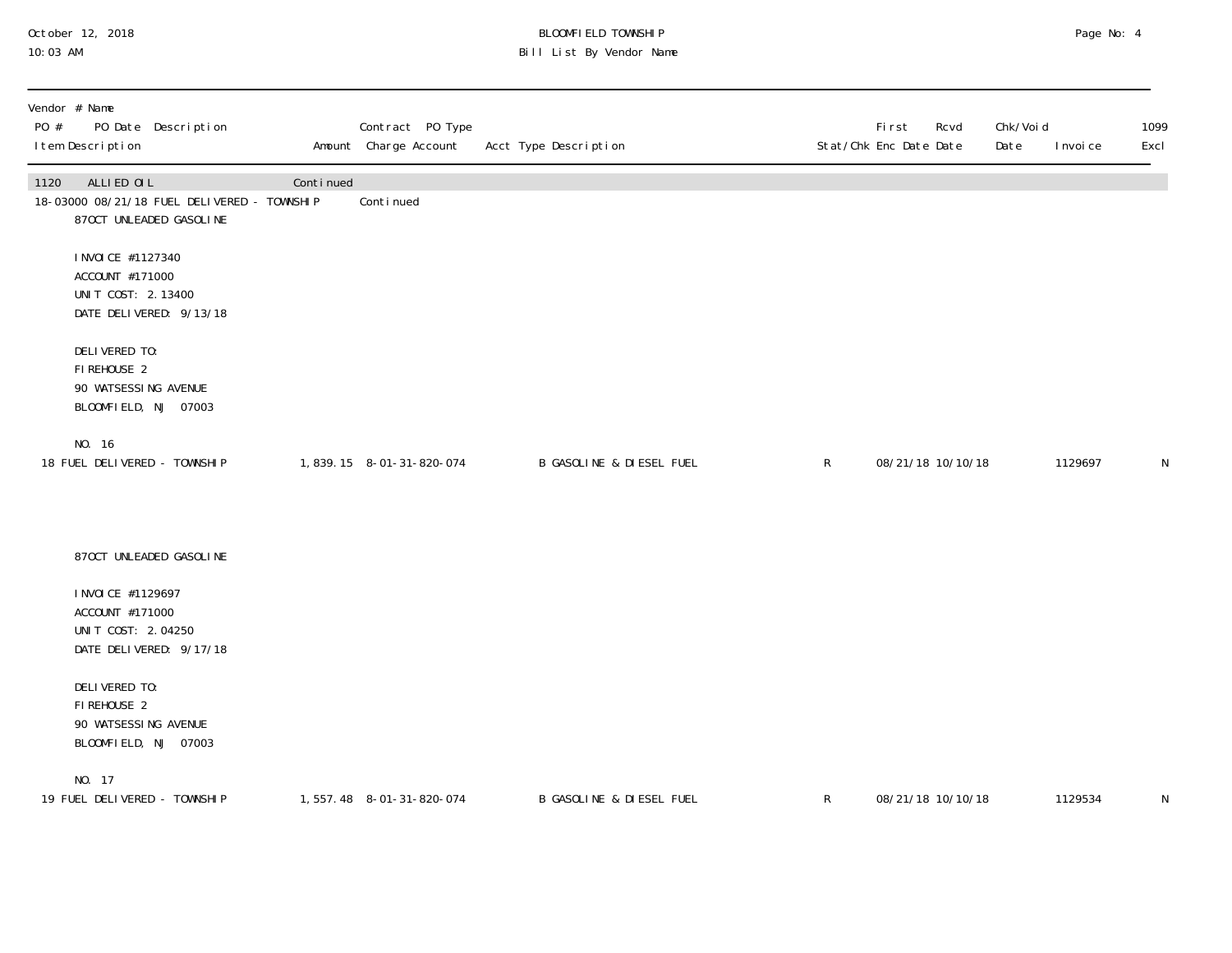## October 12, 2018 BLOOMFIELD TOWNSHIP Page No: 4 10:03 AM Bill List By Vendor Name

| Vendor # Name<br>PO #<br>PO Date Description<br>I tem Description                            |           | Contract PO Type<br>Amount Charge Account | Acct Type Description               |   | First<br>Stat/Chk Enc Date Date | Rcvd              | Chk/Voi d<br>Date | I nvoi ce | 1099<br>Excl |
|----------------------------------------------------------------------------------------------|-----------|-------------------------------------------|-------------------------------------|---|---------------------------------|-------------------|-------------------|-----------|--------------|
| ALLIED OIL<br>1120<br>18-03000 08/21/18 FUEL DELIVERED - TOWNSHIP<br>870CT UNLEADED GASOLINE | Continued | Conti nued                                |                                     |   |                                 |                   |                   |           |              |
| I NVOI CE #1127340<br>ACCOUNT #171000<br>UNIT COST: 2.13400<br>DATE DELIVERED: 9/13/18       |           |                                           |                                     |   |                                 |                   |                   |           |              |
| DELIVERED TO:<br>FIREHOUSE 2<br>90 WATSESSING AVENUE<br>BLOOMFIELD, NJ 07003                 |           |                                           |                                     |   |                                 |                   |                   |           |              |
| NO. 16<br>18 FUEL DELIVERED - TOWNSHIP                                                       |           | 1,839.15 8-01-31-820-074                  | <b>B GASOLINE &amp; DIESEL FUEL</b> | R |                                 | 08/21/18 10/10/18 |                   | 1129697   | N            |
| 870CT UNLEADED GASOLINE                                                                      |           |                                           |                                     |   |                                 |                   |                   |           |              |
| I NVOI CE #1129697<br>ACCOUNT #171000<br>UNIT COST: 2.04250<br>DATE DELIVERED: 9/17/18       |           |                                           |                                     |   |                                 |                   |                   |           |              |
| DELIVERED TO:<br>FIREHOUSE 2<br>90 WATSESSING AVENUE<br>BLOOMFIELD, NJ 07003                 |           |                                           |                                     |   |                                 |                   |                   |           |              |
| NO. 17<br>19 FUEL DELIVERED - TOWNSHIP                                                       |           | 1,557.48 8-01-31-820-074                  | <b>B GASOLINE &amp; DIESEL FUEL</b> | R |                                 | 08/21/18 10/10/18 |                   | 1129534   | N            |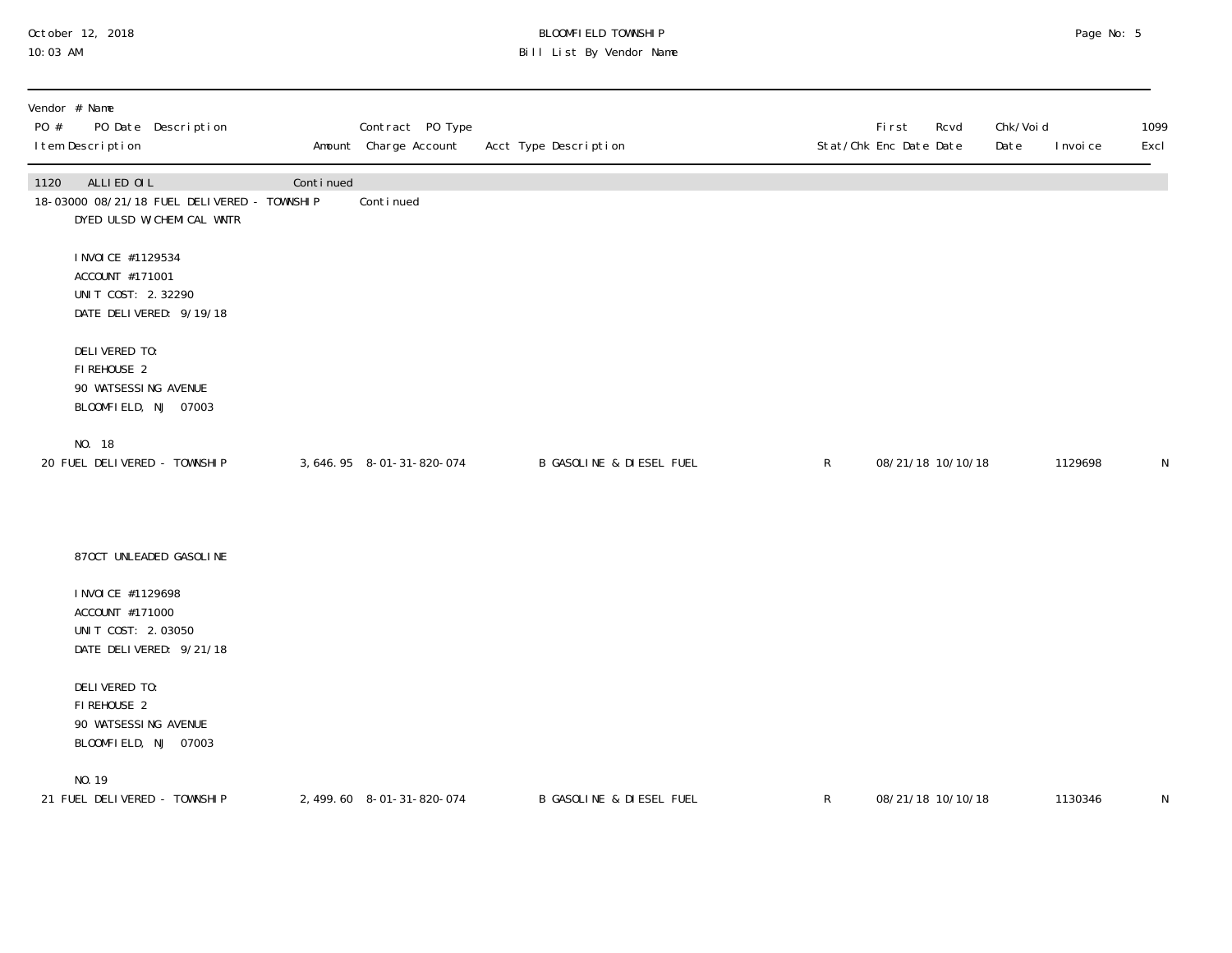## October 12, 2018 BLOOMFIELD TOWNSHIP Page No: 5 10:03 AM Bill List By Vendor Name

| PO # | Vendor # Name<br>I tem Description                                           | PO Date Description                                                      |           | Contract PO Type<br>Amount Charge Account | Acct Type Description               |              | First<br>Rcvd<br>Stat/Chk Enc Date Date | Chk/Voi d<br>Date | I nvoi ce | 1099<br>Excl |
|------|------------------------------------------------------------------------------|--------------------------------------------------------------------------|-----------|-------------------------------------------|-------------------------------------|--------------|-----------------------------------------|-------------------|-----------|--------------|
| 1120 | ALLIED OIL                                                                   | 18-03000 08/21/18 FUEL DELIVERED - TOWNSHIP<br>DYED ULSD W/CHEMICAL WNTR | Continued | Continued                                 |                                     |              |                                         |                   |           |              |
|      | I NVOI CE #1129534<br>ACCOUNT #171001<br>UNIT COST: 2.32290                  | DATE DELIVERED: 9/19/18                                                  |           |                                           |                                     |              |                                         |                   |           |              |
|      | DELIVERED TO:<br>FIREHOUSE 2<br>90 WATSESSING AVENUE<br>BLOOMFIELD, NJ 07003 |                                                                          |           |                                           |                                     |              |                                         |                   |           |              |
|      | NO. 18<br>20 FUEL DELIVERED - TOWNSHIP                                       |                                                                          |           | 3, 646. 95 8-01-31-820-074                | <b>B GASOLINE &amp; DIESEL FUEL</b> | $\mathsf{R}$ | 08/21/18 10/10/18                       |                   | 1129698   | N            |
|      |                                                                              | 870CT UNLEADED GASOLINE                                                  |           |                                           |                                     |              |                                         |                   |           |              |
|      | I NVOI CE #1129698<br>ACCOUNT #171000<br>UNIT COST: 2.03050                  | DATE DELIVERED: 9/21/18                                                  |           |                                           |                                     |              |                                         |                   |           |              |
|      | DELIVERED TO:<br>FIREHOUSE 2<br>90 WATSESSING AVENUE<br>BLOOMFIELD, NJ 07003 |                                                                          |           |                                           |                                     |              |                                         |                   |           |              |
|      | NO. 19<br>21 FUEL DELIVERED - TOWNSHIP                                       |                                                                          |           | 2, 499.60 8-01-31-820-074                 | B GASOLINE & DIESEL FUEL            | $\mathsf{R}$ | 08/21/18 10/10/18                       |                   | 1130346   | N            |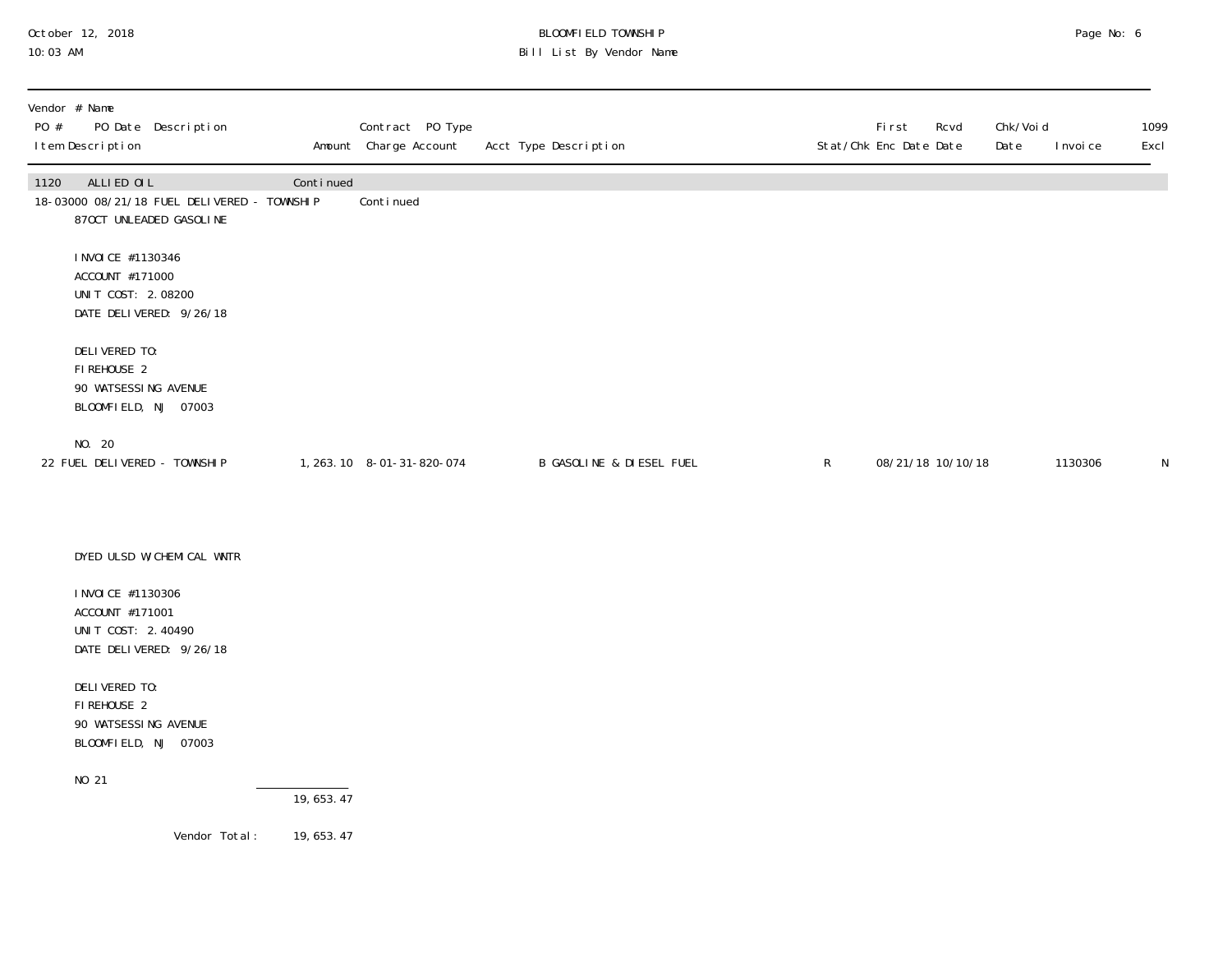## October 12, 2018 BLOOMFIELD TOWNSHIP Page No: 6 10:03 AM Bill List By Vendor Name

| Vendor # Name<br>PO #<br>PO Date Description<br>I tem Description                            |             | Contract PO Type<br>Amount Charge Account | Acct Type Description    |              | First<br>Rcvd<br>Stat/Chk Enc Date Date | Chk/Voi d<br>Date | I nvoi ce | 1099<br>Excl |
|----------------------------------------------------------------------------------------------|-------------|-------------------------------------------|--------------------------|--------------|-----------------------------------------|-------------------|-----------|--------------|
| ALLIED OIL<br>1120<br>18-03000 08/21/18 FUEL DELIVERED - TOWNSHIP<br>870CT UNLEADED GASOLINE | Continued   | Continued                                 |                          |              |                                         |                   |           |              |
| I NVOI CE #1130346<br>ACCOUNT #171000<br>UNIT COST: 2.08200<br>DATE DELIVERED: 9/26/18       |             |                                           |                          |              |                                         |                   |           |              |
| DELIVERED TO:<br>FIREHOUSE 2<br>90 WATSESSING AVENUE<br>BLOOMFIELD, NJ 07003                 |             |                                           |                          |              |                                         |                   |           |              |
| NO. 20<br>22 FUEL DELIVERED - TOWNSHIP                                                       |             | 1, 263. 10 8-01-31-820-074                | B GASOLINE & DIESEL FUEL | $\mathsf{R}$ | 08/21/18 10/10/18                       |                   | 1130306   | N            |
| DYED ULSD W/CHEMICAL WNTR                                                                    |             |                                           |                          |              |                                         |                   |           |              |
| I NVOI CE #1130306<br>ACCOUNT #171001<br>UNIT COST: 2.40490<br>DATE DELIVERED: 9/26/18       |             |                                           |                          |              |                                         |                   |           |              |
| DELIVERED TO:<br>FIREHOUSE 2<br>90 WATSESSING AVENUE<br>BLOOMFIELD, NJ 07003                 |             |                                           |                          |              |                                         |                   |           |              |
| NO 21                                                                                        | 19,653.47   |                                           |                          |              |                                         |                   |           |              |
| Vendor Total:                                                                                | 19, 653. 47 |                                           |                          |              |                                         |                   |           |              |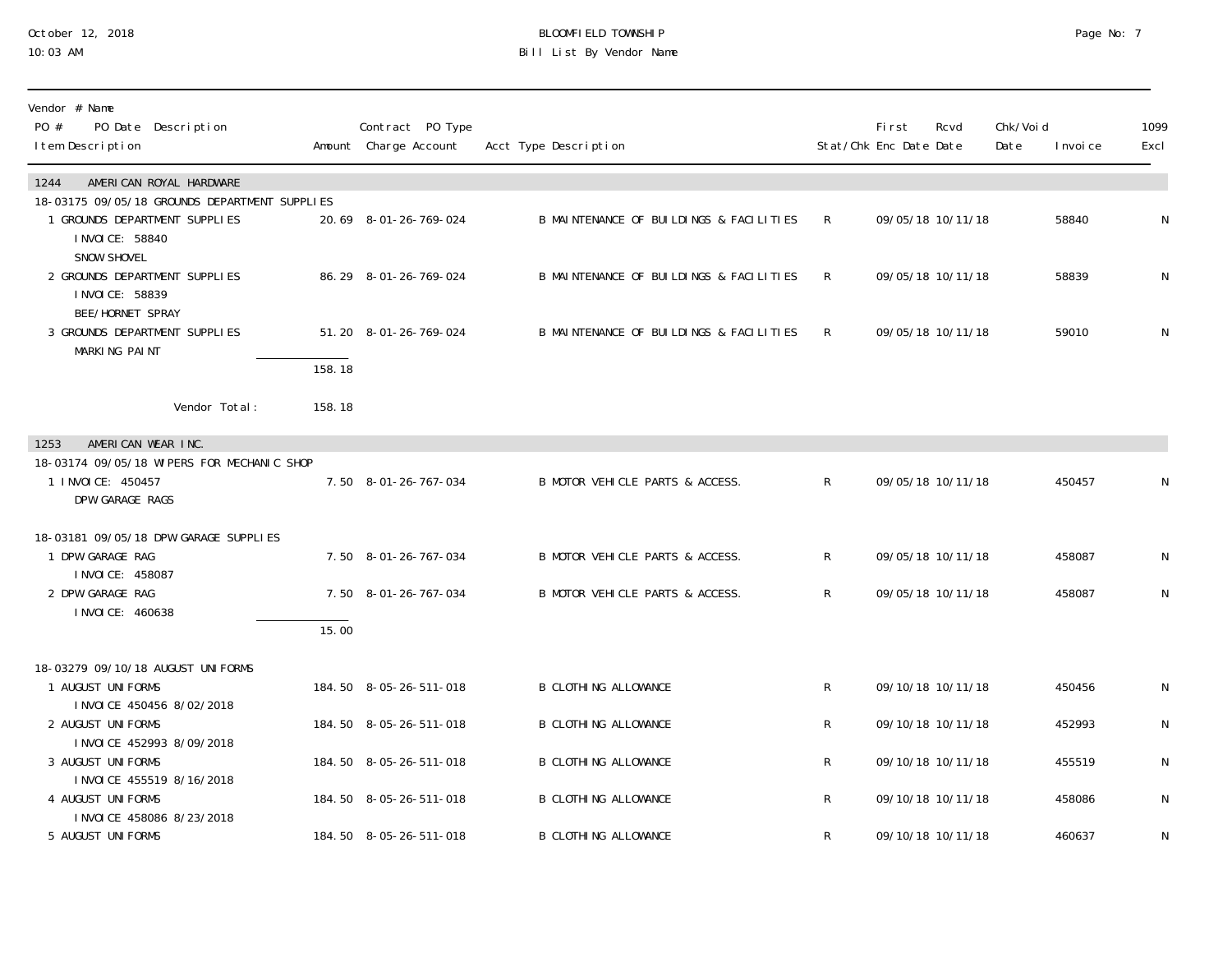#### October 12, 2018 BLOOMFIELD TOWNSHIP Page No: 7 10:03 AM Bill List By Vendor Name

| Vendor # Name<br>PO #<br>PO Date Description<br>I tem Description                                  |        | Contract PO Type<br>Amount Charge Account | Acct Type Description                   |                | <b>First</b><br>Stat/Chk Enc Date Date | Rcvd              | Chk/Voi d<br>Date | I nvoi ce | 1099<br>Excl |
|----------------------------------------------------------------------------------------------------|--------|-------------------------------------------|-----------------------------------------|----------------|----------------------------------------|-------------------|-------------------|-----------|--------------|
| 1244<br>AMERICAN ROYAL HARDWARE                                                                    |        |                                           |                                         |                |                                        |                   |                   |           |              |
| 18-03175 09/05/18 GROUNDS DEPARTMENT SUPPLIES<br>1 GROUNDS DEPARTMENT SUPPLIES<br>I NVOI CE: 58840 |        | 20.69 8-01-26-769-024                     | B MAINTENANCE OF BUILDINGS & FACILITIES | $\mathsf{R}$   |                                        | 09/05/18 10/11/18 |                   | 58840     | N            |
| SNOW SHOVEL<br>2 GROUNDS DEPARTMENT SUPPLIES<br>I NVOI CE: 58839<br>BEE/HORNET SPRAY               |        | 86.29 8-01-26-769-024                     | B MAINTENANCE OF BUILDINGS & FACILITIES | R.             |                                        | 09/05/18 10/11/18 |                   | 58839     | N            |
| 3 GROUNDS DEPARTMENT SUPPLIES<br>MARKING PAINT                                                     | 158.18 | 51.20 8-01-26-769-024                     | B MAINTENANCE OF BUILDINGS & FACILITIES | R              |                                        | 09/05/18 10/11/18 |                   | 59010     | N            |
| Vendor Total:                                                                                      | 158.18 |                                           |                                         |                |                                        |                   |                   |           |              |
| 1253<br>AMERICAN WEAR INC.                                                                         |        |                                           |                                         |                |                                        |                   |                   |           |              |
| 18-03174 09/05/18 WIPERS FOR MECHANIC SHOP<br>1 I NVOI CE: 450457<br>DPW GARAGE RAGS               |        | 7.50 8-01-26-767-034                      | B MOTOR VEHICLE PARTS & ACCESS.         | $\mathsf{R}$   |                                        | 09/05/18 10/11/18 |                   | 450457    |              |
| 18-03181 09/05/18 DPW GARAGE SUPPLIES                                                              |        |                                           |                                         |                |                                        |                   |                   |           |              |
| 1 DPW GARAGE RAG                                                                                   |        | 7.50 8-01-26-767-034                      | B MOTOR VEHICLE PARTS & ACCESS.         | $\mathsf{R}^-$ |                                        | 09/05/18 10/11/18 |                   | 458087    | N            |
| I NVOI CE: 458087<br>2 DPW GARAGE RAG<br>I NVOI CE: 460638                                         |        | 7.50 8-01-26-767-034                      | B MOTOR VEHICLE PARTS & ACCESS.         | R              |                                        | 09/05/18 10/11/18 |                   | 458087    | ${\sf N}$    |
|                                                                                                    | 15.00  |                                           |                                         |                |                                        |                   |                   |           |              |
| 18-03279 09/10/18 AUGUST UNIFORMS<br>1 AUGUST UNIFORMS<br>I NVOI CE 450456 8/02/2018               |        | 184.50 8-05-26-511-018                    | <b>B CLOTHING ALLOWANCE</b>             | $\mathsf{R}^-$ |                                        | 09/10/18 10/11/18 |                   | 450456    | N            |
| 2 AUGUST UNIFORMS                                                                                  |        | 184.50 8-05-26-511-018                    | <b>B CLOTHING ALLOWANCE</b>             | R              |                                        | 09/10/18 10/11/18 |                   | 452993    | N            |
| INVOICE 452993 8/09/2018<br>3 AUGUST UNIFORMS                                                      |        | 184.50 8-05-26-511-018                    | <b>B CLOTHING ALLOWANCE</b>             | R              |                                        | 09/10/18 10/11/18 |                   | 455519    | N            |
| INVOICE 455519 8/16/2018<br>4 AUGUST UNIFORMS<br>I NVOI CE 458086 8/23/2018                        |        | 184.50 8-05-26-511-018                    | <b>B CLOTHING ALLOWANCE</b>             | R              |                                        | 09/10/18 10/11/18 |                   | 458086    | N            |
| 5 AUGUST UNIFORMS                                                                                  |        | 184.50 8-05-26-511-018                    | <b>B CLOTHING ALLOWANCE</b>             | R              |                                        | 09/10/18 10/11/18 |                   | 460637    | N            |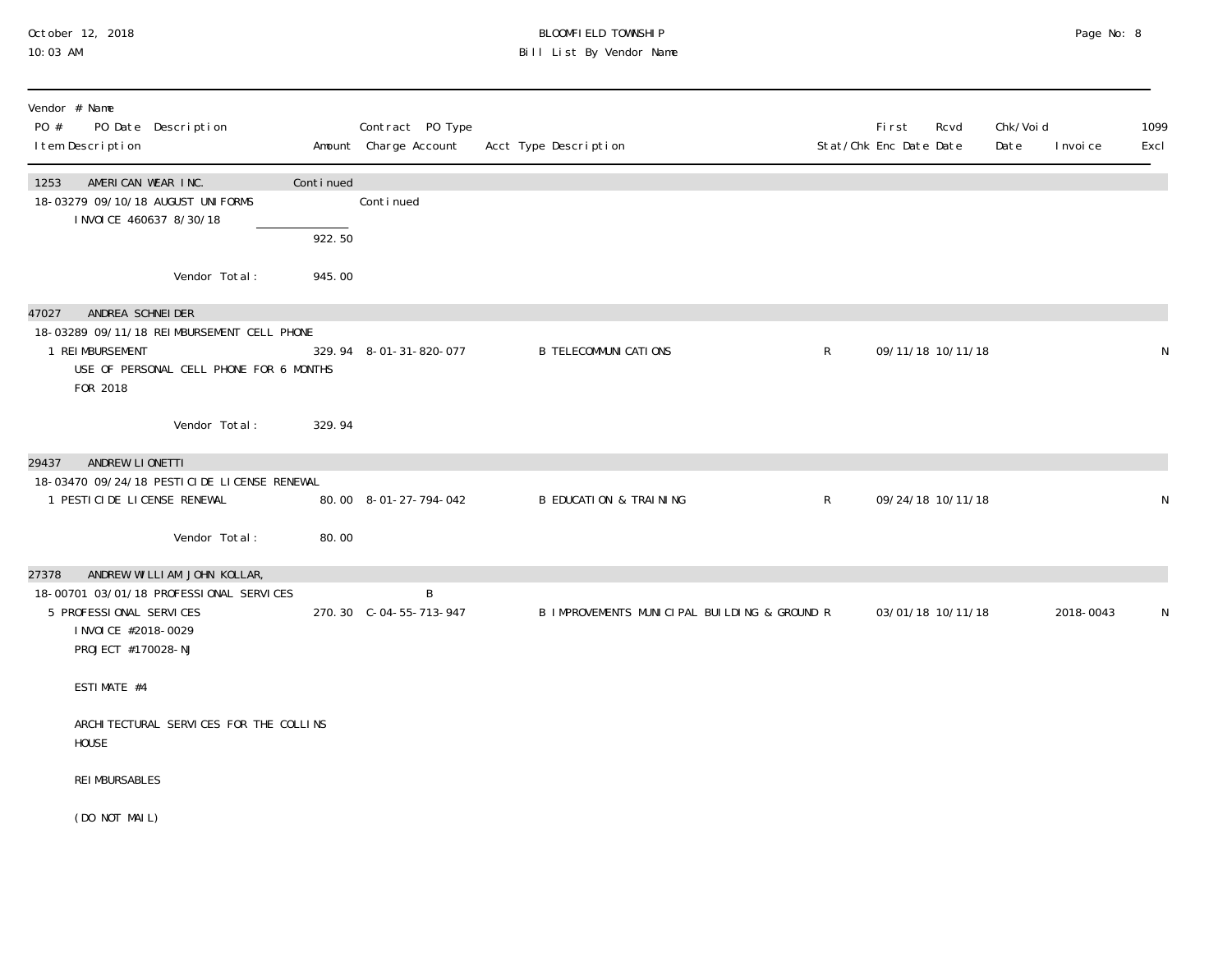#### October 12, 2018 BLOOMFIELD TOWNSHIP Page No: 8 10:03 AM Bill List By Vendor Name

| Vendor # Name<br>PO #<br>PO Date Description<br>I tem Description                                                                                        |           | Contract PO Type<br>Amount Charge Account | Acct Type Description                        |              | <b>First</b><br>Stat/Chk Enc Date Date | Rcvd              | Chk/Voi d<br>Date | I nvoi ce | 1099<br>Excl |
|----------------------------------------------------------------------------------------------------------------------------------------------------------|-----------|-------------------------------------------|----------------------------------------------|--------------|----------------------------------------|-------------------|-------------------|-----------|--------------|
| AMERICAN WEAR INC.<br>1253<br>18-03279 09/10/18 AUGUST UNIFORMS<br>I NVOI CE 460637 8/30/18                                                              | Continued | Continued                                 |                                              |              |                                        |                   |                   |           |              |
|                                                                                                                                                          | 922.50    |                                           |                                              |              |                                        |                   |                   |           |              |
| Vendor Total:                                                                                                                                            | 945.00    |                                           |                                              |              |                                        |                   |                   |           |              |
| ANDREA SCHNEIDER<br>47027<br>18-03289 09/11/18 REIMBURSEMENT CELL PHONE<br>1 REIMBURSEMENT<br>USE OF PERSONAL CELL PHONE FOR 6 MONTHS<br>FOR 2018        |           | 329.94 8-01-31-820-077                    | <b>B TELECOMMUNI CATIONS</b>                 | $\mathsf{R}$ |                                        | 09/11/18 10/11/18 |                   |           | N            |
| Vendor Total:                                                                                                                                            | 329.94    |                                           |                                              |              |                                        |                   |                   |           |              |
| ANDREW LIONETTI<br>29437<br>18-03470 09/24/18 PESTICIDE LICENSE RENEWAL<br>1 PESTI CI DE LI CENSE RENEWAL                                                |           | 80.00 8-01-27-794-042                     | <b>B EDUCATION &amp; TRAINING</b>            | $\mathsf{R}$ |                                        | 09/24/18 10/11/18 |                   |           | N            |
| Vendor Total:                                                                                                                                            | 80.00     |                                           |                                              |              |                                        |                   |                   |           |              |
| ANDREW WILLIAM JOHN KOLLAR,<br>27378<br>18-00701 03/01/18 PROFESSIONAL SERVICES<br>5 PROFESSIONAL SERVICES<br>I NVOI CE #2018-0029<br>PROJECT #170028-NJ |           | B<br>270.30 C-04-55-713-947               | B IMPROVEMENTS MUNICIPAL BUILDING & GROUND R |              |                                        | 03/01/18 10/11/18 |                   | 2018-0043 | N            |
| ESTIMATE #4                                                                                                                                              |           |                                           |                                              |              |                                        |                   |                   |           |              |
| ARCHI TECTURAL SERVICES FOR THE COLLINS<br><b>HOUSE</b>                                                                                                  |           |                                           |                                              |              |                                        |                   |                   |           |              |
| <b>REI MBURSABLES</b>                                                                                                                                    |           |                                           |                                              |              |                                        |                   |                   |           |              |
| (DO NOT MAIL)                                                                                                                                            |           |                                           |                                              |              |                                        |                   |                   |           |              |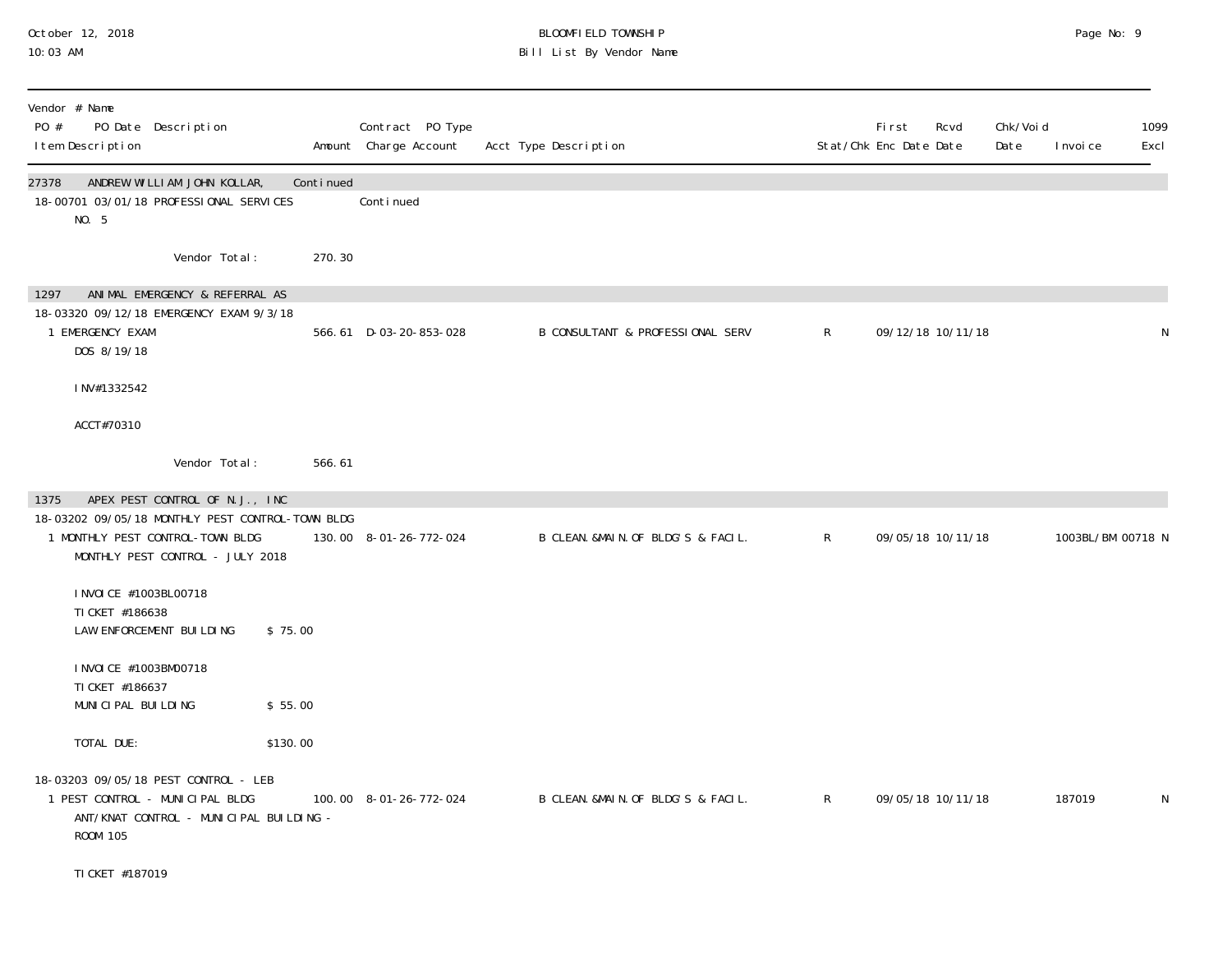#### October 12, 2018 BLOOMFIELD TOWNSHIP Page No: 9 10:03 AM Bill List By Vendor Name

| Vendor # Name<br>PO #<br>I tem Description | PO Date Description                                                                                                                                        |           | Contract PO Type<br>Amount Charge Account | Acct Type Description              |              | First<br>Stat/Chk Enc Date Date | Rcvd              | Chk/Voi d<br>Date | I nvoi ce         | 1099<br>Excl |
|--------------------------------------------|------------------------------------------------------------------------------------------------------------------------------------------------------------|-----------|-------------------------------------------|------------------------------------|--------------|---------------------------------|-------------------|-------------------|-------------------|--------------|
| 27378<br>NO. 5                             | ANDREW WILLIAM JOHN KOLLAR,<br>18-00701 03/01/18 PROFESSIONAL SERVICES                                                                                     | Continued | Continued                                 |                                    |              |                                 |                   |                   |                   |              |
|                                            | Vendor Total:                                                                                                                                              | 270.30    |                                           |                                    |              |                                 |                   |                   |                   |              |
| 1297<br>1 EMERGENCY EXAM<br>DOS 8/19/18    | ANIMAL EMERGENCY & REFERRAL AS<br>18-03320 09/12/18 EMERGENCY EXAM 9/3/18                                                                                  |           | 566.61 D-03-20-853-028                    | B CONSULTANT & PROFESSIONAL SERV   | $\mathsf{R}$ |                                 | 09/12/18 10/11/18 |                   |                   | N            |
| INV#1332542                                |                                                                                                                                                            |           |                                           |                                    |              |                                 |                   |                   |                   |              |
| ACCT#70310                                 |                                                                                                                                                            |           |                                           |                                    |              |                                 |                   |                   |                   |              |
|                                            | Vendor Total:                                                                                                                                              | 566.61    |                                           |                                    |              |                                 |                   |                   |                   |              |
| 1375                                       | APEX PEST CONTROL OF N.J., INC<br>18-03202 09/05/18 MONTHLY PEST CONTROL-TOWN BLDG<br>1 MONTHLY PEST CONTROL-TOWN BLDG<br>MONTHLY PEST CONTROL - JULY 2018 |           | 130.00 8-01-26-772-024                    | B CLEAN. &MAIN. OF BLDG'S & FACIL. | $\mathsf{R}$ |                                 | 09/05/18 10/11/18 |                   | 1003BL/BM 00718 N |              |
| TI CKET #186638                            | I NVOI CE #1003BL00718<br>LAW ENFORCEMENT BUILDING                                                                                                         | \$75.00   |                                           |                                    |              |                                 |                   |                   |                   |              |
| TI CKET #186637                            | I NVOI CE #1003BM00718<br>MUNICIPAL BUILDING                                                                                                               | \$55.00   |                                           |                                    |              |                                 |                   |                   |                   |              |
| TOTAL DUE:                                 |                                                                                                                                                            | \$130.00  |                                           |                                    |              |                                 |                   |                   |                   |              |
| ROOM 105                                   | 18-03203 09/05/18 PEST CONTROL - LEB<br>1 PEST CONTROL - MUNICIPAL BLDG<br>ANT/KNAT CONTROL - MUNICIPAL BUILDING -                                         |           | 100.00 8-01-26-772-024                    | B CLEAN. &MAIN. OF BLDG'S & FACIL. | $\mathsf{R}$ |                                 | 09/05/18 10/11/18 |                   | 187019            | $\mathsf N$  |
| TI CKET #187019                            |                                                                                                                                                            |           |                                           |                                    |              |                                 |                   |                   |                   |              |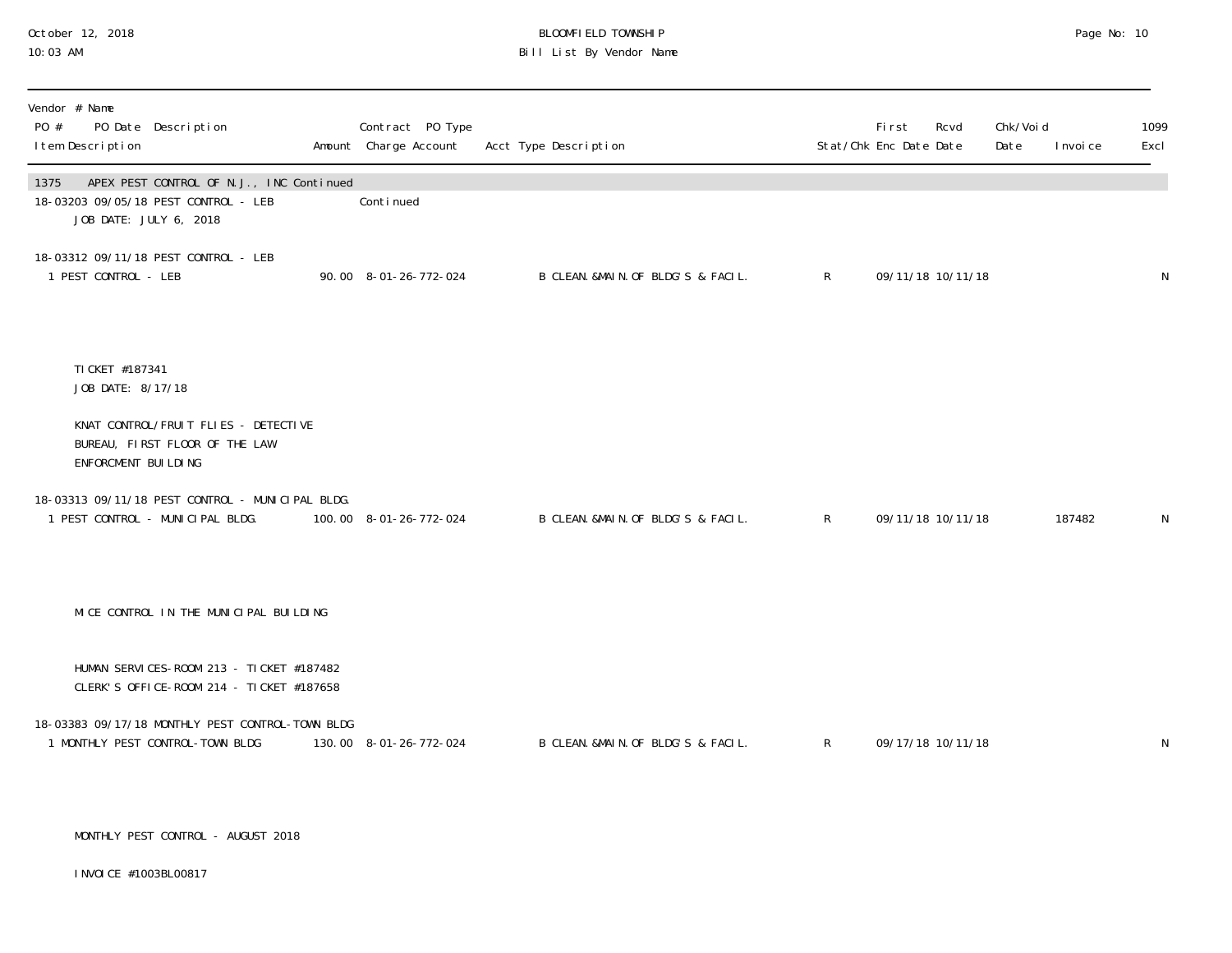# October 12, 2018 BLOOMFIELD TOWNSHIP Page No: 10 Bill List By Vendor Name

| Vendor # Name<br>PO #<br>PO Date Description<br>I tem Description                                                  | Contract PO Type<br>Amount Charge Account | Acct Type Description               |                | <b>First</b><br>Rcvd<br>Stat/Chk Enc Date Date | Chk/Voi d<br>Date | I nvoi ce | 1099<br>Excl |
|--------------------------------------------------------------------------------------------------------------------|-------------------------------------------|-------------------------------------|----------------|------------------------------------------------|-------------------|-----------|--------------|
| APEX PEST CONTROL OF N.J., INC Continued<br>1375<br>18-03203 09/05/18 PEST CONTROL - LEB<br>JOB DATE: JULY 6, 2018 | Continued                                 |                                     |                |                                                |                   |           |              |
| 18-03312 09/11/18 PEST CONTROL - LEB<br>1 PEST CONTROL - LEB                                                       | 90.00 8-01-26-772-024                     | B CLEAN. &MAIN. OF BLDG'S & FACIL.  | $\mathsf{R}^-$ | 09/11/18 10/11/18                              |                   |           | $\mathsf N$  |
| TI CKET #187341<br>JOB DATE: 8/17/18                                                                               |                                           |                                     |                |                                                |                   |           |              |
| KNAT CONTROL/FRUIT FLIES - DETECTIVE<br>BUREAU, FIRST FLOOR OF THE LAW<br>ENFORCMENT BUILDING                      |                                           |                                     |                |                                                |                   |           |              |
| 18-03313 09/11/18 PEST CONTROL - MUNICIPAL BLDG.<br>1 PEST CONTROL - MUNICIPAL BLDG.                               | 100.00 8-01-26-772-024                    | B CLEAN. & MAIN. OF BLDG'S & FACIL. | $\mathsf{R}$   | 09/11/18 10/11/18                              |                   | 187482    | N            |
| MICE CONTROL IN THE MUNICIPAL BUILDING                                                                             |                                           |                                     |                |                                                |                   |           |              |
| HUMAN SERVICES-ROOM 213 - TICKET #187482<br>CLERK'S OFFICE-ROOM 214 - TICKET #187658                               |                                           |                                     |                |                                                |                   |           |              |
| 18-03383 09/17/18 MONTHLY PEST CONTROL-TOWN BLDG<br>1 MONTHLY PEST CONTROL-TOWN BLDG                               | 130.00 8-01-26-772-024                    | B CLEAN. &MAIN. OF BLDG'S & FACIL.  | $\mathsf{R}$   | 09/17/18 10/11/18                              |                   |           | N            |

MONTHLY PEST CONTROL - AUGUST 2018

INVOICE #1003BL00817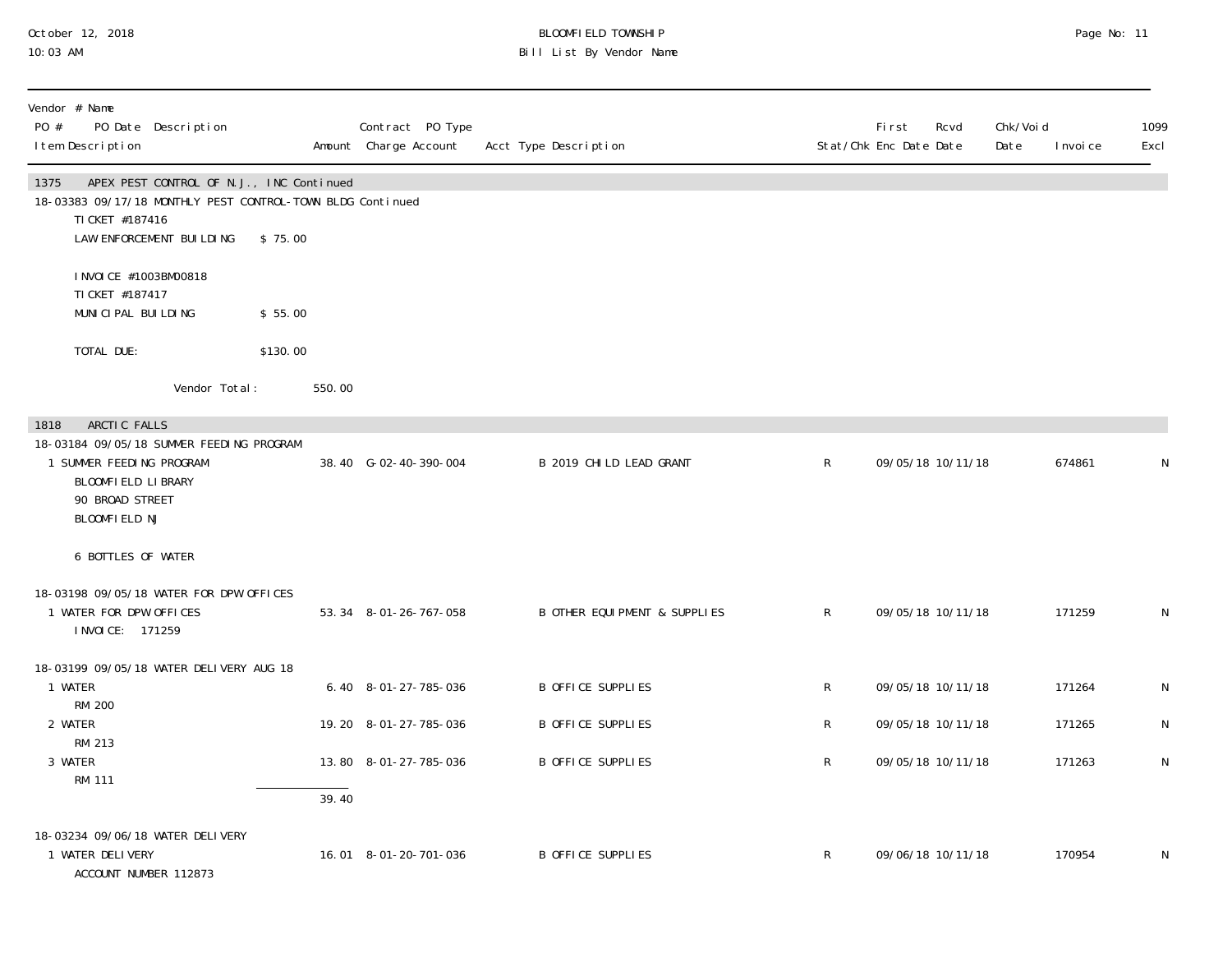## October 12, 2018 BLOOMFIELD TOWNSHIP Page No: 11 10:03 AM Bill List By Vendor Name

| Vendor # Name<br>PO #<br>PO Date Description<br>I tem Description                                                                 |          | Contract PO Type<br>Amount Charge Account | Acct Type Description         |              | First<br>Rcvd<br>Stat/Chk Enc Date Date | Chk/Voi d<br>Date | 1099<br>I nvoi ce<br>Excl |
|-----------------------------------------------------------------------------------------------------------------------------------|----------|-------------------------------------------|-------------------------------|--------------|-----------------------------------------|-------------------|---------------------------|
| APEX PEST CONTROL OF N.J., INC Continued<br>1375<br>18-03383 09/17/18 MONTHLY PEST CONTROL-TOWN BLDG Continued<br>TI CKET #187416 |          |                                           |                               |              |                                         |                   |                           |
| LAW ENFORCEMENT BUILDING                                                                                                          | \$75.00  |                                           |                               |              |                                         |                   |                           |
| I NVOI CE #1003BM00818<br>TI CKET #187417                                                                                         |          |                                           |                               |              |                                         |                   |                           |
| MUNICIPAL BUILDING                                                                                                                | \$55.00  |                                           |                               |              |                                         |                   |                           |
| TOTAL DUE:                                                                                                                        | \$130.00 |                                           |                               |              |                                         |                   |                           |
| Vendor Total:                                                                                                                     | 550.00   |                                           |                               |              |                                         |                   |                           |
| ARCTIC FALLS<br>1818                                                                                                              |          |                                           |                               |              |                                         |                   |                           |
| 18-03184 09/05/18 SUMMER FEEDING PROGRAM<br>1 SUMMER FEEDING PROGRAM<br>BLOOMFIELD LIBRARY<br>90 BROAD STREET<br>BLOOMFIELD NJ    |          | 38.40 G-02-40-390-004                     | B 2019 CHILD LEAD GRANT       | R            | 09/05/18 10/11/18                       |                   | 674861<br>N               |
| 6 BOTTLES OF WATER                                                                                                                |          |                                           |                               |              |                                         |                   |                           |
| 18-03198 09/05/18 WATER FOR DPW OFFICES                                                                                           |          |                                           |                               |              |                                         |                   |                           |
| 1 WATER FOR DPW OFFICES<br>I NVOI CE: 171259                                                                                      |          | 53.34 8-01-26-767-058                     | B OTHER EQUI PMENT & SUPPLIES | $\mathsf{R}$ | 09/05/18 10/11/18                       |                   | 171259<br>N               |
| 18-03199 09/05/18 WATER DELIVERY AUG 18                                                                                           |          |                                           |                               |              |                                         |                   |                           |
| 1 WATER<br><b>RM 200</b>                                                                                                          |          | 6.40 8-01-27-785-036                      | <b>B OFFICE SUPPLIES</b>      | R            | 09/05/18 10/11/18                       |                   | 171264<br>N               |
| 2 WATER                                                                                                                           |          | 19.20 8-01-27-785-036                     | <b>B OFFICE SUPPLIES</b>      | R            | 09/05/18 10/11/18                       |                   | 171265<br>N               |
| RM 213<br>3 WATER                                                                                                                 |          | 13.80 8-01-27-785-036                     | <b>B OFFICE SUPPLIES</b>      | $\mathsf R$  | 09/05/18 10/11/18                       |                   | 171263<br>N               |
| <b>RM 111</b>                                                                                                                     | 39.40    |                                           |                               |              |                                         |                   |                           |
| 18-03234 09/06/18 WATER DELIVERY<br>1 WATER DELIVERY<br>ACCOUNT NUMBER 112873                                                     |          | 16.01 8-01-20-701-036                     | <b>B OFFICE SUPPLIES</b>      | $\mathsf{R}$ | 09/06/18 10/11/18                       |                   | 170954<br>N               |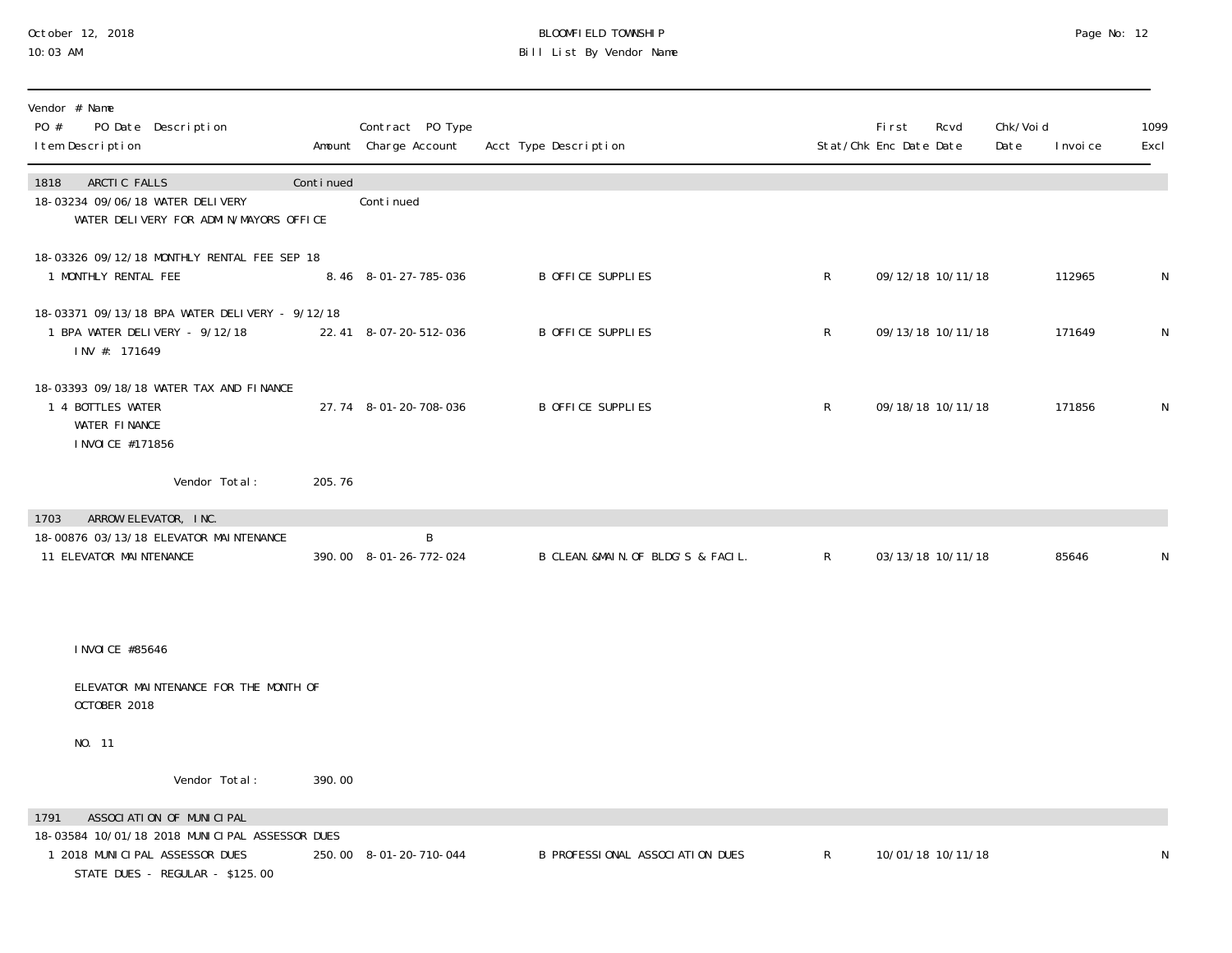## October 12, 2018 BLOOMFIELD TOWNSHIP Page No: 12 10:03 AM Bill List By Vendor Name

| Vendor # Name<br>PO #<br>PO Date Description<br>I tem Description                                                    |           | Contract PO Type<br>Amount Charge Account | Acct Type Description              |              | Fi rst<br>Stat/Chk Enc Date Date | Rcvd              | Chk/Voi d<br>Date | I nvoi ce | 1099<br>Excl |
|----------------------------------------------------------------------------------------------------------------------|-----------|-------------------------------------------|------------------------------------|--------------|----------------------------------|-------------------|-------------------|-----------|--------------|
| ARCTIC FALLS<br>1818<br>18-03234 09/06/18 WATER DELIVERY<br>WATER DELIVERY FOR ADMIN/MAYORS OFFICE                   | Continued | Conti nued                                |                                    |              |                                  |                   |                   |           |              |
| 18-03326 09/12/18 MONTHLY RENTAL FEE SEP 18<br>1 MONTHLY RENTAL FEE                                                  |           | 8.46 8-01-27-785-036                      | B OFFICE SUPPLIES                  | $\mathsf{R}$ |                                  | 09/12/18 10/11/18 |                   | 112965    | N            |
| 18-03371 09/13/18 BPA WATER DELIVERY - 9/12/18<br>1 BPA WATER DELIVERY - 9/12/18<br>INV #: 171649                    |           | 22.41 8-07-20-512-036                     | B OFFICE SUPPLIES                  | $\mathsf{R}$ |                                  | 09/13/18 10/11/18 |                   | 171649    | N            |
| 18-03393 09/18/18 WATER TAX AND FINANCE<br>1 4 BOTTLES WATER<br>WATER FINANCE<br>I NVOI CE #171856                   |           | 27.74 8-01-20-708-036                     | B OFFICE SUPPLIES                  | $\mathsf{R}$ |                                  | 09/18/18 10/11/18 |                   | 171856    | N            |
| Vendor Total:                                                                                                        | 205.76    |                                           |                                    |              |                                  |                   |                   |           |              |
| ARROW ELEVATOR, INC.<br>1703<br>18-00876 03/13/18 ELEVATOR MAINTENANCE<br>11 ELEVATOR MAINTENANCE                    |           | B<br>390.00 8-01-26-772-024               | B CLEAN. &MAIN. OF BLDG'S & FACIL. | $\mathsf{R}$ |                                  | 03/13/18 10/11/18 |                   | 85646     | N            |
| I NVOI CE #85646                                                                                                     |           |                                           |                                    |              |                                  |                   |                   |           |              |
| ELEVATOR MAINTENANCE FOR THE MONTH OF<br>OCTOBER 2018                                                                |           |                                           |                                    |              |                                  |                   |                   |           |              |
| NO. 11                                                                                                               |           |                                           |                                    |              |                                  |                   |                   |           |              |
| Vendor Total:                                                                                                        | 390.00    |                                           |                                    |              |                                  |                   |                   |           |              |
| ASSOCIATION OF MUNICIPAL<br>1791<br>18-03584 10/01/18 2018 MUNICIPAL ASSESSOR DUES<br>1 2018 MUNICIPAL ASSESSOR DUES |           | 250.00 8-01-20-710-044                    | B PROFESSIONAL ASSOCIATION DUES    | $\mathsf R$  |                                  | 10/01/18 10/11/18 |                   |           | ${\sf N}$    |

STATE DUES - REGULAR - \$125.00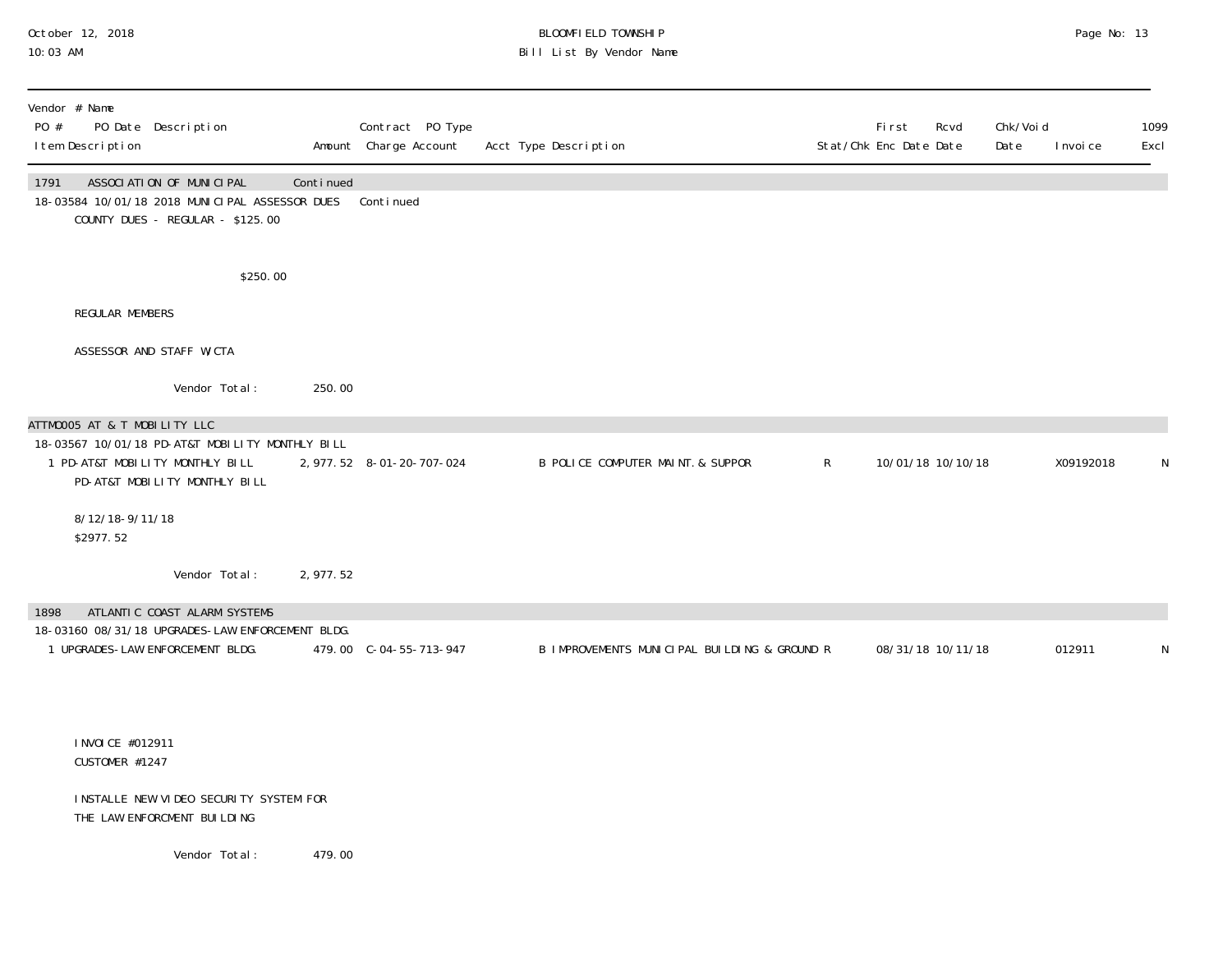#### October 12, 2018 BLOOMFIELD TOWNSHIP Page No: 13 10:03 AM Bill List By Vendor Name

| Vendor # Name<br>PO #<br>PO Date Description<br>I tem Description                                                                                   |           | Contract PO Type<br>Amount Charge Account | Acct Type Description                        |              | <b>First</b><br>Rcvd<br>Stat/Chk Enc Date Date | Chk/Voi d<br>Date | 1099<br>Excl<br>I nvoi ce |
|-----------------------------------------------------------------------------------------------------------------------------------------------------|-----------|-------------------------------------------|----------------------------------------------|--------------|------------------------------------------------|-------------------|---------------------------|
| ASSOCIATION OF MUNICIPAL<br>1791<br>18-03584 10/01/18 2018 MUNICIPAL ASSESSOR DUES<br>COUNTY DUES - REGULAR - \$125.00                              | Continued | Continued                                 |                                              |              |                                                |                   |                           |
|                                                                                                                                                     | \$250.00  |                                           |                                              |              |                                                |                   |                           |
| <b>REGULAR MEMBERS</b>                                                                                                                              |           |                                           |                                              |              |                                                |                   |                           |
| ASSESSOR AND STAFF W/CTA                                                                                                                            |           |                                           |                                              |              |                                                |                   |                           |
| Vendor Total:                                                                                                                                       | 250.00    |                                           |                                              |              |                                                |                   |                           |
| ATTMOOO5 AT & T MOBILITY LLC<br>18-03567 10/01/18 PD-AT&T MOBILITY MONTHLY BILL<br>1 PD-AT&T MOBILITY MONTHLY BILL<br>PD-AT&T MOBILITY MONTHLY BILL |           | 2, 977. 52 8-01-20-707-024                | B POLICE COMPUTER MAINT. & SUPPOR            | $\mathsf{R}$ | 10/01/18 10/10/18                              |                   | X09192018<br>N            |
| 8/12/18-9/11/18<br>\$2977.52                                                                                                                        |           |                                           |                                              |              |                                                |                   |                           |
| Vendor Total:                                                                                                                                       | 2,977.52  |                                           |                                              |              |                                                |                   |                           |
| ATLANTIC COAST ALARM SYSTEMS<br>1898<br>18-03160 08/31/18 UPGRADES-LAW ENFORCEMENT BLDG.<br>1 UPGRADES-LAW ENFORCEMENT BLDG.                        |           | 479.00 C-04-55-713-947                    | B IMPROVEMENTS MUNICIPAL BUILDING & GROUND R |              | 08/31/18 10/11/18                              |                   | 012911<br>N               |
| I NVOI CE #012911<br>CUSTOMER #1247                                                                                                                 |           |                                           |                                              |              |                                                |                   |                           |
| INSTALLE NEW VIDEO SECURITY SYSTEM FOR<br>THE LAW ENFORCMENT BUILDING                                                                               |           |                                           |                                              |              |                                                |                   |                           |
| Vendor Total:                                                                                                                                       | 479.00    |                                           |                                              |              |                                                |                   |                           |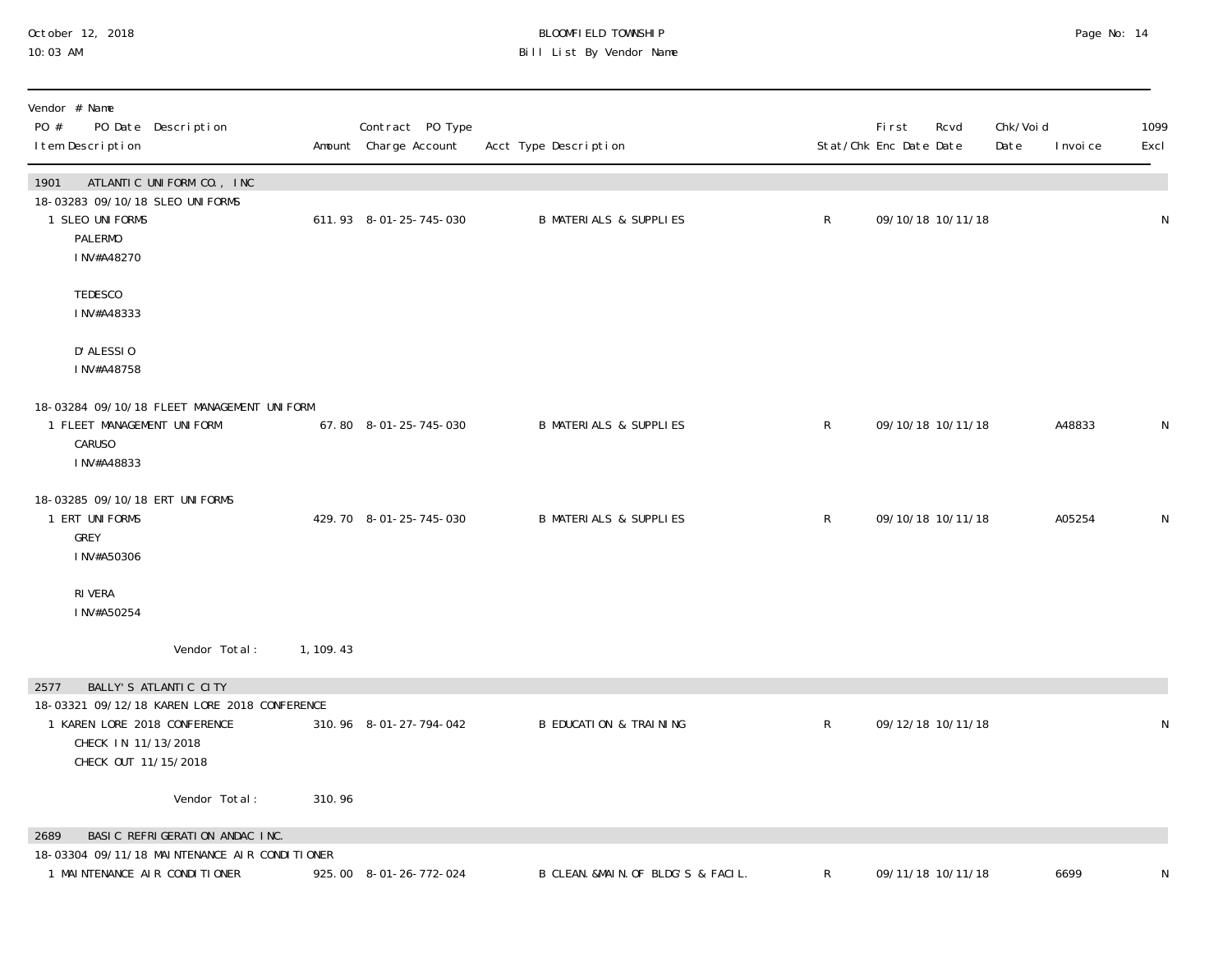## October 12, 2018 BLOOMFIELD TOWNSHIP Page No: 14 10:03 AM Bill List By Vendor Name

| Vendor # Name<br>PO #<br>PO Date Description<br>I tem Description                                                           |            | Contract PO Type<br>Amount Charge Account | Acct Type Description              |              | <b>First</b><br>Stat/Chk Enc Date Date | Rcvd | Chk/Voi d<br>Date | 1099<br>I nvoi ce<br>Excl |
|-----------------------------------------------------------------------------------------------------------------------------|------------|-------------------------------------------|------------------------------------|--------------|----------------------------------------|------|-------------------|---------------------------|
| 1901<br>ATLANTIC UNIFORM CO., INC<br>18-03283 09/10/18 SLEO UNIFORMS<br>1 SLEO UNI FORMS<br><b>PALERMO</b><br>INV#A48270    |            | 611.93 8-01-25-745-030                    | <b>B MATERIALS &amp; SUPPLIES</b>  | $\mathsf{R}$ | 09/10/18 10/11/18                      |      |                   | N                         |
| TEDESCO<br>INV#A48333                                                                                                       |            |                                           |                                    |              |                                        |      |                   |                           |
| D' ALESSIO<br>INV#A48758                                                                                                    |            |                                           |                                    |              |                                        |      |                   |                           |
| 18-03284 09/10/18 FLEET MANAGEMENT UNIFORM<br>1 FLEET MANAGEMENT UNIFORM<br><b>CARUSO</b><br>INV#A48833                     |            | 67.80 8-01-25-745-030                     | <b>B MATERIALS &amp; SUPPLIES</b>  | $\mathsf{R}$ | 09/10/18 10/11/18                      |      | A48833            | ${\sf N}$                 |
| 18-03285 09/10/18 ERT UNIFORMS<br>1 ERT UNIFORMS<br>GREY<br>INV#A50306                                                      |            | 429.70 8-01-25-745-030                    | <b>B MATERIALS &amp; SUPPLIES</b>  | $\mathsf R$  | 09/10/18 10/11/18                      |      | A05254            | N                         |
| RI VERA<br>INV#A50254                                                                                                       |            |                                           |                                    |              |                                        |      |                   |                           |
| Vendor Total:                                                                                                               | 1, 109. 43 |                                           |                                    |              |                                        |      |                   |                           |
| BALLY'S ATLANTIC CITY<br>2577                                                                                               |            |                                           |                                    |              |                                        |      |                   |                           |
| 18-03321 09/12/18 KAREN LORE 2018 CONFERENCE<br>1 KAREN LORE 2018 CONFERENCE<br>CHECK IN 11/13/2018<br>CHECK OUT 11/15/2018 |            | 310.96 8-01-27-794-042                    | <b>B EDUCATION &amp; TRAINING</b>  | $\mathsf R$  | 09/12/18 10/11/18                      |      |                   | ${\sf N}$                 |
| Vendor Total:                                                                                                               | 310.96     |                                           |                                    |              |                                        |      |                   |                           |
| BASIC REFRIGERATION ANDAC INC.<br>2689                                                                                      |            |                                           |                                    |              |                                        |      |                   |                           |
| 18-03304 09/11/18 MAINTENANCE AIR CONDITIONER<br>1 MAINTENANCE AIR CONDITIONER                                              |            | 925.00 8-01-26-772-024                    | B CLEAN. &MAIN. OF BLDG'S & FACIL. | R            | 09/11/18 10/11/18                      |      | 6699              | N                         |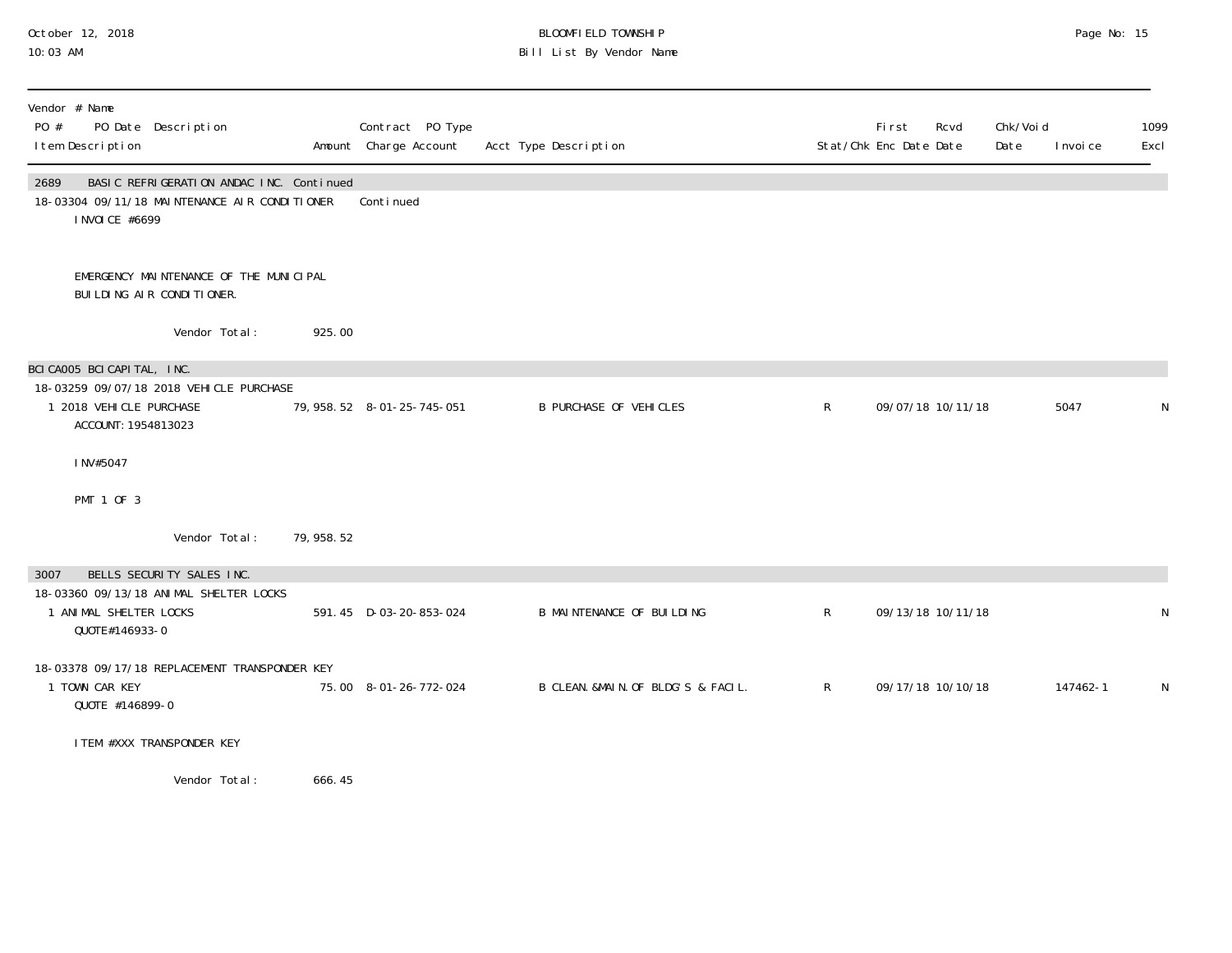#### October 12, 2018 BLOOMFIELD TOWNSHIP Page No: 15 10:03 AM Bill List By Vendor Name

| Vendor # Name<br>PO #<br>PO Date Description<br>I tem Description                                                    |             | Contract PO Type<br>Amount Charge Account | Acct Type Description              |              | First<br>Stat/Chk Enc Date Date | Chk/Voi d<br>Rcvd<br>Date | I nvoi ce | 1099<br>Excl |
|----------------------------------------------------------------------------------------------------------------------|-------------|-------------------------------------------|------------------------------------|--------------|---------------------------------|---------------------------|-----------|--------------|
| 2689<br>BASIC REFRIGERATION ANDAC INC. Continued<br>18-03304 09/11/18 MAINTENANCE AIR CONDITIONER<br>I NVOI CE #6699 |             | Continued                                 |                                    |              |                                 |                           |           |              |
| EMERGENCY MAINTENANCE OF THE MUNICIPAL<br>BUILDING AIR CONDITIONER.                                                  |             |                                           |                                    |              |                                 |                           |           |              |
| Vendor Total:                                                                                                        | 925.00      |                                           |                                    |              |                                 |                           |           |              |
| BCICA005 BCICAPITAL, INC.                                                                                            |             |                                           |                                    |              |                                 |                           |           |              |
| 18-03259 09/07/18 2018 VEHICLE PURCHASE<br>1 2018 VEHICLE PURCHASE<br>ACCOUNT: 1954813023                            |             | 79, 958. 52  8-01-25-745-051              | <b>B PURCHASE OF VEHICLES</b>      | $\mathsf{R}$ | 09/07/18 10/11/18               |                           | 5047      | N            |
| INV#5047                                                                                                             |             |                                           |                                    |              |                                 |                           |           |              |
| PMT 1 OF 3                                                                                                           |             |                                           |                                    |              |                                 |                           |           |              |
| Vendor Total:                                                                                                        | 79, 958. 52 |                                           |                                    |              |                                 |                           |           |              |
| BELLS SECURITY SALES INC.<br>3007                                                                                    |             |                                           |                                    |              |                                 |                           |           |              |
| 18-03360 09/13/18 ANIMAL SHELTER LOCKS<br>1 ANIMAL SHELTER LOCKS<br>QUOTE#146933-0                                   |             | 591.45 D-03-20-853-024                    | <b>B MAINTENANCE OF BUILDING</b>   | $\mathsf{R}$ | 09/13/18 10/11/18               |                           |           | N            |
| 18-03378 09/17/18 REPLACEMENT TRANSPONDER KEY<br>1 TOWN CAR KEY<br>QUOTE #146899-0                                   |             | 75.00 8-01-26-772-024                     | B CLEAN. &MAIN. OF BLDG'S & FACIL. | R            | 09/17/18 10/10/18               |                           | 147462-1  | N.           |
| I TEM #XXX TRANSPONDER KEY                                                                                           |             |                                           |                                    |              |                                 |                           |           |              |
| Vendor Total:                                                                                                        | 666.45      |                                           |                                    |              |                                 |                           |           |              |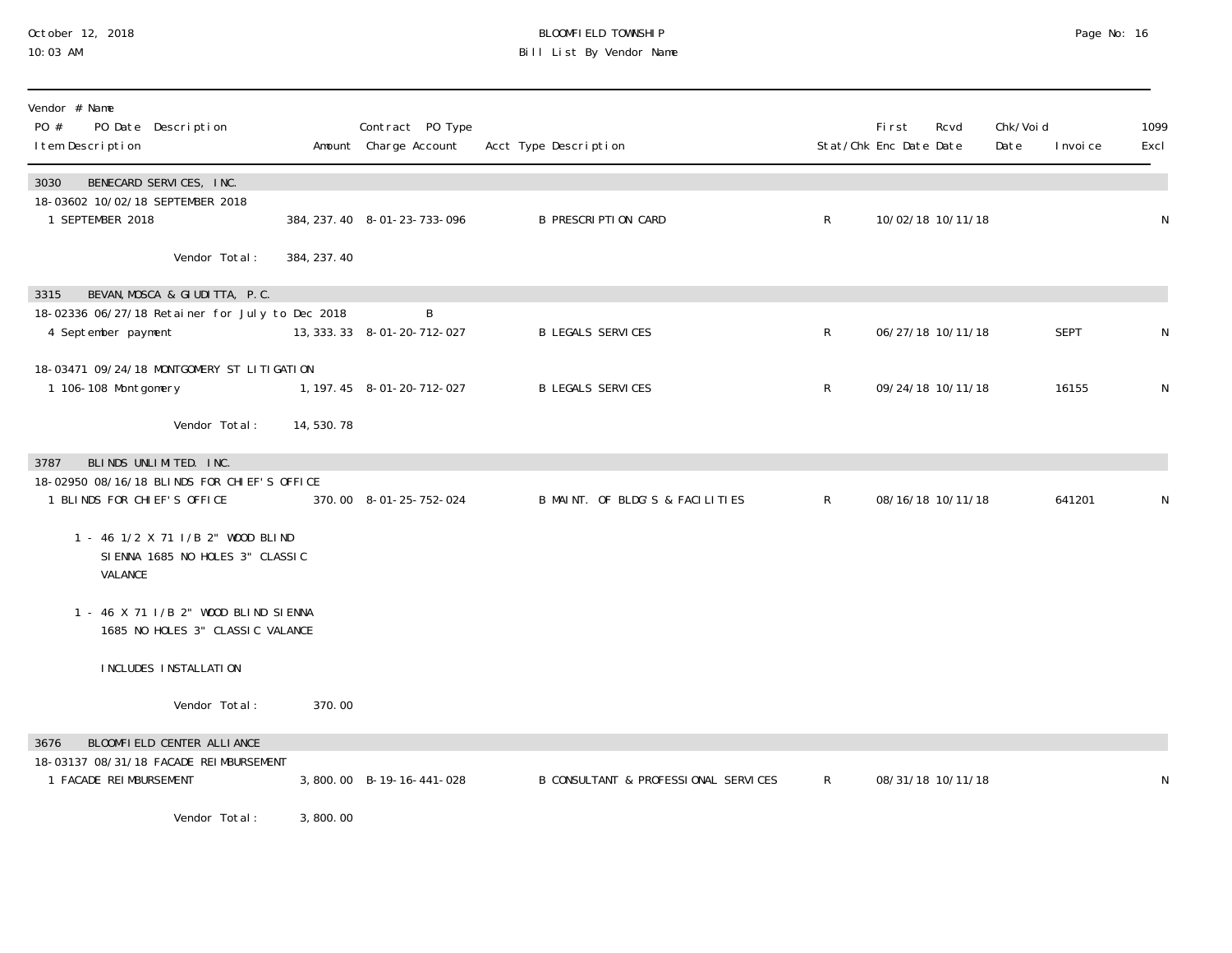#### October 12, 2018 BLOOMFIELD TOWNSHIP Page No: 16 10:03 AM Bill List By Vendor Name

| Vendor # Name<br>PO #<br>PO Date Description<br>I tem Description                 |             | Contract PO Type<br>Amount Charge Account | Acct Type Description                |                | First<br>Stat/Chk Enc Date Date | Rcvd              | Chk/Void<br>Date | I nvoi ce   | 1099<br>Excl |
|-----------------------------------------------------------------------------------|-------------|-------------------------------------------|--------------------------------------|----------------|---------------------------------|-------------------|------------------|-------------|--------------|
| BENECARD SERVICES, INC.<br>3030                                                   |             |                                           |                                      |                |                                 |                   |                  |             |              |
| 18-03602 10/02/18 SEPTEMBER 2018<br>1 SEPTEMBER 2018                              |             | 384, 237. 40 8-01-23-733-096              | <b>B PRESCRIPTION CARD</b>           | $\mathsf{R}^-$ |                                 | 10/02/18 10/11/18 |                  |             | N            |
| Vendor Total:                                                                     | 384, 237.40 |                                           |                                      |                |                                 |                   |                  |             |              |
| BEVAN, MOSCA & GIUDITTA, P.C.<br>3315                                             |             |                                           |                                      |                |                                 |                   |                  |             |              |
| 18-02336 06/27/18 Retainer for July to Dec 2018<br>4 September payment            |             | B<br>13, 333. 33 8-01-20-712-027          | <b>B LEGALS SERVICES</b>             | $\mathsf{R}^-$ |                                 | 06/27/18 10/11/18 |                  | <b>SEPT</b> | N            |
| 18-03471 09/24/18 MONTGOMERY ST LITIGATION                                        |             |                                           |                                      |                |                                 |                   |                  |             |              |
| 1 106-108 Montgomery                                                              |             | 1, 197. 45 8-01-20-712-027                | <b>B LEGALS SERVICES</b>             | R              |                                 | 09/24/18 10/11/18 |                  | 16155       | ${\sf N}$    |
| Vendor Total:                                                                     | 14,530.78   |                                           |                                      |                |                                 |                   |                  |             |              |
| BLINDS UNLIMITED. INC.<br>3787                                                    |             |                                           |                                      |                |                                 |                   |                  |             |              |
| 18-02950 08/16/18 BLINDS FOR CHIEF'S OFFICE<br>1 BLINDS FOR CHIEF'S OFFICE        |             | 370.00 8-01-25-752-024                    | B MAINT. OF BLDG'S & FACILITIES      | $\mathsf{R}$   |                                 | 08/16/18 10/11/18 |                  | 641201      | N            |
| 1 - 46 1/2 X 71   / B 2" WOOD BLIND<br>SIENNA 1685 NO HOLES 3" CLASSIC<br>VALANCE |             |                                           |                                      |                |                                 |                   |                  |             |              |
| 1 - 46 X 71 I/B 2" WOOD BLIND SIENNA<br>1685 NO HOLES 3" CLASSIC VALANCE          |             |                                           |                                      |                |                                 |                   |                  |             |              |
| INCLUDES INSTALLATION                                                             |             |                                           |                                      |                |                                 |                   |                  |             |              |
| Vendor Total:                                                                     | 370.00      |                                           |                                      |                |                                 |                   |                  |             |              |
| BLOOMFIELD CENTER ALLIANCE<br>3676                                                |             |                                           |                                      |                |                                 |                   |                  |             |              |
| 18-03137 08/31/18 FACADE REIMBURSEMENT<br>1 FACADE REIMBURSEMENT                  |             | 3,800.00 B-19-16-441-028                  | B CONSULTANT & PROFESSIONAL SERVICES | $\mathsf{R}$   |                                 | 08/31/18 10/11/18 |                  |             | N            |
| Vendor Total:                                                                     | 3,800.00    |                                           |                                      |                |                                 |                   |                  |             |              |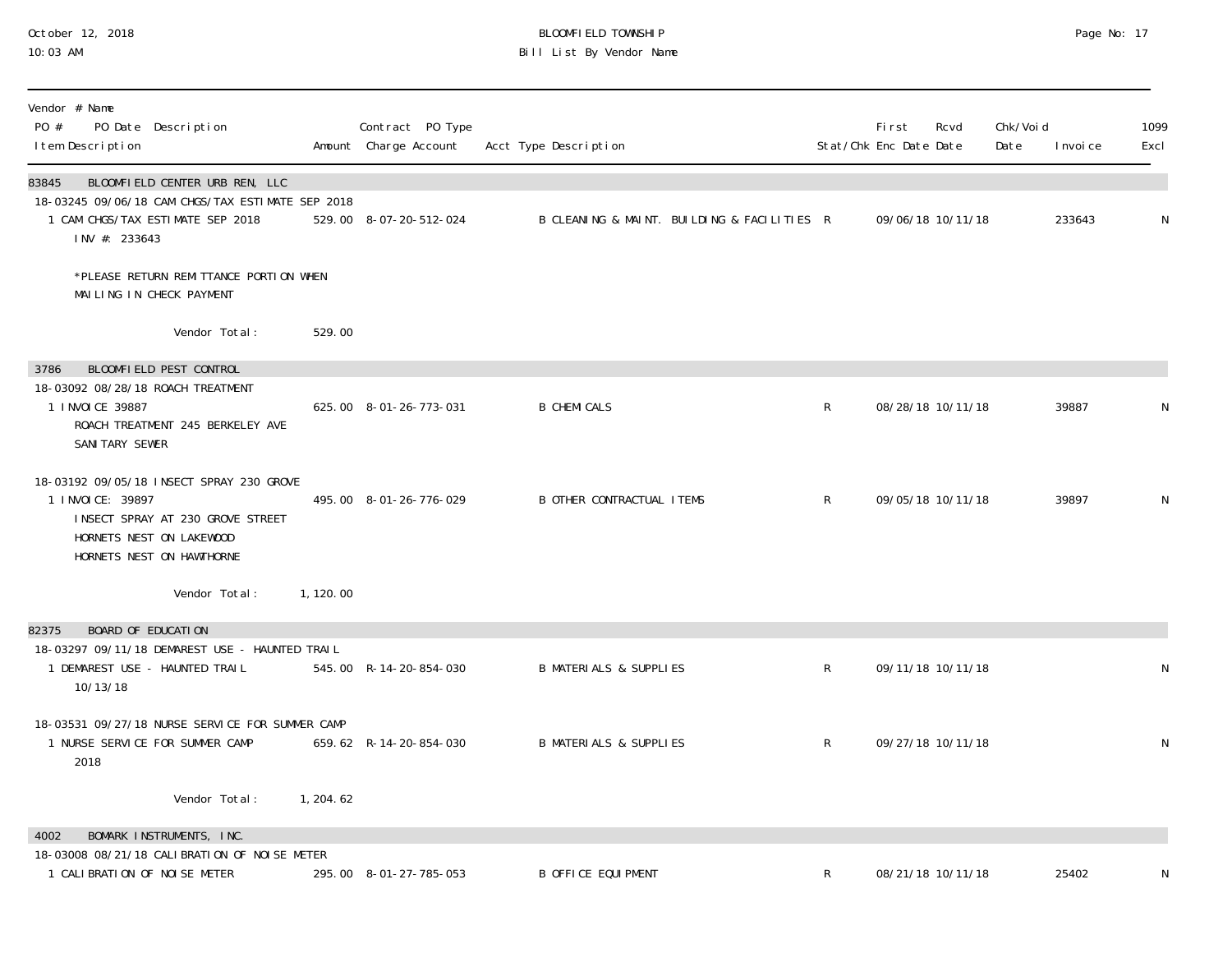#### October 12, 2018 BLOOMFIELD TOWNSHIP Page No: 17 10:03 AM Bill List By Vendor Name

| Vendor # Name<br>PO #<br>PO Date Description<br>I tem Description                                                                                           |            | Contract PO Type<br>Amount Charge Account | Acct Type Description                       |             | First<br>Stat/Chk Enc Date Date | Rcvd              | Chk/Void<br>Date | I nvoi ce | 1099<br>Excl |
|-------------------------------------------------------------------------------------------------------------------------------------------------------------|------------|-------------------------------------------|---------------------------------------------|-------------|---------------------------------|-------------------|------------------|-----------|--------------|
| 83845<br>BLOOMFIELD CENTER URB REN, LLC<br>18-03245 09/06/18 CAM CHGS/TAX ESTIMATE SEP 2018<br>1 CAM CHGS/TAX ESTIMATE SEP 2018<br>INV #: 233643            |            | 529.00 8-07-20-512-024                    | B CLEANING & MAINT. BUILDING & FACILITIES R |             |                                 | 09/06/18 10/11/18 |                  | 233643    | N            |
| *PLEASE RETURN REMITTANCE PORTION WHEN<br>MAILING IN CHECK PAYMENT                                                                                          |            |                                           |                                             |             |                                 |                   |                  |           |              |
| Vendor Total:                                                                                                                                               | 529.00     |                                           |                                             |             |                                 |                   |                  |           |              |
| BLOOMFIELD PEST CONTROL<br>3786                                                                                                                             |            |                                           |                                             |             |                                 |                   |                  |           |              |
| 18-03092 08/28/18 ROACH TREATMENT<br>1 I NVOI CE 39887<br>ROACH TREATMENT 245 BERKELEY AVE<br>SANI TARY SEWER                                               |            | 625.00 8-01-26-773-031                    | <b>B CHEMI CALS</b>                         | $\mathsf R$ |                                 | 08/28/18 10/11/18 |                  | 39887     | N            |
| 18-03192 09/05/18 INSECT SPRAY 230 GROVE<br>1 I NVOI CE: 39897<br>INSECT SPRAY AT 230 GROVE STREET<br>HORNETS NEST ON LAKEWOOD<br>HORNETS NEST ON HAWTHORNE |            | 495.00 8-01-26-776-029                    | <b>B OTHER CONTRACTUAL ITEMS</b>            | $\mathsf R$ |                                 | 09/05/18 10/11/18 |                  | 39897     | N            |
| Vendor Total:                                                                                                                                               | 1, 120.00  |                                           |                                             |             |                                 |                   |                  |           |              |
| BOARD OF EDUCATION<br>82375                                                                                                                                 |            |                                           |                                             |             |                                 |                   |                  |           |              |
| 18-03297 09/11/18 DEMAREST USE - HAUNTED TRAIL<br>1 DEMAREST USE - HAUNTED TRAIL<br>10/13/18                                                                |            | 545.00 R-14-20-854-030                    | <b>B MATERIALS &amp; SUPPLIES</b>           | $\mathsf R$ |                                 | 09/11/18 10/11/18 |                  |           | N            |
| 18-03531 09/27/18 NURSE SERVICE FOR SUMMER CAMP<br>1 NURSE SERVICE FOR SUMMER CAMP<br>2018                                                                  |            | 659.62 R-14-20-854-030                    | <b>B MATERIALS &amp; SUPPLIES</b>           | $\mathsf R$ |                                 | 09/27/18 10/11/18 |                  |           | N            |
| Vendor Total:                                                                                                                                               | 1, 204. 62 |                                           |                                             |             |                                 |                   |                  |           |              |
| BOMARK INSTRUMENTS, INC.<br>4002                                                                                                                            |            |                                           |                                             |             |                                 |                   |                  |           |              |
| 18-03008 08/21/18 CALIBRATION OF NOISE METER<br>1 CALIBRATION OF NOISE METER                                                                                |            | 295.00 8-01-27-785-053                    | <b>B OFFICE EQUIPMENT</b>                   | R           |                                 | 08/21/18 10/11/18 |                  | 25402     | N            |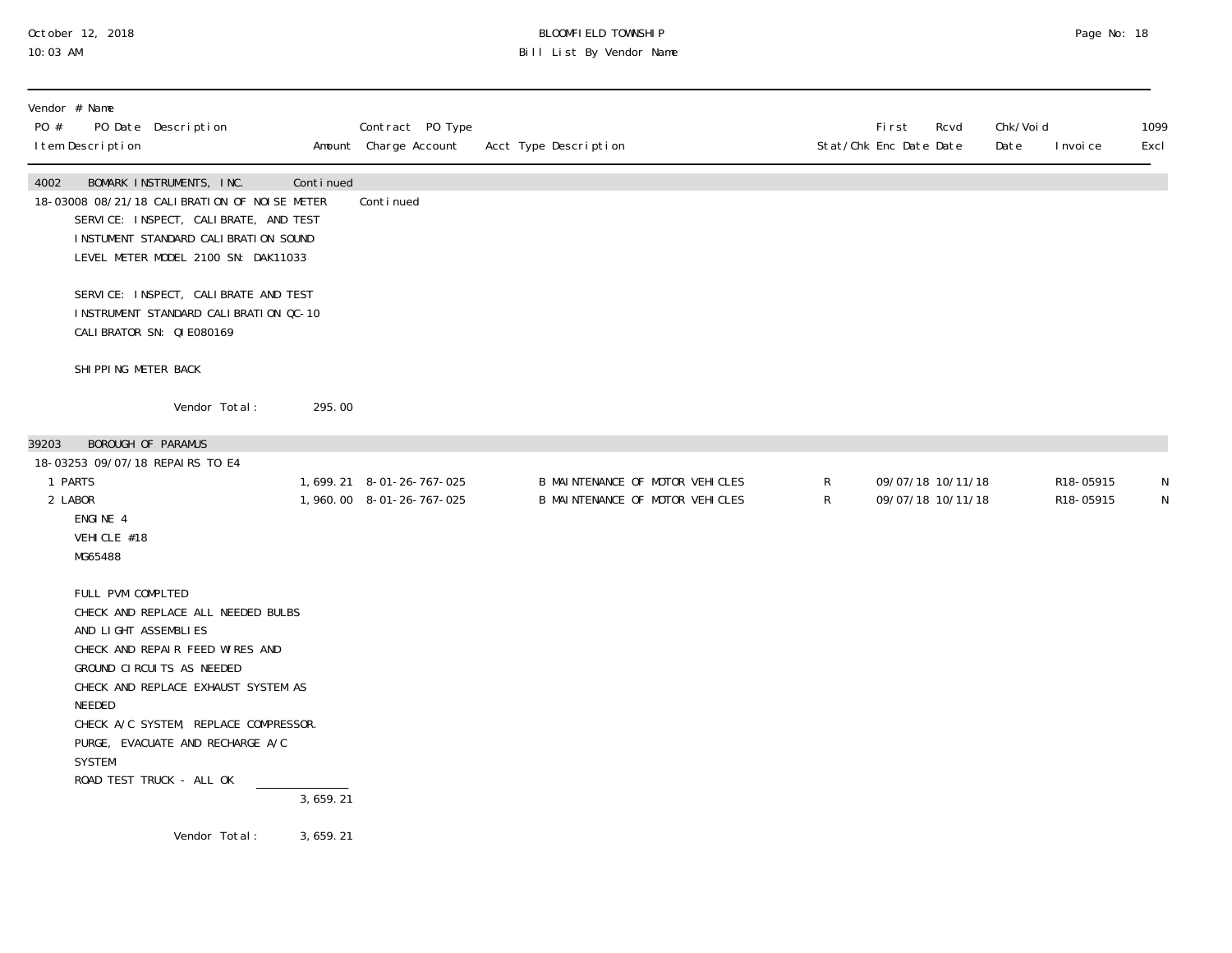## October 12, 2018 BLOOMFIELD TOWNSHIP Page No: 18 10:03 AM Bill List By Vendor Name

| Vendor # Name<br>PO #<br>I tem Description                                                                                 | PO Date Description                                                                                                                                                                                                                                |           | Contract PO Type<br>Amount Charge Account               | Acct Type Description |                                                                    |                   | <b>First</b><br>Stat/Chk Enc Date Date | Rcvd | Chk/Voi d<br>Date | I nvoi ce              | 1099<br>Excl |
|----------------------------------------------------------------------------------------------------------------------------|----------------------------------------------------------------------------------------------------------------------------------------------------------------------------------------------------------------------------------------------------|-----------|---------------------------------------------------------|-----------------------|--------------------------------------------------------------------|-------------------|----------------------------------------|------|-------------------|------------------------|--------------|
| 4002                                                                                                                       | BOMARK INSTRUMENTS, INC.<br>18-03008 08/21/18 CALIBRATION OF NOISE METER<br>SERVICE: INSPECT, CALIBRATE, AND TEST<br>INSTUMENT STANDARD CALIBRATION SOUND<br>LEVEL METER MODEL 2100 SN: DAK11033                                                   | Continued | Continued                                               |                       |                                                                    |                   |                                        |      |                   |                        |              |
|                                                                                                                            | SERVICE: INSPECT, CALIBRATE AND TEST<br>INSTRUMENT STANDARD CALIBRATION QC-10<br>CALIBRATOR SN: QIE080169                                                                                                                                          |           |                                                         |                       |                                                                    |                   |                                        |      |                   |                        |              |
| SHI PPI NG METER BACK                                                                                                      |                                                                                                                                                                                                                                                    |           |                                                         |                       |                                                                    |                   |                                        |      |                   |                        |              |
|                                                                                                                            | Vendor Total:                                                                                                                                                                                                                                      | 295.00    |                                                         |                       |                                                                    |                   |                                        |      |                   |                        |              |
| BOROUGH OF PARAMUS<br>39203<br>18-03253 09/07/18 REPAIRS TO E4<br>1 PARTS<br>2 LABOR<br>ENGINE 4<br>VEHICLE #18<br>MG65488 |                                                                                                                                                                                                                                                    |           | 1, 699. 21 8-01-26-767-025<br>1, 960.00 8-01-26-767-025 |                       | B MAINTENANCE OF MOTOR VEHICLES<br>B MAINTENANCE OF MOTOR VEHICLES | R<br>$\mathsf{R}$ | 09/07/18 10/11/18<br>09/07/18 10/11/18 |      |                   | R18-05915<br>R18-05915 | N<br>N       |
| FULL PVM COMPLTED<br>AND LIGHT ASSEMBLIES<br>NEEDED<br><b>SYSTEM</b>                                                       | CHECK AND REPLACE ALL NEEDED BULBS<br>CHECK AND REPAIR FEED WIRES AND<br>GROUND CIRCUITS AS NEEDED<br>CHECK AND REPLACE EXHAUST SYSTEM AS<br>CHECK A/C SYSTEM, REPLACE COMPRESSOR.<br>PURGE, EVACUATE AND RECHARGE A/C<br>ROAD TEST TRUCK - ALL OK | 3,659.21  |                                                         |                       |                                                                    |                   |                                        |      |                   |                        |              |
|                                                                                                                            | Vendor Total:                                                                                                                                                                                                                                      | 3,659.21  |                                                         |                       |                                                                    |                   |                                        |      |                   |                        |              |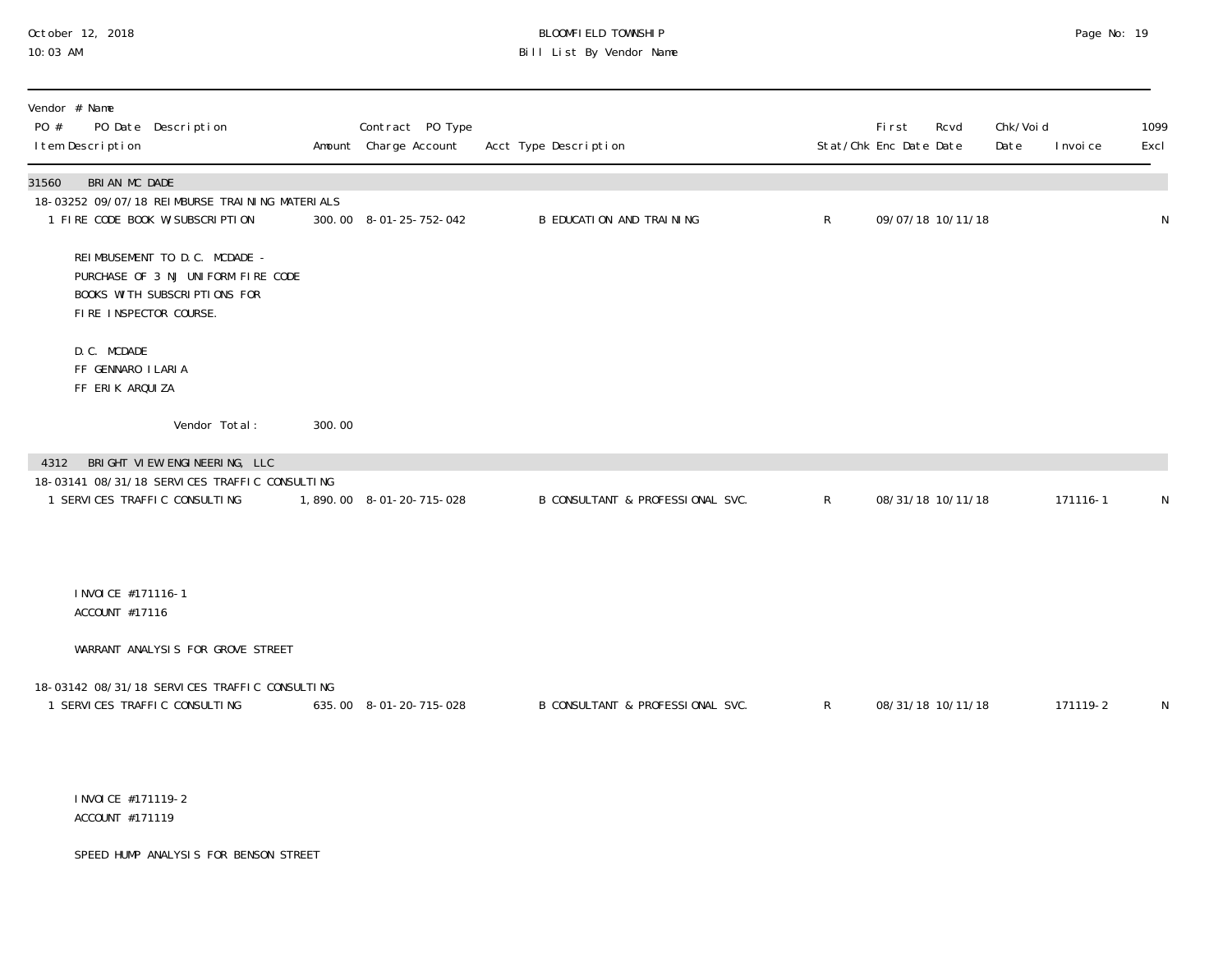## October 12, 2018 BLOOMFIELD TOWNSHIP Page No: 19 10:03 AM Bill List By Vendor Name

| Vendor # Name<br>PO #<br>PO Date Description<br>I tem Description                                                             |        | Contract PO Type<br>Amount Charge Account | Acct Type Description            |              | Fi rst<br>Rcvd<br>Stat/Chk Enc Date Date | Chk/Voi d<br>Date | I nvoi ce | 1099<br>Excl |
|-------------------------------------------------------------------------------------------------------------------------------|--------|-------------------------------------------|----------------------------------|--------------|------------------------------------------|-------------------|-----------|--------------|
| BRIAN MC DADE<br>31560<br>18-03252 09/07/18 REIMBURSE TRAINING MATERIALS<br>1 FIRE CODE BOOK W/SUBSCRIPTION                   |        | 300.00 8-01-25-752-042                    | B EDUCATION AND TRAINING         | $\mathsf{R}$ | 09/07/18 10/11/18                        |                   |           | N            |
| REIMBUSEMENT TO D.C. MCDADE -<br>PURCHASE OF 3 NJ UNIFORM FIRE CODE<br>BOOKS WITH SUBSCRIPTIONS FOR<br>FIRE INSPECTOR COURSE. |        |                                           |                                  |              |                                          |                   |           |              |
| D. C. MCDADE<br>FF GENNARO I LARIA<br>FF ERIK ARQUIZA                                                                         |        |                                           |                                  |              |                                          |                   |           |              |
| Vendor Total:                                                                                                                 | 300.00 |                                           |                                  |              |                                          |                   |           |              |
| 4312 BRIGHT VIEW ENGINEERING, LLC<br>18-03141 08/31/18 SERVICES TRAFFIC CONSULTING<br>1 SERVICES TRAFFIC CONSULTING           |        | 1,890.00 8-01-20-715-028                  | B CONSULTANT & PROFESSIONAL SVC. | $\mathsf{R}$ | 08/31/18 10/11/18                        |                   | 171116-1  | N            |
| I NVOI CE #171116-1<br>ACCOUNT #17116                                                                                         |        |                                           |                                  |              |                                          |                   |           |              |
| WARRANT ANALYSIS FOR GROVE STREET                                                                                             |        |                                           |                                  |              |                                          |                   |           |              |
| 18-03142 08/31/18 SERVICES TRAFFIC CONSULTING<br>1 SERVICES TRAFFIC CONSULTING                                                |        | 635.00 8-01-20-715-028                    | B CONSULTANT & PROFESSIONAL SVC. | $\mathsf{R}$ | 08/31/18 10/11/18                        |                   | 171119-2  | N            |
| I NVOI CE #171119-2<br>ACCOUNT #171119                                                                                        |        |                                           |                                  |              |                                          |                   |           |              |
| SPEED HUMP ANALYSIS FOR BENSON STREET                                                                                         |        |                                           |                                  |              |                                          |                   |           |              |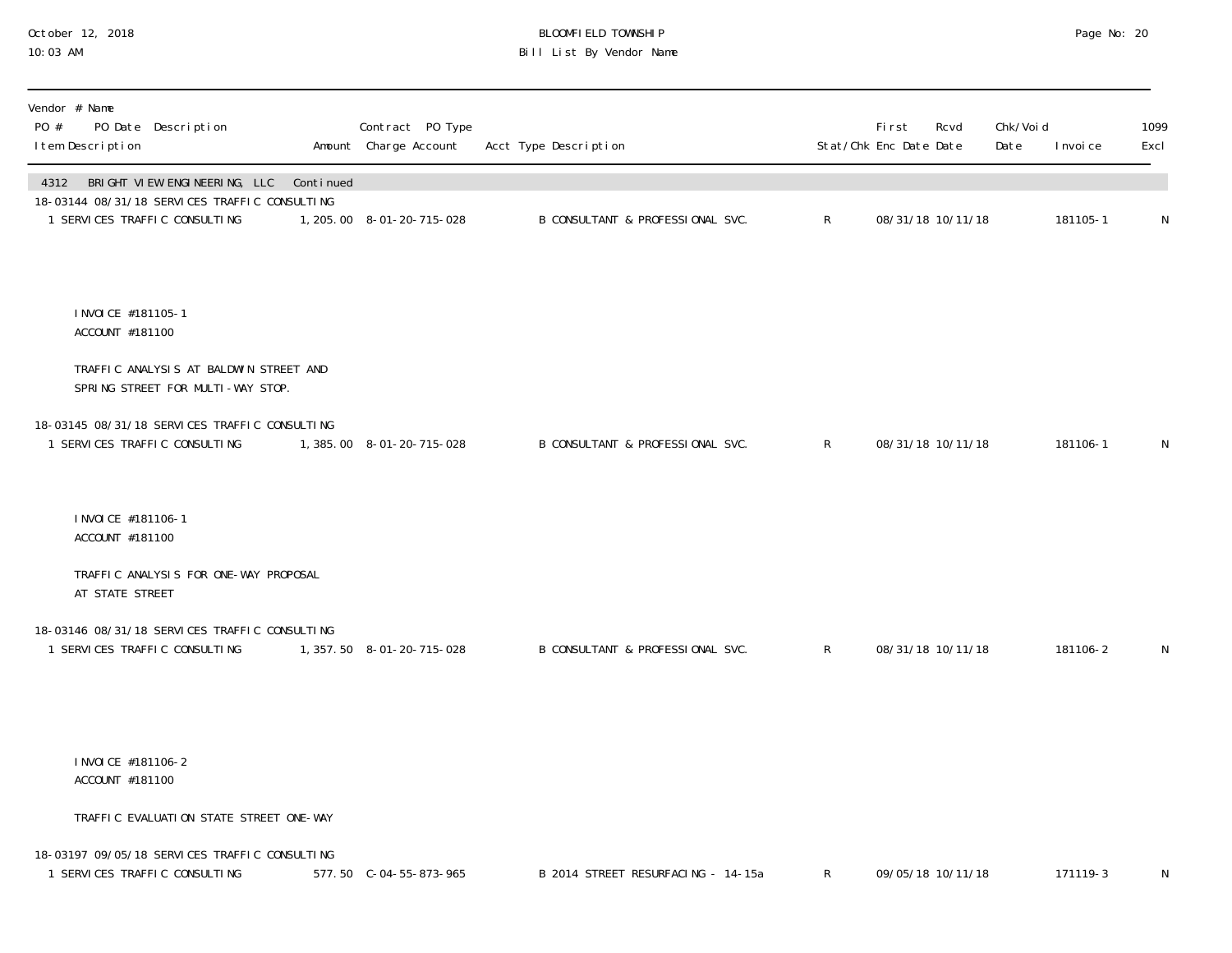## October 12, 2018 BLOOMFIELD TOWNSHIP Page No: 20 10:03 AM Bill List By Vendor Name

| Vendor # Name<br>PO #<br>PO Date Description<br>I tem Description                                                     |           | Contract PO Type<br>Amount Charge Account | Acct Type Description              |              | <b>First</b><br>Stat/Chk Enc Date Date | Chk/Voi d<br>Rcvd<br>Date | I nvoi ce | 1099<br>Excl |
|-----------------------------------------------------------------------------------------------------------------------|-----------|-------------------------------------------|------------------------------------|--------------|----------------------------------------|---------------------------|-----------|--------------|
| 4312 BRIGHT VIEW ENGINEERING, LLC<br>18-03144 08/31/18 SERVICES TRAFFIC CONSULTING<br>1 SERVICES TRAFFIC CONSULTING   | Continued | 1, 205.00 8-01-20-715-028                 | B CONSULTANT & PROFESSIONAL SVC.   | $\mathsf{R}$ | 08/31/18 10/11/18                      |                           | 181105-1  | N            |
| I NVOI CE #181105-1<br>ACCOUNT #181100<br>TRAFFIC ANALYSIS AT BALDWIN STREET AND<br>SPRING STREET FOR MULTI-WAY STOP. |           |                                           |                                    |              |                                        |                           |           |              |
| 18-03145 08/31/18 SERVICES TRAFFIC CONSULTING<br>1 SERVICES TRAFFIC CONSULTING                                        |           | 1, 385.00 8-01-20-715-028                 | B CONSULTANT & PROFESSIONAL SVC.   | $\mathsf{R}$ | 08/31/18 10/11/18                      |                           | 181106-1  | N            |
| I NVOI CE #181106-1<br>ACCOUNT #181100                                                                                |           |                                           |                                    |              |                                        |                           |           |              |
| TRAFFIC ANALYSIS FOR ONE-WAY PROPOSAL<br>AT STATE STREET                                                              |           |                                           |                                    |              |                                        |                           |           |              |
| 18-03146 08/31/18 SERVICES TRAFFIC CONSULTING<br>1 SERVICES TRAFFIC CONSULTING                                        |           | 1, 357.50 8-01-20-715-028                 | B CONSULTANT & PROFESSIONAL SVC.   | $\mathsf{R}$ | 08/31/18 10/11/18                      |                           | 181106-2  | N            |
| I NVOI CE #181106-2<br>ACCOUNT #181100                                                                                |           |                                           |                                    |              |                                        |                           |           |              |
| TRAFFIC EVALUATION STATE STREET ONE-WAY                                                                               |           |                                           |                                    |              |                                        |                           |           |              |
| 18-03197 09/05/18 SERVICES TRAFFIC CONSULTING<br>1 SERVICES TRAFFIC CONSULTING                                        |           | 577.50 C-04-55-873-965                    | B 2014 STREET RESURFACING - 14-15a | $\mathsf{R}$ | 09/05/18 10/11/18                      |                           | 171119-3  | N            |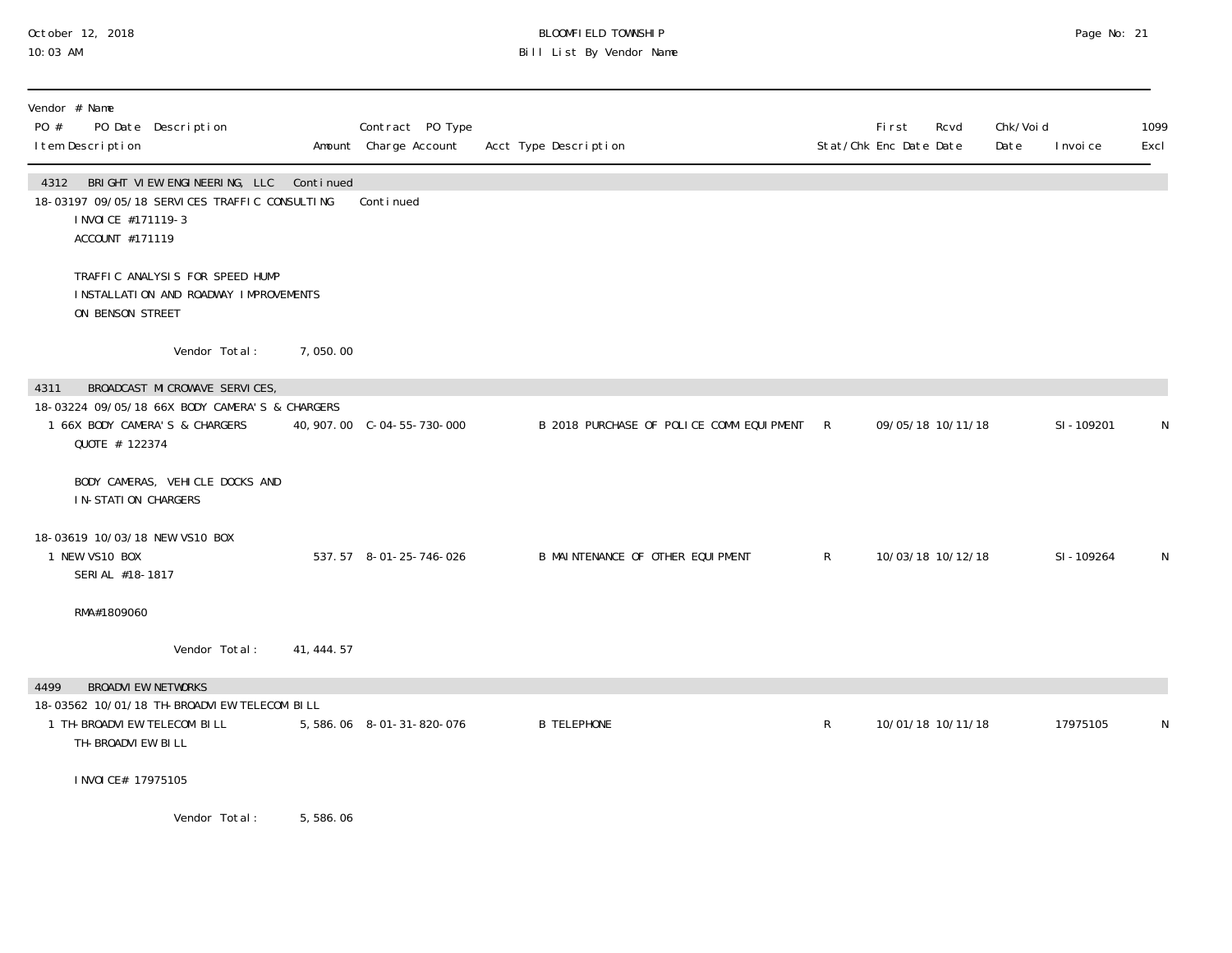## October 12, 2018 BLOOMFIELD TOWNSHIP Page No: 21 10:03 AM Bill List By Vendor Name

| Vendor # Name<br>PO #<br>PO Date Description<br>I tem Description                                                                      |               |             | Contract PO Type<br>Amount Charge Account | Acct Type Description                      |              | First<br>Stat/Chk Enc Date Date | Rcvd | Chk/Voi d<br>Date | I nvoi ce | 1099<br>Excl |
|----------------------------------------------------------------------------------------------------------------------------------------|---------------|-------------|-------------------------------------------|--------------------------------------------|--------------|---------------------------------|------|-------------------|-----------|--------------|
| 4312 BRIGHT VIEW ENGINEERING, LLC Continued<br>18-03197 09/05/18 SERVICES TRAFFIC CONSULTING<br>I NVOI CE #171119-3<br>ACCOUNT #171119 |               |             | Continued                                 |                                            |              |                                 |      |                   |           |              |
| TRAFFIC ANALYSIS FOR SPEED HUMP<br>INSTALLATION AND ROADWAY IMPROVEMENTS<br>ON BENSON STREET                                           |               |             |                                           |                                            |              |                                 |      |                   |           |              |
|                                                                                                                                        | Vendor Total: | 7,050.00    |                                           |                                            |              |                                 |      |                   |           |              |
| BROADCAST MICROWAVE SERVICES,<br>4311<br>18-03224 09/05/18 66X BODY CAMERA'S & CHARGERS                                                |               |             |                                           |                                            |              |                                 |      |                   |           |              |
| 1 66X BODY CAMERA'S & CHARGERS<br>QUOTE # 122374                                                                                       |               |             |                                           | B 2018 PURCHASE OF POLICE COMM EQUIPMENT R |              | 09/05/18 10/11/18               |      |                   | SI-109201 | ${\sf N}$    |
| BODY CAMERAS, VEHICLE DOCKS AND<br><b>IN-STATION CHARGERS</b>                                                                          |               |             |                                           |                                            |              |                                 |      |                   |           |              |
| 18-03619 10/03/18 NEW VS10 BOX<br>1 NEW VS10 BOX<br>SERIAL #18-1817                                                                    |               |             | 537.57 8-01-25-746-026                    | B MAINTENANCE OF OTHER EQUIPMENT           | $\mathsf{R}$ | 10/03/18 10/12/18               |      |                   | SI-109264 | N            |
| RMA#1809060                                                                                                                            |               |             |                                           |                                            |              |                                 |      |                   |           |              |
|                                                                                                                                        | Vendor Total: | 41, 444. 57 |                                           |                                            |              |                                 |      |                   |           |              |
| <b>BROADVI EW NETWORKS</b><br>4499                                                                                                     |               |             |                                           |                                            |              |                                 |      |                   |           |              |
| 18-03562 10/01/18 TH-BROADVI EW TELECOM BILL<br>1 TH-BROADVIEW TELECOM BILL<br>TH-BROADVI EW BILL                                      |               |             | 5,586.06 8-01-31-820-076                  | <b>B TELEPHONE</b>                         | $\mathsf{R}$ | 10/01/18 10/11/18               |      |                   | 17975105  | N            |
| I NVOI CE# 17975105                                                                                                                    |               |             |                                           |                                            |              |                                 |      |                   |           |              |
|                                                                                                                                        | Vendor Total: | 5,586.06    |                                           |                                            |              |                                 |      |                   |           |              |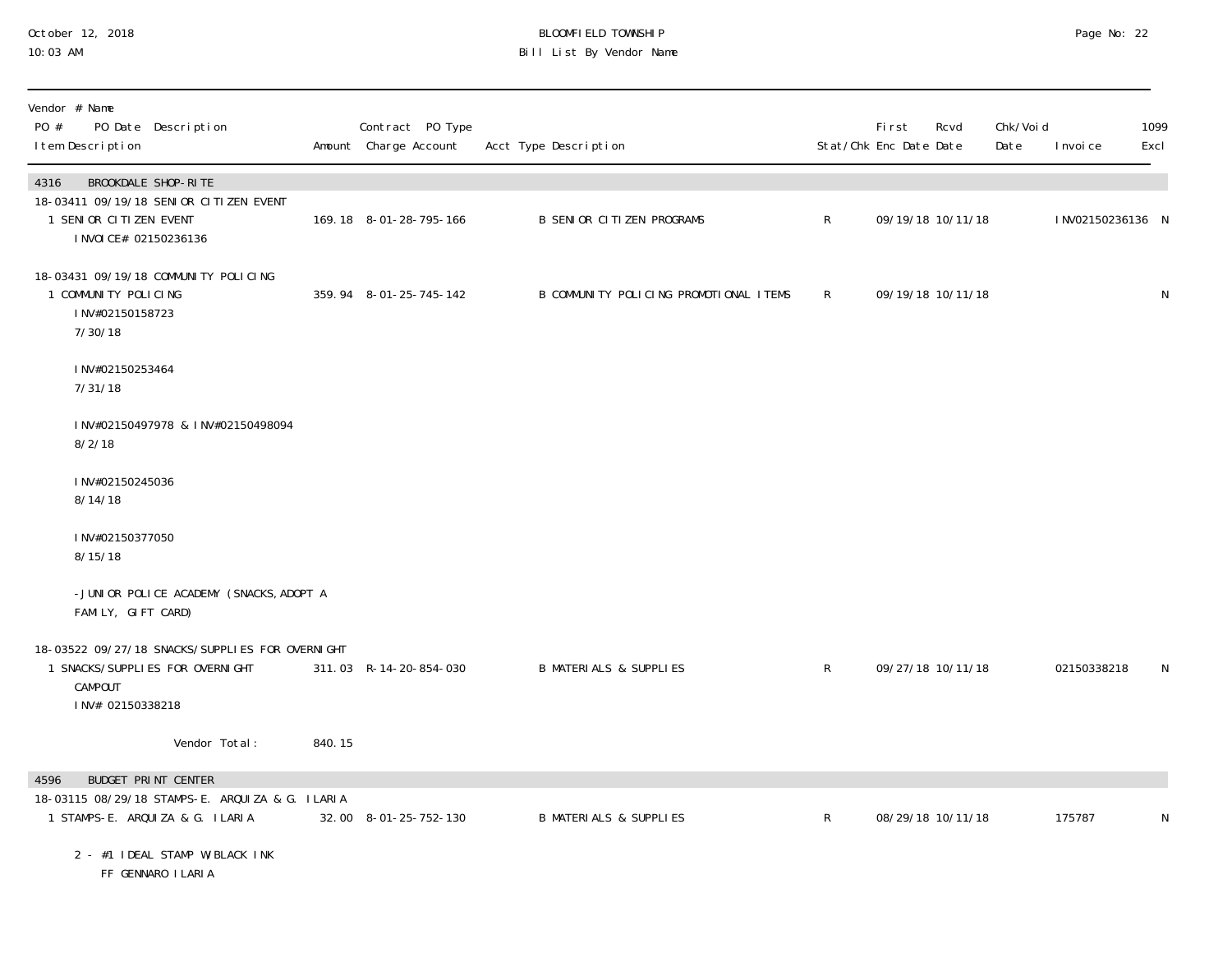## October 12, 2018 BLOOMFIELD TOWNSHIP Page No: 22 10:03 AM Bill List By Vendor Name

| Vendor # Name<br>PO #<br>PO Date Description<br>I tem Description                                                         |        | Contract PO Type<br>Amount Charge Account | Acct Type Description                  |              | First<br>Stat/Chk Enc Date Date | Rcvd              | Chk/Voi d<br>Date | I nvoi ce        | 1099<br>Excl |
|---------------------------------------------------------------------------------------------------------------------------|--------|-------------------------------------------|----------------------------------------|--------------|---------------------------------|-------------------|-------------------|------------------|--------------|
| BROOKDALE SHOP-RITE<br>4316<br>18-03411 09/19/18 SENIOR CITIZEN EVENT<br>1 SENIOR CITIZEN EVENT<br>I NVOI CE# 02150236136 |        | 169.18 8-01-28-795-166                    | <b>B SENIOR CITIZEN PROGRAMS</b>       | $\mathsf{R}$ |                                 | 09/19/18 10/11/18 |                   | INV02150236136 N |              |
| 18-03431 09/19/18 COMMUNITY POLICING<br>1 COMMUNITY POLICING<br>INV#02150158723<br>7/30/18                                |        | 359.94 8-01-25-745-142                    | B COMMUNITY POLICING PROMOTIONAL ITEMS | $\mathsf{R}$ |                                 | 09/19/18 10/11/18 |                   |                  | ${\sf N}$    |
| INV#02150253464<br>7/31/18                                                                                                |        |                                           |                                        |              |                                 |                   |                   |                  |              |
| INV#02150497978 & INV#02150498094<br>8/2/18                                                                               |        |                                           |                                        |              |                                 |                   |                   |                  |              |
| INV#02150245036<br>8/14/18                                                                                                |        |                                           |                                        |              |                                 |                   |                   |                  |              |
| INV#02150377050<br>8/15/18                                                                                                |        |                                           |                                        |              |                                 |                   |                   |                  |              |
| -JUNIOR POLICE ACADEMY (SNACKS, ADOPT A<br>FAMILY, GIFT CARD)                                                             |        |                                           |                                        |              |                                 |                   |                   |                  |              |
| 18-03522 09/27/18 SNACKS/SUPPLIES FOR OVERNIGHT<br>1 SNACKS/SUPPLIES FOR OVERNIGHT<br>CAMPOUT<br>INV# 02150338218         |        | 311.03 R-14-20-854-030                    | <b>B MATERIALS &amp; SUPPLIES</b>      | $\mathsf{R}$ |                                 | 09/27/18 10/11/18 |                   | 02150338218      | N            |
| Vendor Total:                                                                                                             | 840.15 |                                           |                                        |              |                                 |                   |                   |                  |              |
| 4596<br><b>BUDGET PRINT CENTER</b><br>18-03115 08/29/18 STAMPS-E. ARQUIZA & G. ILARIA<br>1 STAMPS-E. ARQUIZA & G. ILARIA  |        | 32.00 8-01-25-752-130                     | <b>B MATERIALS &amp; SUPPLIES</b>      | $\mathsf{R}$ |                                 | 08/29/18 10/11/18 |                   | 175787           | N            |
| 2 - #1 IDEAL STAMP W/BLACK INK<br>FF GENNARO I LARI A                                                                     |        |                                           |                                        |              |                                 |                   |                   |                  |              |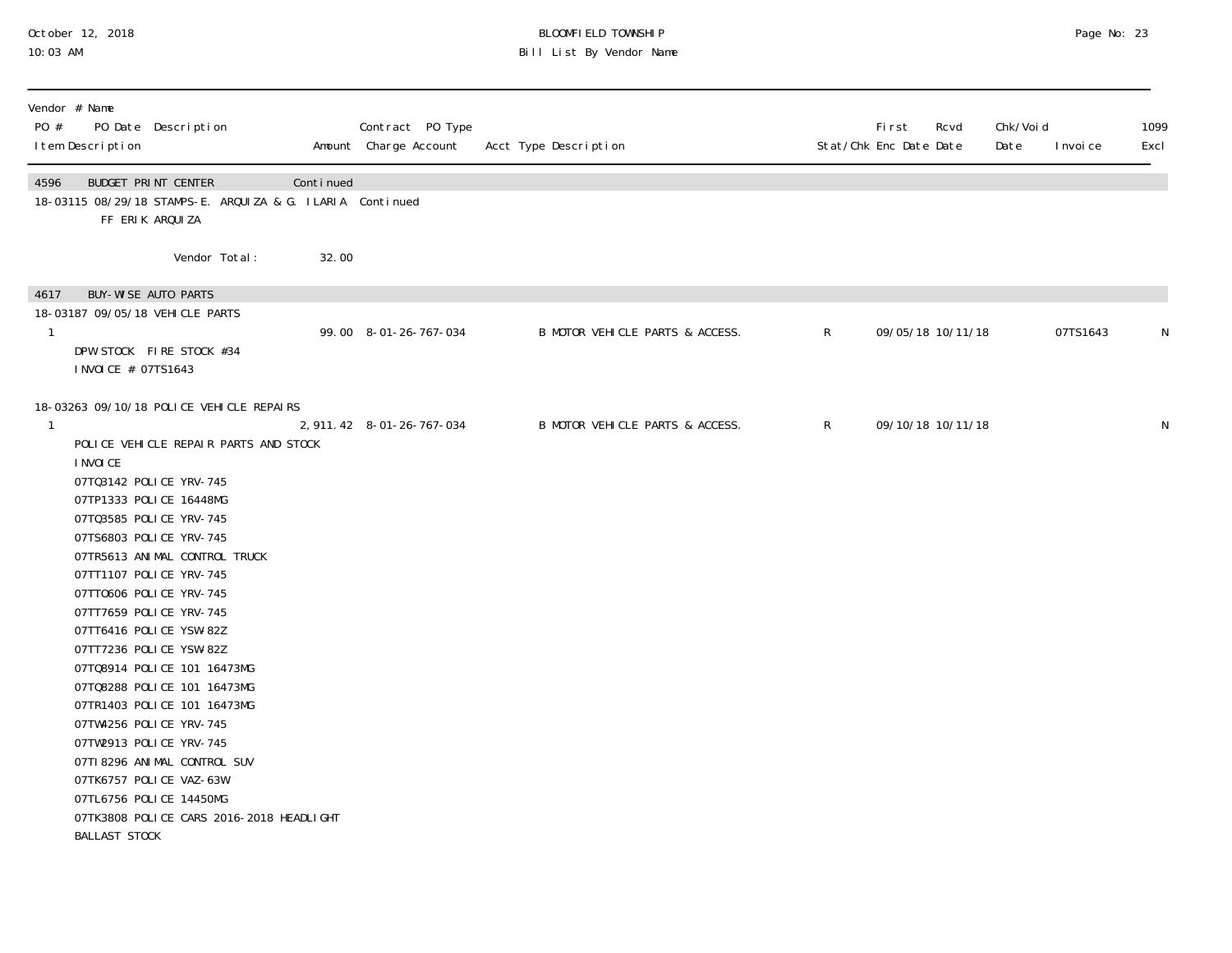## October 12, 2018 BLOOMFIELD TOWNSHIP Page No: 23 10:03 AM Bill List By Vendor Name

| Vendor # Name<br>PO #<br>PO Date Description<br>I tem Description                                                                                                                                                                                                                                                                                                                                                                                                                                                                                                                                                                                                                                      |           |       | Contract PO Type<br>Amount Charge Account | Acct Type Description           |              | <b>First</b><br>Stat/Chk Enc Date Date | Rcvd              | Chk/Voi d<br>Date | I nvoi ce | 1099<br>Excl |
|--------------------------------------------------------------------------------------------------------------------------------------------------------------------------------------------------------------------------------------------------------------------------------------------------------------------------------------------------------------------------------------------------------------------------------------------------------------------------------------------------------------------------------------------------------------------------------------------------------------------------------------------------------------------------------------------------------|-----------|-------|-------------------------------------------|---------------------------------|--------------|----------------------------------------|-------------------|-------------------|-----------|--------------|
| 4596<br>BUDGET PRINT CENTER<br>18-03115 08/29/18 STAMPS-E. ARQUIZA & G. ILARIA Continued<br>FF ERIK ARQUIZA                                                                                                                                                                                                                                                                                                                                                                                                                                                                                                                                                                                            | Continued |       |                                           |                                 |              |                                        |                   |                   |           |              |
| Vendor Total:                                                                                                                                                                                                                                                                                                                                                                                                                                                                                                                                                                                                                                                                                          |           | 32.00 |                                           |                                 |              |                                        |                   |                   |           |              |
| <b>BUY-WISE AUTO PARTS</b><br>4617<br>18-03187 09/05/18 VEHICLE PARTS<br>$\mathbf{1}$<br>DPW STOCK FIRE STOCK #34<br>I NVOI CE # 07TS1643                                                                                                                                                                                                                                                                                                                                                                                                                                                                                                                                                              |           |       | 99.00 8-01-26-767-034                     | B MOTOR VEHICLE PARTS & ACCESS. | $\mathsf{R}$ |                                        | 09/05/18 10/11/18 |                   | 07TS1643  | N            |
| 18-03263 09/10/18 POLICE VEHICLE REPAIRS<br>-1<br>POLICE VEHICLE REPAIR PARTS AND STOCK<br>I NVOI CE<br>07T03142 POLICE YRV-745<br>07TP1333 POLICE 16448MG<br>07T03585 POLICE YRV-745<br>07TS6803 POLICE YRV-745<br>07TR5613 ANIMAL CONTROL TRUCK<br>07TT1107 POLICE YRV-745<br>07TT0606 POLICE YRV-745<br>07TT7659 POLICE YRV-745<br>07TT6416 POLICE YSW-82Z<br>07TT7236 POLICE YSW-82Z<br>07TQ8914 POLICE 101 16473MG<br>07TQ8288 POLICE 101 16473MG<br>07TR1403 POLICE 101 16473MG<br>07TW4256 POLICE YRV-745<br>07TW2913 POLICE YRV-745<br>07TI 8296 ANI MAL CONTROL SUV<br>07TK6757 POLICE VAZ-63W<br>07TL6756 POLICE 14450MG<br>07TK3808 POLICE CARS 2016-2018 HEADLIGHT<br><b>BALLAST STOCK</b> |           |       | 2, 911. 42 8-01-26-767-034                | B MOTOR VEHICLE PARTS & ACCESS. | $\mathsf{R}$ |                                        | 09/10/18 10/11/18 |                   |           | N            |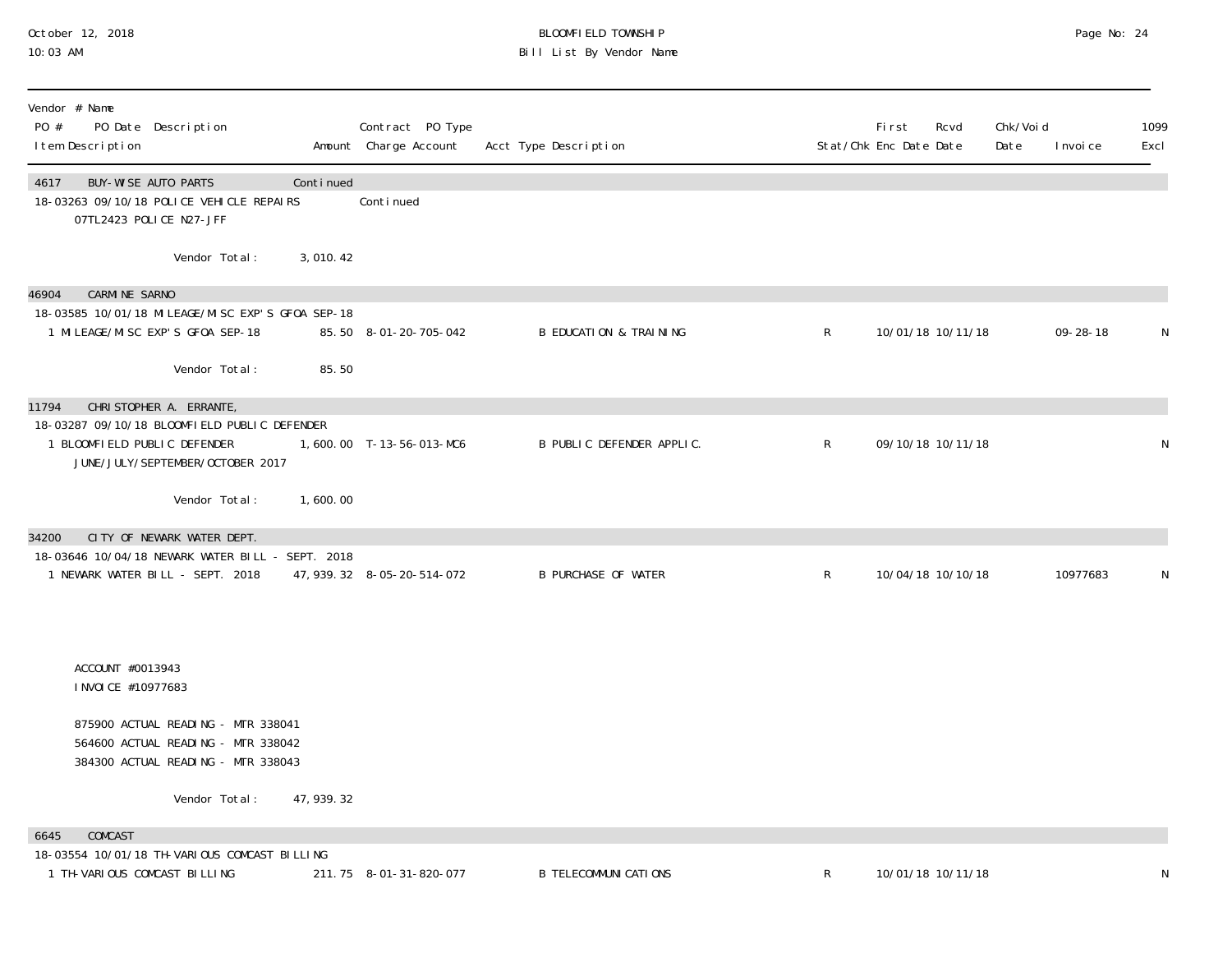## October 12, 2018 BLOOMFIELD TOWNSHIP Page No: 24 10:03 AM Bill List By Vendor Name

| Vendor # Name<br>PO #<br>PO Date Description<br>I tem Description                                                           |             | Contract PO Type<br>Amount Charge Account | Acct Type Description             |              | Fi rst<br>Stat/Chk Enc Date Date | Rcvd | Chk/Voi d<br>Date | I nvoi ce      | 1099<br>Excl |
|-----------------------------------------------------------------------------------------------------------------------------|-------------|-------------------------------------------|-----------------------------------|--------------|----------------------------------|------|-------------------|----------------|--------------|
| BUY-WISE AUTO PARTS<br>4617<br>18-03263 09/10/18 POLICE VEHICLE REPAIRS<br>07TL2423 POLICE N27-JFF                          | Continued   | Conti nued                                |                                   |              |                                  |      |                   |                |              |
| Vendor Total:                                                                                                               | 3,010.42    |                                           |                                   |              |                                  |      |                   |                |              |
| <b>CARMINE SARNO</b><br>46904                                                                                               |             |                                           |                                   |              |                                  |      |                   |                |              |
| 18-03585 10/01/18 MI LEAGE/MI SC EXP'S GF0A SEP-18<br>1 MI LEAGE/MI SC EXP'S GFOA SEP-18                                    |             | 85.50 8-01-20-705-042                     | <b>B EDUCATION &amp; TRAINING</b> | $\mathsf{R}$ | 10/01/18 10/11/18                |      |                   | $09 - 28 - 18$ | N            |
| Vendor Total:                                                                                                               | 85.50       |                                           |                                   |              |                                  |      |                   |                |              |
| 11794<br>CHRISTOPHER A. ERRANTE,                                                                                            |             |                                           |                                   |              |                                  |      |                   |                |              |
| 18-03287 09/10/18 BLOOMFIELD PUBLIC DEFENDER<br>1 BLOOMFIELD PUBLIC DEFENDER<br>JUNE/JULY/SEPTEMBER/OCTOBER 2017            |             | 1,600.00 T-13-56-013-MC6                  | B PUBLIC DEFENDER APPLIC.         | $\mathsf{R}$ | 09/10/18 10/11/18                |      |                   |                | N            |
| Vendor Total:                                                                                                               | 1,600.00    |                                           |                                   |              |                                  |      |                   |                |              |
| CITY OF NEWARK WATER DEPT.<br>34200<br>18-03646 10/04/18 NEWARK WATER BILL - SEPT. 2018<br>1 NEWARK WATER BILL - SEPT. 2018 |             | 47, 939. 32 8-05-20-514-072               | <b>B PURCHASE OF WATER</b>        | $\mathsf{R}$ | 10/04/18 10/10/18                |      |                   | 10977683       | N            |
| ACCOUNT #0013943<br>I NVOI CE #10977683                                                                                     |             |                                           |                                   |              |                                  |      |                   |                |              |
| 875900 ACTUAL READING - MTR 338041<br>564600 ACTUAL READING - MTR 338042<br>384300 ACTUAL READING - MTR 338043              |             |                                           |                                   |              |                                  |      |                   |                |              |
| Vendor Total:                                                                                                               | 47, 939. 32 |                                           |                                   |              |                                  |      |                   |                |              |
| COMCAST<br>6645                                                                                                             |             |                                           |                                   |              |                                  |      |                   |                |              |
| 18-03554 10/01/18 TH-VARIOUS COMCAST BILLING<br>1 TH-VARIOUS COMCAST BILLING                                                |             | 211.75 8-01-31-820-077                    | <b>B TELECOMMUNI CATI ONS</b>     | $\mathsf R$  | 10/01/18 10/11/18                |      |                   |                | N            |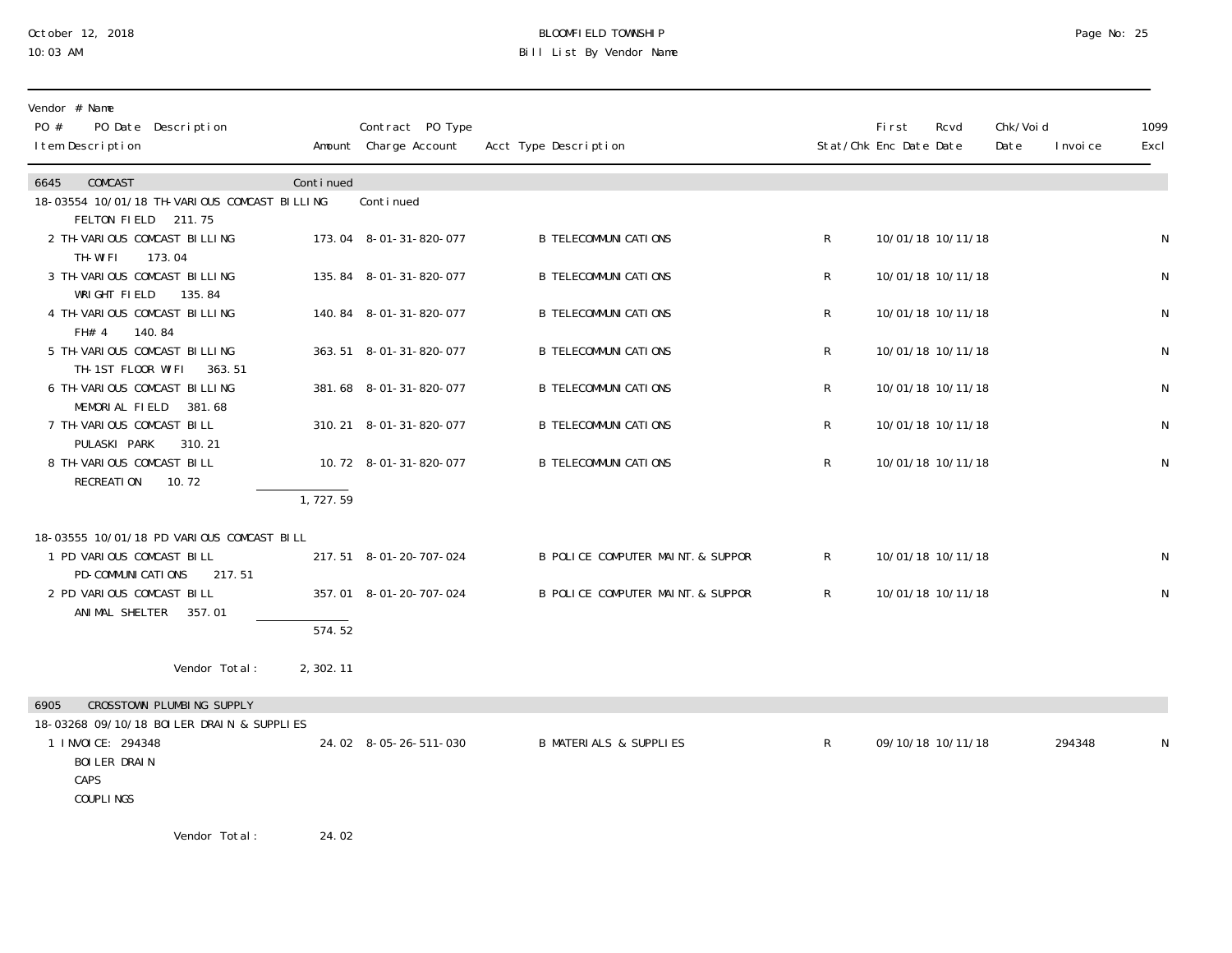## October 12, 2018 BLOOMFIELD TOWNSHIP Page No: 25 Bill List By Vendor Name

| Vendor # Name<br>PO #<br>PO Date Description<br>I tem Description                                                    |                     | Contract PO Type<br>Amount Charge Account | Acct Type Description             |                | <b>First</b><br>Stat/Chk Enc Date Date | Rcvd              | Chk/Voi d<br>Date | I nvoi ce | 1099<br>Excl |
|----------------------------------------------------------------------------------------------------------------------|---------------------|-------------------------------------------|-----------------------------------|----------------|----------------------------------------|-------------------|-------------------|-----------|--------------|
| 6645<br>COMCAST<br>18-03554 10/01/18 TH-VARIOUS COMCAST BILLING<br>FELTON FIELD 211.75                               | Continued           | Conti nued                                |                                   |                |                                        |                   |                   |           |              |
| 2 TH-VARIOUS COMCAST BILLING<br>TH-WIFI<br>173.04                                                                    |                     | 173.04 8-01-31-820-077                    | <b>B TELECOMMUNI CATIONS</b>      | R              |                                        | 10/01/18 10/11/18 |                   |           | $\mathsf{N}$ |
| 3 TH-VARIOUS COMCAST BILLING<br>WRIGHT FIELD<br>135.84                                                               |                     | 135.84 8-01-31-820-077                    | <b>B TELECOMMUNI CATI ONS</b>     | R              |                                        | 10/01/18 10/11/18 |                   |           | N            |
| 4 TH-VARIOUS COMCAST BILLING<br>140.84<br>FH# 4                                                                      |                     | 140.84 8-01-31-820-077                    | <b>B TELECOMMUNI CATI ONS</b>     | R              |                                        | 10/01/18 10/11/18 |                   |           | N            |
| 5 TH-VARIOUS COMCAST BILLING<br>TH-1ST FLOOR WIFI<br>363.51                                                          |                     | 363.51 8-01-31-820-077                    | <b>B TELECOMMUNI CATIONS</b>      | R              |                                        | 10/01/18 10/11/18 |                   |           | $\mathsf{N}$ |
| 6 TH-VARIOUS COMCAST BILLING<br>MEMORIAL FIELD<br>381.68                                                             |                     | 381.68 8-01-31-820-077                    | <b>B TELECOMMUNI CATIONS</b>      | R              |                                        | 10/01/18 10/11/18 |                   |           | $\mathsf{N}$ |
| 7 TH-VARIOUS COMCAST BILL<br>PULASKI PARK<br>310.21                                                                  |                     | 310.21 8-01-31-820-077                    | <b>B TELECOMMUNI CATI ONS</b>     | R              |                                        | 10/01/18 10/11/18 |                   |           | N            |
| 8 TH-VARIOUS COMCAST BILL<br>RECREATION<br>10.72                                                                     |                     | 10.72 8-01-31-820-077                     | <b>B TELECOMMUNI CATIONS</b>      | R              |                                        | 10/01/18 10/11/18 |                   |           | $\mathsf N$  |
|                                                                                                                      | 1, 727.59           |                                           |                                   |                |                                        |                   |                   |           |              |
| 18-03555 10/01/18 PD VARIOUS COMCAST BILL<br>1 PD VARIOUS COMCAST BILL<br>PD-COMMUNICATIONS<br>217.51                |                     | 217.51 8-01-20-707-024                    | B POLICE COMPUTER MAINT. & SUPPOR | $\mathsf{R}^-$ |                                        | 10/01/18 10/11/18 |                   |           | N            |
| 2 PD VARIOUS COMCAST BILL<br>ANI MAL SHELTER<br>357.01                                                               |                     | 357.01 8-01-20-707-024                    | B POLICE COMPUTER MAINT. & SUPPOR | $\mathsf{R}$   |                                        | 10/01/18 10/11/18 |                   |           | $\mathsf{N}$ |
|                                                                                                                      | $\overline{574.52}$ |                                           |                                   |                |                                        |                   |                   |           |              |
| Vendor Total:                                                                                                        | 2,302.11            |                                           |                                   |                |                                        |                   |                   |           |              |
| CROSSTOWN PLUMBING SUPPLY<br>6905                                                                                    |                     |                                           |                                   |                |                                        |                   |                   |           |              |
| 18-03268 09/10/18 BOILER DRAIN & SUPPLIES<br>1 I NVOI CE: 294348<br><b>BOI LER DRAIN</b><br>CAPS<br><b>COUPLINGS</b> |                     | 24.02 8-05-26-511-030                     | <b>B MATERIALS &amp; SUPPLIES</b> | R              | 09/10/18 10/11/18                      |                   |                   | 294348    | N            |
| Vendor Total:                                                                                                        | 24.02               |                                           |                                   |                |                                        |                   |                   |           |              |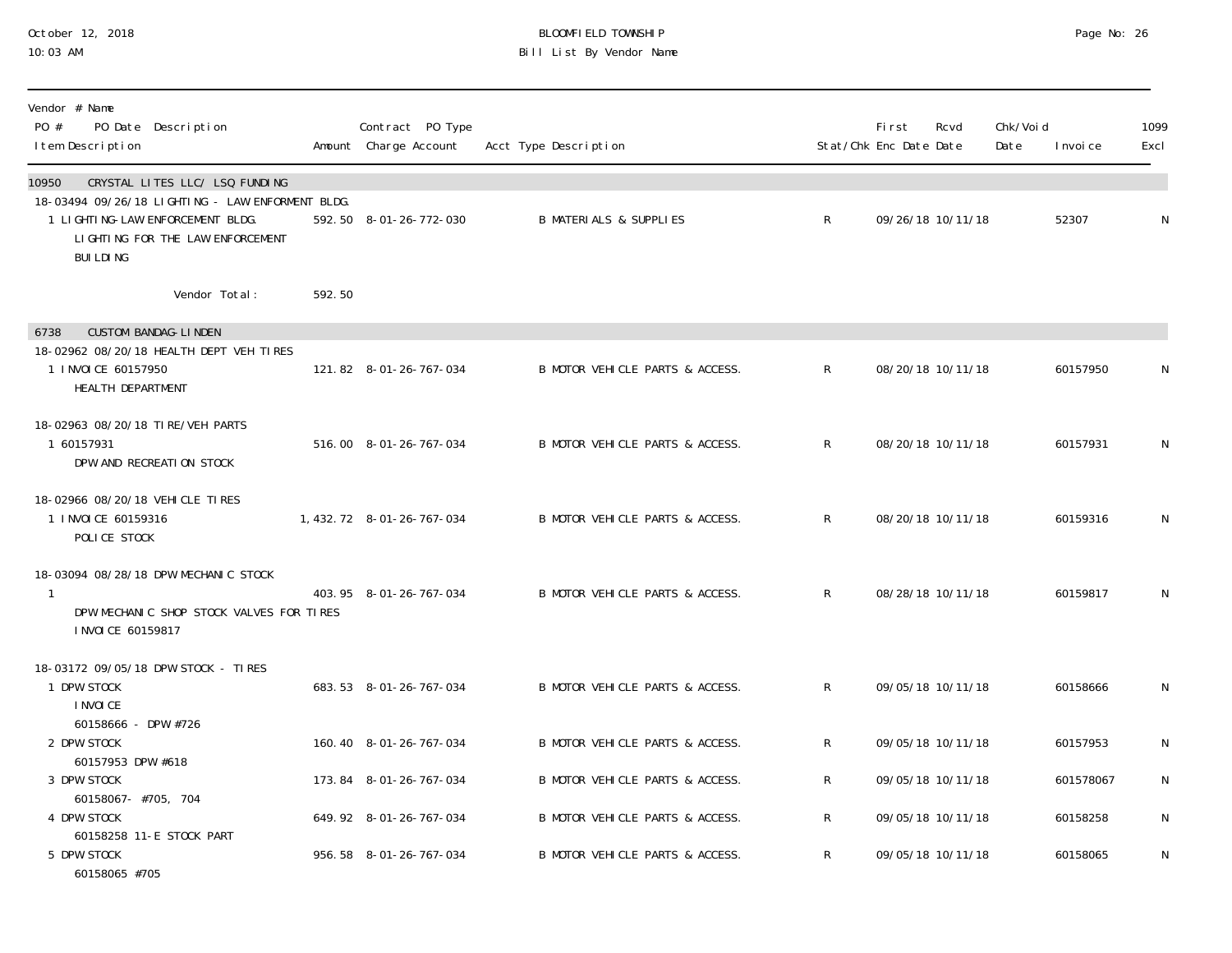## October 12, 2018 BLOOMFIELD TOWNSHIP Page No: 26 10:03 AM Bill List By Vendor Name

| Vendor # Name<br>$P0 \#$<br>PO Date Description<br>I tem Description                                                      |                                                                    |        | Contract PO Type<br>Amount Charge Account | Acct Type Description             |              | First<br>Stat/Chk Enc Date Date | Rcvd              | Chk/Voi d<br>Date | I nvoi ce | 1099<br>Excl |
|---------------------------------------------------------------------------------------------------------------------------|--------------------------------------------------------------------|--------|-------------------------------------------|-----------------------------------|--------------|---------------------------------|-------------------|-------------------|-----------|--------------|
| 10950<br>18-03494 09/26/18 LIGHTING - LAW ENFORMENT BLDG.<br>1 LI GHTI NG-LAW ENFORCEMENT BLDG.<br><b>BUILDING</b>        | CRYSTAL LITES LLC/ LSQ FUNDING<br>LIGHTING FOR THE LAW ENFORCEMENT |        | 592.50 8-01-26-772-030                    | <b>B MATERIALS &amp; SUPPLIES</b> | $\mathsf{R}$ |                                 | 09/26/18 10/11/18 |                   | 52307     | N            |
|                                                                                                                           | Vendor Total:                                                      | 592.50 |                                           |                                   |              |                                 |                   |                   |           |              |
| <b>CUSTOM BANDAG-LINDEN</b><br>6738<br>18-02962 08/20/18 HEALTH DEPT VEH TIRES<br>1 INVOICE 60157950<br>HEALTH DEPARTMENT |                                                                    |        | 121.82 8-01-26-767-034                    | B MOTOR VEHICLE PARTS & ACCESS.   | $\mathsf{R}$ |                                 | 08/20/18 10/11/18 |                   | 60157950  | N            |
| 18-02963 08/20/18 TIRE/VEH PARTS<br>1 60157931<br>DPW AND RECREATION STOCK                                                |                                                                    |        | 516.00 8-01-26-767-034                    | B MOTOR VEHICLE PARTS & ACCESS.   | $\mathsf{R}$ |                                 | 08/20/18 10/11/18 |                   | 60157931  | N            |
| 18-02966 08/20/18 VEHICLE TIRES<br>1 INVOICE 60159316<br>POLICE STOCK                                                     |                                                                    |        | 1, 432. 72 8-01-26-767-034                | B MOTOR VEHICLE PARTS & ACCESS.   | R.           |                                 | 08/20/18 10/11/18 |                   | 60159316  | N            |
| 18-03094 08/28/18 DPW MECHANIC STOCK<br>$\mathbf{1}$<br>I NVOI CE 60159817                                                | DPW MECHANIC SHOP STOCK VALVES FOR TIRES                           |        | 403.95 8-01-26-767-034                    | B MOTOR VEHICLE PARTS & ACCESS.   | R.           |                                 | 08/28/18 10/11/18 |                   | 60159817  | N            |
| 18-03172 09/05/18 DPW STOCK - TIRES<br>1 DPW STOCK<br>I NVOI CE                                                           |                                                                    |        | 683.53 8-01-26-767-034                    | B MOTOR VEHICLE PARTS & ACCESS.   | R.           |                                 | 09/05/18 10/11/18 |                   | 60158666  | N            |
| 60158666 - DPW #726<br>2 DPW STOCK                                                                                        |                                                                    |        | 160.40 8-01-26-767-034                    | B MOTOR VEHICLE PARTS & ACCESS.   | R            |                                 | 09/05/18 10/11/18 |                   | 60157953  | N            |
| 60157953 DPW #618<br>3 DPW STOCK                                                                                          |                                                                    |        | 173.84 8-01-26-767-034                    | B MOTOR VEHICLE PARTS & ACCESS.   | R            |                                 | 09/05/18 10/11/18 |                   | 601578067 | N            |
| 60158067- #705, 704<br>4 DPW STOCK                                                                                        |                                                                    |        | 649.92 8-01-26-767-034                    | B MOTOR VEHICLE PARTS & ACCESS.   | R            |                                 | 09/05/18 10/11/18 |                   | 60158258  | N            |
| 60158258 11-E STOCK PART<br>5 DPW STOCK<br>60158065 #705                                                                  |                                                                    |        | 956.58 8-01-26-767-034                    | B MOTOR VEHICLE PARTS & ACCESS.   | $\mathsf{R}$ |                                 | 09/05/18 10/11/18 |                   | 60158065  | N            |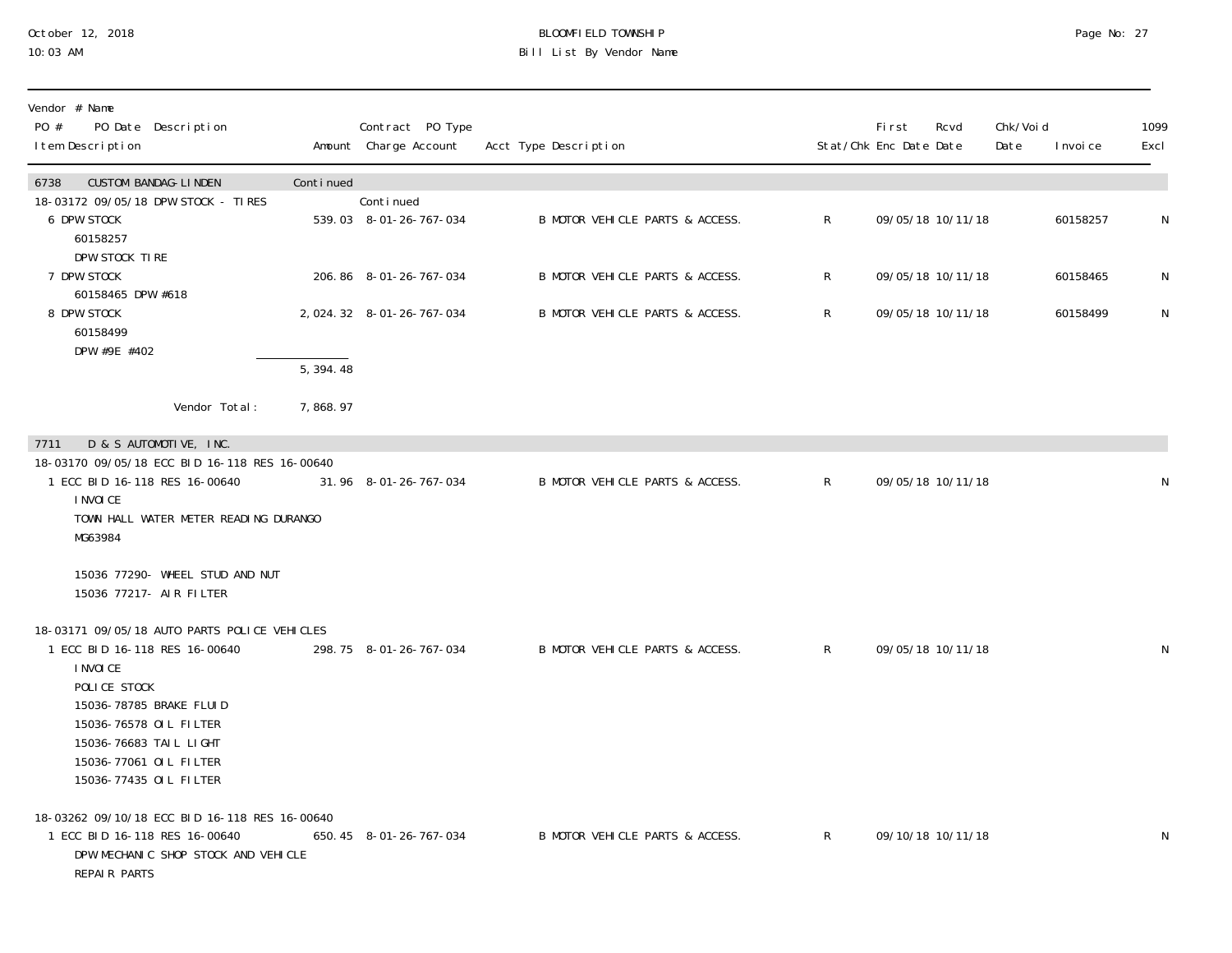#### October 12, 2018 BLOOMFIELD TOWNSHIP Page No: 27 10:03 AM Bill List By Vendor Name

| Vendor # Name<br>PO #<br>PO Date Description<br>I tem Description                                                                                                                                                                             |                        | Contract PO Type<br>Amount Charge Account | Acct Type Description           |              | <b>First</b><br>Stat/Chk Enc Date Date | Rcvd              | Chk/Voi d<br>Date | I nvoi ce | 1099<br>Excl |
|-----------------------------------------------------------------------------------------------------------------------------------------------------------------------------------------------------------------------------------------------|------------------------|-------------------------------------------|---------------------------------|--------------|----------------------------------------|-------------------|-------------------|-----------|--------------|
| <b>CUSTOM BANDAG-LINDEN</b><br>6738                                                                                                                                                                                                           | Continued              |                                           |                                 |              |                                        |                   |                   |           |              |
| 18-03172 09/05/18 DPW STOCK - TIRES<br><b>6 DPW STOCK</b><br>60158257<br>DPW STOCK TIRE                                                                                                                                                       |                        | Continued<br>539.03 8-01-26-767-034       | B MOTOR VEHICLE PARTS & ACCESS. | $\mathsf{R}$ |                                        | 09/05/18 10/11/18 |                   | 60158257  | N            |
| 7 DPW STOCK<br>60158465 DPW #618                                                                                                                                                                                                              |                        | 206.86 8-01-26-767-034                    | B MOTOR VEHICLE PARTS & ACCESS. | $\mathsf{R}$ |                                        | 09/05/18 10/11/18 |                   | 60158465  | N            |
| 8 DPW STOCK<br>60158499<br>DPW #9E #402                                                                                                                                                                                                       |                        | 2, 024. 32 8-01-26-767-034                | B MOTOR VEHICLE PARTS & ACCESS. | $\mathsf{R}$ |                                        | 09/05/18 10/11/18 |                   | 60158499  | N            |
|                                                                                                                                                                                                                                               | $\overline{5, 394.48}$ |                                           |                                 |              |                                        |                   |                   |           |              |
| Vendor Total:                                                                                                                                                                                                                                 | 7,868.97               |                                           |                                 |              |                                        |                   |                   |           |              |
| D & S AUTOMOTIVE, INC.<br>7711                                                                                                                                                                                                                |                        |                                           |                                 |              |                                        |                   |                   |           |              |
| 18-03170 09/05/18 ECC BID 16-118 RES 16-00640<br>1 ECC BID 16-118 RES 16-00640<br>I NVOI CE<br>TOWN HALL WATER METER READING DURANGO<br>MG63984                                                                                               |                        | 31.96 8-01-26-767-034                     | B MOTOR VEHICLE PARTS & ACCESS. | $\mathsf{R}$ |                                        | 09/05/18 10/11/18 |                   |           | N            |
| 15036 77290- WHEEL STUD AND NUT<br>15036 77217- AIR FILTER                                                                                                                                                                                    |                        |                                           |                                 |              |                                        |                   |                   |           |              |
| 18-03171 09/05/18 AUTO PARTS POLICE VEHICLES<br>1 ECC BID 16-118 RES 16-00640<br>I NVOI CE<br>POLICE STOCK<br>15036-78785 BRAKE FLUID<br>15036-76578 OIL FILTER<br>15036-76683 TAIL LIGHT<br>15036-77061 OIL FILTER<br>15036-77435 OIL FILTER |                        | 298.75 8-01-26-767-034                    | B MOTOR VEHICLE PARTS & ACCESS. | $\mathsf{R}$ |                                        | 09/05/18 10/11/18 |                   |           | N            |
| 18-03262 09/10/18 ECC BID 16-118 RES 16-00640<br>1 ECC BID 16-118 RES 16-00640<br>DPW MECHANIC SHOP STOCK AND VEHICLE<br>REPAIR PARTS                                                                                                         |                        | 650.45 8-01-26-767-034                    | B MOTOR VEHICLE PARTS & ACCESS. | $\mathsf{R}$ |                                        | 09/10/18 10/11/18 |                   |           | N            |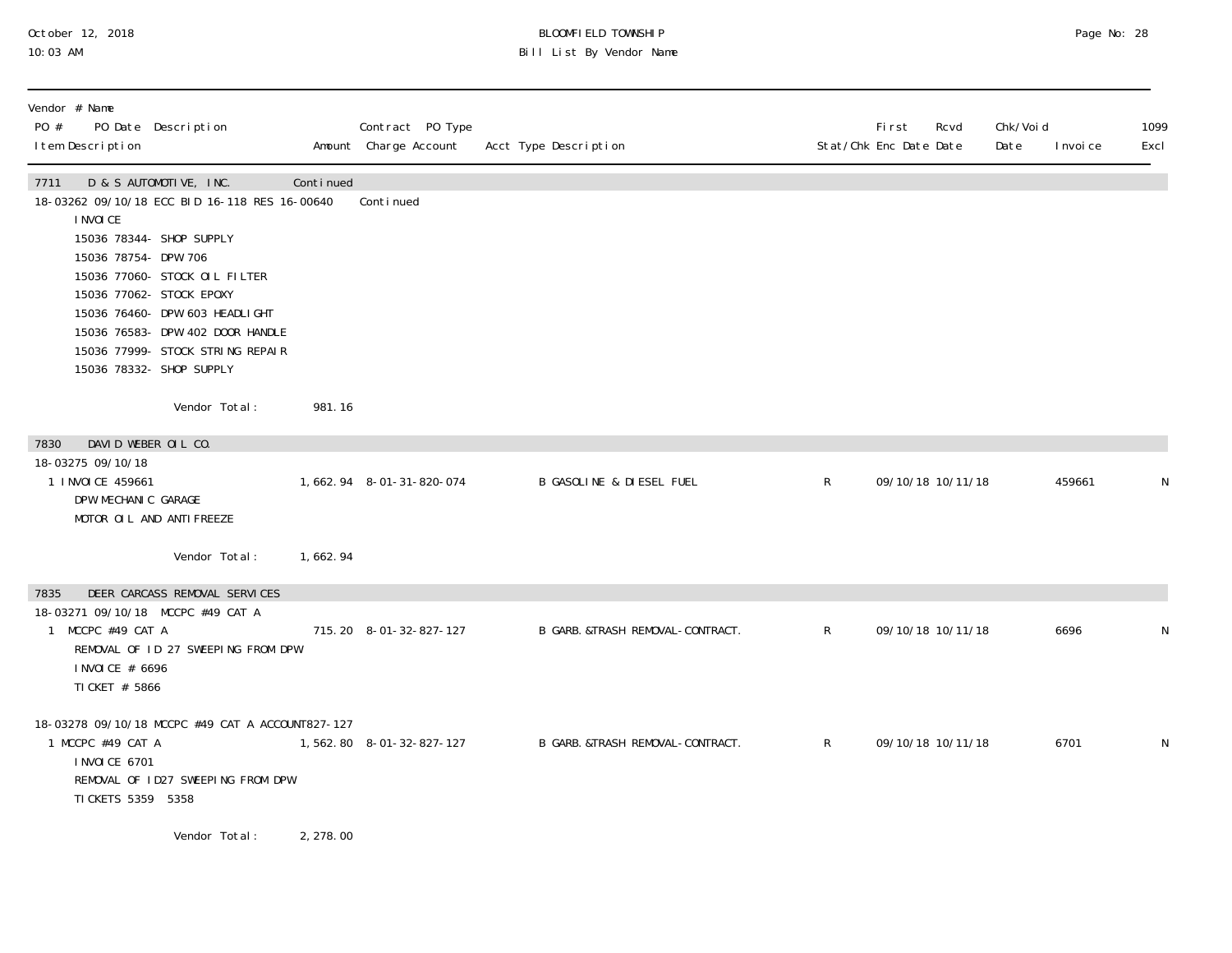#### October 12, 2018 BLOOMFIELD TOWNSHIP Page No: 28 10:03 AM Bill List By Vendor Name

| Vendor # Name<br>PO #<br>I tem Description                                                           | PO Date Description                                                                                                                                                                                                                                                                                     |           | Contract PO Type<br>Amount Charge Account | Acct Type Description               |              | Fi rst<br>Rcvd<br>Stat/Chk Enc Date Date | Chk/Voi d<br>Date | I nvoi ce | 1099<br>Excl |
|------------------------------------------------------------------------------------------------------|---------------------------------------------------------------------------------------------------------------------------------------------------------------------------------------------------------------------------------------------------------------------------------------------------------|-----------|-------------------------------------------|-------------------------------------|--------------|------------------------------------------|-------------------|-----------|--------------|
| 7711<br>I NVOI CE<br>15036 78754- DPW 706                                                            | D & S AUTOMOTIVE, INC.<br>18-03262 09/10/18 ECC BID 16-118 RES 16-00640<br>15036 78344- SHOP SUPPLY<br>15036 77060- STOCK OIL FILTER<br>15036 77062- STOCK EPOXY<br>15036 76460- DPW 603 HEADLI GHT<br>15036 76583- DPW 402 DOOR HANDLE<br>15036 77999- STOCK STRING REPAIR<br>15036 78332- SHOP SUPPLY | Continued | Continued                                 |                                     |              |                                          |                   |           |              |
|                                                                                                      | Vendor Total:                                                                                                                                                                                                                                                                                           | 981.16    |                                           |                                     |              |                                          |                   |           |              |
| DAVID WEBER OIL CO.<br>7830<br>18-03275 09/10/18<br>1 INVOICE 459661<br>DPW MECHANIC GARAGE          | MOTOR OIL AND ANTIFREEZE                                                                                                                                                                                                                                                                                |           | 1, 662. 94 8-01-31-820-074                | <b>B GASOLINE &amp; DIESEL FUEL</b> | $\mathsf{R}$ | 09/10/18 10/11/18                        |                   | 459661    | N            |
|                                                                                                      | Vendor Total:                                                                                                                                                                                                                                                                                           | 1,662.94  |                                           |                                     |              |                                          |                   |           |              |
| 7835<br>18-03271 09/10/18 MCCPC #49 CAT A<br>1 MCCPC #49 CAT A<br>I NVOI CE # 6696<br>TI CKET # 5866 | DEER CARCASS REMOVAL SERVICES<br>REMOVAL OF ID 27 SWEEPING FROM DPW                                                                                                                                                                                                                                     |           | 715.20 8-01-32-827-127                    | B GARB. &TRASH REMOVAL-CONTRACT.    | R            | 09/10/18 10/11/18                        |                   | 6696      | N            |
| 1 MCCPC #49 CAT A<br><b>INVOICE 6701</b><br>TI CKETS 5359 5358                                       | 18-03278 09/10/18 MCCPC #49 CAT A ACCOUNT827-127<br>REMOVAL OF 1D27 SWEEPING FROM DPW                                                                                                                                                                                                                   |           | 1,562.80 8-01-32-827-127                  | B GARB. & TRASH REMOVAL-CONTRACT.   | $\mathsf{R}$ | 09/10/18 10/11/18                        |                   | 6701      | N            |
|                                                                                                      | Vendor Total:                                                                                                                                                                                                                                                                                           | 2, 278.00 |                                           |                                     |              |                                          |                   |           |              |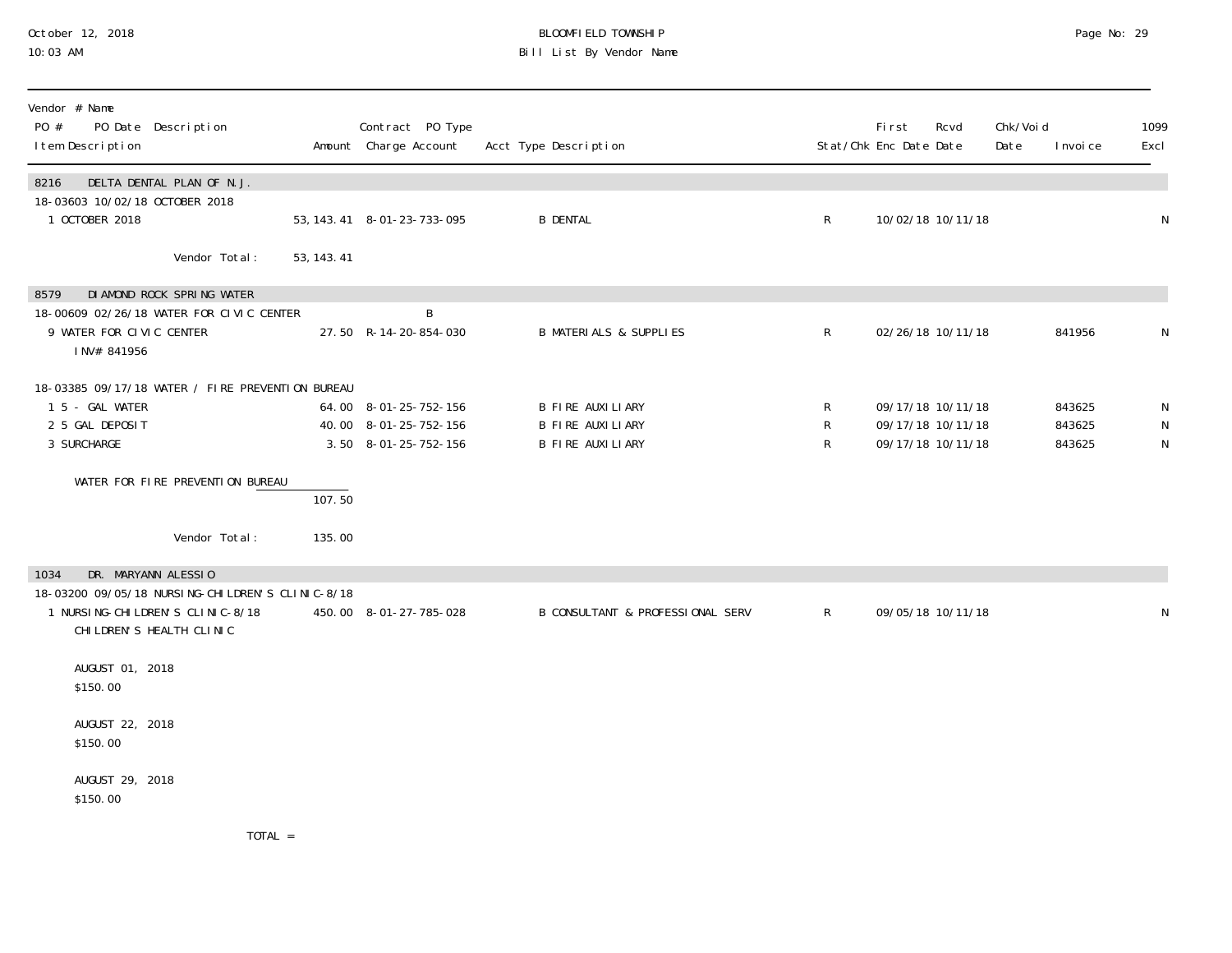## October 12, 2018 BLOOMFIELD TOWNSHIP Page No: 29 10:03 AM Bill List By Vendor Name

| Vendor # Name<br>PO #<br>I tem Description               | PO Date Description                                                                                                 |             | Contract PO Type<br>Amount Charge Account                                  | Acct Type Description                                           |              | First<br>Stat/Chk Enc Date Date | Rcvd                                                        | Chk/Void<br>Date<br>I nvoi ce | 1099<br>Excl           |
|----------------------------------------------------------|---------------------------------------------------------------------------------------------------------------------|-------------|----------------------------------------------------------------------------|-----------------------------------------------------------------|--------------|---------------------------------|-------------------------------------------------------------|-------------------------------|------------------------|
| 8216<br>18-03603 10/02/18 OCTOBER 2018<br>1 OCTOBER 2018 | DELTA DENTAL PLAN OF N.J.                                                                                           |             | 53, 143. 41 8-01-23-733-095                                                | <b>B DENTAL</b>                                                 | R            |                                 | 10/02/18 10/11/18                                           |                               | $\mathsf{N}$           |
|                                                          | Vendor Total:                                                                                                       | 53, 143. 41 |                                                                            |                                                                 |              |                                 |                                                             |                               |                        |
| 8579<br>9 WATER FOR CIVIC CENTER<br>INV# 841956          | DI AMOND ROCK SPRING WATER<br>18-00609 02/26/18 WATER FOR CIVIC CENTER                                              |             | B<br>27.50 R-14-20-854-030                                                 | <b>B MATERIALS &amp; SUPPLIES</b>                               | $R_{\perp}$  |                                 | 02/26/18 10/11/18                                           | 841956                        | N                      |
| 1 5 - GAL WATER<br>2 5 GAL DEPOSIT<br>3 SURCHARGE        | 18-03385 09/17/18 WATER / FIRE PREVENTION BUREAU                                                                    |             | 64.00 8-01-25-752-156<br>40.00 8-01-25-752-156<br>$3.50$ $8-01-25-752-156$ | B FIRE AUXILIARY<br>B FIRE AUXILIARY<br><b>B FIRE AUXILIARY</b> | R<br>R<br>R  |                                 | 09/17/18 10/11/18<br>09/17/18 10/11/18<br>09/17/18 10/11/18 | 843625<br>843625<br>843625    | N<br>N<br>$\mathsf{N}$ |
|                                                          | WATER FOR FIRE PREVENTION BUREAU                                                                                    | 107.50      |                                                                            |                                                                 |              |                                 |                                                             |                               |                        |
|                                                          | Vendor Total:                                                                                                       | 135.00      |                                                                            |                                                                 |              |                                 |                                                             |                               |                        |
| DR. MARYANN ALESSIO<br>1034                              | 18-03200 09/05/18 NURSING-CHILDREN'S CLINIC-8/18<br>1 NURSI NG-CHI LDREN'S CLINIC-8/18<br>CHI LDREN'S HEALTH CLINIC |             | 450.00 8-01-27-785-028                                                     | B CONSULTANT & PROFESSIONAL SERV                                | $\mathsf{R}$ |                                 | 09/05/18 10/11/18                                           |                               | N                      |
| AUGUST 01, 2018<br>\$150.00                              |                                                                                                                     |             |                                                                            |                                                                 |              |                                 |                                                             |                               |                        |
| AUGUST 22, 2018<br>\$150.00                              |                                                                                                                     |             |                                                                            |                                                                 |              |                                 |                                                             |                               |                        |
| AUGUST 29, 2018<br>\$150.00                              |                                                                                                                     |             |                                                                            |                                                                 |              |                                 |                                                             |                               |                        |
|                                                          | <b>TOTAL</b>                                                                                                        |             |                                                                            |                                                                 |              |                                 |                                                             |                               |                        |

TOTAL =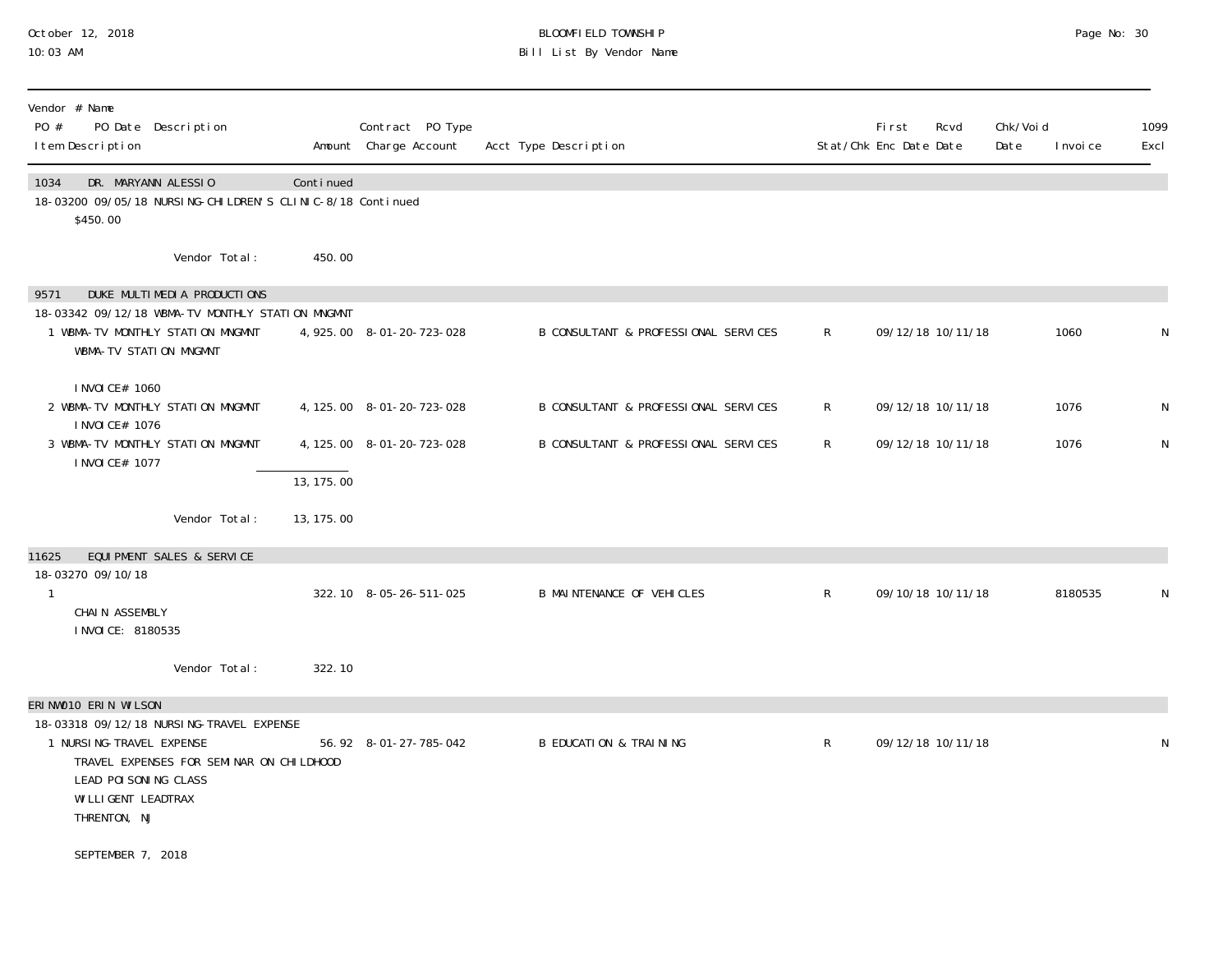## October 12, 2018 BLOOMFIELD TOWNSHIP Page No: 30 10:03 AM Bill List By Vendor Name

| Vendor # Name<br>PO #<br>PO Date Description<br>I tem Description                                                                                                                  |            | Contract PO Type<br>Amount Charge Account | Acct Type Description                |                | First<br>Stat/Chk Enc Date Date | Rcvd | Chk/Void<br>Date | I nvoi ce | 1099<br>Excl |
|------------------------------------------------------------------------------------------------------------------------------------------------------------------------------------|------------|-------------------------------------------|--------------------------------------|----------------|---------------------------------|------|------------------|-----------|--------------|
| DR. MARYANN ALESSIO<br>1034<br>18-03200 09/05/18 NURSING-CHILDREN'S CLINIC-8/18 Continued<br>\$450.00                                                                              | Continued  |                                           |                                      |                |                                 |      |                  |           |              |
| Vendor Total:                                                                                                                                                                      | 450.00     |                                           |                                      |                |                                 |      |                  |           |              |
| DUKE MULTIMEDIA PRODUCTIONS<br>9571                                                                                                                                                |            |                                           |                                      |                |                                 |      |                  |           |              |
| 18-03342 09/12/18 WBMA-TV MONTHLY STATION MNGMNT<br>1 WBMA-TV MONTHLY STATION MNGMNT<br>WBMA-TV STATION MNGMNT                                                                     |            | 4, 925.00 8-01-20-723-028                 | B CONSULTANT & PROFESSIONAL SERVICES | $\mathsf{R}^-$ | 09/12/18 10/11/18               |      |                  | 1060      | N            |
| I NVOI CE# 1060<br>2 WBMA-TV MONTHLY STATION MNGMNT<br>I NVOI CE# 1076                                                                                                             |            | 4, 125.00 8-01-20-723-028                 | B CONSULTANT & PROFESSIONAL SERVICES | R              | 09/12/18 10/11/18               |      |                  | 1076      | N            |
| 3 WBMA-TV MONTHLY STATION MNGMNT<br>I NVOI CE# 1077                                                                                                                                | 13, 175.00 | 4, 125.00 8-01-20-723-028                 | B CONSULTANT & PROFESSIONAL SERVICES | $\mathsf{R}$   | 09/12/18 10/11/18               |      |                  | 1076      | ${\sf N}$    |
| Vendor Total:                                                                                                                                                                      | 13, 175.00 |                                           |                                      |                |                                 |      |                  |           |              |
| EQUI PMENT SALES & SERVICE<br>11625                                                                                                                                                |            |                                           |                                      |                |                                 |      |                  |           |              |
| 18-03270 09/10/18<br>$\mathbf{1}$<br>CHAIN ASSEMBLY<br>I NVOI CE: 8180535                                                                                                          |            | 322.10 8-05-26-511-025                    | <b>B MAINTENANCE OF VEHICLES</b>     | $\mathsf{R}$   | 09/10/18 10/11/18               |      |                  | 8180535   | N            |
| Vendor Total:                                                                                                                                                                      | 322.10     |                                           |                                      |                |                                 |      |                  |           |              |
| ERINWO10 ERIN WILSON                                                                                                                                                               |            |                                           |                                      |                |                                 |      |                  |           |              |
| 18-03318 09/12/18 NURSING-TRAVEL EXPENSE<br>1 NURSI NG-TRAVEL EXPENSE<br>TRAVEL EXPENSES FOR SEMINAR ON CHILDHOOD<br>LEAD POI SONING CLASS<br>WI LLI GENT LEADTRAX<br>THRENTON, NJ |            | 56.92 8-01-27-785-042                     | <b>B EDUCATION &amp; TRAINING</b>    | $\mathsf{R}$   | 09/12/18 10/11/18               |      |                  |           | N            |
| SEPTEMBER 7, 2018                                                                                                                                                                  |            |                                           |                                      |                |                                 |      |                  |           |              |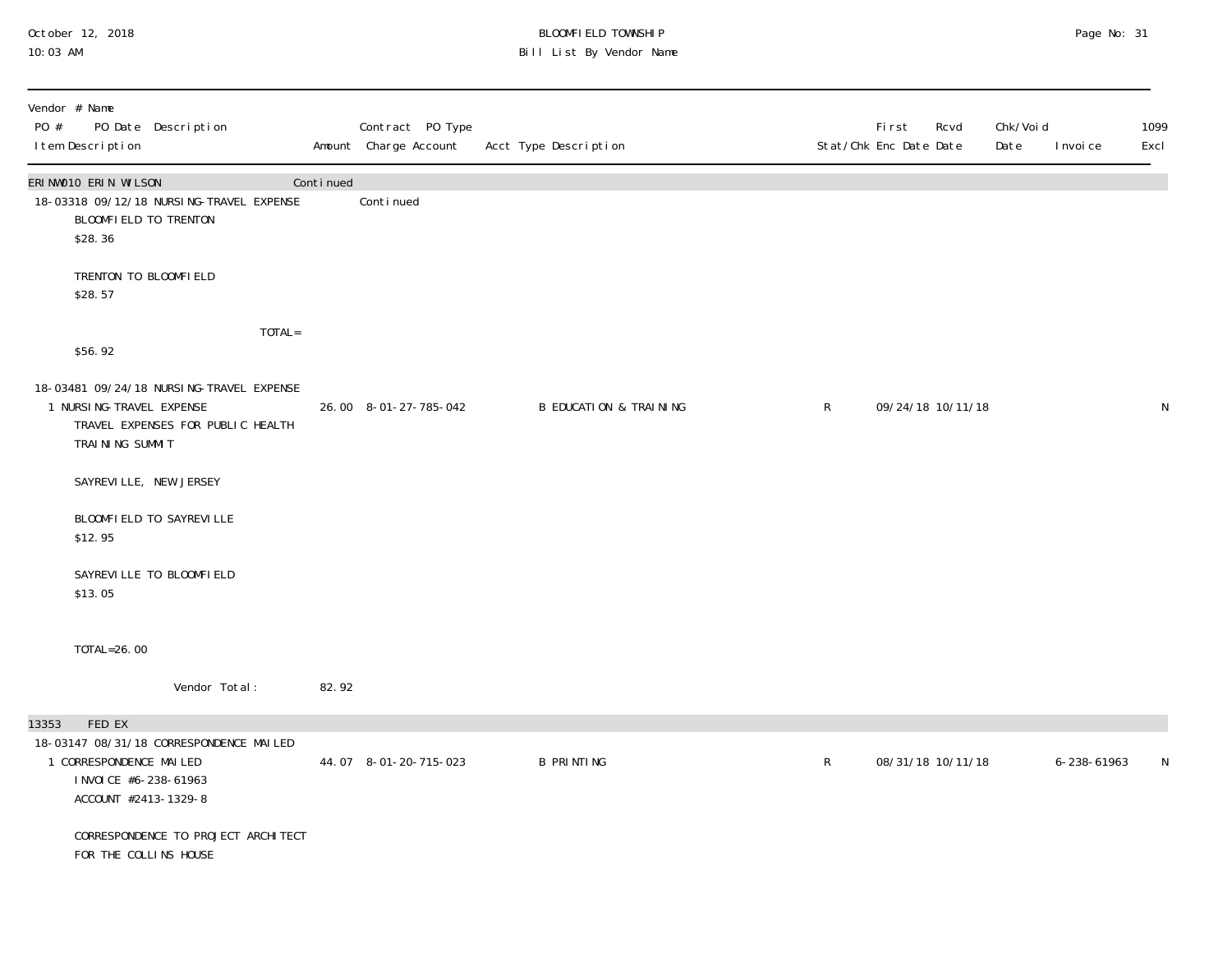## October 12, 2018 BLOOMFIELD TOWNSHIP Page No: 31 10:03 AM Bill List By Vendor Name

| PO #  | Vendor # Name<br>I tem Description                                                  | PO Date Description                                                           |        |           | Contract PO Type<br>Amount Charge Account | Acct Type Description             |              | First<br>Rcvd<br>Stat/Chk Enc Date Date | Chk/Voi d<br>Date<br>I nvoi ce | 1099<br>Excl |
|-------|-------------------------------------------------------------------------------------|-------------------------------------------------------------------------------|--------|-----------|-------------------------------------------|-----------------------------------|--------------|-----------------------------------------|--------------------------------|--------------|
|       | ERINWO10 ERIN WILSON<br>BLOOMFIELD TO TRENTON<br>\$28.36                            | 18-03318 09/12/18 NURSING-TRAVEL EXPENSE                                      |        | Continued | Continued                                 |                                   |              |                                         |                                |              |
|       | TRENTON TO BLOOMFIELD<br>\$28.57                                                    |                                                                               |        |           |                                           |                                   |              |                                         |                                |              |
|       | \$56.92                                                                             |                                                                               | TOTAL= |           |                                           |                                   |              |                                         |                                |              |
|       | 1 NURSI NG-TRAVEL EXPENSE<br>TRAINING SUMMIT                                        | 18-03481 09/24/18 NURSING-TRAVEL EXPENSE<br>TRAVEL EXPENSES FOR PUBLIC HEALTH |        |           | 26.00 8-01-27-785-042                     | <b>B EDUCATION &amp; TRAINING</b> | $\mathsf{R}$ | 09/24/18 10/11/18                       |                                | $\mathsf N$  |
|       | SAYREVILLE, NEW JERSEY                                                              |                                                                               |        |           |                                           |                                   |              |                                         |                                |              |
|       | \$12.95                                                                             | BLOOMFIELD TO SAYREVILLE                                                      |        |           |                                           |                                   |              |                                         |                                |              |
|       | \$13.05                                                                             | SAYREVILLE TO BLOOMFIELD                                                      |        |           |                                           |                                   |              |                                         |                                |              |
|       | TOTAL=26.00                                                                         |                                                                               |        |           |                                           |                                   |              |                                         |                                |              |
|       |                                                                                     | Vendor Total:                                                                 |        | 82.92     |                                           |                                   |              |                                         |                                |              |
| 13353 | FED EX<br>1 CORRESPONDENCE MAILED<br>I NVOI CE #6-238-61963<br>ACCOUNT #2413-1329-8 | 18-03147 08/31/18 CORRESPONDENCE MAILED                                       |        |           | 44.07 8-01-20-715-023                     | <b>B PRINTING</b>                 | R            | 08/31/18 10/11/18                       | 6-238-61963                    | N            |
|       | FOR THE COLLINS HOUSE                                                               | CORRESPONDENCE TO PROJECT ARCHITECT                                           |        |           |                                           |                                   |              |                                         |                                |              |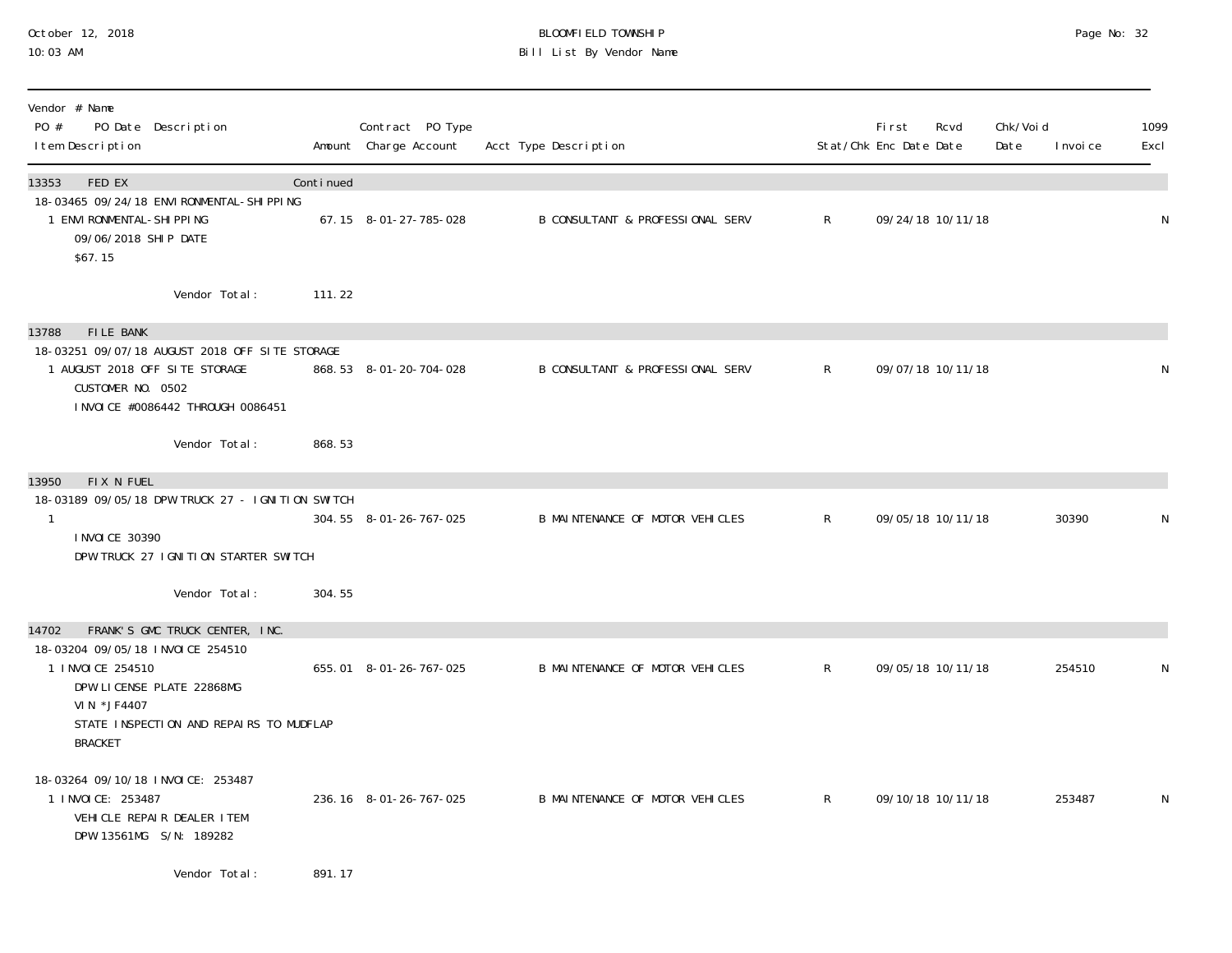## October 12, 2018 BLOOMFIELD TOWNSHIP Page No: 32 10:03 AM Bill List By Vendor Name

| Vendor # Name<br>PO #<br>PO Date Description<br>I tem Description                                                 |                                                  |           | Contract PO Type<br>Amount Charge Account | Acct Type Description            |              | <b>First</b><br>Stat/Chk Enc Date Date | Rcvd | Chk/Voi d<br>Date | I nvoi ce | 1099<br>Excl |
|-------------------------------------------------------------------------------------------------------------------|--------------------------------------------------|-----------|-------------------------------------------|----------------------------------|--------------|----------------------------------------|------|-------------------|-----------|--------------|
| FED EX<br>13353                                                                                                   |                                                  | Continued |                                           |                                  |              |                                        |      |                   |           |              |
| 1 ENVI RONMENTAL-SHI PPI NG<br>09/06/2018 SHIP DATE<br>\$67.15                                                    | 18-03465 09/24/18 ENVI RONMENTAL-SHI PPI NG      |           | 67.15 8-01-27-785-028                     | B CONSULTANT & PROFESSIONAL SERV | $\mathsf{R}$ | 09/24/18 10/11/18                      |      |                   |           | N            |
|                                                                                                                   | Vendor Total:                                    | 111.22    |                                           |                                  |              |                                        |      |                   |           |              |
| <b>FILE BANK</b><br>13788                                                                                         |                                                  |           |                                           |                                  |              |                                        |      |                   |           |              |
| 1 AUGUST 2018 OFF SITE STORAGE<br>CUSTOMER NO. 0502                                                               | 18-03251 09/07/18 AUGUST 2018 OFF SITE STORAGE   |           | 868.53 8-01-20-704-028                    | B CONSULTANT & PROFESSIONAL SERV | $\mathsf{R}$ | 09/07/18 10/11/18                      |      |                   |           | N            |
|                                                                                                                   | I NVOI CE #0086442 THROUGH 0086451               |           |                                           |                                  |              |                                        |      |                   |           |              |
|                                                                                                                   | Vendor Total:                                    | 868.53    |                                           |                                  |              |                                        |      |                   |           |              |
| FIX N FUEL<br>13950                                                                                               |                                                  |           |                                           |                                  |              |                                        |      |                   |           |              |
| $\mathbf{1}$                                                                                                      | 18-03189 09/05/18 DPW TRUCK 27 - IGNITION SWITCH |           | 304.55 8-01-26-767-025                    | B MAINTENANCE OF MOTOR VEHICLES  | $\mathsf{R}$ | 09/05/18 10/11/18                      |      |                   | 30390     | N            |
| I NVOI CE 30390                                                                                                   | DPW TRUCK 27 IGNITION STARTER SWITCH             |           |                                           |                                  |              |                                        |      |                   |           |              |
|                                                                                                                   | Vendor Total:                                    | 304.55    |                                           |                                  |              |                                        |      |                   |           |              |
| 14702                                                                                                             | FRANK'S GMC TRUCK CENTER, INC.                   |           |                                           |                                  |              |                                        |      |                   |           |              |
| 18-03204 09/05/18 INVOICE 254510                                                                                  |                                                  |           |                                           |                                  |              |                                        |      |                   |           |              |
| 1 I NVOI CE 254510<br>DPW LICENSE PLATE 22868MG                                                                   |                                                  |           | 655.01 8-01-26-767-025                    | B MAINTENANCE OF MOTOR VEHICLES  | $\mathsf{R}$ | 09/05/18 10/11/18                      |      |                   | 254510    | ${\sf N}$    |
| VIN *JF4407<br><b>BRACKET</b>                                                                                     | STATE INSPECTION AND REPAIRS TO MUDFLAP          |           |                                           |                                  |              |                                        |      |                   |           |              |
| 18-03264 09/10/18 INVOICE: 253487<br>1 I NVOI CE: 253487<br>VEHICLE REPAIR DEALER ITEM<br>DPW 13561MG S/N: 189282 |                                                  |           | 236.16 8-01-26-767-025                    | B MAINTENANCE OF MOTOR VEHICLES  | $\mathsf{R}$ | 09/10/18 10/11/18                      |      |                   | 253487    | N            |
|                                                                                                                   |                                                  |           |                                           |                                  |              |                                        |      |                   |           |              |

Vendor Total: 891.17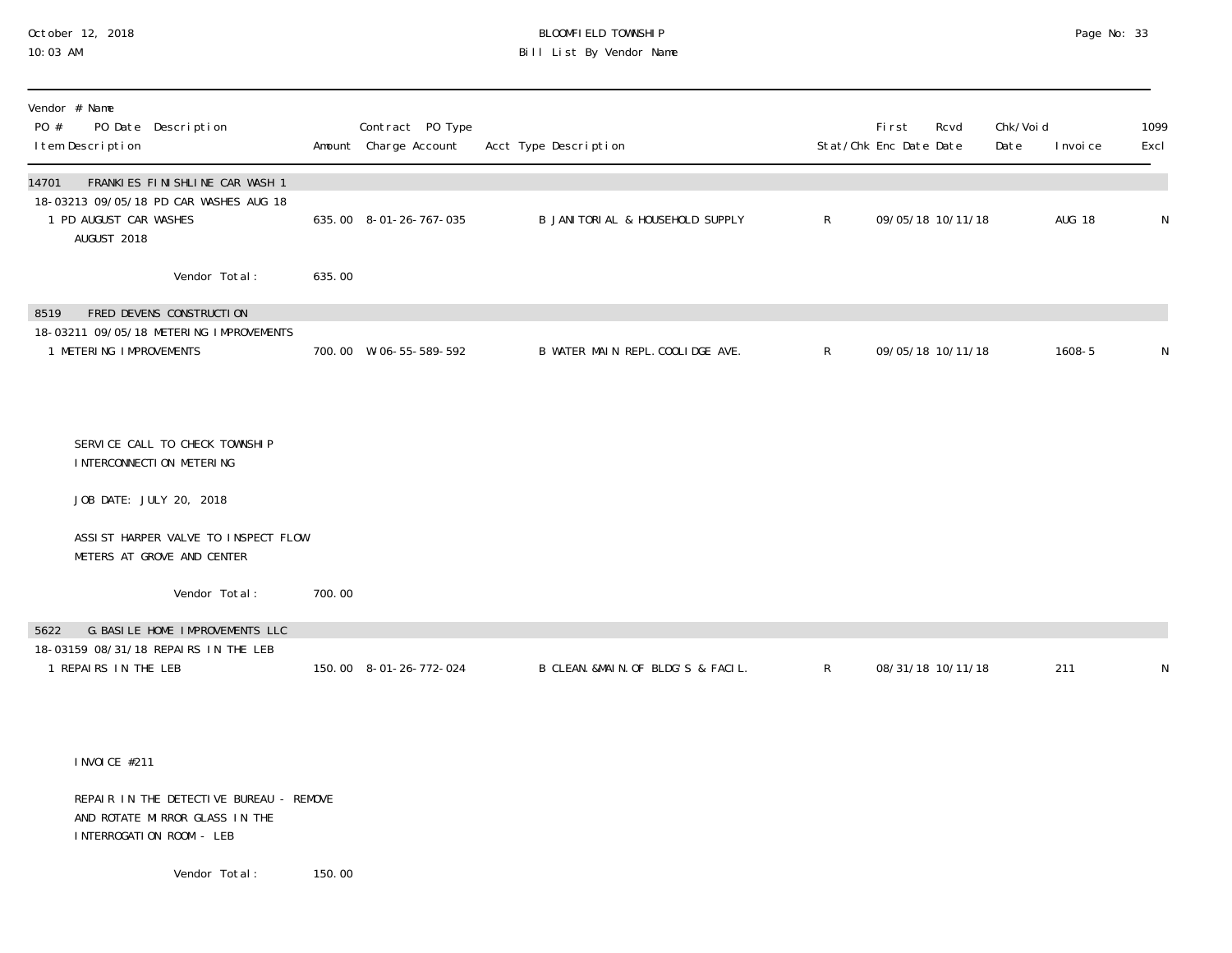#### October 12, 2018 BLOOMFIELD TOWNSHIP Page No: 33 Bill List By Vendor Name

| Vendor # Name<br>PO Date Description<br>PO #<br>I tem Description                                                          |        | Contract PO Type<br>Amount Charge Account | Acct Type Description              |              | First<br>Stat/Chk Enc Date Date | Rcvd | Chk/Voi d<br>Date | I nvoi ce     | 1099<br>Excl |
|----------------------------------------------------------------------------------------------------------------------------|--------|-------------------------------------------|------------------------------------|--------------|---------------------------------|------|-------------------|---------------|--------------|
| FRANKIES FINISHLINE CAR WASH 1<br>14701<br>18-03213 09/05/18 PD CAR WASHES AUG 18<br>1 PD AUGUST CAR WASHES<br>AUGUST 2018 |        | 635.00 8-01-26-767-035                    | B JANITORIAL & HOUSEHOLD SUPPLY    | $\mathsf{R}$ | 09/05/18 10/11/18               |      |                   | <b>AUG 18</b> | N            |
| Vendor Total:                                                                                                              | 635.00 |                                           |                                    |              |                                 |      |                   |               |              |
| FRED DEVENS CONSTRUCTION<br>8519                                                                                           |        |                                           |                                    |              |                                 |      |                   |               |              |
| 18-03211 09/05/18 METERING IMPROVEMENTS<br>1 METERING IMPROVEMENTS                                                         |        | 700.00 W-06-55-589-592                    | B WATER MAIN REPL. COOLIDGE AVE.   | $\mathsf{R}$ | 09/05/18 10/11/18               |      |                   | 1608-5        | N            |
|                                                                                                                            |        |                                           |                                    |              |                                 |      |                   |               |              |
| SERVICE CALL TO CHECK TOWNSHIP<br>I NTERCONNECTI ON METERING                                                               |        |                                           |                                    |              |                                 |      |                   |               |              |
| JOB DATE: JULY 20, 2018                                                                                                    |        |                                           |                                    |              |                                 |      |                   |               |              |
| ASSIST HARPER VALVE TO INSPECT FLOW<br>METERS AT GROVE AND CENTER                                                          |        |                                           |                                    |              |                                 |      |                   |               |              |
| Vendor Total:                                                                                                              | 700.00 |                                           |                                    |              |                                 |      |                   |               |              |
| G. BASILE HOME IMPROVEMENTS LLC<br>5622                                                                                    |        |                                           |                                    |              |                                 |      |                   |               |              |
| 18-03159 08/31/18 REPAIRS IN THE LEB<br>1 REPAIRS IN THE LEB                                                               |        | 150.00 8-01-26-772-024                    | B CLEAN. &MAIN. OF BLDG'S & FACIL. | $\mathsf{R}$ | 08/31/18 10/11/18               |      |                   | 211           | N            |
|                                                                                                                            |        |                                           |                                    |              |                                 |      |                   |               |              |

INVOICE #211

 REPAIR IN THE DETECTIVE BUREAU - REMOVE AND ROTATE MIRROR GLASS IN THE INTERROGATION ROOM - LEB

Vendor Total: 150.00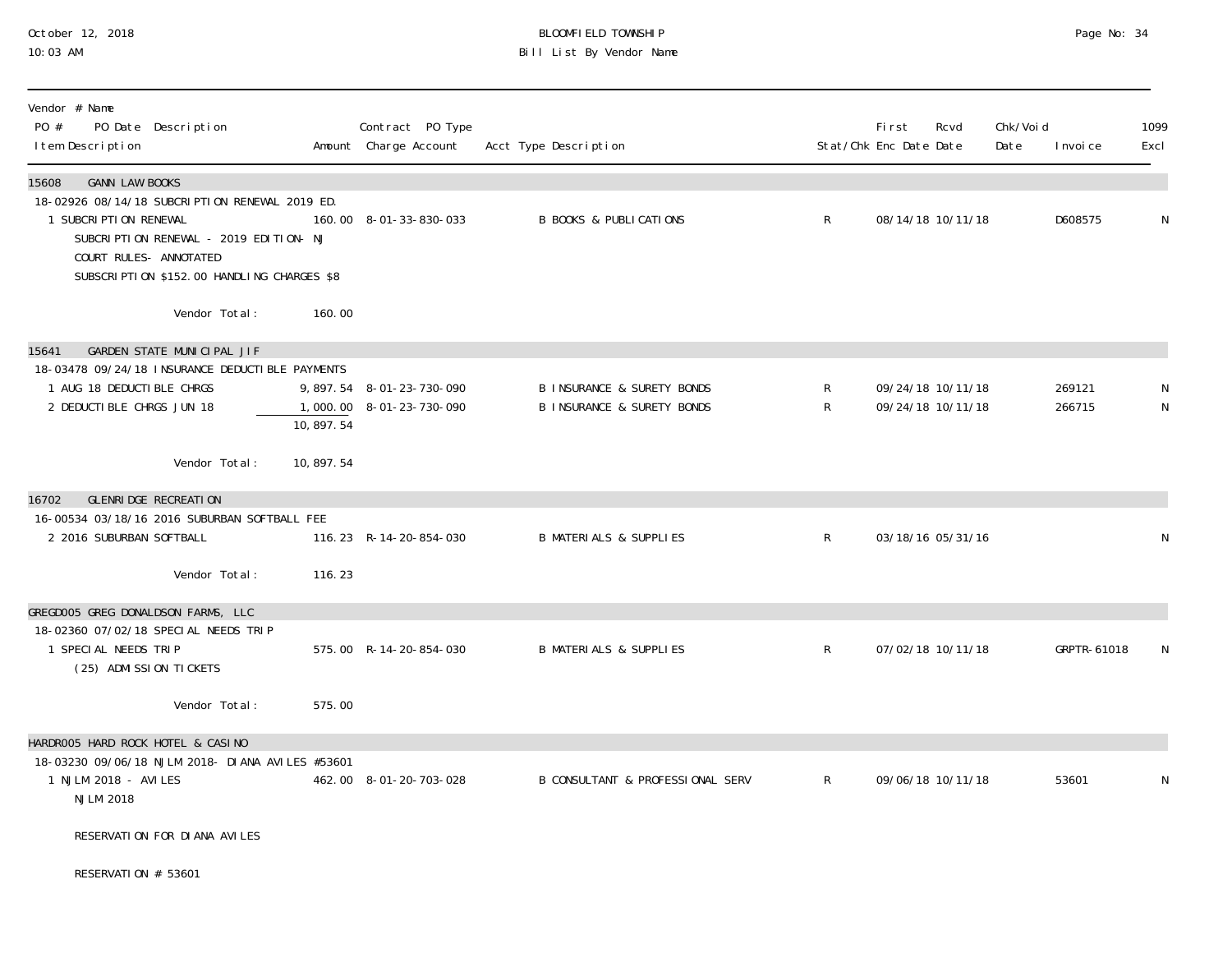## October 12, 2018 BLOOMFIELD TOWNSHIP Page No: 34 10:03 AM Bill List By Vendor Name

| Vendor # Name<br>PO #<br>I tem Description                                           | PO Date Description                                                                                                                    |             | Contract PO Type<br>Amount Charge Account            | Acct Type Description                                                          |                     | Fi rst<br>Stat/Chk Enc Date Date | Rcvd              | Chk/Voi d<br>Date | I nvoi ce        | 1099<br>Excl |
|--------------------------------------------------------------------------------------|----------------------------------------------------------------------------------------------------------------------------------------|-------------|------------------------------------------------------|--------------------------------------------------------------------------------|---------------------|----------------------------------|-------------------|-------------------|------------------|--------------|
| <b>GANN LAW BOOKS</b><br>15608<br>1 SUBCRIPTION RENEWAL<br>COURT RULES- ANNOTATED    | 18-02926 08/14/18 SUBCRIPTION RENEWAL 2019 ED.<br>SUBCRIPTION RENEWAL - 2019 EDITION- NJ<br>SUBSCRIPTION \$152.00 HANDLING CHARGES \$8 |             | 160.00 8-01-33-830-033                               | <b>B BOOKS &amp; PUBLICATIONS</b>                                              | $\mathsf{R}$        |                                  | 08/14/18 10/11/18 |                   | D608575          | N            |
|                                                                                      | Vendor Total:                                                                                                                          | 160.00      |                                                      |                                                                                |                     |                                  |                   |                   |                  |              |
| 15641<br>1 AUG 18 DEDUCTIBLE CHRGS<br>2 DEDUCTIBLE CHRGS JUN 18                      | GARDEN STATE MUNICIPAL JIF<br>18-03478 09/24/18 INSURANCE DEDUCTIBLE PAYMENTS                                                          | 10,897.54   | 9,897.54 8-01-23-730-090<br>1,000.00 8-01-23-730-090 | <b>B INSURANCE &amp; SURETY BONDS</b><br><b>B INSURANCE &amp; SURETY BONDS</b> | $\mathsf{R}^-$<br>R | 09/24/18 10/11/18                | 09/24/18 10/11/18 |                   | 269121<br>266715 | N<br>N       |
|                                                                                      | Vendor Total:                                                                                                                          | 10, 897. 54 |                                                      |                                                                                |                     |                                  |                   |                   |                  |              |
| GLENRI DGE RECREATION<br>16702<br>2 2016 SUBURBAN SOFTBALL                           | 16-00534 03/18/16 2016 SUBURBAN SOFTBALL FEE<br>Vendor Total:                                                                          | 116.23      | 116.23 R-14-20-854-030                               | <b>B MATERIALS &amp; SUPPLIES</b>                                              | $\mathsf{R}$        |                                  | 03/18/16 05/31/16 |                   |                  | N            |
| GREGDOO5 GREG DONALDSON FARMS, LLC<br>1 SPECIAL NEEDS TRIP<br>(25) ADMISSION TICKETS | 18-02360 07/02/18 SPECIAL NEEDS TRIP                                                                                                   |             | 575.00 R-14-20-854-030                               | <b>B MATERIALS &amp; SUPPLIES</b>                                              | $\mathsf{R}$        |                                  | 07/02/18 10/11/18 |                   | GRPTR-61018      | N            |
|                                                                                      | Vendor Total:                                                                                                                          | 575.00      |                                                      |                                                                                |                     |                                  |                   |                   |                  |              |
| HARDROO5 HARD ROCK HOTEL & CASINO<br>1 NJLM 2018 - AVILES<br><b>NJLM 2018</b>        | 18-03230 09/06/18 NJLM 2018- DIANA AVILES #53601                                                                                       |             | 462.00 8-01-20-703-028                               | B CONSULTANT & PROFESSIONAL SERV                                               | R.                  |                                  | 09/06/18 10/11/18 |                   | 53601            |              |
|                                                                                      | RESERVATION FOR DIANA AVILES                                                                                                           |             |                                                      |                                                                                |                     |                                  |                   |                   |                  |              |
| RESERVATION # 53601                                                                  |                                                                                                                                        |             |                                                      |                                                                                |                     |                                  |                   |                   |                  |              |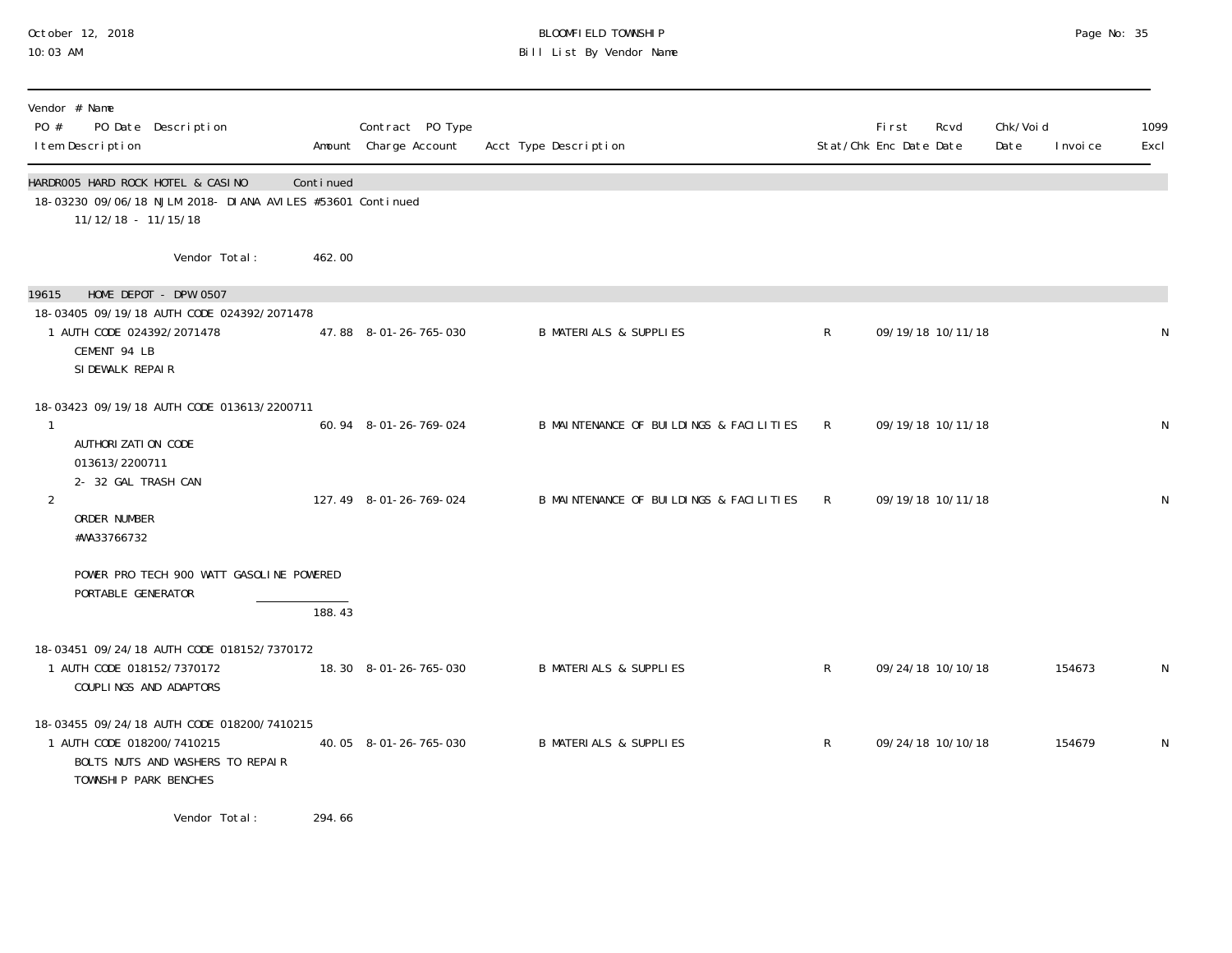## October 12, 2018 BLOOMFIELD TOWNSHIP Page No: 35 10:03 AM Bill List By Vendor Name

| PO #           | Vendor # Name<br>PO Date Description<br>I tem Description                                                                             |           | Contract PO Type<br>Amount Charge Account | Acct Type Description                   |              | First<br>Stat/Chk Enc Date Date | Rcvd              | Chk/Voi d<br>Date | I nvoi ce | 1099<br>Excl |
|----------------|---------------------------------------------------------------------------------------------------------------------------------------|-----------|-------------------------------------------|-----------------------------------------|--------------|---------------------------------|-------------------|-------------------|-----------|--------------|
|                | HARDROO5 HARD ROCK HOTEL & CASINO<br>18-03230 09/06/18 NJLM 2018- DIANA AVILES #53601 Continued<br>11/12/18 - 11/15/18                | Continued |                                           |                                         |              |                                 |                   |                   |           |              |
|                | Vendor Total:                                                                                                                         | 462.00    |                                           |                                         |              |                                 |                   |                   |           |              |
| 19615          | HOME DEPOT - DPW 0507                                                                                                                 |           |                                           |                                         |              |                                 |                   |                   |           |              |
|                | 18-03405 09/19/18 AUTH CODE 024392/2071478<br>1 AUTH CODE 024392/2071478<br>CEMENT 94 LB<br>SI DEWALK REPAIR                          |           | 47.88 8-01-26-765-030                     | <b>B MATERIALS &amp; SUPPLIES</b>       | $\mathsf{R}$ |                                 | 09/19/18 10/11/18 |                   |           | N            |
|                | 18-03423 09/19/18 AUTH CODE 013613/2200711                                                                                            |           |                                           |                                         |              |                                 |                   |                   |           |              |
| 1              | AUTHORI ZATI ON CODE<br>013613/2200711<br>2- 32 GAL TRASH CAN                                                                         |           | 60.94 8-01-26-769-024                     | B MAINTENANCE OF BUILDINGS & FACILITIES | $\mathsf{R}$ |                                 | 09/19/18 10/11/18 |                   |           | N            |
| $\overline{2}$ | ORDER NUMBER<br>#WA33766732                                                                                                           |           | 127.49 8-01-26-769-024                    | B MAINTENANCE OF BUILDINGS & FACILITIES | $\mathsf{R}$ |                                 | 09/19/18 10/11/18 |                   |           | N            |
|                | POWER PRO TECH 900 WATT GASOLINE POWERED<br>PORTABLE GENERATOR                                                                        |           |                                           |                                         |              |                                 |                   |                   |           |              |
|                |                                                                                                                                       | 188.43    |                                           |                                         |              |                                 |                   |                   |           |              |
|                | 18-03451 09/24/18 AUTH CODE 018152/7370172<br>1 AUTH CODE 018152/7370172<br>COUPLINGS AND ADAPTORS                                    |           | 18.30 8-01-26-765-030                     | <b>B MATERIALS &amp; SUPPLIES</b>       | $\mathsf{R}$ |                                 | 09/24/18 10/10/18 |                   | 154673    | N            |
|                | 18-03455 09/24/18 AUTH CODE 018200/7410215<br>1 AUTH CODE 018200/7410215<br>BOLTS NUTS AND WASHERS TO REPAIR<br>TOWNSHIP PARK BENCHES |           | 40.05 8-01-26-765-030                     | <b>B MATERIALS &amp; SUPPLIES</b>       | $\mathsf{R}$ |                                 | 09/24/18 10/10/18 |                   | 154679    | N            |
|                |                                                                                                                                       |           |                                           |                                         |              |                                 |                   |                   |           |              |

Vendor Total: 294.66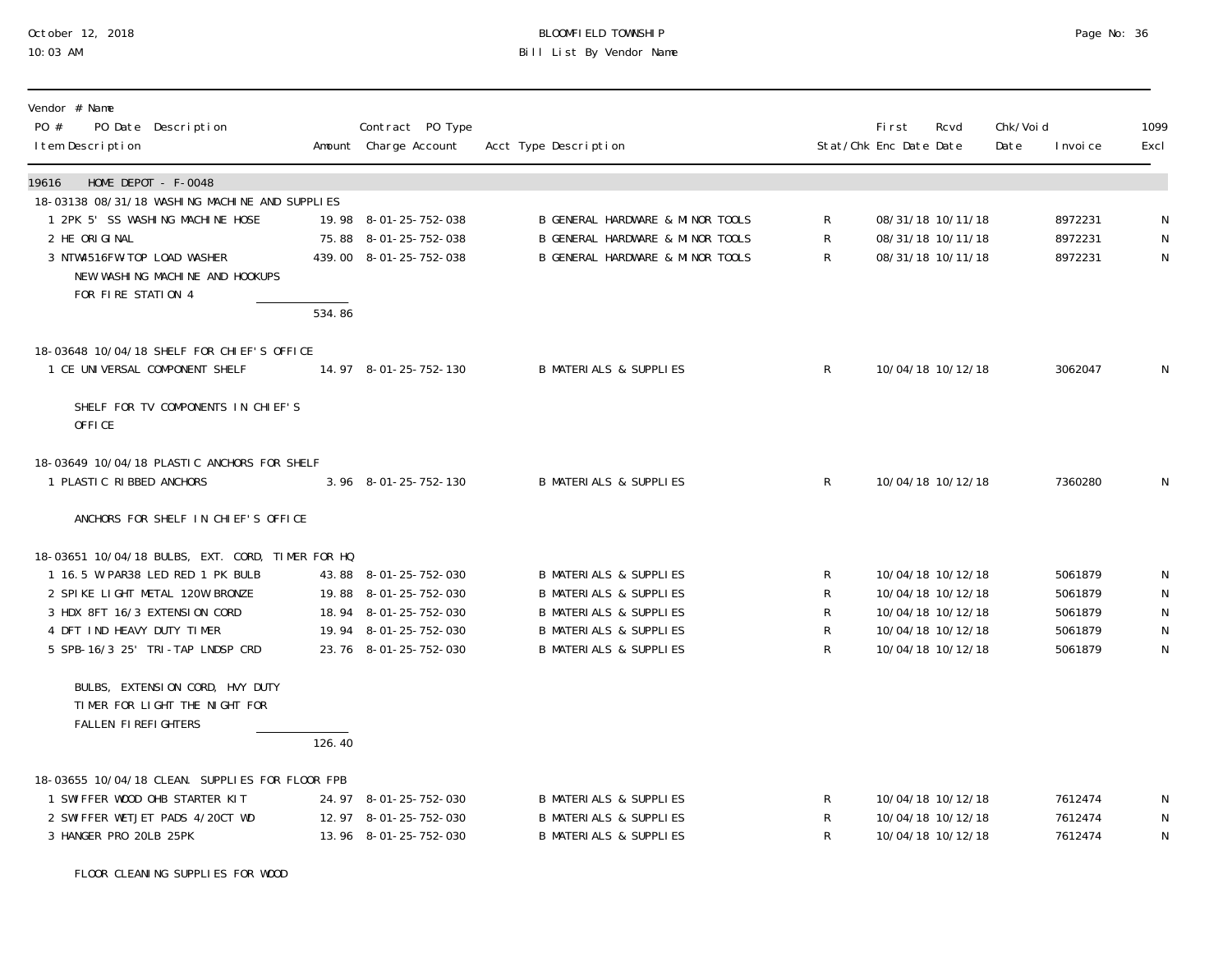# October 12, 2018 BLOOMFIELD TOWNSHIP Page No: 36 Bill List By Vendor Name

| Vendor # Name<br>PO #<br>PO Date Description<br>I tem Description                       |        | Contract PO Type<br>Amount Charge Account      | Acct Type Description                                                  |              | <b>First</b><br>Stat/Chk Enc Date Date | Rcvd                                   | Chk/Voi d<br>Date | I nvoi ce          | 1099<br>Excl           |
|-----------------------------------------------------------------------------------------|--------|------------------------------------------------|------------------------------------------------------------------------|--------------|----------------------------------------|----------------------------------------|-------------------|--------------------|------------------------|
| HOME DEPOT - F-0048<br>19616                                                            |        |                                                |                                                                        |              |                                        |                                        |                   |                    |                        |
| 18-03138 08/31/18 WASHING MACHINE AND SUPPLIES<br>1 2PK 5' SS WASHING MACHINE HOSE      |        | 19.98 8-01-25-752-038                          | <b>B GENERAL HARDWARE &amp; MINOR TOOLS</b>                            | R            |                                        | 08/31/18 10/11/18                      |                   | 8972231            | N                      |
| 2 HE ORIGINAL                                                                           |        | 75.88 8-01-25-752-038                          | B GENERAL HARDWARE & MINOR TOOLS                                       | $\mathsf R$  |                                        | 08/31/18 10/11/18                      |                   | 8972231            | ${\sf N}$              |
| 3 NTW4516FW-TOP LOAD WASHER<br>NEW WASHING MACHINE AND HOOKUPS<br>FOR FIRE STATION 4    |        | 439.00 8-01-25-752-038                         | B GENERAL HARDWARE & MINOR TOOLS                                       | R            |                                        | 08/31/18 10/11/18                      |                   | 8972231            | N                      |
|                                                                                         | 534.86 |                                                |                                                                        |              |                                        |                                        |                   |                    |                        |
| 18-03648 10/04/18 SHELF FOR CHIEF'S OFFICE                                              |        |                                                |                                                                        |              |                                        |                                        |                   |                    |                        |
| 1 CE UNIVERSAL COMPONENT SHELF                                                          |        | 14.97 8-01-25-752-130                          | <b>B MATERIALS &amp; SUPPLIES</b>                                      | $\mathsf{R}$ |                                        | 10/04/18 10/12/18                      |                   | 3062047            | N                      |
| SHELF FOR TV COMPONENTS IN CHIEF'S<br>OFFICE                                            |        |                                                |                                                                        |              |                                        |                                        |                   |                    |                        |
| 18-03649 10/04/18 PLASTIC ANCHORS FOR SHELF                                             |        |                                                |                                                                        |              |                                        |                                        |                   |                    |                        |
| 1 PLASTIC RIBBED ANCHORS                                                                |        | 3.96 8-01-25-752-130                           | <b>B MATERIALS &amp; SUPPLIES</b>                                      | $\mathsf{R}$ |                                        | 10/04/18 10/12/18                      |                   | 7360280            | N                      |
| ANCHORS FOR SHELF IN CHIEF'S OFFICE                                                     |        |                                                |                                                                        |              |                                        |                                        |                   |                    |                        |
| 18-03651 10/04/18 BULBS, EXT. CORD, TIMER FOR HQ                                        |        |                                                |                                                                        |              |                                        |                                        |                   |                    |                        |
| 1 16.5 W PAR38 LED RED 1 PK BULB                                                        |        | 43.88 8-01-25-752-030                          | <b>B MATERIALS &amp; SUPPLIES</b>                                      | R            |                                        | 10/04/18 10/12/18                      |                   | 5061879            | N                      |
| 2 SPIKE LIGHT METAL 120W BRONZE                                                         |        | 19.88 8-01-25-752-030                          | <b>B MATERIALS &amp; SUPPLIES</b>                                      | R            |                                        | 10/04/18 10/12/18                      |                   | 5061879            | N                      |
| 3 HDX 8FT 16/3 EXTENSION CORD<br>4 DFT IND HEAVY DUTY TIMER                             |        | 18.94 8-01-25-752-030<br>19.94 8-01-25-752-030 | <b>B MATERIALS &amp; SUPPLIES</b><br><b>B MATERIALS &amp; SUPPLIES</b> | R<br>R       |                                        | 10/04/18 10/12/18<br>10/04/18 10/12/18 |                   | 5061879<br>5061879 | ${\sf N}$<br>${\sf N}$ |
| 5 SPB-16/3 25' TRI-TAP LNDSP CRD                                                        |        | 23.76 8-01-25-752-030                          | <b>B MATERIALS &amp; SUPPLIES</b>                                      | R            |                                        | 10/04/18 10/12/18                      |                   | 5061879            | $\mathsf{N}$           |
| BULBS, EXTENSION CORD, HVY DUTY<br>TIMER FOR LIGHT THE NIGHT FOR<br>FALLEN FIREFIGHTERS | 126.40 |                                                |                                                                        |              |                                        |                                        |                   |                    |                        |
|                                                                                         |        |                                                |                                                                        |              |                                        |                                        |                   |                    |                        |
| 18-03655 10/04/18 CLEAN. SUPPLIES FOR FLOOR FPB                                         |        |                                                |                                                                        |              |                                        |                                        |                   |                    |                        |
| 1 SWIFFER WOOD OHB STARTER KIT                                                          |        | 24.97 8-01-25-752-030<br>12.97 8-01-25-752-030 | <b>B MATERIALS &amp; SUPPLIES</b>                                      | R            |                                        | 10/04/18 10/12/18                      |                   | 7612474            | N                      |
| 2 SWIFFER WETJET PADS 4/20CT WD<br>3 HANGER PRO 20LB 25PK                               |        | 13.96 8-01-25-752-030                          | <b>B MATERIALS &amp; SUPPLIES</b><br><b>B MATERIALS &amp; SUPPLIES</b> | R<br>R       |                                        | 10/04/18 10/12/18<br>10/04/18 10/12/18 |                   | 7612474<br>7612474 | N<br>${\sf N}$         |
|                                                                                         |        |                                                |                                                                        |              |                                        |                                        |                   |                    |                        |

FLOOR CLEANING SUPPLIES FOR WOOD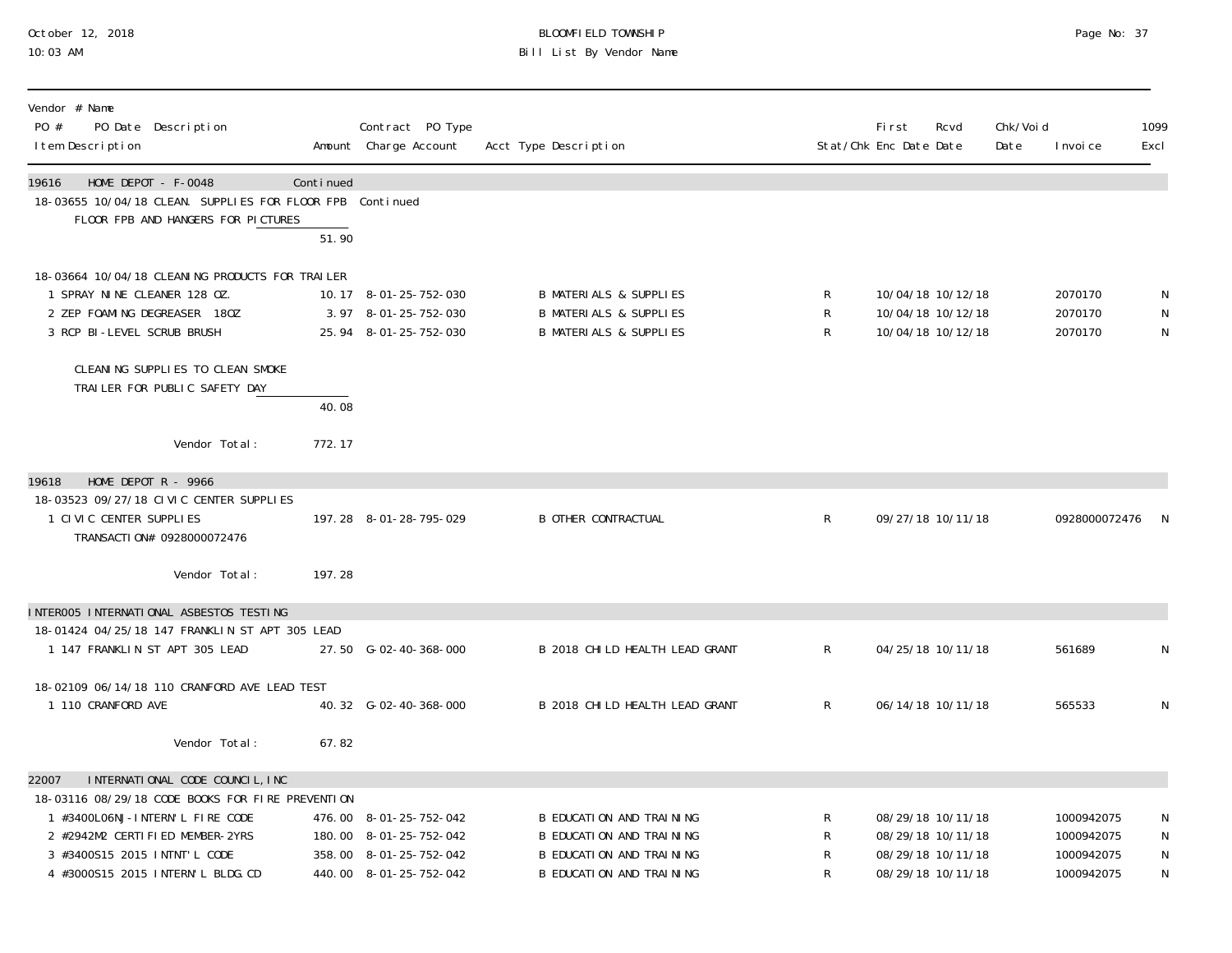# October 12, 2018 BLOOMFIELD TOWNSHIP Page No: 37 Bill List By Vendor Name

| Vendor # Name<br>PO #<br>PO Date Description<br>I tem Description                                                                                                                                                                       |                    | Contract PO Type<br>Amount Charge Account                                                            | Acct Type Description                                                                                                      |                  | <b>First</b><br>Stat/Chk Enc Date Date | Rcvd                                                                             | Chk/Voi d<br>Date | I nvoi ce                                            | 1099<br>Excl                |
|-----------------------------------------------------------------------------------------------------------------------------------------------------------------------------------------------------------------------------------------|--------------------|------------------------------------------------------------------------------------------------------|----------------------------------------------------------------------------------------------------------------------------|------------------|----------------------------------------|----------------------------------------------------------------------------------|-------------------|------------------------------------------------------|-----------------------------|
| 19616<br>HOME DEPOT - F-0048<br>18-03655 10/04/18 CLEAN. SUPPLIES FOR FLOOR FPB Continued<br>FLOOR FPB AND HANGERS FOR PICTURES                                                                                                         | Continued<br>51.90 |                                                                                                      |                                                                                                                            |                  |                                        |                                                                                  |                   |                                                      |                             |
| 18-03664 10/04/18 CLEANING PRODUCTS FOR TRAILER<br>1 SPRAY NINE CLEANER 128 OZ.<br>2 ZEP FOAMING DEGREASER 180Z<br>3 RCP BI-LEVEL SCRUB BRUSH<br>CLEANING SUPPLIES TO CLEAN SMOKE<br>TRAILER FOR PUBLIC SAFETY DAY                      |                    | 10.17 8-01-25-752-030<br>3.97 8-01-25-752-030<br>25.94 8-01-25-752-030                               | <b>B MATERIALS &amp; SUPPLIES</b><br><b>B MATERIALS &amp; SUPPLIES</b><br><b>B MATERIALS &amp; SUPPLIES</b>                | R<br>R<br>R      |                                        | 10/04/18 10/12/18<br>10/04/18 10/12/18<br>10/04/18 10/12/18                      |                   | 2070170<br>2070170<br>2070170                        | N<br>N<br>N                 |
| Vendor Total:                                                                                                                                                                                                                           | 40.08<br>772.17    |                                                                                                      |                                                                                                                            |                  |                                        |                                                                                  |                   |                                                      |                             |
| HOME DEPOT $R - 9966$<br>19618<br>18-03523 09/27/18 CIVIC CENTER SUPPLIES<br>1 CIVIC CENTER SUPPLIES<br>TRANSACTI 0N# 0928000072476<br>Vendor Total:                                                                                    | 197.28             | 197.28 8-01-28-795-029                                                                               | <b>B OTHER CONTRACTUAL</b>                                                                                                 | $\mathsf{R}$     |                                        | 09/27/18 10/11/18                                                                |                   | 0928000072476                                        | - N                         |
| INTEROO5 INTERNATIONAL ASBESTOS TESTING                                                                                                                                                                                                 |                    |                                                                                                      |                                                                                                                            |                  |                                        |                                                                                  |                   |                                                      |                             |
| 18-01424 04/25/18 147 FRANKLIN ST APT 305 LEAD<br>1 147 FRANKLIN ST APT 305 LEAD                                                                                                                                                        |                    | 27.50 G-02-40-368-000                                                                                | B 2018 CHILD HEALTH LEAD GRANT                                                                                             | $\mathsf{R}$     |                                        | 04/25/18 10/11/18                                                                |                   | 561689                                               | N                           |
| 18-02109 06/14/18 110 CRANFORD AVE LEAD TEST<br>1 110 CRANFORD AVE<br>Vendor Total:                                                                                                                                                     | 67.82              | 40.32 G-02-40-368-000                                                                                | B 2018 CHILD HEALTH LEAD GRANT                                                                                             | $\mathsf{R}$     |                                        | 06/14/18 10/11/18                                                                |                   | 565533                                               | N                           |
| INTERNATIONAL CODE COUNCIL, INC<br>22007<br>18-03116 08/29/18 CODE BOOKS FOR FIRE PREVENTION<br>1 #3400L06NJ-INTERN'L FIRE CODE<br>2 #2942M2 CERTIFIED MEMBER-2YRS<br>3 #3400S15 2015 INTNT'L CODE<br>4 #3000S15 2015 INTERN'L BLDG. CD |                    | 476.00 8-01-25-752-042<br>180.00 8-01-25-752-042<br>358.00 8-01-25-752-042<br>440.00 8-01-25-752-042 | <b>B EDUCATION AND TRAINING</b><br>B EDUCATION AND TRAINING<br><b>B EDUCATION AND TRAINING</b><br>B EDUCATION AND TRAINING | R<br>R<br>R<br>R |                                        | 08/29/18 10/11/18<br>08/29/18 10/11/18<br>08/29/18 10/11/18<br>08/29/18 10/11/18 |                   | 1000942075<br>1000942075<br>1000942075<br>1000942075 | N<br>N<br>$\mathsf{N}$<br>N |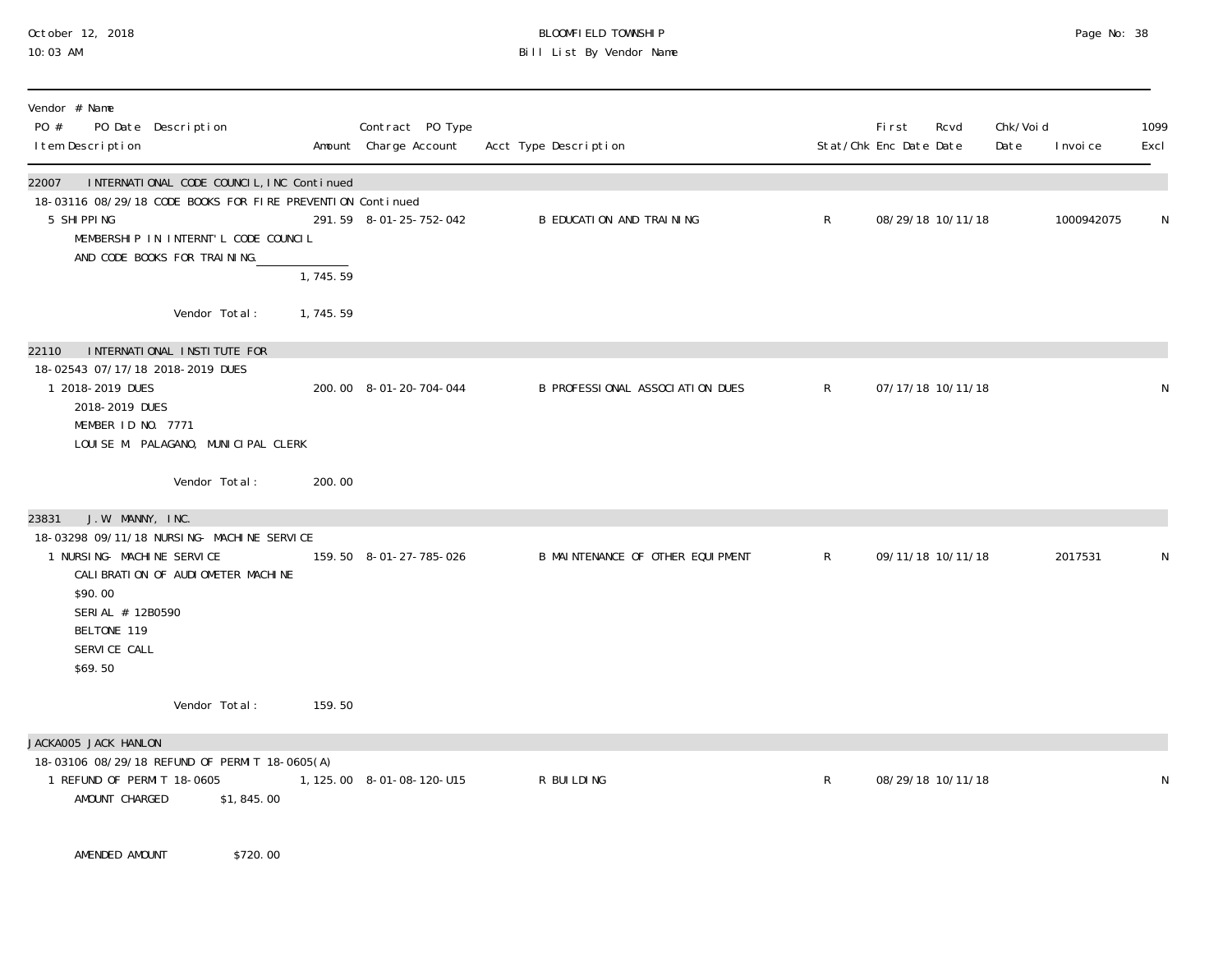### October 12, 2018 BLOOMFIELD TOWNSHIP Page No: 38 10:03 AM Bill List By Vendor Name

| Acct Type Description                                                                                                                                                                                                                                          |                | Fi rst<br>Stat/Chk Enc Date Date | Rcvd<br>Date | Chk/Voi d<br>I nvoi ce                                                           | 1099<br>Excl |
|----------------------------------------------------------------------------------------------------------------------------------------------------------------------------------------------------------------------------------------------------------------|----------------|----------------------------------|--------------|----------------------------------------------------------------------------------|--------------|
| B EDUCATION AND TRAINING                                                                                                                                                                                                                                       | $\mathsf{R}$   |                                  |              | 1000942075                                                                       | N            |
|                                                                                                                                                                                                                                                                |                |                                  |              |                                                                                  |              |
| B PROFESSIONAL ASSOCIATION DUES                                                                                                                                                                                                                                | $\mathsf{R}$   |                                  |              |                                                                                  | N            |
|                                                                                                                                                                                                                                                                |                |                                  |              |                                                                                  |              |
| B MAINTENANCE OF OTHER EQUIPMENT                                                                                                                                                                                                                               | $\mathsf{R}^-$ |                                  |              | 2017531                                                                          | N            |
|                                                                                                                                                                                                                                                                |                |                                  |              |                                                                                  |              |
| R BUILDING                                                                                                                                                                                                                                                     | $\mathsf{R}$   |                                  |              |                                                                                  | N            |
| INTERNATIONAL CODE COUNCIL, INC Continued<br>18-03116 08/29/18 CODE BOOKS FOR FIRE PREVENTION Continued<br>291.59 8-01-25-752-042<br>1,745.59<br>1,745.59<br>200.00 8-01-20-704-044<br>200.00<br>159.50 8-01-27-785-026<br>159.50<br>1, 125.00 8-01-08-120-U15 |                |                                  |              | 08/29/18 10/11/18<br>07/17/18 10/11/18<br>09/11/18 10/11/18<br>08/29/18 10/11/18 |              |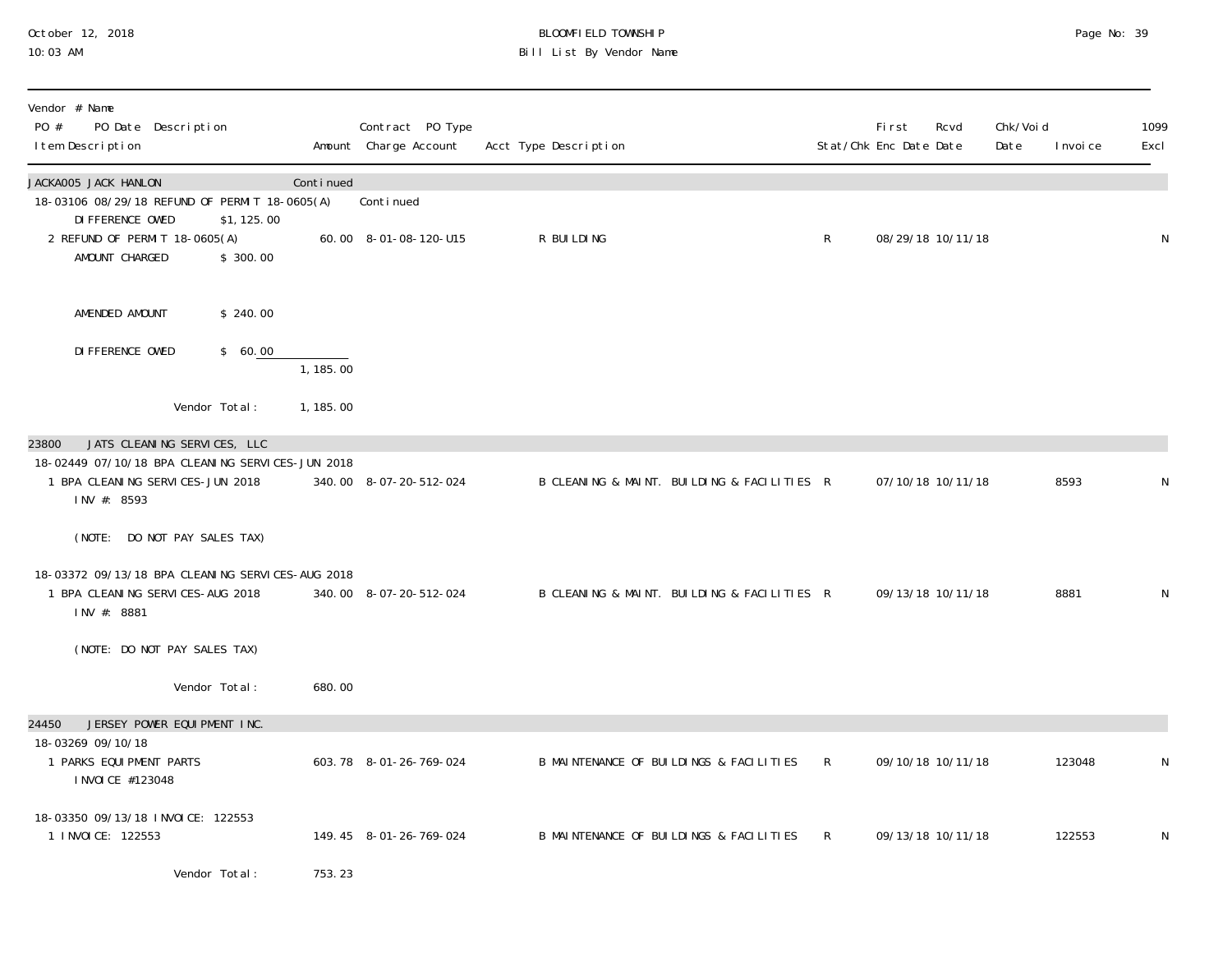#### October 12, 2018 BLOOMFIELD TOWNSHIP Page No: 39 10:03 AM Bill List By Vendor Name

| Vendor # Name<br>PO #<br>PO Date Description<br>I tem Description                                                                           |           | Contract PO Type<br>Amount Charge Account | Acct Type Description                       |              | First<br>Stat/Chk Enc Date Date | Rcvd              | Chk/Voi d<br>Date | I nvoi ce | 1099<br>Excl |
|---------------------------------------------------------------------------------------------------------------------------------------------|-----------|-------------------------------------------|---------------------------------------------|--------------|---------------------------------|-------------------|-------------------|-----------|--------------|
| JACKA005 JACK HANLON<br>18-03106 08/29/18 REFUND OF PERMIT 18-0605(A)                                                                       | Continued | Continued                                 |                                             |              |                                 |                   |                   |           |              |
| DI FFERENCE OWED<br>\$1,125.00<br>2 REFUND OF PERMIT 18-0605(A)<br>AMOUNT CHARGED<br>\$300.00                                               |           | 60.00 8-01-08-120-U15                     | R BUILDING                                  | $\mathsf{R}$ |                                 | 08/29/18 10/11/18 |                   |           | N            |
| AMENDED AMOUNT<br>\$240.00                                                                                                                  |           |                                           |                                             |              |                                 |                   |                   |           |              |
| DI FFERENCE OWED<br>\$60.00                                                                                                                 | 1, 185.00 |                                           |                                             |              |                                 |                   |                   |           |              |
| Vendor Total:                                                                                                                               | 1, 185.00 |                                           |                                             |              |                                 |                   |                   |           |              |
| JATS CLEANING SERVICES, LLC<br>23800<br>18-02449 07/10/18 BPA CLEANING SERVICES-JUN 2018<br>1 BPA CLEANING SERVICES-JUN 2018<br>INV #: 8593 |           | 340.00 8-07-20-512-024                    | B CLEANING & MAINT. BUILDING & FACILITIES R |              |                                 | 07/10/18 10/11/18 |                   | 8593      | N            |
| (NOTE: DO NOT PAY SALES TAX)                                                                                                                |           |                                           |                                             |              |                                 |                   |                   |           |              |
| 18-03372 09/13/18 BPA CLEANING SERVICES-AUG 2018<br>1 BPA CLEANING SERVICES-AUG 2018<br>INV #: 8881                                         |           | 340.00 8-07-20-512-024                    | B CLEANING & MAINT. BUILDING & FACILITIES R |              |                                 | 09/13/18 10/11/18 |                   | 8881      | N            |
| (NOTE: DO NOT PAY SALES TAX)                                                                                                                |           |                                           |                                             |              |                                 |                   |                   |           |              |
| Vendor Total:                                                                                                                               | 680.00    |                                           |                                             |              |                                 |                   |                   |           |              |
| 24450<br>JERSEY POWER EQUIPMENT INC.<br>18-03269 09/10/18<br>1 PARKS EQUI PMENT PARTS<br>I NVOI CE #123048                                  |           | 603.78 8-01-26-769-024                    | B MAINTENANCE OF BUILDINGS & FACILITIES     | $\mathsf{R}$ |                                 | 09/10/18 10/11/18 |                   | 123048    | N            |
| 18-03350 09/13/18 INVOICE: 122553<br>1 I NVOI CE: 122553                                                                                    |           | 149.45 8-01-26-769-024                    | B MAINTENANCE OF BUILDINGS & FACILITIES     | $\mathsf{R}$ |                                 | 09/13/18 10/11/18 |                   | 122553    | N            |
| Vendor Total:                                                                                                                               | 753.23    |                                           |                                             |              |                                 |                   |                   |           |              |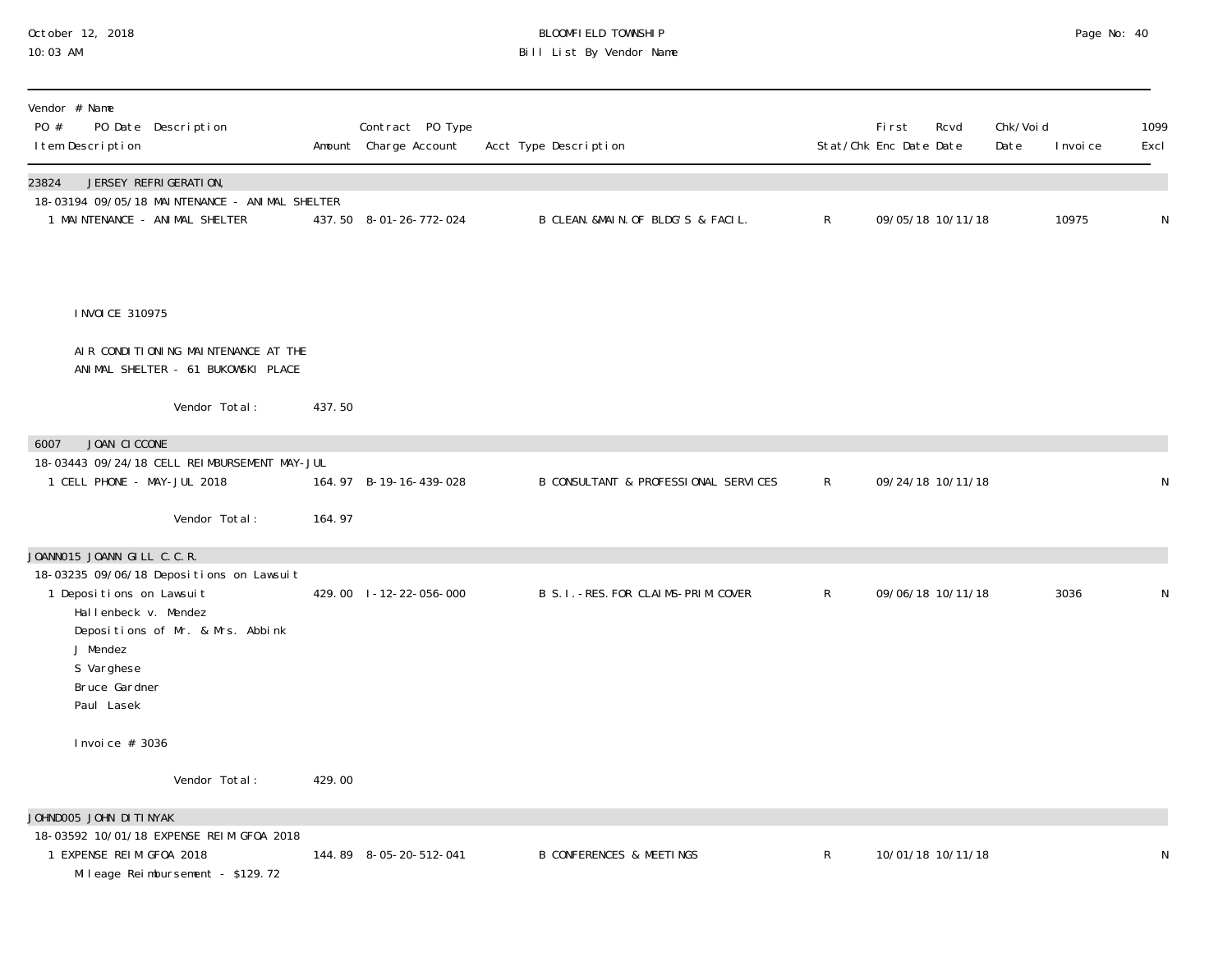# October 12, 2018 BLOOMFIELD TOWNSHIP Page No: 40 10:03 AM Bill List By Vendor Name

| Vendor # Name<br>PO #<br>PO Date Description<br>I tem Description                                                                                                                         |        | Contract PO Type<br>Amount Charge Account | Acct Type Description                 |              | First<br>Stat/Chk Enc Date Date | Rcvd              | Chk/Voi d<br>Date | I nvoi ce | 1099<br>Excl |
|-------------------------------------------------------------------------------------------------------------------------------------------------------------------------------------------|--------|-------------------------------------------|---------------------------------------|--------------|---------------------------------|-------------------|-------------------|-----------|--------------|
| JERSEY REFRIGERATION,<br>23824<br>18-03194 09/05/18 MAINTENANCE - ANIMAL SHELTER<br>1 MAINTENANCE - ANIMAL SHELTER                                                                        |        | 437.50 8-01-26-772-024                    | B CLEAN. &MAIN. OF BLDG'S & FACIL.    | $\mathsf{R}$ |                                 | 09/05/18 10/11/18 |                   | 10975     | N            |
| I NVOI CE 310975                                                                                                                                                                          |        |                                           |                                       |              |                                 |                   |                   |           |              |
| AIR CONDITIONING MAINTENANCE AT THE<br>ANIMAL SHELTER - 61 BUKOWSKI PLACE                                                                                                                 |        |                                           |                                       |              |                                 |                   |                   |           |              |
| Vendor Total:                                                                                                                                                                             | 437.50 |                                           |                                       |              |                                 |                   |                   |           |              |
| JOAN CICCONE<br>6007                                                                                                                                                                      |        |                                           |                                       |              |                                 |                   |                   |           |              |
| 18-03443 09/24/18 CELL REIMBURSEMENT MAY-JUL                                                                                                                                              |        |                                           |                                       |              |                                 |                   |                   |           |              |
| 1 CELL PHONE - MAY-JUL 2018                                                                                                                                                               |        | 164.97 B-19-16-439-028                    | B CONSULTANT & PROFESSIONAL SERVICES  | $\mathsf{R}$ |                                 | 09/24/18 10/11/18 |                   |           | N            |
| Vendor Total:                                                                                                                                                                             | 164.97 |                                           |                                       |              |                                 |                   |                   |           |              |
| JOANNO15 JOANN GILL C.C.R.                                                                                                                                                                |        |                                           |                                       |              |                                 |                   |                   |           |              |
| 18-03235 09/06/18 Depositions on Lawsuit<br>1 Depositions on Lawsuit<br>Hallenbeck v. Mendez<br>Depositions of Mr. & Mrs. Abbink<br>J Mendez<br>S Varghese<br>Bruce Gardner<br>Paul Lasek |        | 429.00 1-12-22-056-000                    | B S. I. - RES. FOR CLAIMS-PRIM. COVER | $\mathsf{R}$ |                                 | 09/06/18 10/11/18 |                   | 3036      | N            |
| Invoice $# 3036$                                                                                                                                                                          |        |                                           |                                       |              |                                 |                   |                   |           |              |
| Vendor Total:                                                                                                                                                                             | 429.00 |                                           |                                       |              |                                 |                   |                   |           |              |
| JOHNDOO5 JOHN DITINYAK                                                                                                                                                                    |        |                                           |                                       |              |                                 |                   |                   |           |              |
| 18-03592 10/01/18 EXPENSE REIM GF0A 2018<br>1 EXPENSE REIM GFOA 2018<br>Mileage Reimbursement - \$129.72                                                                                  |        | 144.89 8-05-20-512-041                    | <b>B CONFERENCES &amp; MEETINGS</b>   | $\mathsf{R}$ |                                 | 10/01/18 10/11/18 |                   |           | N            |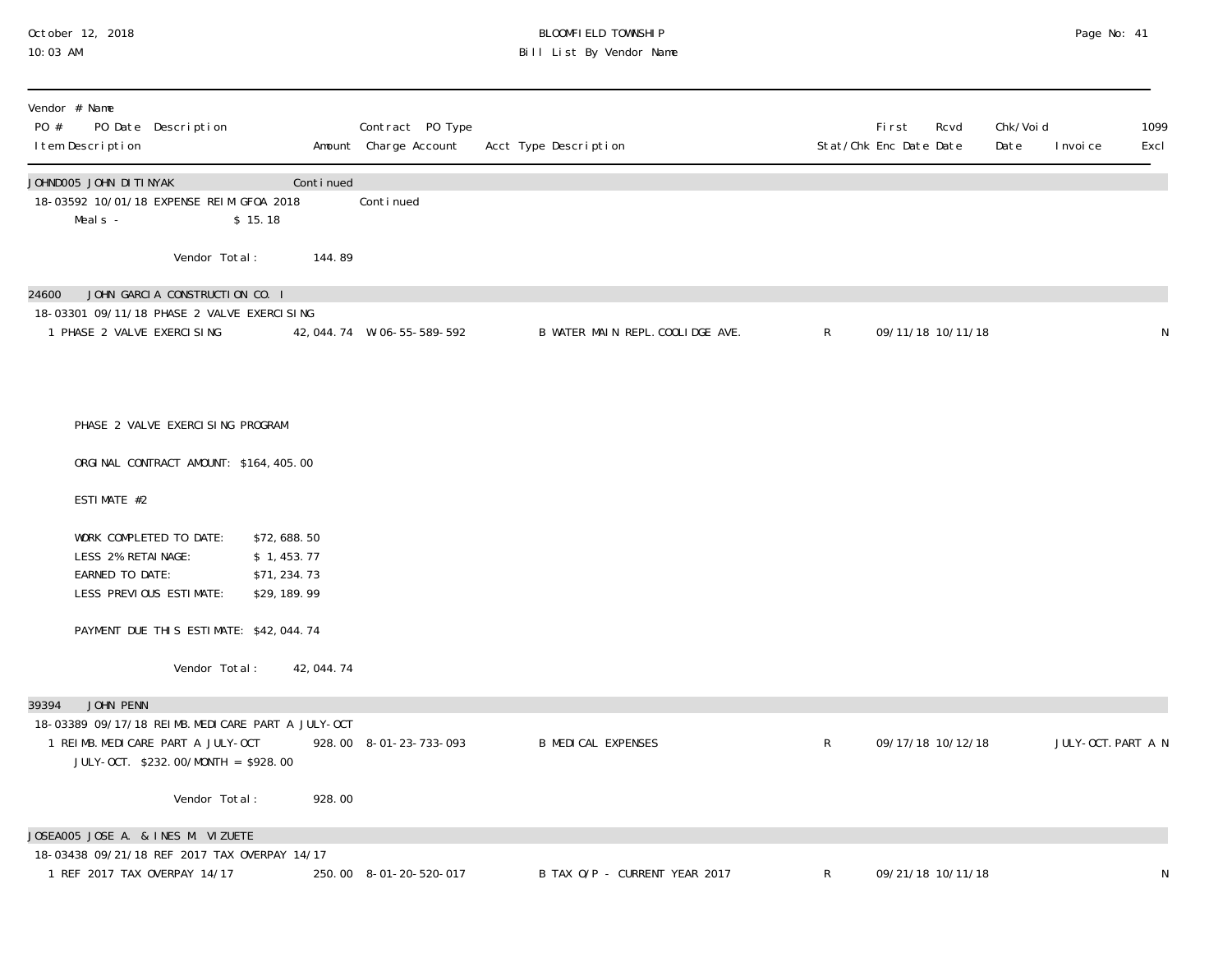# October 12, 2018 BLOOMFIELD TOWNSHIP Page No: 41 10:03 AM Bill List By Vendor Name

| Vendor # Name<br>PO #<br>PO Date Description<br>I tem Description                                                                                   |                                                             | Contract PO Type<br>Amount Charge Account | Acct Type Description            |              | <b>First</b><br>Rcvd<br>Stat/Chk Enc Date Date | Chk/Voi d<br>1099<br>Date<br>Excl<br>I nvoi ce |
|-----------------------------------------------------------------------------------------------------------------------------------------------------|-------------------------------------------------------------|-------------------------------------------|----------------------------------|--------------|------------------------------------------------|------------------------------------------------|
| JOHNDOO5 JOHN DITINYAK<br>18-03592 10/01/18 EXPENSE REIM GF0A 2018<br>Meal s -                                                                      | Continued<br>\$15.18                                        | Continued                                 |                                  |              |                                                |                                                |
| Vendor Total:                                                                                                                                       | 144.89                                                      |                                           |                                  |              |                                                |                                                |
| JOHN GARCIA CONSTRUCTION CO. I<br>24600<br>18-03301 09/11/18 PHASE 2 VALVE EXERCI SING<br>1 PHASE 2 VALVE EXERCISING                                |                                                             | 42, 044. 74 W-06-55-589-592               | B WATER MAIN REPL. COOLIDGE AVE. | $\mathsf{R}$ | 09/11/18 10/11/18                              | ${\sf N}$                                      |
| PHASE 2 VALVE EXERCISING PROGRAM                                                                                                                    |                                                             |                                           |                                  |              |                                                |                                                |
| ORGINAL CONTRACT AMOUNT: \$164,405.00                                                                                                               |                                                             |                                           |                                  |              |                                                |                                                |
| ESTIMATE #2                                                                                                                                         |                                                             |                                           |                                  |              |                                                |                                                |
| WORK COMPLETED TO DATE:<br>LESS 2% RETAINAGE:<br>EARNED TO DATE:<br>LESS PREVIOUS ESTIMATE:                                                         | \$72,688.50<br>\$1,453.77<br>\$71, 234. 73<br>\$29, 189. 99 |                                           |                                  |              |                                                |                                                |
| PAYMENT DUE THIS ESTIMATE: \$42,044.74                                                                                                              |                                                             |                                           |                                  |              |                                                |                                                |
| Vendor Total:                                                                                                                                       | 42, 044. 74                                                 |                                           |                                  |              |                                                |                                                |
| JOHN PENN<br>39394<br>18-03389 09/17/18 REIMB. MEDICARE PART A JULY-OCT<br>1 REIMB. MEDICARE PART A JULY-OCT<br>JULY-OCT. \$232.00/MONTH = \$928.00 |                                                             | 928.00 8-01-23-733-093                    | <b>B MEDICAL EXPENSES</b>        | R            | 09/17/18 10/12/18                              | JULY-OCT. PART A N                             |
| Vendor Total:                                                                                                                                       | 928.00                                                      |                                           |                                  |              |                                                |                                                |
| JOSEA005 JOSE A. & INES M. VIZUETE                                                                                                                  |                                                             |                                           |                                  |              |                                                |                                                |
| 18-03438 09/21/18 REF 2017 TAX OVERPAY 14/17<br>1 REF 2017 TAX OVERPAY 14/17                                                                        |                                                             | 250.00 8-01-20-520-017                    | B TAX O/P - CURRENT YEAR 2017    | R            | 09/21/18 10/11/18                              | N                                              |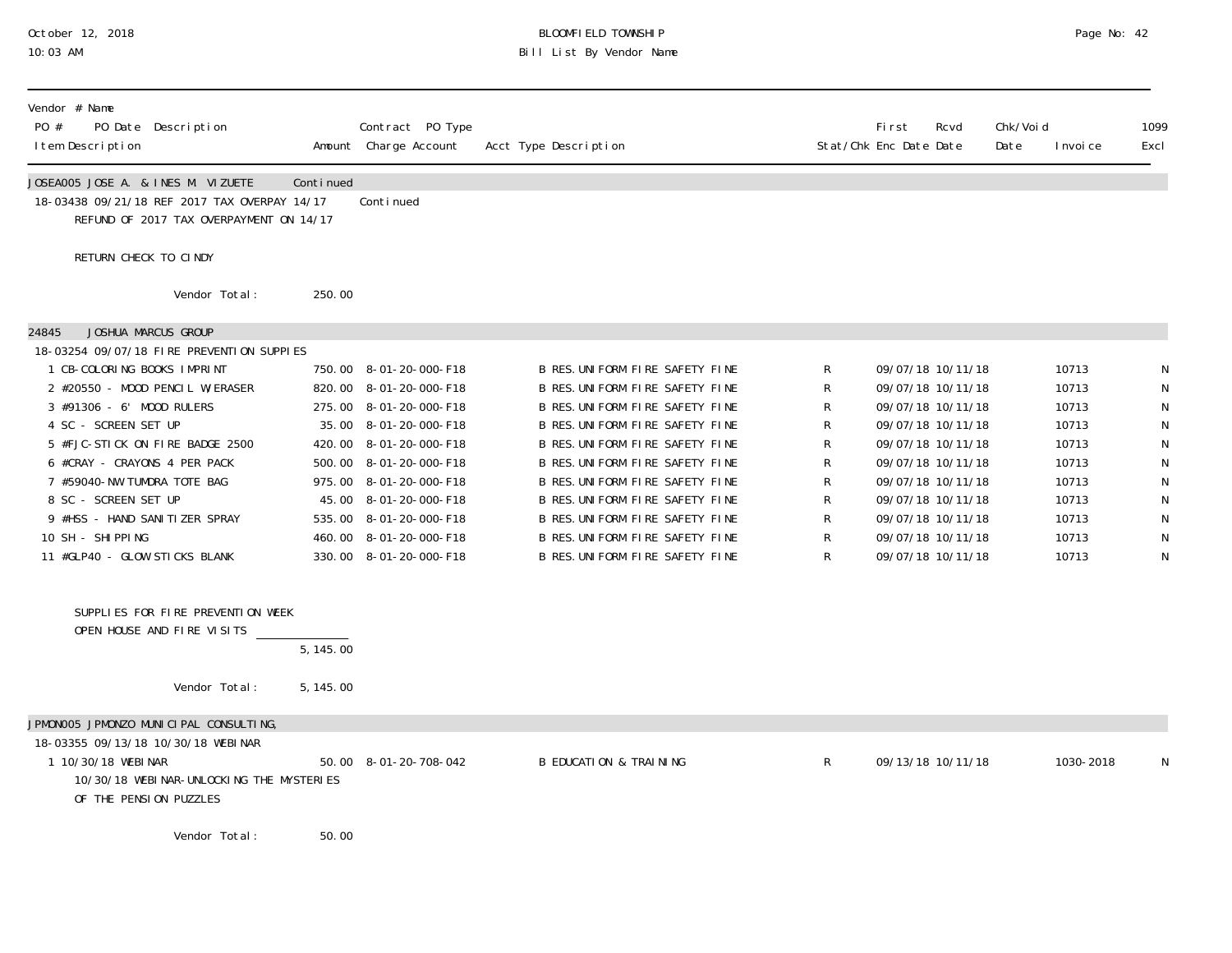#### October 12, 2018 BLOOMFIELD TOWNSHIP Page No: 42 10:03 AM Bill List By Vendor Name

| Vendor # Name<br>PO #<br>I tem Description                                         | PO Date Description                                                                     |           | Contract PO Type<br>Amount Charge Account        | Acct Type Description                                              |   | Fi rst<br>Stat/Chk Enc Date Date       | Rcvd | Chk/Voi d<br>Date | I nvoi ce      | 1099<br>Excl |
|------------------------------------------------------------------------------------|-----------------------------------------------------------------------------------------|-----------|--------------------------------------------------|--------------------------------------------------------------------|---|----------------------------------------|------|-------------------|----------------|--------------|
| JOSEA005 JOSE A. & INES M. VIZUETE                                                 | 18-03438 09/21/18 REF 2017 TAX OVERPAY 14/17<br>REFUND OF 2017 TAX OVERPAYMENT ON 14/17 | Continued | Conti nued                                       |                                                                    |   |                                        |      |                   |                |              |
| RETURN CHECK TO CINDY                                                              |                                                                                         |           |                                                  |                                                                    |   |                                        |      |                   |                |              |
|                                                                                    | Vendor Total:                                                                           | 250.00    |                                                  |                                                                    |   |                                        |      |                   |                |              |
| 24845                                                                              | JOSHUA MARCUS GROUP<br>18-03254 09/07/18 FIRE PREVENTION SUPPIES                        |           |                                                  |                                                                    |   |                                        |      |                   |                |              |
| 1 CB-COLORING BOOKS IMPRINT                                                        |                                                                                         |           | 750.00 8-01-20-000-F18                           | B RES. UNIFORM FIRE SAFETY FINE                                    | R | 09/07/18 10/11/18                      |      |                   | 10713          |              |
|                                                                                    | 2 #20550 - MOOD PENCIL W/ERASER                                                         |           | 820.00 8-01-20-000-F18                           | B RES. UNIFORM FIRE SAFETY FINE                                    | R | 09/07/18 10/11/18                      |      |                   | 10713          |              |
| 3 #91306 - 6' MOOD RULERS                                                          |                                                                                         |           | 275.00 8-01-20-000-F18                           | B RES. UNIFORM FIRE SAFETY FINE                                    | R | 09/07/18 10/11/18                      |      |                   | 10713          |              |
| 4 SC - SCREEN SET UP                                                               |                                                                                         |           | 35.00 8-01-20-000-F18                            | B RES. UNIFORM FIRE SAFETY FINE                                    |   | 09/07/18 10/11/18                      |      |                   | 10713          |              |
|                                                                                    | 5 #FJC-STICK ON FIRE BADGE 2500                                                         |           | 420.00 8-01-20-000-F18                           | B RES. UNIFORM FIRE SAFETY FINE                                    |   | 09/07/18 10/11/18                      |      |                   | 10713          |              |
| 6 #CRAY - CRAYONS 4 PER PACK<br>7 #59040-NW TUMDRA TOTE BAG                        |                                                                                         |           | 500.00 8-01-20-000-F18<br>975.00 8-01-20-000-F18 | B RES. UNIFORM FIRE SAFETY FINE<br>B RES. UNIFORM FIRE SAFETY FINE | R | 09/07/18 10/11/18<br>09/07/18 10/11/18 |      |                   | 10713<br>10713 | N            |
| 8 SC - SCREEN SET UP                                                               |                                                                                         |           | 45.00 8-01-20-000-F18                            | B RES. UNIFORM FIRE SAFETY FINE                                    | R | 09/07/18 10/11/18                      |      |                   | 10713          |              |
| 9 #HSS - HAND SANITIZER SPRAY                                                      |                                                                                         |           | 535.00 8-01-20-000-F18                           | B RES. UNIFORM FIRE SAFETY FINE                                    | R | 09/07/18 10/11/18                      |      |                   | 10713          | $\mathsf{N}$ |
| 10 SH - SHIPPING                                                                   |                                                                                         |           | 460.00 8-01-20-000-F18                           | B RES. UNIFORM FIRE SAFETY FINE                                    | R | 09/07/18 10/11/18                      |      |                   | 10713          | N            |
| 11 #GLP40 - GLOW STICKS BLANK                                                      |                                                                                         |           | 330.00 8-01-20-000-F18                           | B RES. UNIFORM FIRE SAFETY FINE                                    | R | 09/07/18 10/11/18                      |      |                   | 10713          | N            |
|                                                                                    | SUPPLIES FOR FIRE PREVENTION WEEK<br>OPEN HOUSE AND FIRE VISITS                         | 5, 145.00 |                                                  |                                                                    |   |                                        |      |                   |                |              |
|                                                                                    | Vendor Total:                                                                           | 5, 145.00 |                                                  |                                                                    |   |                                        |      |                   |                |              |
|                                                                                    | JPMONOO5 JPMONZO MUNICIPAL CONSULTING,                                                  |           |                                                  |                                                                    |   |                                        |      |                   |                |              |
| 18-03355 09/13/18 10/30/18 WEBINAR<br>1 10/30/18 WEBINAR<br>OF THE PENSION PUZZLES | 10/30/18 WEBI NAR-UNLOCKING THE MYSTERIES                                               |           | 50.00 8-01-20-708-042                            | <b>B EDUCATION &amp; TRAINING</b>                                  | R | 09/13/18 10/11/18                      |      |                   | 1030-2018      | N            |
|                                                                                    | Vendor Total:                                                                           | 50.00     |                                                  |                                                                    |   |                                        |      |                   |                |              |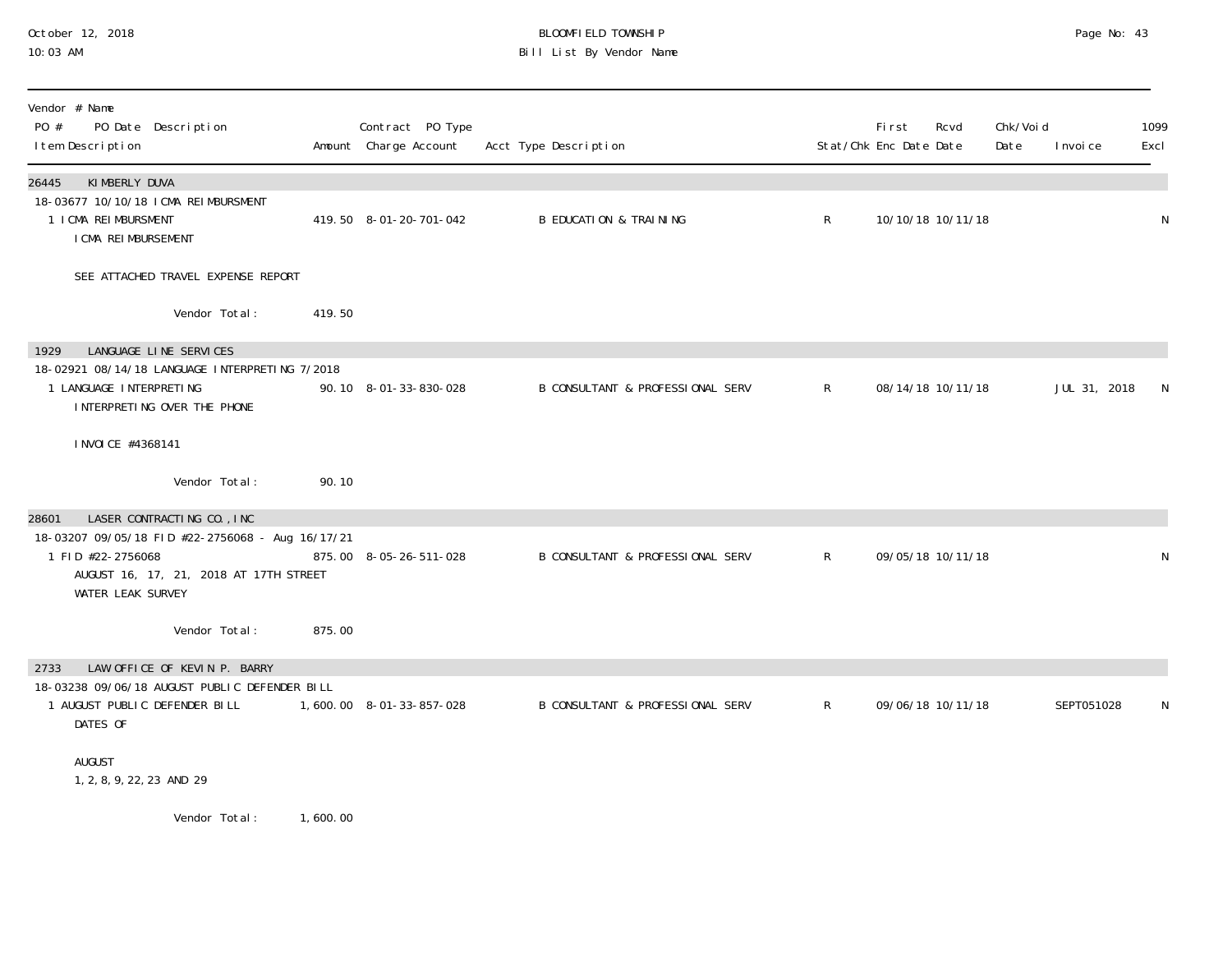### October 12, 2018 BLOOMFIELD TOWNSHIP Page No: 43 10:03 AM Bill List By Vendor Name

| Vendor # Name<br>PO #<br>PO Date Description<br>I tem Description                                                                                                                  |          | Contract PO Type<br>Amount Charge Account | Acct Type Description             |              | First<br>Stat/Chk Enc Date Date | Rcvd              | Chk/Voi d<br>Date | I nvoi ce    | 1099<br>Excl |
|------------------------------------------------------------------------------------------------------------------------------------------------------------------------------------|----------|-------------------------------------------|-----------------------------------|--------------|---------------------------------|-------------------|-------------------|--------------|--------------|
| KIMBERLY DUVA<br>26445<br>18-03677 10/10/18 ICMA REIMBURSMENT<br>1 I CMA REI MBURSMENT<br>I CMA REI MBURSEMENT                                                                     |          | 419.50 8-01-20-701-042                    | <b>B EDUCATION &amp; TRAINING</b> | $\mathsf{R}$ |                                 | 10/10/18 10/11/18 |                   |              | N            |
| SEE ATTACHED TRAVEL EXPENSE REPORT                                                                                                                                                 |          |                                           |                                   |              |                                 |                   |                   |              |              |
| Vendor Total:                                                                                                                                                                      | 419.50   |                                           |                                   |              |                                 |                   |                   |              |              |
| LANGUAGE LINE SERVICES<br>1929<br>18-02921 08/14/18 LANGUAGE INTERPRETING 7/2018<br>1 LANGUAGE INTERPRETING<br>INTERPRETING OVER THE PHONE                                         |          | 90.10 8-01-33-830-028                     | B CONSULTANT & PROFESSIONAL SERV  | $\mathsf{R}$ |                                 | 08/14/18 10/11/18 |                   | JUL 31, 2018 | N            |
| I NVOI CE #4368141                                                                                                                                                                 |          |                                           |                                   |              |                                 |                   |                   |              |              |
| Vendor Total:                                                                                                                                                                      | 90.10    |                                           |                                   |              |                                 |                   |                   |              |              |
| LASER CONTRACTING CO., INC<br>28601<br>18-03207 09/05/18 FID #22-2756068 - Aug 16/17/21<br>1 FID #22-2756068<br>AUGUST 16, 17, 21, 2018 AT 17TH STREET<br><b>WATER LEAK SURVEY</b> |          | 875.00 8-05-26-511-028                    | B CONSULTANT & PROFESSIONAL SERV  | $\mathsf{R}$ |                                 | 09/05/18 10/11/18 |                   |              | N            |
| Vendor Total:                                                                                                                                                                      | 875.00   |                                           |                                   |              |                                 |                   |                   |              |              |
| LAW OFFICE OF KEVIN P. BARRY<br>2733<br>18-03238 09/06/18 AUGUST PUBLIC DEFENDER BILL<br>1 AUGUST PUBLIC DEFENDER BILL<br>DATES OF                                                 |          | 1,600.00 8-01-33-857-028                  | B CONSULTANT & PROFESSIONAL SERV  | $\mathsf{R}$ |                                 | 09/06/18 10/11/18 |                   | SEPT051028   | N            |
| AUGUST<br>1, 2, 8, 9, 22, 23 AND 29                                                                                                                                                |          |                                           |                                   |              |                                 |                   |                   |              |              |
| Vendor Total:                                                                                                                                                                      | 1,600.00 |                                           |                                   |              |                                 |                   |                   |              |              |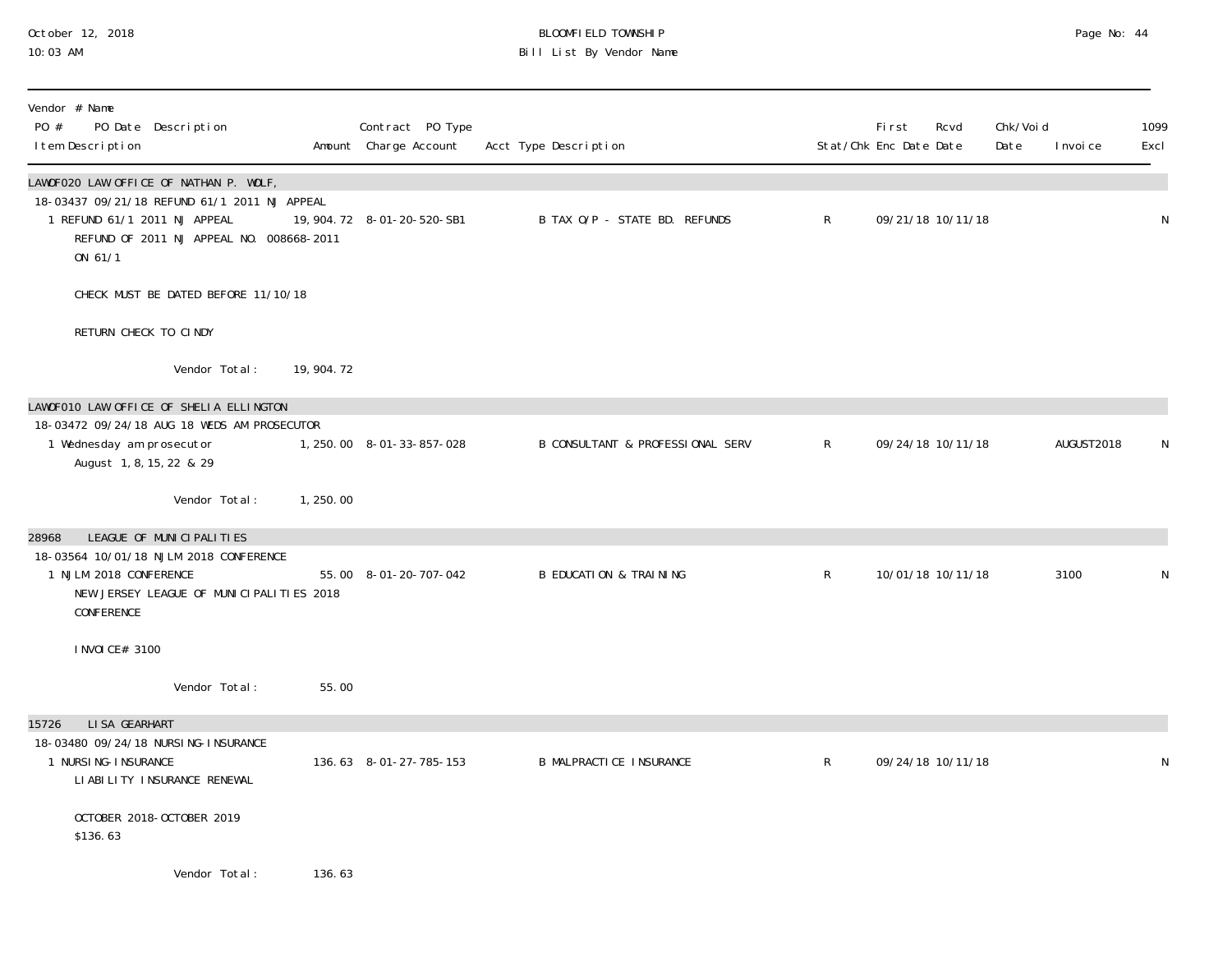### October 12, 2018 BLOOMFIELD TOWNSHIP Page No: 44 10:03 AM Bill List By Vendor Name

| Vendor # Name<br>PO #<br>PO Date Description<br>I tem Description                                                                                                             |             | Contract PO Type<br>Amount Charge Account | Acct Type Description                       |              | First<br>Stat/Chk Enc Date Date | Rcvd              | Chk/Voi d<br>Date | I nvoi ce  | 1099<br>Excl |
|-------------------------------------------------------------------------------------------------------------------------------------------------------------------------------|-------------|-------------------------------------------|---------------------------------------------|--------------|---------------------------------|-------------------|-------------------|------------|--------------|
| LAWOFO2O LAW OFFICE OF NATHAN P. WOLF,<br>18-03437 09/21/18 REFUND 61/1 2011 NJ APPEAL<br>1 REFUND 61/1 2011 NJ APPEAL<br>REFUND OF 2011 NJ APPEAL NO. 008668-2011<br>ON 61/1 |             | 19, 904. 72 8-01-20-520-SB1               | B TAX O/P - STATE BD. REFUNDS               | $\mathsf{R}$ |                                 | 09/21/18 10/11/18 |                   |            | $\mathsf N$  |
| CHECK MUST BE DATED BEFORE 11/10/18                                                                                                                                           |             |                                           |                                             |              |                                 |                   |                   |            |              |
| RETURN CHECK TO CINDY                                                                                                                                                         |             |                                           |                                             |              |                                 |                   |                   |            |              |
| Vendor Total:                                                                                                                                                                 | 19, 904. 72 |                                           |                                             |              |                                 |                   |                   |            |              |
| LAWOFO10 LAW OFFICE OF SHELIA ELLINGTON                                                                                                                                       |             |                                           |                                             |              |                                 |                   |                   |            |              |
| 18-03472 09/24/18 AUG 18 WEDS AM PROSECUTOR<br>1 Wednesday am prosecutor<br>August 1, 8, 15, 22 & 29                                                                          |             | 1, 250.00 8-01-33-857-028                 | <b>B CONSULTANT &amp; PROFESSIONAL SERV</b> | $\mathsf{R}$ |                                 | 09/24/18 10/11/18 |                   | AUGUST2018 | N            |
| Vendor Total:                                                                                                                                                                 | 1,250.00    |                                           |                                             |              |                                 |                   |                   |            |              |
| LEAGUE OF MUNICIPALITIES<br>28968<br>18-03564 10/01/18 NJLM 2018 CONFERENCE<br>1 NJLM 2018 CONFERENCE<br>NEW JERSEY LEAGUE OF MUNICIPALITIES 2018<br>CONFERENCE               |             | 55.00 8-01-20-707-042                     | <b>B EDUCATION &amp; TRAINING</b>           | $\mathsf R$  |                                 | 10/01/18 10/11/18 |                   | 3100       | N            |
| I NVOI CE# 3100                                                                                                                                                               |             |                                           |                                             |              |                                 |                   |                   |            |              |
| Vendor Total:                                                                                                                                                                 | 55.00       |                                           |                                             |              |                                 |                   |                   |            |              |
| LI SA GEARHART<br>15726<br>18-03480 09/24/18 NURSI NG-I NSURANCE<br>1 NURSI NG-I NSURANCE<br>LI ABI LI TY I NSURANCE RENEWAL                                                  |             | 136.63 8-01-27-785-153                    | <b>B MALPRACTICE INSURANCE</b>              | $\mathsf{R}$ |                                 | 09/24/18 10/11/18 |                   |            | N            |
| OCTOBER 2018-OCTOBER 2019<br>\$136.63                                                                                                                                         |             |                                           |                                             |              |                                 |                   |                   |            |              |
| Vendor Total:                                                                                                                                                                 | 136.63      |                                           |                                             |              |                                 |                   |                   |            |              |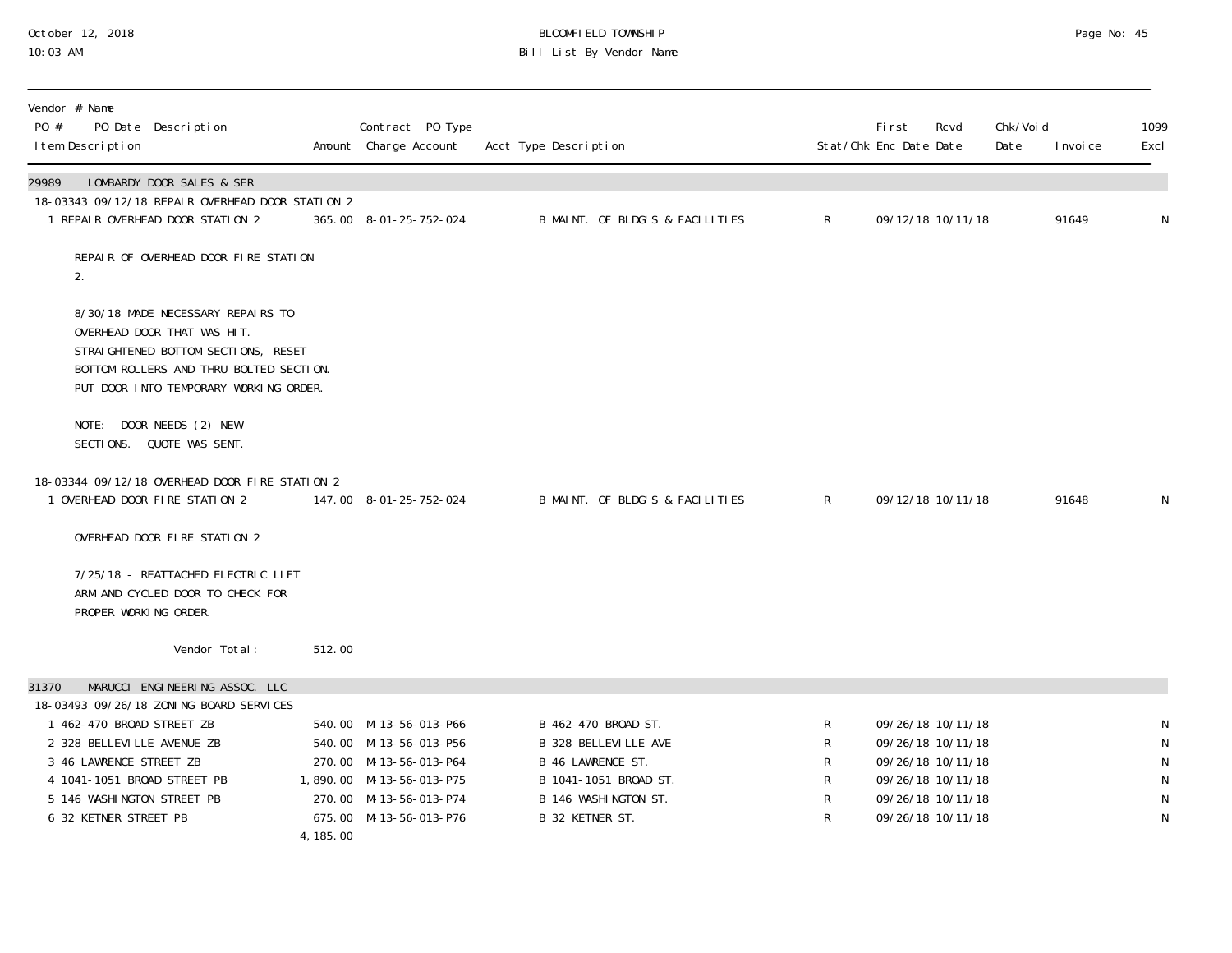# October 12, 2018 BLOOMFIELD TOWNSHIP Page No: 45 10:03 AM Bill List By Vendor Name

| Vendor # Name<br>PO #<br>PO Date Description<br>I tem Description                                                                                                                            |            | Contract PO Type<br>Amount Charge Account                                    | Acct Type Description                                                          |              | Fi rst<br>Stat/Chk Enc Date Date | Rcvd                                                        | Chk/Voi d<br>Date | I nvoi ce | 1099<br>Excl                   |
|----------------------------------------------------------------------------------------------------------------------------------------------------------------------------------------------|------------|------------------------------------------------------------------------------|--------------------------------------------------------------------------------|--------------|----------------------------------|-------------------------------------------------------------|-------------------|-----------|--------------------------------|
| LOMBARDY DOOR SALES & SER<br>29989<br>18-03343 09/12/18 REPAIR OVERHEAD DOOR STATION 2<br>1 REPAIR OVERHEAD DOOR STATION 2                                                                   |            | 365.00 8-01-25-752-024                                                       | B MAINT. OF BLDG'S & FACILITIES                                                | $\mathsf{R}$ |                                  | 09/12/18 10/11/18                                           |                   | 91649     | N                              |
| REPAIR OF OVERHEAD DOOR FIRE STATION<br>2.                                                                                                                                                   |            |                                                                              |                                                                                |              |                                  |                                                             |                   |           |                                |
| 8/30/18 MADE NECESSARY REPAIRS TO<br>OVERHEAD DOOR THAT WAS HIT.<br>STRAIGHTENED BOTTOM SECTIONS, RESET<br>BOTTOM ROLLERS AND THRU BOLTED SECTION.<br>PUT DOOR INTO TEMPORARY WORKING ORDER. |            |                                                                              |                                                                                |              |                                  |                                                             |                   |           |                                |
| NOTE: DOOR NEEDS (2) NEW<br>SECTIONS. QUOTE WAS SENT.                                                                                                                                        |            |                                                                              |                                                                                |              |                                  |                                                             |                   |           |                                |
| 18-03344 09/12/18 OVERHEAD DOOR FIRE STATION 2<br>1 OVERHEAD DOOR FIRE STATION 2                                                                                                             |            | 147.00 8-01-25-752-024                                                       | B MAINT. OF BLDG'S & FACILITIES                                                | $\mathsf{R}$ |                                  | 09/12/18 10/11/18                                           |                   | 91648     | N                              |
| OVERHEAD DOOR FIRE STATION 2                                                                                                                                                                 |            |                                                                              |                                                                                |              |                                  |                                                             |                   |           |                                |
| 7/25/18 - REATTACHED ELECTRIC LIFT<br>ARM AND CYCLED DOOR TO CHECK FOR<br>PROPER WORKING ORDER.                                                                                              |            |                                                                              |                                                                                |              |                                  |                                                             |                   |           |                                |
| Vendor Total:                                                                                                                                                                                | 512.00     |                                                                              |                                                                                |              |                                  |                                                             |                   |           |                                |
| MARUCCI ENGINEERING ASSOC. LLC<br>31370                                                                                                                                                      |            |                                                                              |                                                                                |              |                                  |                                                             |                   |           |                                |
| 18-03493 09/26/18 ZONING BOARD SERVICES<br>1 462-470 BROAD STREET ZB<br>2 328 BELLEVILLE AVENUE ZB<br>3 46 LAWRENCE STREET ZB                                                                |            | 540.00 M-13-56-013-P66<br>540.00 M-13-56-013-P56<br>270.00 M-13-56-013-P64   | B 462-470 BROAD ST.<br><b>B 328 BELLEVILLE AVE</b><br><b>B 46 LAWRENCE ST.</b> | R<br>R<br>R  |                                  | 09/26/18 10/11/18<br>09/26/18 10/11/18<br>09/26/18 10/11/18 |                   |           | ${\sf N}$<br>$\mathsf{N}$<br>N |
| 4 1041-1051 BROAD STREET PB<br>5 146 WASHINGTON STREET PB<br>6 32 KETNER STREET PB                                                                                                           | 4, 185, 00 | 1,890.00 M-13-56-013-P75<br>270.00 M-13-56-013-P74<br>675.00 M-13-56-013-P76 | B 1041-1051 BROAD ST.<br>B 146 WASHINGTON ST.<br>B 32 KETNER ST.               | R<br>R<br>R  |                                  | 09/26/18 10/11/18<br>09/26/18 10/11/18<br>09/26/18 10/11/18 |                   |           | ${\sf N}$<br>${\sf N}$<br>N    |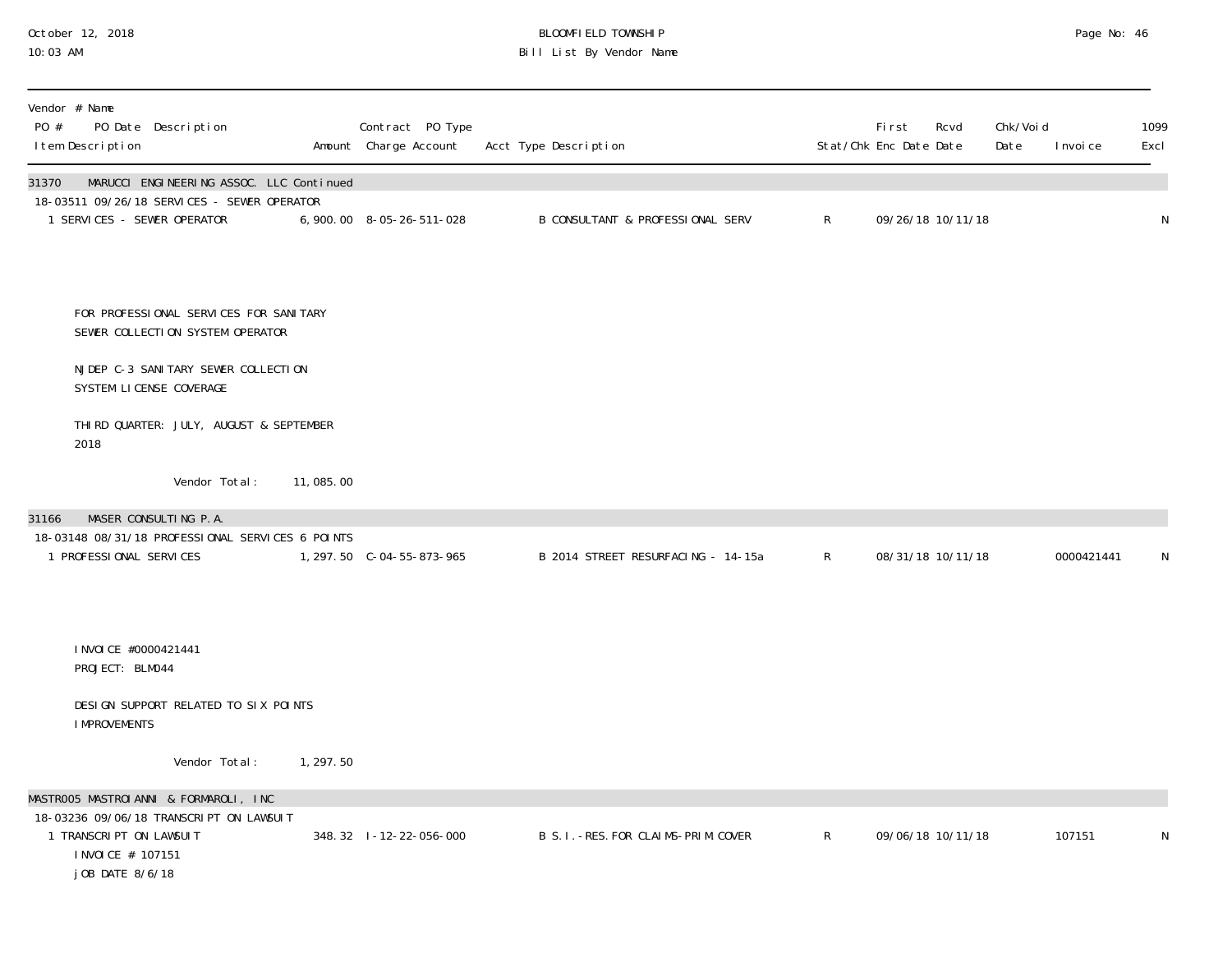# October 12, 2018 BLOOMFIELD TOWNSHIP Page No: 46 10:03 AM Bill List By Vendor Name

| Vendor # Name<br>PO #<br>PO Date Description<br>I tem Description                                                                                                                                                                                                                                       |           | Contract PO Type<br>Amount Charge Account | Acct Type Description                       |              | <b>First</b><br>Stat/Chk Enc Date Date | Rcvd              | Chk/Voi d<br>Date | I nvoi ce  | 1099<br>Excl |
|---------------------------------------------------------------------------------------------------------------------------------------------------------------------------------------------------------------------------------------------------------------------------------------------------------|-----------|-------------------------------------------|---------------------------------------------|--------------|----------------------------------------|-------------------|-------------------|------------|--------------|
| MARUCCI ENGINEERING ASSOC. LLC Continued<br>31370<br>18-03511 09/26/18 SERVICES - SEWER OPERATOR<br>1 SERVICES - SEWER OPERATOR                                                                                                                                                                         |           | 6,900.00 8-05-26-511-028                  | <b>B CONSULTANT &amp; PROFESSIONAL SERV</b> | R            |                                        | 09/26/18 10/11/18 |                   |            | N            |
| FOR PROFESSIONAL SERVICES FOR SANITARY<br>SEWER COLLECTION SYSTEM OPERATOR<br>NJDEP C-3 SANI TARY SEWER COLLECTION<br>SYSTEM LICENSE COVERAGE<br>THIRD QUARTER: JULY, AUGUST & SEPTEMBER<br>2018<br>Vendor Total:<br>MASER CONSULTING P.A.<br>31166<br>18-03148 08/31/18 PROFESSIONAL SERVICES 6 POINTS | 11,085.00 |                                           |                                             |              |                                        |                   |                   |            |              |
| 1 PROFESSIONAL SERVICES<br>I NVOI CE #0000421441<br>PROJECT: BLM044<br>DESIGN SUPPORT RELATED TO SIX POINTS<br><b>I MPROVEMENTS</b><br>Vendor Total:                                                                                                                                                    | 1, 297.50 | 1, 297.50 C-04-55-873-965                 | B 2014 STREET RESURFACING - 14-15a          | $\mathsf{R}$ |                                        | 08/31/18 10/11/18 |                   | 0000421441 | N            |
| MASTROO5 MASTROIANNI & FORMAROLI, INC<br>18-03236 09/06/18 TRANSCRIPT ON LAWSUIT<br>1 TRANSCRIPT ON LAWSUIT<br>I NVOI CE # 107151<br>j OB DATE 8/6/18                                                                                                                                                   |           | 348.32 1-12-22-056-000                    | B S. I. - RES. FOR CLAIMS-PRIM. COVER       | $\mathsf{R}$ |                                        | 09/06/18 10/11/18 |                   | 107151     | N            |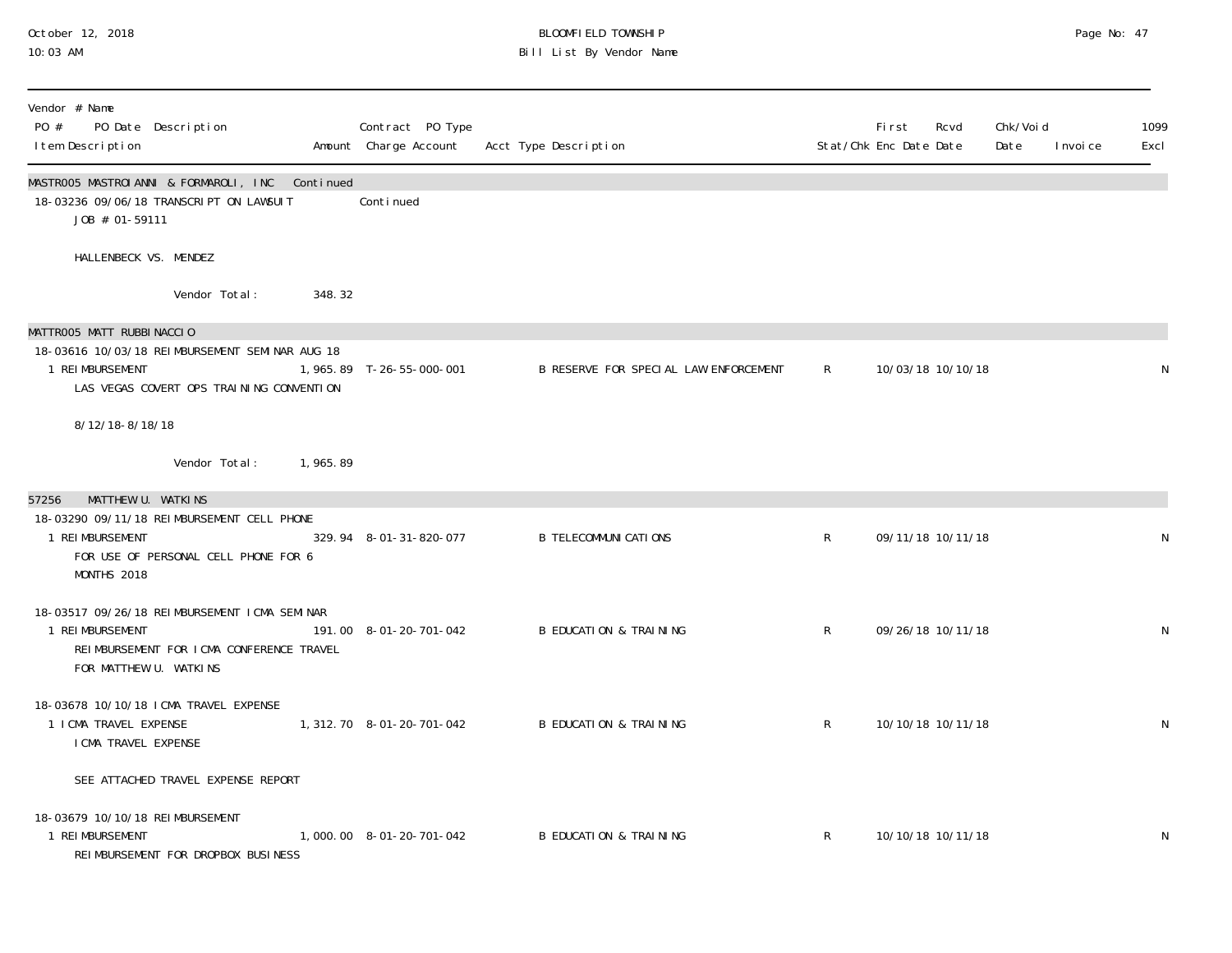#### October 12, 2018 BLOOMFIELD TOWNSHIP Page No: 47 10:03 AM Bill List By Vendor Name

| Vendor # Name<br>PO #<br>PO Date Description<br>I tem Description                                                                                    |            | Contract PO Type<br>Amount Charge Account | Acct Type Description                 |              | Fi rst<br>Stat/Chk Enc Date Date | Rcvd              | Chk/Voi d<br>Date | I nvoi ce | 1099<br>Excl |
|------------------------------------------------------------------------------------------------------------------------------------------------------|------------|-------------------------------------------|---------------------------------------|--------------|----------------------------------|-------------------|-------------------|-----------|--------------|
| MASTROO5 MASTROIANNI & FORMAROLI, INC Continued<br>18-03236 09/06/18 TRANSCRIPT ON LAWSUIT<br>J0B # 01-59111                                         |            | Conti nued                                |                                       |              |                                  |                   |                   |           |              |
| HALLENBECK VS. MENDEZ                                                                                                                                |            |                                           |                                       |              |                                  |                   |                   |           |              |
| Vendor Total:                                                                                                                                        | 348.32     |                                           |                                       |              |                                  |                   |                   |           |              |
| MATTROO5 MATT RUBBINACCIO<br>18-03616 10/03/18 REIMBURSEMENT SEMINAR AUG 18<br>1 REIMBURSEMENT<br>LAS VEGAS COVERT OPS TRAINING CONVENTION           |            | 1,965.89 T-26-55-000-001                  | B RESERVE FOR SPECIAL LAW ENFORCEMENT | $\mathsf{R}$ | 10/03/18 10/10/18                |                   |                   |           | N            |
| 8/12/18-8/18/18                                                                                                                                      |            |                                           |                                       |              |                                  |                   |                   |           |              |
| Vendor Total:                                                                                                                                        | 1, 965. 89 |                                           |                                       |              |                                  |                   |                   |           |              |
| MATTHEW U. WATKINS<br>57256<br>18-03290 09/11/18 REIMBURSEMENT CELL PHONE<br>1 REI MBURSEMENT<br>FOR USE OF PERSONAL CELL PHONE FOR 6<br>MONTHS 2018 |            | 329.94 8-01-31-820-077                    | <b>B TELECOMMUNI CATI ONS</b>         | $\mathsf{R}$ | 09/11/18 10/11/18                |                   |                   |           | N            |
| 18-03517 09/26/18 REIMBURSEMENT ICMA SEMINAR<br>1 REIMBURSEMENT<br>REIMBURSEMENT FOR ICMA CONFERENCE TRAVEL<br>FOR MATTHEW U. WATKINS                |            | 191.00 8-01-20-701-042                    | <b>B EDUCATION &amp; TRAINING</b>     | $\mathsf{R}$ | 09/26/18 10/11/18                |                   |                   |           | N            |
| 18-03678 10/10/18 ICMA TRAVEL EXPENSE<br>1 I CMA TRAVEL EXPENSE<br>I CMA TRAVEL EXPENSE                                                              |            | 1, 312. 70  8-01-20-701-042               | <b>B EDUCATION &amp; TRAINING</b>     | R            | 10/10/18 10/11/18                |                   |                   |           | N            |
| SEE ATTACHED TRAVEL EXPENSE REPORT                                                                                                                   |            |                                           |                                       |              |                                  |                   |                   |           |              |
| 18-03679 10/10/18 REIMBURSEMENT<br>1 REIMBURSEMENT<br>REIMBURSEMENT FOR DROPBOX BUSINESS                                                             |            | 1,000.00 8-01-20-701-042                  | <b>B EDUCATION &amp; TRAINING</b>     | R            |                                  | 10/10/18 10/11/18 |                   |           | N            |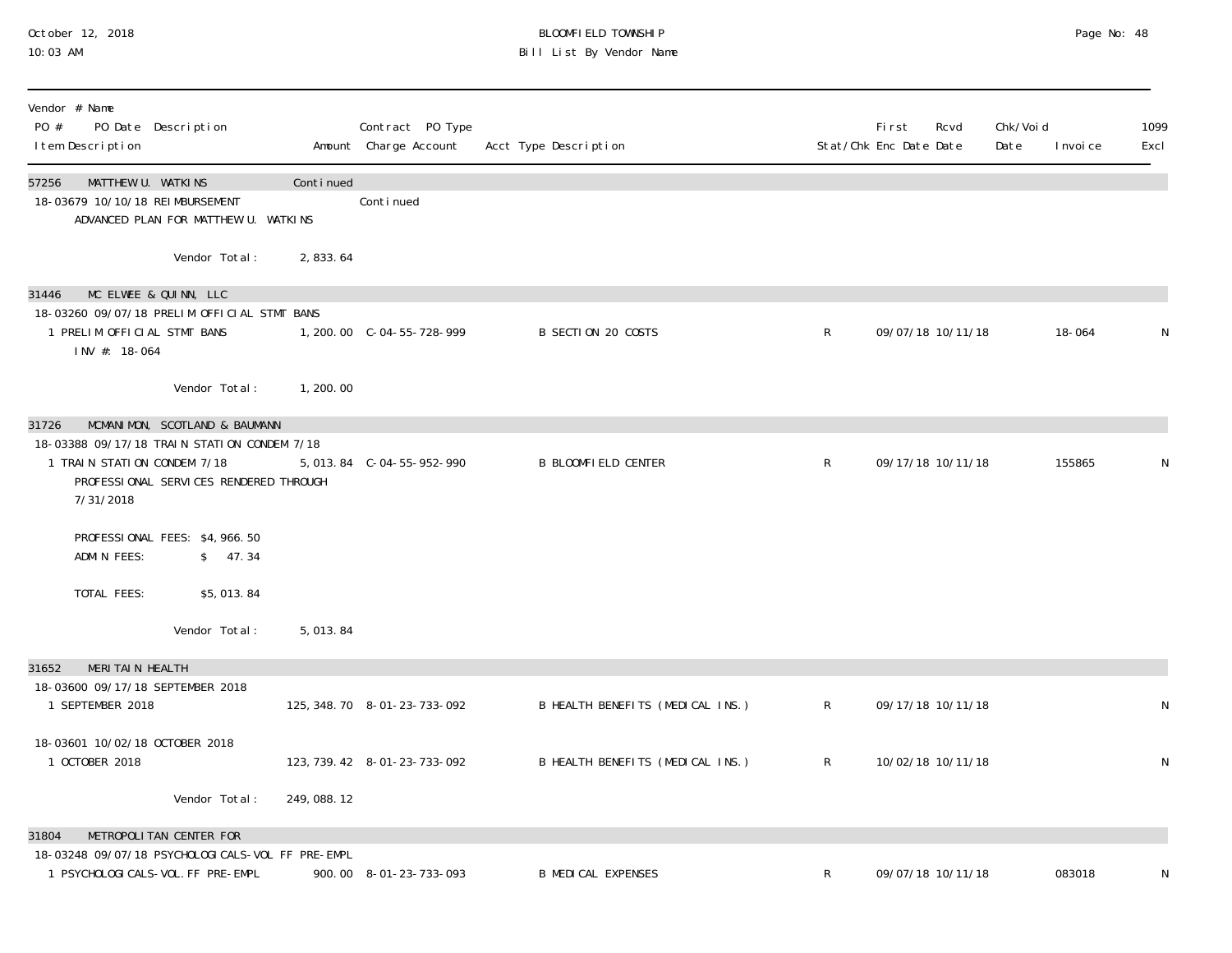# October 12, 2018 BLOOMFIELD TOWNSHIP Page No: 48 10:03 AM Bill List By Vendor Name

| Vendor # Name<br>PO #<br>I tem Description                     | PO Date Description                                                                   |            | Contract PO Type<br>Amount Charge Account | Acct Type Description            |              | <b>First</b><br>Stat/Chk Enc Date Date | Rcvd              | Chk/Voi d<br>Date | I nvoi ce | 1099<br>Excl |
|----------------------------------------------------------------|---------------------------------------------------------------------------------------|------------|-------------------------------------------|----------------------------------|--------------|----------------------------------------|-------------------|-------------------|-----------|--------------|
| 57256<br>MATTHEW U. WATKINS<br>18-03679 10/10/18 REIMBURSEMENT | ADVANCED PLAN FOR MATTHEW U. WATKINS                                                  | Continued  | Conti nued                                |                                  |              |                                        |                   |                   |           |              |
|                                                                | Vendor Total:                                                                         | 2,833.64   |                                           |                                  |              |                                        |                   |                   |           |              |
| 31446                                                          | MC ELWEE & QUINN, LLC                                                                 |            |                                           |                                  |              |                                        |                   |                   |           |              |
| 1 PRELIM OFFICIAL STMT BANS<br>INV #: 18-064                   | 18-03260 09/07/18 PRELIM OFFICIAL STMT BANS                                           |            |                                           | B SECTION 20 COSTS               | $\mathsf{R}$ |                                        | 09/07/18 10/11/18 |                   | 18-064    | N            |
|                                                                | Vendor Total:                                                                         | 1,200.00   |                                           |                                  |              |                                        |                   |                   |           |              |
| 31726                                                          | MCMANIMON, SCOTLAND & BAUMANN                                                         |            |                                           |                                  |              |                                        |                   |                   |           |              |
| 1 TRAIN STATION CONDEM 7/18<br>7/31/2018                       | 18-03388 09/17/18 TRAIN STATION CONDEM 7/18<br>PROFESSIONAL SERVICES RENDERED THROUGH |            | 5, 013.84 C-04-55-952-990                 | <b>B BLOOMFIELD CENTER</b>       | $\mathsf{R}$ |                                        | 09/17/18 10/11/18 |                   | 155865    | N            |
| ADMIN FEES:                                                    | PROFESSIONAL FEES: \$4,966.50<br>\$ 47.34                                             |            |                                           |                                  |              |                                        |                   |                   |           |              |
| TOTAL FEES:                                                    | \$5,013.84                                                                            |            |                                           |                                  |              |                                        |                   |                   |           |              |
|                                                                | Vendor Total:                                                                         | 5,013.84   |                                           |                                  |              |                                        |                   |                   |           |              |
| MERITAIN HEALTH<br>31652                                       |                                                                                       |            |                                           |                                  |              |                                        |                   |                   |           |              |
| 18-03600 09/17/18 SEPTEMBER 2018<br>1 SEPTEMBER 2018           |                                                                                       |            | 125, 348. 70  8-01-23-733-092             | B HEALTH BENEFITS (MEDICAL INS.) | $\mathsf{R}$ |                                        | 09/17/18 10/11/18 |                   |           | N            |
| 18-03601 10/02/18 OCTOBER 2018<br>1 OCTOBER 2018               |                                                                                       |            | 123, 739. 42 8-01-23-733-092              | B HEALTH BENEFITS (MEDICAL INS.) | $\mathsf{R}$ |                                        | 10/02/18 10/11/18 |                   |           | N            |
|                                                                | Vendor Total:                                                                         | 249,088.12 |                                           |                                  |              |                                        |                   |                   |           |              |
| 31804                                                          | METROPOLITAN CENTER FOR                                                               |            |                                           |                                  |              |                                        |                   |                   |           |              |
| 1 PSYCHOLOGI CALS-VOL. FF PRE-EMPL                             | 18-03248 09/07/18 PSYCHOLOGICALS-VOL FF PRE-EMPL                                      |            | 900.00 8-01-23-733-093                    | <b>B MEDICAL EXPENSES</b>        | R            |                                        | 09/07/18 10/11/18 |                   | 083018    | N            |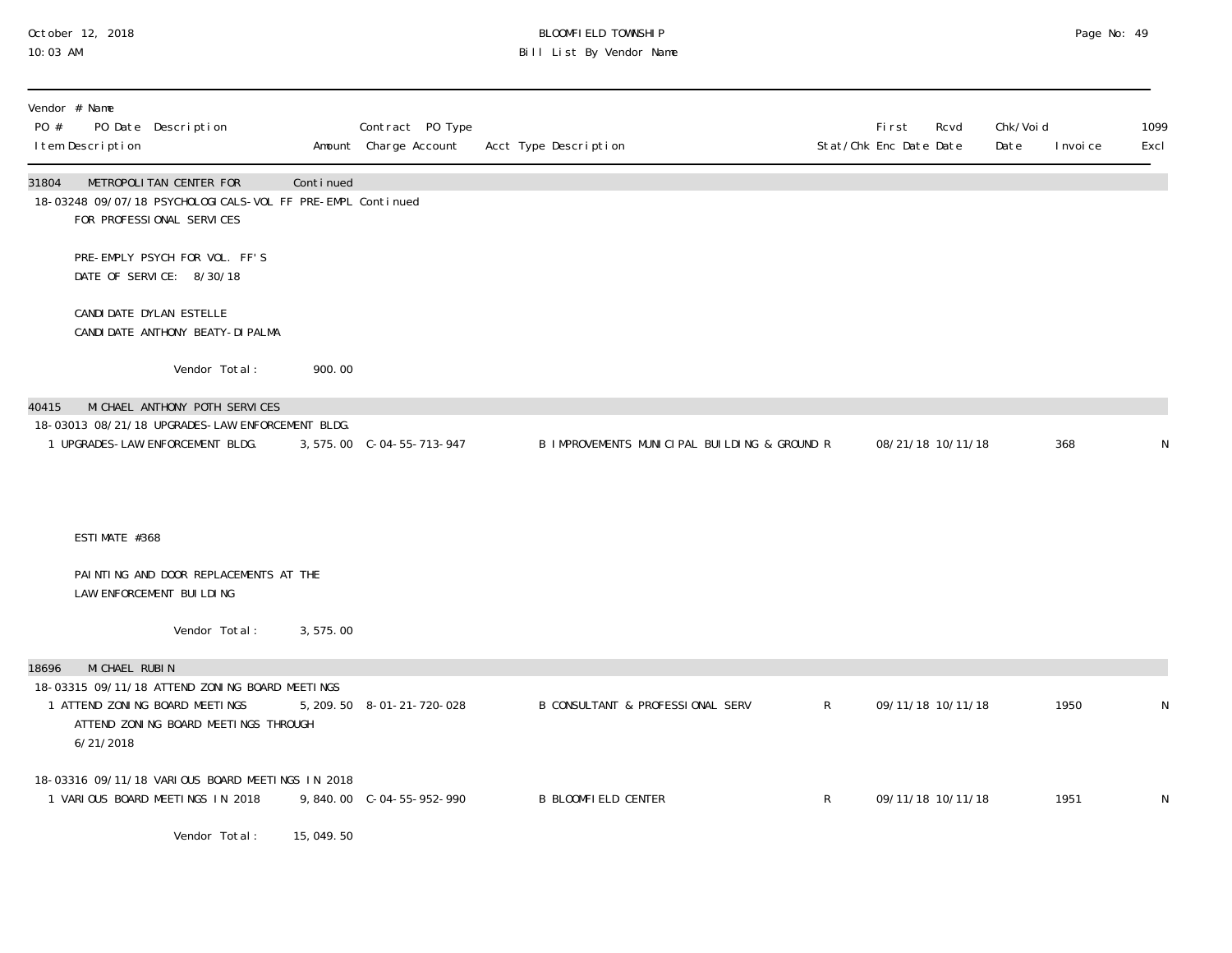# October 12, 2018 BLOOMFIELD TOWNSHIP Page No: 49 10:03 AM Bill List By Vendor Name

| Vendor # Name<br>PO Date Description<br>PO #<br>I tem Description                                                                     |           | Contract PO Type<br>Amount Charge Account | Acct Type Description                        |              | <b>First</b><br>Rcvd<br>Stat/Chk Enc Date Date | Chk/Voi d<br>Date | 1099<br>Excl<br>I nvoi ce |
|---------------------------------------------------------------------------------------------------------------------------------------|-----------|-------------------------------------------|----------------------------------------------|--------------|------------------------------------------------|-------------------|---------------------------|
| METROPOLITAN CENTER FOR<br>31804<br>18-03248 09/07/18 PSYCHOLOGI CALS-VOL FF PRE-EMPL Continued<br>FOR PROFESSIONAL SERVICES          | Continued |                                           |                                              |              |                                                |                   |                           |
| PRE-EMPLY PSYCH FOR VOL. FF'S<br>DATE OF SERVICE: 8/30/18                                                                             |           |                                           |                                              |              |                                                |                   |                           |
| CANDI DATE DYLAN ESTELLE<br>CANDI DATE ANTHONY BEATY-DI PALMA                                                                         |           |                                           |                                              |              |                                                |                   |                           |
| Vendor Total:                                                                                                                         | 900.00    |                                           |                                              |              |                                                |                   |                           |
| MI CHAEL ANTHONY POTH SERVICES<br>40415<br>18-03013 08/21/18 UPGRADES-LAW ENFORCEMENT BLDG.                                           |           |                                           |                                              |              |                                                |                   |                           |
| 1 UPGRADES-LAW ENFORCEMENT BLDG.                                                                                                      |           | 3, 575.00 C-04-55-713-947                 | B IMPROVEMENTS MUNICIPAL BUILDING & GROUND R |              | 08/21/18 10/11/18                              |                   | 368<br>N                  |
|                                                                                                                                       |           |                                           |                                              |              |                                                |                   |                           |
| ESTIMATE #368                                                                                                                         |           |                                           |                                              |              |                                                |                   |                           |
| PAINTING AND DOOR REPLACEMENTS AT THE<br>LAW ENFORCEMENT BUILDING                                                                     |           |                                           |                                              |              |                                                |                   |                           |
| Vendor Total:                                                                                                                         | 3,575.00  |                                           |                                              |              |                                                |                   |                           |
| MI CHAEL RUBIN<br>18696                                                                                                               |           |                                           |                                              |              |                                                |                   |                           |
| 18-03315 09/11/18 ATTEND ZONING BOARD MEETINGS<br>1 ATTEND ZONING BOARD MEETINGS<br>ATTEND ZONING BOARD MEETINGS THROUGH<br>6/21/2018 |           | 5, 209. 50 8-01-21-720-028                | <b>B CONSULTANT &amp; PROFESSIONAL SERV</b>  | $\mathsf{R}$ | 09/11/18 10/11/18                              |                   | 1950<br>N                 |
| 18-03316 09/11/18 VARIOUS BOARD MEETINGS IN 2018<br>1 VARIOUS BOARD MEETINGS IN 2018                                                  |           |                                           | <b>B BLOOMFIELD CENTER</b>                   | $\mathsf{R}$ | 09/11/18 10/11/18                              |                   | 1951<br>N                 |
| Vendor Total:                                                                                                                         | 15,049.50 |                                           |                                              |              |                                                |                   |                           |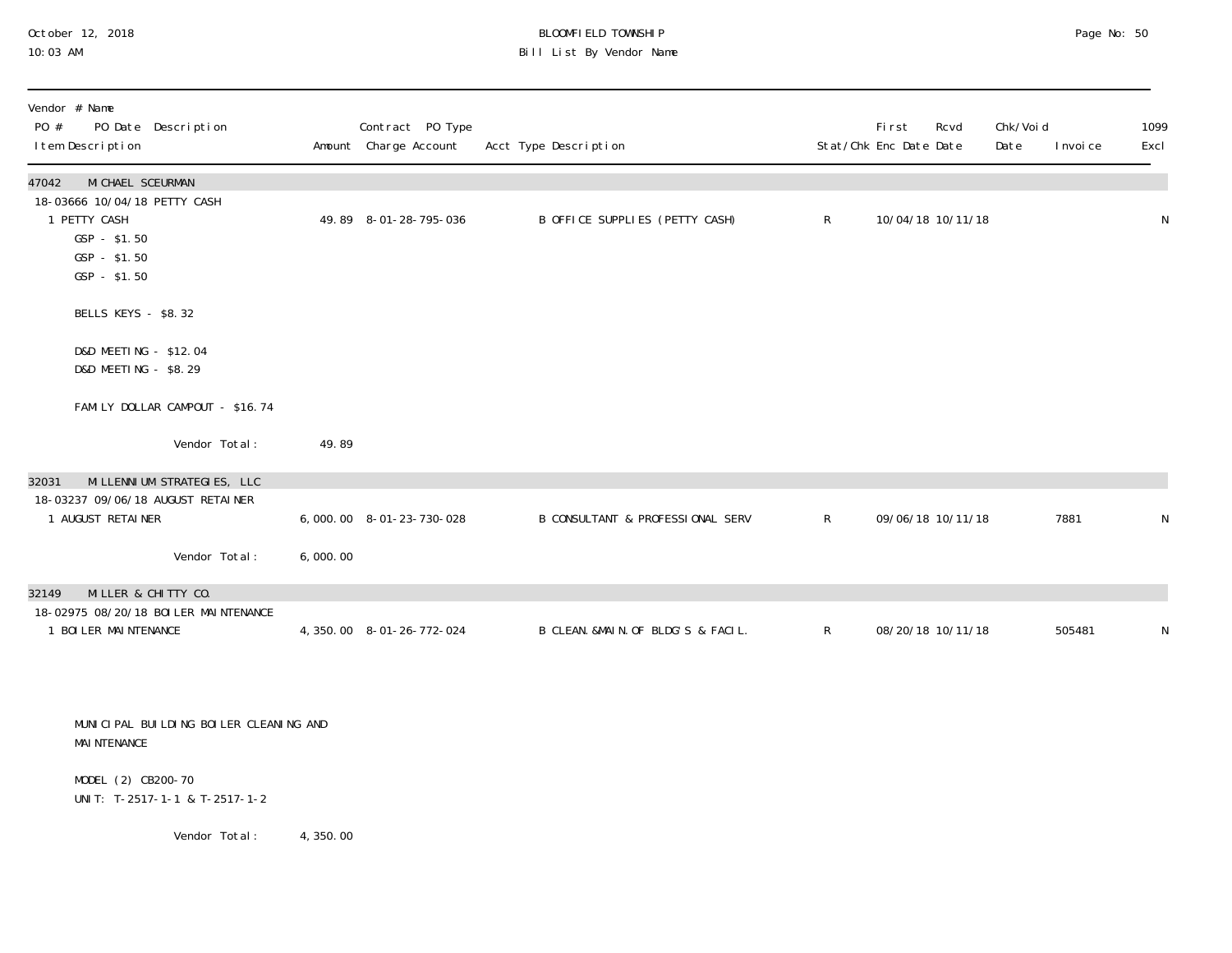# October 12, 2018 BLOOMFIELD TOWNSHIP Page No: 50 10:03 AM Bill List By Vendor Name

| Vendor # Name<br>PO #<br>PO Date Description<br>I tem Description                                                            |          | Contract PO Type<br>Amount Charge Account | Acct Type Description              |              | First<br>Stat/Chk Enc Date Date | Rcvd              | Chk/Voi d<br>Date | I nvoi ce | 1099<br>Excl |
|------------------------------------------------------------------------------------------------------------------------------|----------|-------------------------------------------|------------------------------------|--------------|---------------------------------|-------------------|-------------------|-----------|--------------|
| MI CHAEL SCEURMAN<br>47042<br>18-03666 10/04/18 PETTY CASH<br>1 PETTY CASH<br>$GSP - $1.50$<br>$GSP - $1.50$<br>GSP - \$1.50 |          | 49.89 8-01-28-795-036                     | B OFFICE SUPPLIES (PETTY CASH)     | $\mathsf{R}$ |                                 | 10/04/18 10/11/18 |                   |           | N            |
| BELLS KEYS - \$8.32                                                                                                          |          |                                           |                                    |              |                                 |                   |                   |           |              |
| D&D MEETING - \$12.04<br>D&D MEETING - \$8.29                                                                                |          |                                           |                                    |              |                                 |                   |                   |           |              |
| FAMILY DOLLAR CAMPOUT - \$16.74                                                                                              |          |                                           |                                    |              |                                 |                   |                   |           |              |
| Vendor Total:                                                                                                                | 49.89    |                                           |                                    |              |                                 |                   |                   |           |              |
| MI LLENNI UM STRATEGIES, LLC<br>32031<br>18-03237 09/06/18 AUGUST RETAINER<br>1 AUGUST RETAINER                              |          | 6,000.00 8-01-23-730-028                  | B CONSULTANT & PROFESSIONAL SERV   | $\mathsf{R}$ |                                 | 09/06/18 10/11/18 |                   | 7881      | ${\sf N}$    |
| Vendor Total:                                                                                                                | 6,000.00 |                                           |                                    |              |                                 |                   |                   |           |              |
| MILLER & CHITTY CO.<br>32149                                                                                                 |          |                                           |                                    |              |                                 |                   |                   |           |              |
| 18-02975 08/20/18 BOI LER MAI NTENANCE<br>1 BOILER MAINTENANCE                                                               |          | 4, 350.00 8-01-26-772-024                 | B CLEAN. &MAIN. OF BLDG'S & FACIL. | $\mathsf{R}$ |                                 | 08/20/18 10/11/18 |                   | 505481    | N            |
| MUNICIPAL BUILDING BOILER CLEANING AND<br><b>MAI NTENANCE</b><br>MODEL (2) CB200-70                                          |          |                                           |                                    |              |                                 |                   |                   |           |              |

UNIT: T-2517-1-1 & T-2517-1-2

Vendor Total: 4,350.00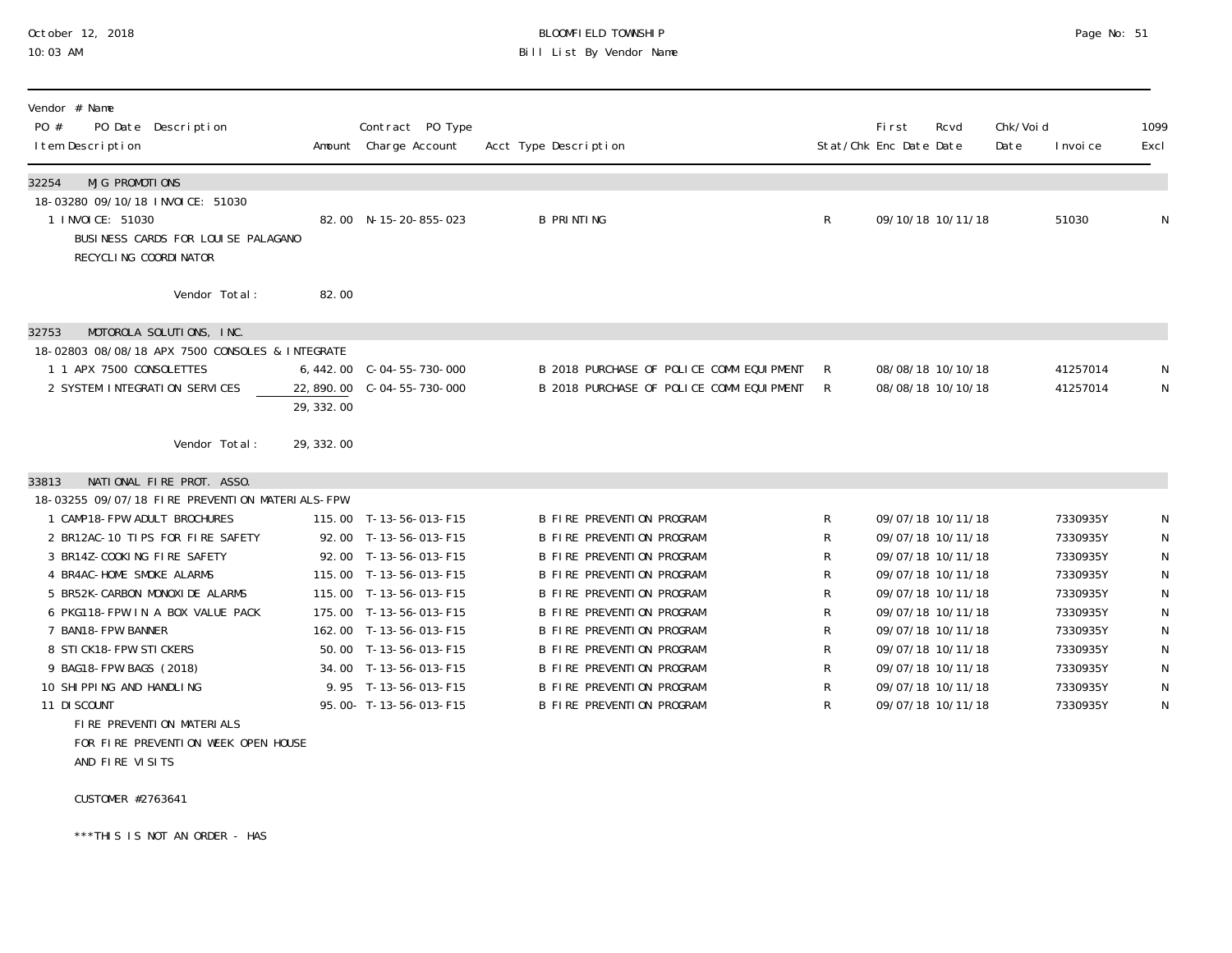# October 12, 2018 BLOOMFIELD TOWNSHIP Page No: 51 Bill List By Vendor Name

| Vendor # Name<br>PO #<br>PO Date Description<br>I tem Description                                                     |            | Contract PO Type<br>Amount Charge Account | Acct Type Description                    |   | First<br>Stat/Chk Enc Date Date | Rcvd | Chk/Voi d<br>Date | I nvoi ce | 1099<br>Excl |
|-----------------------------------------------------------------------------------------------------------------------|------------|-------------------------------------------|------------------------------------------|---|---------------------------------|------|-------------------|-----------|--------------|
| MJG PROMOTIONS<br>32254                                                                                               |            |                                           |                                          |   |                                 |      |                   |           |              |
| 18-03280 09/10/18 INVOICE: 51030<br>1 I NVOI CE: 51030<br>BUSINESS CARDS FOR LOUISE PALAGANO<br>RECYCLING COORDINATOR |            | 82.00 N-15-20-855-023                     | <b>B PRINTING</b>                        | R | 09/10/18 10/11/18               |      |                   | 51030     | $\mathsf{N}$ |
| Vendor Total:                                                                                                         | 82.00      |                                           |                                          |   |                                 |      |                   |           |              |
| MOTOROLA SOLUTIONS, INC.<br>32753                                                                                     |            |                                           |                                          |   |                                 |      |                   |           |              |
| 18-02803 08/08/18 APX 7500 CONSOLES & INTEGRATE                                                                       |            |                                           |                                          |   |                                 |      |                   |           |              |
| 1 1 APX 7500 CONSOLETTES                                                                                              |            |                                           | B 2018 PURCHASE OF POLICE COMM EQUIPMENT | R | 08/08/18 10/10/18               |      |                   | 41257014  | N            |
| 2 SYSTEM INTEGRATION SERVICES                                                                                         | 22, 890.00 | $C - 04 - 55 - 730 - 000$                 | B 2018 PURCHASE OF POLICE COMM EQUIPMENT | R | 08/08/18 10/10/18               |      |                   | 41257014  | $\mathsf{N}$ |
|                                                                                                                       | 29, 332.00 |                                           |                                          |   |                                 |      |                   |           |              |
| Vendor Total:                                                                                                         | 29, 332.00 |                                           |                                          |   |                                 |      |                   |           |              |
| NATIONAL FIRE PROT. ASSO.<br>33813                                                                                    |            |                                           |                                          |   |                                 |      |                   |           |              |
| 18-03255 09/07/18 FIRE PREVENTION MATERIALS-FPW                                                                       |            |                                           |                                          |   |                                 |      |                   |           |              |
| 1 CAMP18-FPW ADULT BROCHURES                                                                                          |            | 115.00 T-13-56-013-F15                    | <b>B FIRE PREVENTION PROGRAM</b>         | R | 09/07/18 10/11/18               |      |                   | 7330935Y  | N            |
| 2 BR12AC-10 TIPS FOR FIRE SAFETY                                                                                      |            | 92.00 T-13-56-013-F15                     | <b>B FIRE PREVENTION PROGRAM</b>         | R | 09/07/18 10/11/18               |      |                   | 7330935Y  | $\mathsf N$  |
| 3 BR14Z-COOKING FIRE SAFETY                                                                                           | 92.00      | T-13-56-013-F15                           | <b>B FIRE PREVENTION PROGRAM</b>         | R | 09/07/18 10/11/18               |      |                   | 7330935Y  | $\mathsf N$  |
| 4 BR4AC-HOME SMOKE ALARMS                                                                                             |            | 115.00 T-13-56-013-F15                    | <b>B FIRE PREVENTION PROGRAM</b>         | R | 09/07/18 10/11/18               |      |                   | 7330935Y  | $\mathsf N$  |
| 5 BR52K-CARBON MONOXIDE ALARMS                                                                                        |            | 115.00 T-13-56-013-F15                    | <b>B FIRE PREVENTION PROGRAM</b>         | R | 09/07/18 10/11/18               |      |                   | 7330935Y  | $\mathsf N$  |
| 6 PKG118-FPW IN A BOX VALUE PACK                                                                                      |            | 175.00 T-13-56-013-F15                    | <b>B FIRE PREVENTION PROGRAM</b>         | R | 09/07/18 10/11/18               |      |                   | 7330935Y  | $\mathsf N$  |
| 7 BAN18-FPW BANNER                                                                                                    |            | 162.00 T-13-56-013-F15                    | <b>B FIRE PREVENTION PROGRAM</b>         | R | 09/07/18 10/11/18               |      |                   | 7330935Y  | ${\sf N}$    |
| 8 STICK18-FPW STICKERS                                                                                                |            | 50.00 T-13-56-013-F15                     | <b>B FIRE PREVENTION PROGRAM</b>         | R | 09/07/18 10/11/18               |      |                   | 7330935Y  | ${\sf N}$    |
| 9 BAG18-FPW BAGS (2018)                                                                                               |            | 34.00 T-13-56-013-F15                     | <b>B FIRE PREVENTION PROGRAM</b>         | R | 09/07/18 10/11/18               |      |                   | 7330935Y  | ${\sf N}$    |
| 10 SHIPPING AND HANDLING                                                                                              |            | 9.95 T-13-56-013-F15                      | <b>B FIRE PREVENTION PROGRAM</b>         | R | 09/07/18 10/11/18               |      |                   | 7330935Y  | $\mathsf{N}$ |
| 11 DI SCOUNT                                                                                                          |            | 95.00- T-13-56-013-F15                    | <b>B FIRE PREVENTION PROGRAM</b>         | R | 09/07/18 10/11/18               |      |                   | 7330935Y  | $\mathsf{N}$ |
| FIRE PREVENTION MATERIALS                                                                                             |            |                                           |                                          |   |                                 |      |                   |           |              |
| FOR FIRE PREVENTION WEEK OPEN HOUSE                                                                                   |            |                                           |                                          |   |                                 |      |                   |           |              |
| AND FIRE VISITS                                                                                                       |            |                                           |                                          |   |                                 |      |                   |           |              |

CUSTOMER #2763641

\*\*\*THIS IS NOT AN ORDER - HAS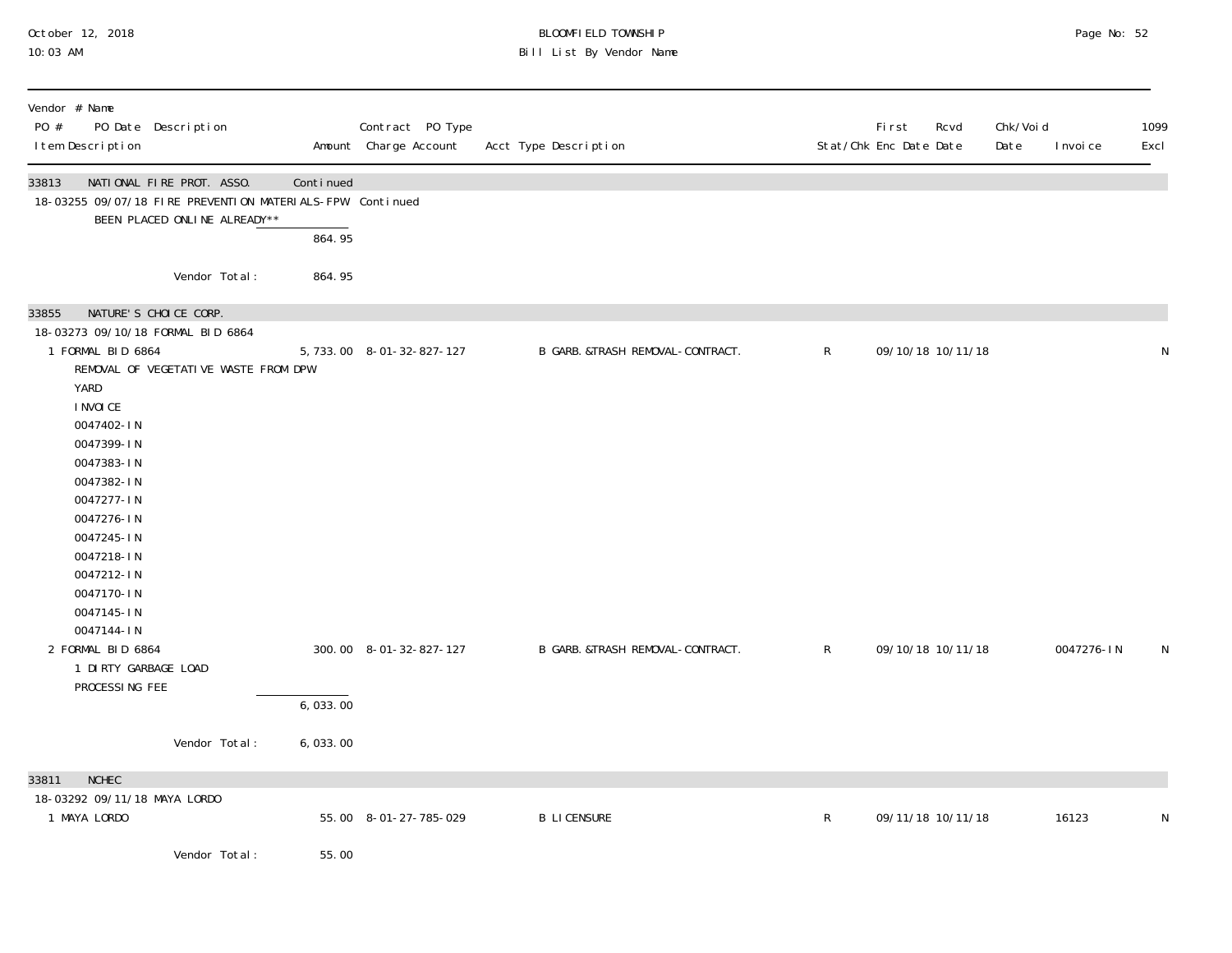# October 12, 2018 BLOOMFIELD TOWNSHIP Page No: 52 10:03 AM Bill List By Vendor Name

| Vendor # Name<br>PO #<br>PO Date Description<br>I tem Description                                                               |           | Contract PO Type<br>Amount Charge Account | Acct Type Description            |              | First<br>Rcvd<br>Stat/Chk Enc Date Date | Chk/Voi d<br>Date<br>I nvoi ce | 1099<br>Excl |
|---------------------------------------------------------------------------------------------------------------------------------|-----------|-------------------------------------------|----------------------------------|--------------|-----------------------------------------|--------------------------------|--------------|
| 33813<br>NATIONAL FIRE PROT. ASSO.<br>18-03255 09/07/18 FIRE PREVENTION MATERIALS-FPW Continued<br>BEEN PLACED ONLINE ALREADY** | Continued |                                           |                                  |              |                                         |                                |              |
|                                                                                                                                 | 864.95    |                                           |                                  |              |                                         |                                |              |
| Vendor Total:                                                                                                                   | 864.95    |                                           |                                  |              |                                         |                                |              |
| NATURE'S CHOICE CORP.<br>33855                                                                                                  |           |                                           |                                  |              |                                         |                                |              |
| 18-03273 09/10/18 FORMAL BID 6864<br>1 FORMAL BID 6864<br>REMOVAL OF VEGETATIVE WASTE FROM DPW                                  |           | 5, 733.00 8-01-32-827-127                 | B GARB. &TRASH REMOVAL-CONTRACT. | $\mathsf{R}$ | 09/10/18 10/11/18                       |                                | N            |
| YARD<br>I NVOI CE                                                                                                               |           |                                           |                                  |              |                                         |                                |              |
| 0047402-IN                                                                                                                      |           |                                           |                                  |              |                                         |                                |              |
| 0047399-IN<br>0047383-IN                                                                                                        |           |                                           |                                  |              |                                         |                                |              |
| 0047382-IN<br>0047277-IN                                                                                                        |           |                                           |                                  |              |                                         |                                |              |
| 0047276-IN<br>0047245-IN                                                                                                        |           |                                           |                                  |              |                                         |                                |              |
| 0047218-IN                                                                                                                      |           |                                           |                                  |              |                                         |                                |              |
| 0047212-IN<br>0047170-IN                                                                                                        |           |                                           |                                  |              |                                         |                                |              |
| 0047145-IN<br>0047144-IN                                                                                                        |           |                                           |                                  |              |                                         |                                |              |
| 2 FORMAL BID 6864                                                                                                               |           | 300.00 8-01-32-827-127                    | B GARB. &TRASH REMOVAL-CONTRACT. | $\mathsf{R}$ | 09/10/18 10/11/18                       | 0047276-IN                     | N            |
| 1 DIRTY GARBAGE LOAD<br>PROCESSING FEE                                                                                          |           |                                           |                                  |              |                                         |                                |              |
|                                                                                                                                 | 6,033.00  |                                           |                                  |              |                                         |                                |              |
| Vendor Total:                                                                                                                   | 6,033.00  |                                           |                                  |              |                                         |                                |              |
| <b>NCHEC</b><br>33811<br>18-03292 09/11/18 MAYA LORDO                                                                           |           |                                           |                                  |              |                                         |                                |              |
| 1 MAYA LORDO                                                                                                                    |           | 55.00 8-01-27-785-029                     | <b>B LICENSURE</b>               | $\mathsf{R}$ | 09/11/18 10/11/18                       | 16123                          | N            |
| Vendor Total:                                                                                                                   | 55.00     |                                           |                                  |              |                                         |                                |              |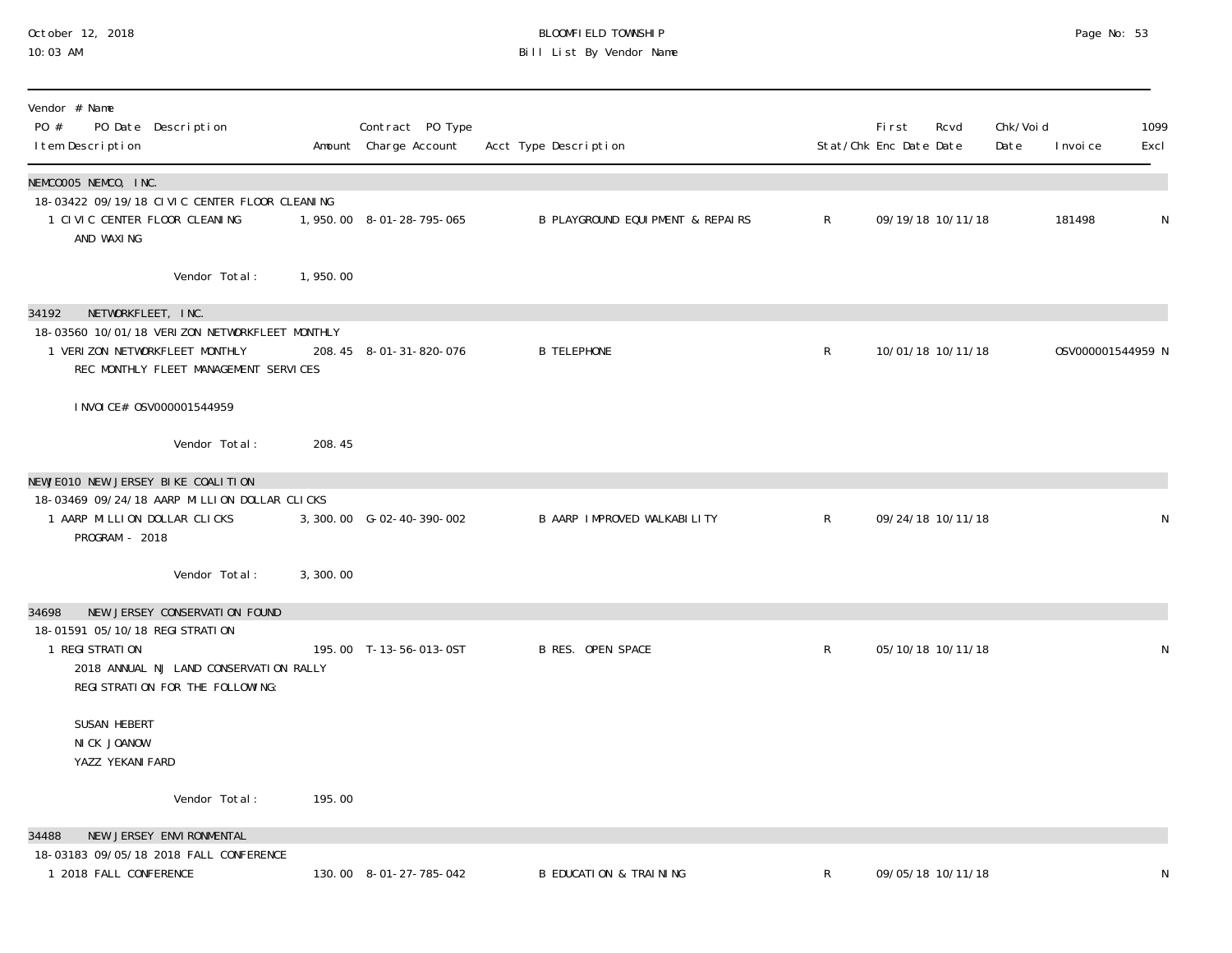#### October 12, 2018 BLOOMFIELD TOWNSHIP Page No: 53 10:03 AM Bill List By Vendor Name

| Vendor # Name<br>PO #<br>PO Date Description<br>I tem Description                                                         |          | Contract PO Type<br>Amount Charge Account | Acct Type Description                       |              | <b>First</b><br>Stat/Chk Enc Date Date | Rcvd              | Chk/Voi d<br>Date | I nvoi ce         | 1099<br>Excl |
|---------------------------------------------------------------------------------------------------------------------------|----------|-------------------------------------------|---------------------------------------------|--------------|----------------------------------------|-------------------|-------------------|-------------------|--------------|
| NEMCOOO5 NEMCO, INC.<br>18-03422 09/19/18 CIVIC CENTER FLOOR CLEANING                                                     |          |                                           |                                             |              |                                        |                   |                   |                   |              |
| 1 CIVIC CENTER FLOOR CLEANING<br>AND WAXING                                                                               |          | 1,950.00 8-01-28-795-065                  | <b>B PLAYGROUND EQUIPMENT &amp; REPAIRS</b> | $\mathsf{R}$ |                                        | 09/19/18 10/11/18 |                   | 181498            | $\mathsf N$  |
| Vendor Total:                                                                                                             | 1,950.00 |                                           |                                             |              |                                        |                   |                   |                   |              |
| NETWORKFLEET, INC.<br>34192                                                                                               |          |                                           |                                             |              |                                        |                   |                   |                   |              |
| 18-03560 10/01/18 VERIZON NETWORKFLEET MONTHLY<br>1 VERIZON NETWORKFLEET MONTHLY<br>REC MONTHLY FLEET MANAGEMENT SERVICES |          | 208.45 8-01-31-820-076                    | <b>B TELEPHONE</b>                          | $\mathsf{R}$ |                                        | 10/01/18 10/11/18 |                   | 0SV000001544959 N |              |
| I NVOI CE# 0SV000001544959                                                                                                |          |                                           |                                             |              |                                        |                   |                   |                   |              |
| Vendor Total:                                                                                                             | 208.45   |                                           |                                             |              |                                        |                   |                   |                   |              |
| NEWJEO10 NEW JERSEY BIKE COALITION                                                                                        |          |                                           |                                             |              |                                        |                   |                   |                   |              |
| 18-03469 09/24/18 AARP MILLION DOLLAR CLICKS<br>1 AARP MILLION DOLLAR CLICKS<br>PROGRAM - 2018                            |          | 3, 300.00 G-02-40-390-002                 | B AARP IMPROVED WALKABILITY                 | $\mathsf{R}$ |                                        | 09/24/18 10/11/18 |                   |                   | N            |
| Vendor Total:                                                                                                             | 3,300.00 |                                           |                                             |              |                                        |                   |                   |                   |              |
| NEW JERSEY CONSERVATION FOUND<br>34698                                                                                    |          |                                           |                                             |              |                                        |                   |                   |                   |              |
| 18-01591 05/10/18 REGI STRATION<br>1 REGI STRATION                                                                        |          | 195.00 T-13-56-013-0ST                    | <b>B RES. OPEN SPACE</b>                    | $\mathsf{R}$ |                                        | 05/10/18 10/11/18 |                   |                   | N            |
| 2018 ANNUAL NJ LAND CONSERVATION RALLY<br>REGI STRATION FOR THE FOLLOWING:                                                |          |                                           |                                             |              |                                        |                   |                   |                   |              |
| SUSAN HEBERT<br>NICK JOANOW<br>YAZZ YEKANI FARD                                                                           |          |                                           |                                             |              |                                        |                   |                   |                   |              |
| Vendor Total:                                                                                                             | 195.00   |                                           |                                             |              |                                        |                   |                   |                   |              |
| NEW JERSEY ENVIRONMENTAL<br>34488                                                                                         |          |                                           |                                             |              |                                        |                   |                   |                   |              |
| 18-03183 09/05/18 2018 FALL CONFERENCE<br>1 2018 FALL CONFERENCE                                                          |          | 130.00 8-01-27-785-042                    | <b>B EDUCATION &amp; TRAINING</b>           | R            |                                        | 09/05/18 10/11/18 |                   |                   |              |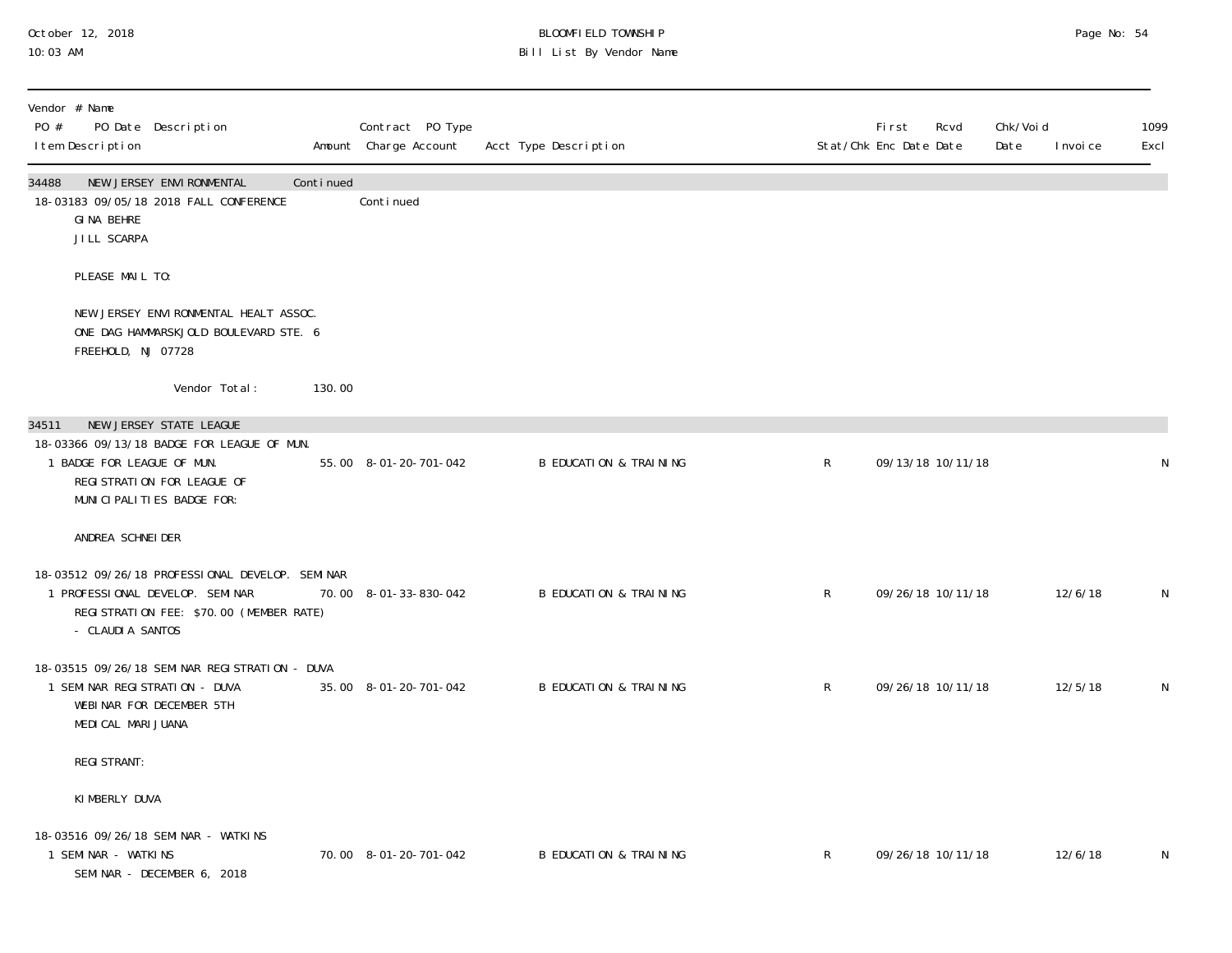# October 12, 2018 BLOOMFIELD TOWNSHIP Page No: 54 Bill List By Vendor Name

| Vendor # Name<br>PO #<br>I tem Description | PO Date Description                                                                                                            |           | Contract PO Type<br>Amount Charge Account | Acct Type Description             |              | <b>First</b><br>Rcvd<br>Stat/Chk Enc Date Date | Chk/Void<br>Date<br>I nvoi ce | 1099<br>Excl |
|--------------------------------------------|--------------------------------------------------------------------------------------------------------------------------------|-----------|-------------------------------------------|-----------------------------------|--------------|------------------------------------------------|-------------------------------|--------------|
| 34488<br>GINA BEHRE<br>JILL SCARPA         | NEW JERSEY ENVIRONMENTAL<br>18-03183 09/05/18 2018 FALL CONFERENCE                                                             | Continued | Continued                                 |                                   |              |                                                |                               |              |
| PLEASE MAIL TO:                            |                                                                                                                                |           |                                           |                                   |              |                                                |                               |              |
| FREEHOLD, NJ 07728                         | NEW JERSEY ENVIRONMENTAL HEALT ASSOC.<br>ONE DAG HAMMARSKJOLD BOULEVARD STE. 6                                                 |           |                                           |                                   |              |                                                |                               |              |
|                                            | Vendor Total:                                                                                                                  | 130.00    |                                           |                                   |              |                                                |                               |              |
| 34511                                      | NEW JERSEY STATE LEAGUE                                                                                                        |           |                                           |                                   |              |                                                |                               |              |
| 1 BADGE FOR LEAGUE OF MUN.                 | 18-03366 09/13/18 BADGE FOR LEAGUE OF MUN.<br>REGI STRATION FOR LEAGUE OF<br>MUNICIPALITIES BADGE FOR:                         |           | 55.00 8-01-20-701-042                     | <b>B EDUCATION &amp; TRAINING</b> | $\mathsf{R}$ | 09/13/18 10/11/18                              |                               | N            |
| ANDREA SCHNEI DER                          |                                                                                                                                |           |                                           |                                   |              |                                                |                               |              |
| - CLAUDI A SANTOS                          | 18-03512 09/26/18 PROFESSIONAL DEVELOP. SEMINAR<br>1 PROFESSIONAL DEVELOP. SEMINAR<br>REGI STRATION FEE: \$70.00 (MEMBER RATE) |           | 70.00 8-01-33-830-042                     | <b>B EDUCATION &amp; TRAINING</b> | $\mathsf{R}$ | 09/26/18 10/11/18                              | 12/6/18                       | $\mathsf N$  |
| MEDI CAL MARI JUANA                        | 18-03515 09/26/18 SEMINAR REGISTRATION - DUVA<br>1 SEMINAR REGISTRATION - DUVA<br>WEBINAR FOR DECEMBER 5TH                     |           | 35.00 8-01-20-701-042                     | <b>B EDUCATION &amp; TRAINING</b> | $\mathsf{R}$ | 09/26/18 10/11/18                              | 12/5/18                       | N            |
| <b>REGI STRANT:</b>                        |                                                                                                                                |           |                                           |                                   |              |                                                |                               |              |
| KIMBERLY DUVA                              |                                                                                                                                |           |                                           |                                   |              |                                                |                               |              |
| 1 SEMINAR - WATKINS                        | 18-03516 09/26/18 SEMINAR - WATKINS<br>SEMINAR - DECEMBER 6, 2018                                                              |           | 70.00 8-01-20-701-042                     | <b>B EDUCATION &amp; TRAINING</b> | R            | 09/26/18 10/11/18                              | 12/6/18                       | N            |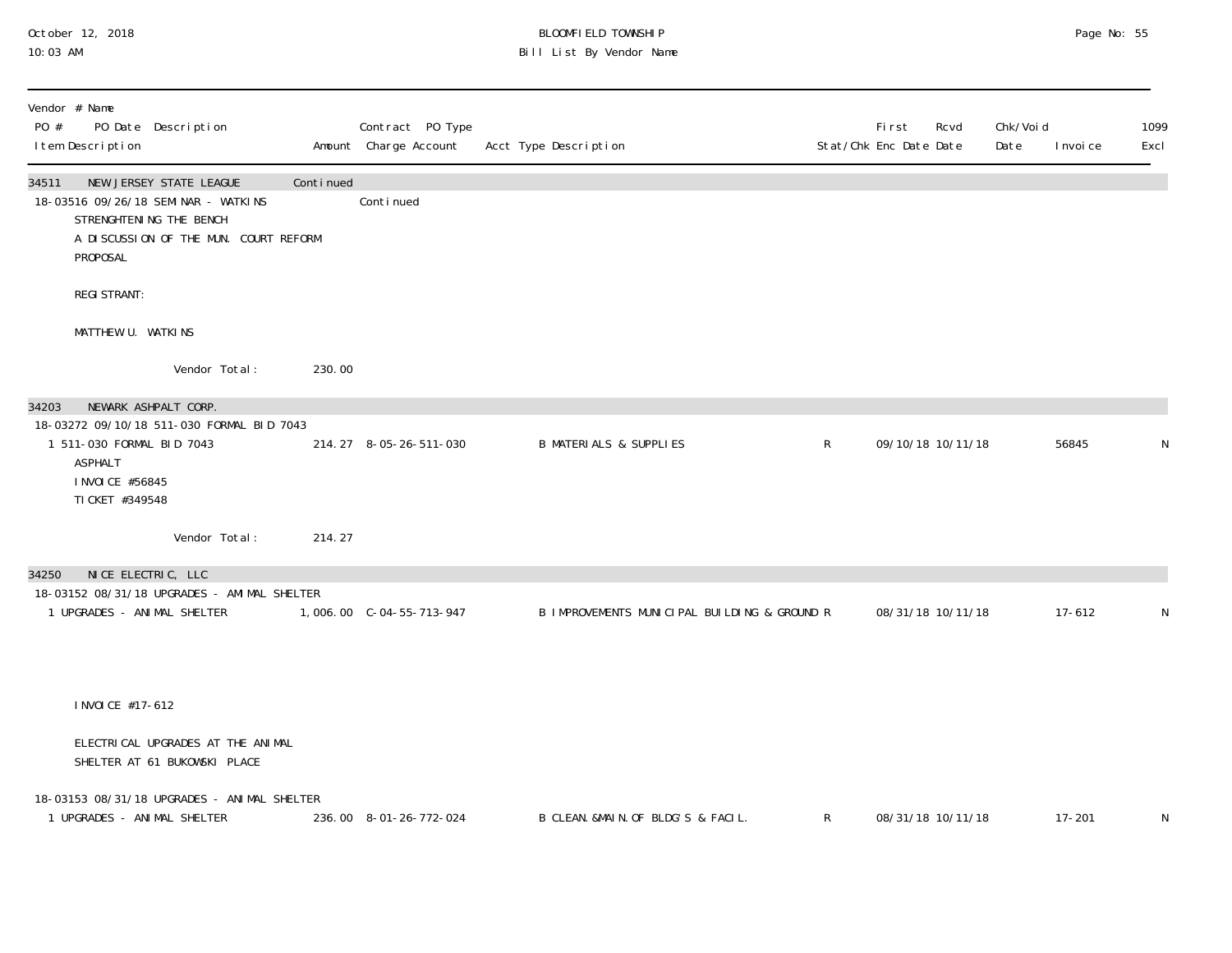#### October 12, 2018 BLOOMFIELD TOWNSHIP Page No: 55 10:03 AM Bill List By Vendor Name

| Vendor # Name<br>PO #<br>PO Date Description<br>I tem Description                                                                                              |           | Contract PO Type<br>Amount Charge Account | Acct Type Description                        |              | First<br>Rcvd<br>Stat/Chk Enc Date Date | Chk/Voi d<br>Date | 1099<br>Excl<br>I nvoi ce |
|----------------------------------------------------------------------------------------------------------------------------------------------------------------|-----------|-------------------------------------------|----------------------------------------------|--------------|-----------------------------------------|-------------------|---------------------------|
| NEW JERSEY STATE LEAGUE<br>34511<br>18-03516 09/26/18 SEMINAR - WATKINS<br>STRENGHTENING THE BENCH<br>A DISCUSSION OF THE MUN. COURT REFORM<br><b>PROPOSAL</b> | Continued | Continued                                 |                                              |              |                                         |                   |                           |
| <b>REGI STRANT:</b>                                                                                                                                            |           |                                           |                                              |              |                                         |                   |                           |
| MATTHEW U. WATKINS                                                                                                                                             |           |                                           |                                              |              |                                         |                   |                           |
| Vendor Total:                                                                                                                                                  | 230.00    |                                           |                                              |              |                                         |                   |                           |
| NEWARK ASHPALT CORP.<br>34203                                                                                                                                  |           |                                           |                                              |              |                                         |                   |                           |
| 18-03272 09/10/18 511-030 FORMAL BID 7043<br>1 511-030 FORMAL BID 7043<br>ASPHALT<br>I NVOI CE #56845<br>TI CKET #349548                                       |           | 214.27 8-05-26-511-030                    | <b>B MATERIALS &amp; SUPPLIES</b>            | $\mathsf{R}$ | 09/10/18 10/11/18                       |                   | 56845<br>N                |
| Vendor Total:                                                                                                                                                  | 214.27    |                                           |                                              |              |                                         |                   |                           |
| NICE ELECTRIC, LLC<br>34250<br>18-03152 08/31/18 UPGRADES - AMIMAL SHELTER                                                                                     |           |                                           |                                              |              |                                         |                   |                           |
| 1 UPGRADES - ANIMAL SHELTER                                                                                                                                    |           |                                           | B IMPROVEMENTS MUNICIPAL BUILDING & GROUND R |              | 08/31/18 10/11/18                       |                   | $17 - 612$<br>N           |
|                                                                                                                                                                |           |                                           |                                              |              |                                         |                   |                           |
| I NVOI CE #17-612                                                                                                                                              |           |                                           |                                              |              |                                         |                   |                           |
| ELECTRICAL UPGRADES AT THE ANIMAL<br>SHELTER AT 61 BUKOWSKI PLACE                                                                                              |           |                                           |                                              |              |                                         |                   |                           |
| 18-03153 08/31/18 UPGRADES - ANIMAL SHELTER<br>1 UPGRADES - ANIMAL SHELTER                                                                                     |           | 236.00 8-01-26-772-024                    | B CLEAN. &MAIN. OF BLDG'S & FACIL.           | $\mathsf{R}$ | 08/31/18 10/11/18                       |                   | $17 - 201$<br>N           |
|                                                                                                                                                                |           |                                           |                                              |              |                                         |                   |                           |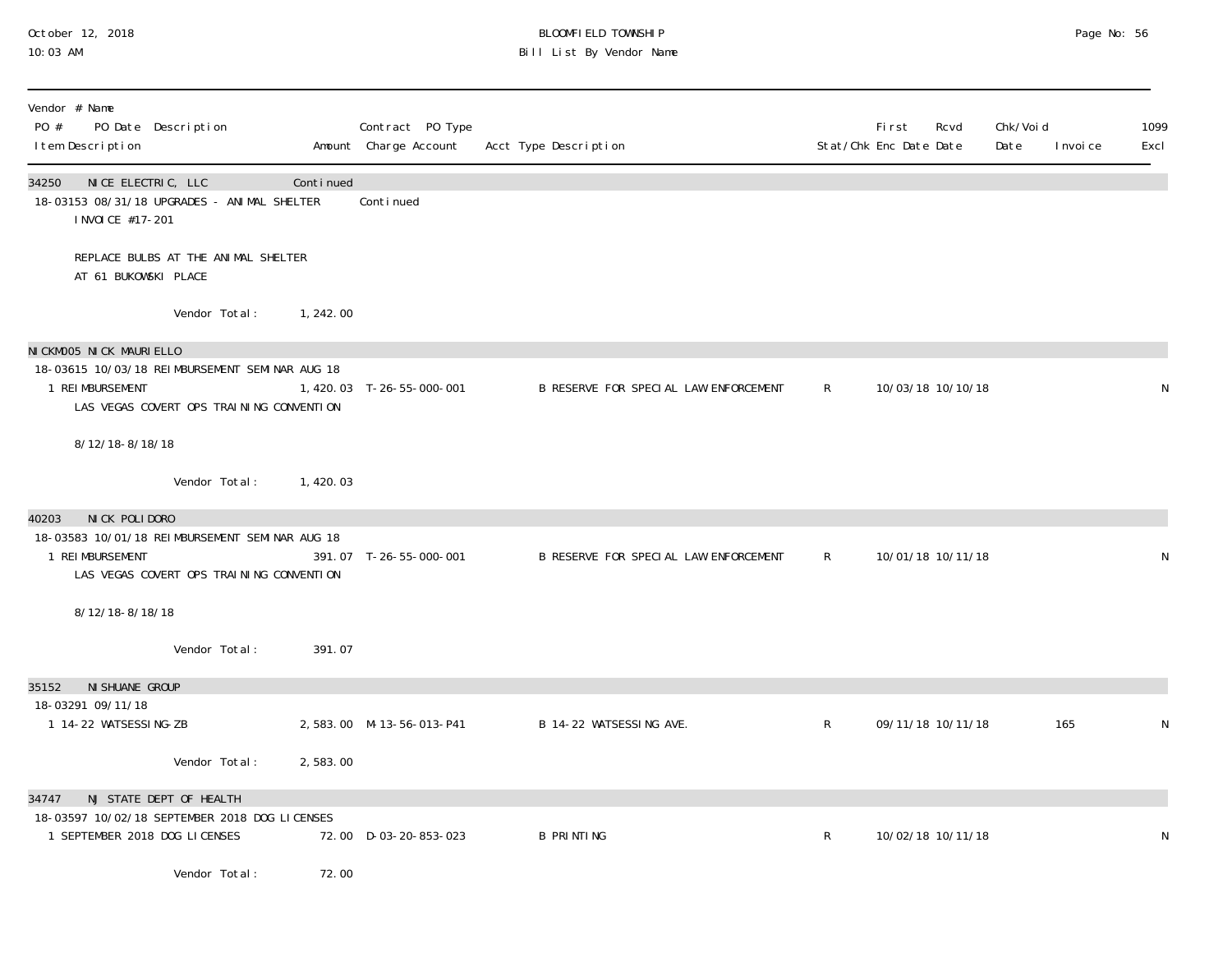# October 12, 2018 BLOOMFIELD TOWNSHIP Page No: 56 10:03 AM Bill List By Vendor Name

| Vendor # Name<br>PO #<br>PO Date Description<br>I tem Description                                                                         |            | Contract PO Type<br>Amount Charge Account | Acct Type Description                 |              | Fi rst<br>Rcvd<br>Stat/Chk Enc Date Date | Chk/Voi d<br>Date<br>I nvoi ce | 1099<br>Excl |
|-------------------------------------------------------------------------------------------------------------------------------------------|------------|-------------------------------------------|---------------------------------------|--------------|------------------------------------------|--------------------------------|--------------|
| 34250 NICE ELECTRIC, LLC<br>18-03153 08/31/18 UPGRADES - ANIMAL SHELTER<br>I NVOI CE #17-201                                              | Continued  | Continued                                 |                                       |              |                                          |                                |              |
| REPLACE BULBS AT THE ANIMAL SHELTER<br>AT 61 BUKOWSKI PLACE                                                                               |            |                                           |                                       |              |                                          |                                |              |
| Vendor Total:                                                                                                                             | 1, 242.00  |                                           |                                       |              |                                          |                                |              |
| NICKMOO5 NICK MAURIELLO<br>18-03615 10/03/18 REIMBURSEMENT SEMINAR AUG 18<br>1 REI MBURSEMENT<br>LAS VEGAS COVERT OPS TRAINING CONVENTION |            | 1,420.03 T-26-55-000-001                  | B RESERVE FOR SPECIAL LAW ENFORCEMENT | $\mathsf{R}$ | 10/03/18 10/10/18                        |                                | N            |
| 8/12/18-8/18/18<br>Vendor Total:                                                                                                          | 1, 420, 03 |                                           |                                       |              |                                          |                                |              |
| NICK POLIDORO<br>40203<br>18-03583 10/01/18 REIMBURSEMENT SEMINAR AUG 18<br>1 REIMBURSEMENT<br>LAS VEGAS COVERT OPS TRAINING CONVENTION   |            | 391.07 T-26-55-000-001                    | B RESERVE FOR SPECIAL LAW ENFORCEMENT | R            | 10/01/18 10/11/18                        |                                | $\mathsf{N}$ |
| 8/12/18-8/18/18<br>Vendor Total:                                                                                                          | 391.07     |                                           |                                       |              |                                          |                                |              |
| NI SHUANE GROUP<br>35152                                                                                                                  |            |                                           |                                       |              |                                          |                                |              |
| 18-03291 09/11/18<br>1 14-22 WATSESSING-ZB                                                                                                |            | 2,583.00 M-13-56-013-P41                  | B 14-22 WATSESSING AVE.               | $\mathsf{R}$ | 09/11/18 10/11/18                        | 165                            | N            |
| Vendor Total:                                                                                                                             | 2,583.00   |                                           |                                       |              |                                          |                                |              |
| NJ STATE DEPT OF HEALTH<br>34747<br>18-03597 10/02/18 SEPTEMBER 2018 DOG LICENSES<br>1 SEPTEMBER 2018 DOG LICENSES                        |            | 72.00 D-03-20-853-023                     | <b>B PRINTING</b>                     | $\mathsf{R}$ | 10/02/18 10/11/18                        |                                | N            |
| Vendor Total:                                                                                                                             | 72.00      |                                           |                                       |              |                                          |                                |              |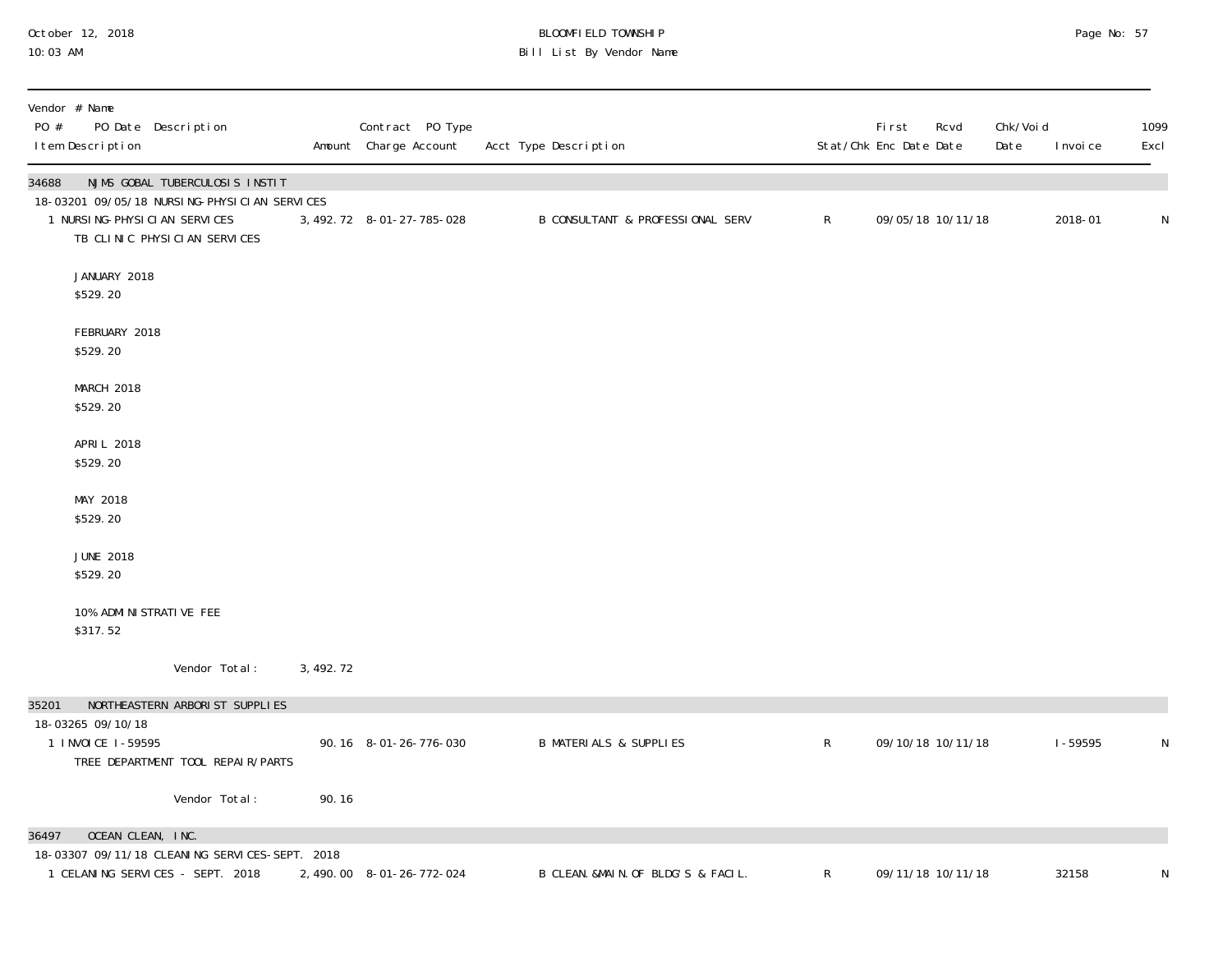# October 12, 2018 BLOOMFIELD TOWNSHIP Page No: 57 10:03 AM Bill List By Vendor Name

| Vendor # Name<br>PO #<br>PO Date Description<br>I tem Description                                               |            | Contract PO Type<br>Amount Charge Account | Acct Type Description              |              | First<br>Stat/Chk Enc Date Date | Chk/Voi d<br>Rcvd<br>Date | I nvoi ce   | 1099<br>Excl |
|-----------------------------------------------------------------------------------------------------------------|------------|-------------------------------------------|------------------------------------|--------------|---------------------------------|---------------------------|-------------|--------------|
| 34688<br>NJMS GOBAL TUBERCULOSIS INSTIT                                                                         |            |                                           |                                    |              |                                 |                           |             |              |
| 18-03201 09/05/18 NURSING-PHYSICIAN SERVICES<br>1 NURSI NG-PHYSI CI AN SERVICES<br>TB CLINIC PHYSICIAN SERVICES |            | 3, 492. 72 8-01-27-785-028                | B CONSULTANT & PROFESSIONAL SERV   | $\mathsf{R}$ | 09/05/18 10/11/18               |                           | 2018-01     | N            |
| JANUARY 2018<br>\$529.20                                                                                        |            |                                           |                                    |              |                                 |                           |             |              |
| FEBRUARY 2018<br>\$529.20                                                                                       |            |                                           |                                    |              |                                 |                           |             |              |
| MARCH 2018<br>\$529.20                                                                                          |            |                                           |                                    |              |                                 |                           |             |              |
| APRIL 2018<br>\$529.20                                                                                          |            |                                           |                                    |              |                                 |                           |             |              |
| MAY 2018<br>\$529.20                                                                                            |            |                                           |                                    |              |                                 |                           |             |              |
| <b>JUNE 2018</b><br>\$529.20                                                                                    |            |                                           |                                    |              |                                 |                           |             |              |
| 10% ADMI NI STRATI VE FEE<br>\$317.52                                                                           |            |                                           |                                    |              |                                 |                           |             |              |
| Vendor Total:                                                                                                   | 3, 492. 72 |                                           |                                    |              |                                 |                           |             |              |
| 35201<br>NORTHEASTERN ARBORIST SUPPLIES                                                                         |            |                                           |                                    |              |                                 |                           |             |              |
| 18-03265 09/10/18<br>1 I NVOI CE 1-59595<br>TREE DEPARTMENT TOOL REPAIR/PARTS                                   |            | 90.16 8-01-26-776-030                     | <b>B MATERIALS &amp; SUPPLIES</b>  | $\mathsf{R}$ | 09/10/18 10/11/18               |                           | $1 - 59595$ | N            |
| Vendor Total:                                                                                                   | 90.16      |                                           |                                    |              |                                 |                           |             |              |
| OCEAN CLEAN, INC.<br>36497                                                                                      |            |                                           |                                    |              |                                 |                           |             |              |
| 18-03307 09/11/18 CLEANING SERVICES-SEPT. 2018<br>1 CELANING SERVICES - SEPT. 2018                              |            | 2, 490.00 8-01-26-772-024                 | B CLEAN. &MAIN. OF BLDG'S & FACIL. | $\mathsf R$  | 09/11/18 10/11/18               |                           | 32158       | ${\sf N}$    |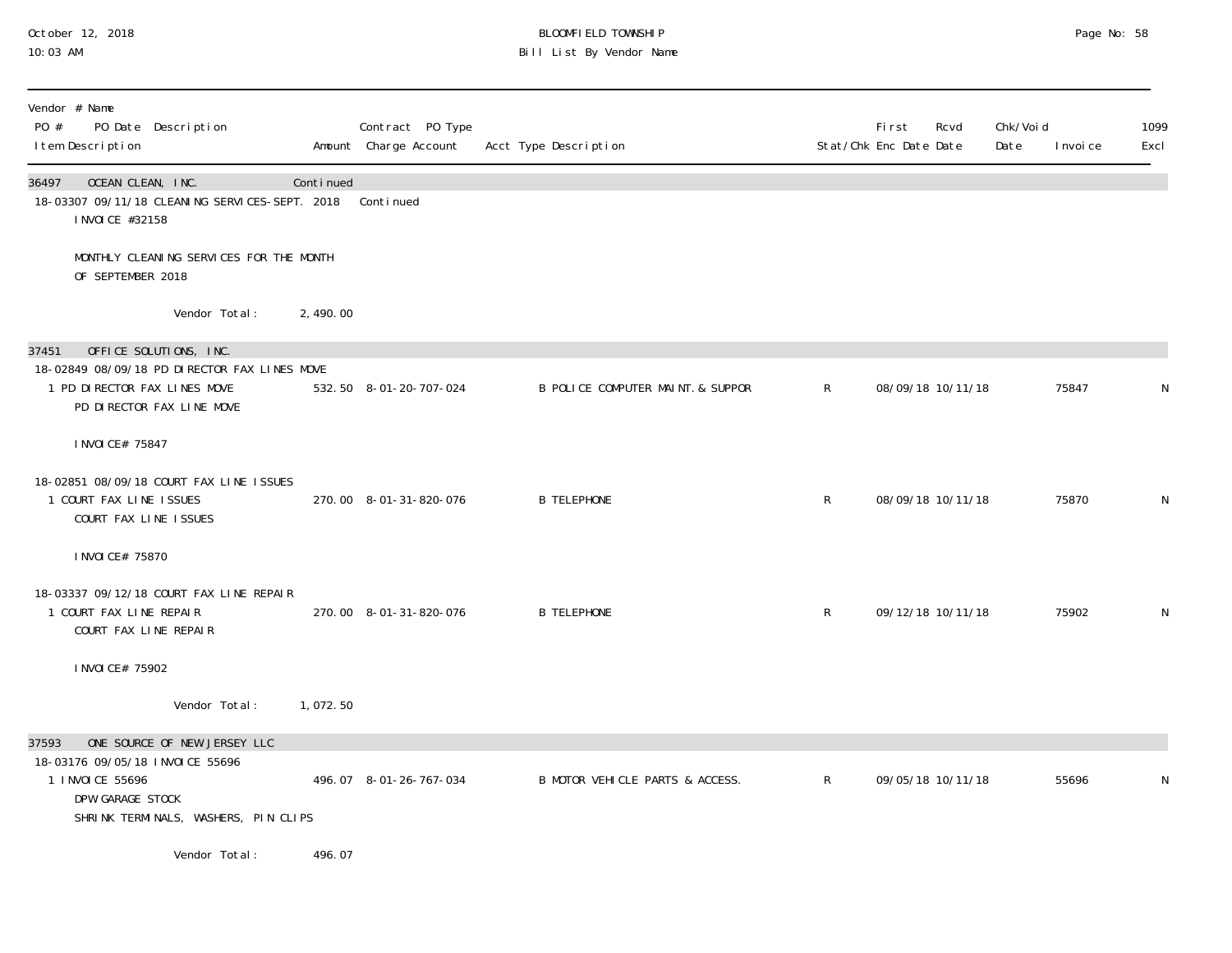## October 12, 2018 BLOOMFIELD TOWNSHIP Page No: 58 10:03 AM Bill List By Vendor Name

| Vendor # Name<br>PO #<br>PO Date Description<br>I tem Description                                                                                       |           | Contract PO Type<br>Amount Charge Account | Acct Type Description             |              | First<br>Rcvd<br>Stat/Chk Enc Date Date | Chk/Void<br>Date<br>I nvoi ce | 1099<br>Excl |
|---------------------------------------------------------------------------------------------------------------------------------------------------------|-----------|-------------------------------------------|-----------------------------------|--------------|-----------------------------------------|-------------------------------|--------------|
| 36497<br>OCEAN CLEAN, INC.<br>18-03307 09/11/18 CLEANING SERVICES-SEPT. 2018<br>I NVOI CE #32158                                                        | Continued | Continued                                 |                                   |              |                                         |                               |              |
| MONTHLY CLEANING SERVICES FOR THE MONTH<br>OF SEPTEMBER 2018                                                                                            |           |                                           |                                   |              |                                         |                               |              |
| Vendor Total:                                                                                                                                           | 2, 490.00 |                                           |                                   |              |                                         |                               |              |
| OFFICE SOLUTIONS, INC.<br>37451<br>18-02849 08/09/18 PD DIRECTOR FAX LINES MOVE<br>1 PD DIRECTOR FAX LINES MOVE<br>PD DIRECTOR FAX LINE MOVE            |           | 532.50 8-01-20-707-024                    | B POLICE COMPUTER MAINT. & SUPPOR | $\mathsf{R}$ | 08/09/18 10/11/18                       | 75847                         | N            |
| I NVOI CE# 75847                                                                                                                                        |           |                                           |                                   |              |                                         |                               |              |
| 18-02851 08/09/18 COURT FAX LINE ISSUES<br>1 COURT FAX LINE ISSUES<br>COURT FAX LINE ISSUES                                                             |           | 270.00 8-01-31-820-076                    | <b>B TELEPHONE</b>                | $\mathsf{R}$ | 08/09/18 10/11/18                       | 75870                         | N            |
| I NVOI CE# 75870                                                                                                                                        |           |                                           |                                   |              |                                         |                               |              |
| 18-03337 09/12/18 COURT FAX LINE REPAIR<br>1 COURT FAX LINE REPAIR<br>COURT FAX LINE REPAIR                                                             |           | 270.00 8-01-31-820-076                    | <b>B TELEPHONE</b>                | $\mathsf{R}$ | 09/12/18 10/11/18                       | 75902                         | $\mathsf N$  |
| I NVOI CE# 75902                                                                                                                                        |           |                                           |                                   |              |                                         |                               |              |
| Vendor Total:                                                                                                                                           | 1,072.50  |                                           |                                   |              |                                         |                               |              |
| ONE SOURCE OF NEW JERSEY LLC<br>37593<br>18-03176 09/05/18 INVOICE 55696<br>1 INVOICE 55696<br>DPW GARAGE STOCK<br>SHRINK TERMINALS, WASHERS, PIN CLIPS |           | 496.07 8-01-26-767-034                    | B MOTOR VEHICLE PARTS & ACCESS.   | $\mathsf{R}$ | 09/05/18 10/11/18                       | 55696                         | N            |
| Vendor Total:                                                                                                                                           | 496.07    |                                           |                                   |              |                                         |                               |              |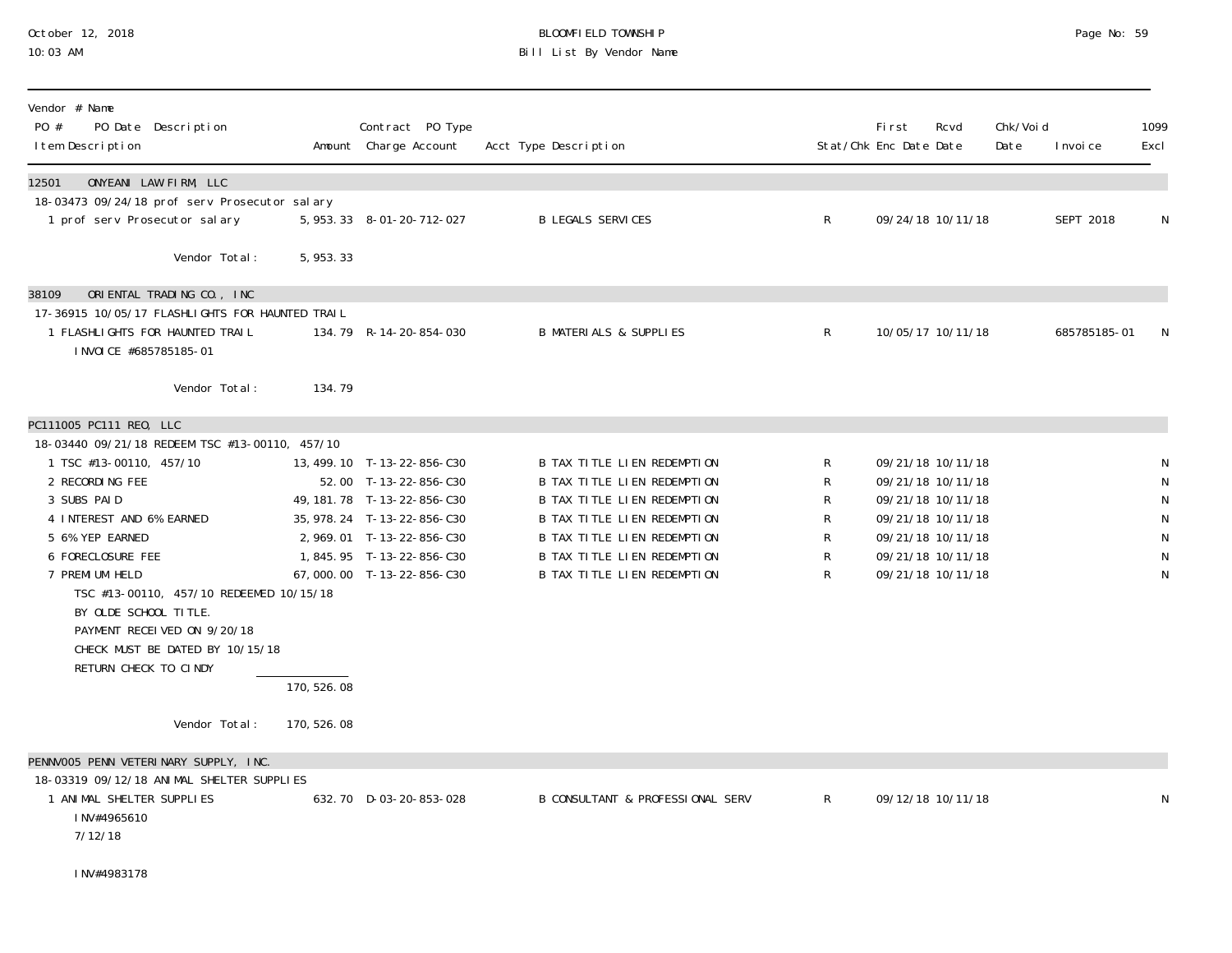# October 12, 2018 BLOOMFIELD TOWNSHIP Page No: 59 Bill List By Vendor Name

| Vendor # Name<br>PO #<br>PO Date Description<br>I tem Description                   |             | Contract PO Type<br>Amount Charge Account             | Acct Type Description                                             |              | <b>First</b><br>Stat/Chk Enc Date Date | Rcvd                                   | Chk/Void<br>Date | I nvoi ce    | 1099<br>Excl   |
|-------------------------------------------------------------------------------------|-------------|-------------------------------------------------------|-------------------------------------------------------------------|--------------|----------------------------------------|----------------------------------------|------------------|--------------|----------------|
| 12501<br>ONYEANI LAW FIRM, LLC                                                      |             |                                                       |                                                                   |              |                                        |                                        |                  |              |                |
| 18-03473 09/24/18 prof serv Prosecutor salary<br>1 prof serv Prosecutor salary      |             | 5, 953. 33 8-01-20-712-027                            | <b>B LEGALS SERVICES</b>                                          | $\mathsf{R}$ |                                        | 09/24/18 10/11/18                      |                  | SEPT 2018    | N              |
| Vendor Total:                                                                       | 5, 953. 33  |                                                       |                                                                   |              |                                        |                                        |                  |              |                |
| ORIENTAL TRADING CO., INC<br>38109                                                  |             |                                                       |                                                                   |              |                                        |                                        |                  |              |                |
| 17-36915 10/05/17 FLASHLIGHTS FOR HAUNTED TRAIL<br>1 FLASHLI GHTS FOR HAUNTED TRAIL |             | 134.79 R-14-20-854-030                                | <b>B MATERIALS &amp; SUPPLIES</b>                                 | R            |                                        | 10/05/17 10/11/18                      |                  | 685785185-01 | N              |
| INVOICE #685785185-01                                                               |             |                                                       |                                                                   |              |                                        |                                        |                  |              |                |
| Vendor Total:                                                                       | 134.79      |                                                       |                                                                   |              |                                        |                                        |                  |              |                |
| PC111005 PC111 REO, LLC                                                             |             |                                                       |                                                                   |              |                                        |                                        |                  |              |                |
| 18-03440 09/21/18 REDEEM TSC #13-00110, 457/10<br>1 TSC #13-00110, 457/10           |             |                                                       | B TAX TITLE LIEN REDEMPTION                                       | R            |                                        | 09/21/18 10/11/18                      |                  |              |                |
| 2 RECORDING FEE                                                                     |             | 13, 499. 10 T-13-22-856-C30<br>52.00 T-13-22-856-C30  | B TAX TITLE LIEN REDEMPTION                                       | R            |                                        | 09/21/18 10/11/18                      |                  |              | N<br>${\sf N}$ |
| 3 SUBS PAID                                                                         |             | 49, 181. 78 T-13-22-856-C30                           | <b>B TAX TITLE LIEN REDEMPTION</b>                                | R            |                                        | 09/21/18 10/11/18                      |                  |              | ${\sf N}$      |
| 4 INTEREST AND 6% EARNED                                                            |             | 35, 978. 24 T-13-22-856-C30                           | <b>B TAX TITLE LIEN REDEMPTION</b>                                | R            |                                        | 09/21/18 10/11/18                      |                  |              | ${\sf N}$      |
| 5 6% YEP EARNED                                                                     |             | 2, 969.01 T-13-22-856-C30                             | B TAX TITLE LIEN REDEMPTION                                       | R            |                                        | 09/21/18 10/11/18                      |                  |              | ${\sf N}$      |
| 6 FORECLOSURE FEE<br>7 PREMI UM HELD                                                |             | 1,845.95 T-13-22-856-C30<br>67,000.00 T-13-22-856-C30 | B TAX TITLE LIEN REDEMPTION<br><b>B TAX TITLE LIEN REDEMPTION</b> | R<br>R       |                                        | 09/21/18 10/11/18<br>09/21/18 10/11/18 |                  |              | ${\sf N}$<br>N |
| TSC #13-00110, 457/10 REDEEMED 10/15/18                                             |             |                                                       |                                                                   |              |                                        |                                        |                  |              |                |
| BY OLDE SCHOOL TITLE.                                                               |             |                                                       |                                                                   |              |                                        |                                        |                  |              |                |
| PAYMENT RECEIVED ON 9/20/18                                                         |             |                                                       |                                                                   |              |                                        |                                        |                  |              |                |
| CHECK MUST BE DATED BY 10/15/18<br>RETURN CHECK TO CINDY                            |             |                                                       |                                                                   |              |                                        |                                        |                  |              |                |
|                                                                                     | 170, 526.08 |                                                       |                                                                   |              |                                        |                                        |                  |              |                |
| Vendor Total:                                                                       | 170, 526.08 |                                                       |                                                                   |              |                                        |                                        |                  |              |                |
| PENNVOO5 PENN VETERINARY SUPPLY, INC.                                               |             |                                                       |                                                                   |              |                                        |                                        |                  |              |                |
| 18-03319 09/12/18 ANIMAL SHELTER SUPPLIES                                           |             |                                                       |                                                                   |              |                                        |                                        |                  |              |                |
| 1 ANIMAL SHELTER SUPPLIES<br>INV#4965610                                            |             | 632.70 D-03-20-853-028                                | B CONSULTANT & PROFESSIONAL SERV                                  | $\mathsf{R}$ |                                        | 09/12/18 10/11/18                      |                  |              | N              |
| 7/12/18                                                                             |             |                                                       |                                                                   |              |                                        |                                        |                  |              |                |
| INV#4983178                                                                         |             |                                                       |                                                                   |              |                                        |                                        |                  |              |                |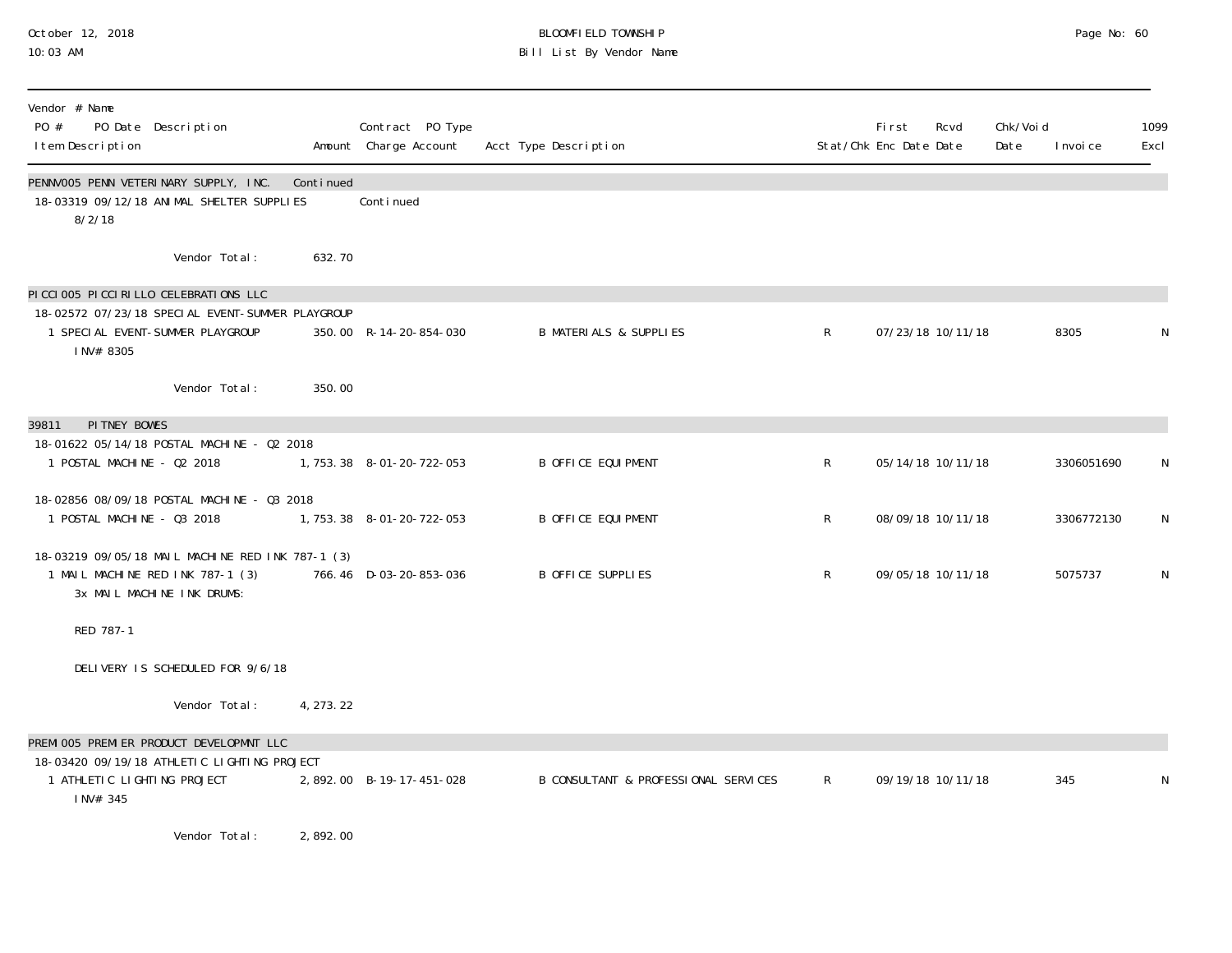# October 12, 2018 BLOOMFIELD TOWNSHIP Page No: 60 Bill List By Vendor Name

| Vendor # Name<br>PO #<br>I tem Description | PO Date Description                                                                                                          |            | Contract PO Type<br>Amount Charge Account | Acct Type Description                |              | <b>First</b><br>Stat/Chk Enc Date Date | Rcvd              | Chk/Voi d<br>Date | I nvoi ce  | 1099<br>Excl |
|--------------------------------------------|------------------------------------------------------------------------------------------------------------------------------|------------|-------------------------------------------|--------------------------------------|--------------|----------------------------------------|-------------------|-------------------|------------|--------------|
| 8/2/18                                     | PENNVOO5 PENN VETERINARY SUPPLY, INC.<br>18-03319 09/12/18 ANIMAL SHELTER SUPPLIES                                           | Continued  | Conti nued                                |                                      |              |                                        |                   |                   |            |              |
|                                            | Vendor Total:                                                                                                                | 632.70     |                                           |                                      |              |                                        |                   |                   |            |              |
| INV# 8305                                  | PICCIOO5 PICCIRILLO CELEBRATIONS LLC<br>18-02572 07/23/18 SPECIAL EVENT-SUMMER PLAYGROUP<br>1 SPECIAL EVENT-SUMMER PLAYGROUP |            | 350.00 R-14-20-854-030                    | <b>B MATERIALS &amp; SUPPLIES</b>    | $\mathsf{R}$ |                                        | 07/23/18 10/11/18 |                   | 8305       | N            |
|                                            | Vendor Total:                                                                                                                | 350.00     |                                           |                                      |              |                                        |                   |                   |            |              |
| PI TNEY BOWES<br>39811                     |                                                                                                                              |            |                                           |                                      |              |                                        |                   |                   |            |              |
| 1 POSTAL MACHINE - 02 2018                 | 18-01622 05/14/18 POSTAL MACHINE - 02 2018                                                                                   |            | 1, 753. 38 8-01-20-722-053                | <b>B OFFICE EQUIPMENT</b>            | R            |                                        | 05/14/18 10/11/18 |                   | 3306051690 | N            |
| 1 POSTAL MACHINE - 03 2018                 | 18-02856 08/09/18 POSTAL MACHINE - 03 2018                                                                                   |            | 1, 753. 38 8-01-20-722-053                | <b>B OFFICE EQUIPMENT</b>            | R            |                                        | 08/09/18 10/11/18 |                   | 3306772130 | N            |
|                                            | 18-03219 09/05/18 MAIL MACHINE RED INK 787-1 (3)<br>1 MAIL MACHINE RED INK 787-1 (3)<br>3x MAIL MACHINE INK DRUMS:           |            | 766.46 D-03-20-853-036                    | B OFFICE SUPPLIES                    | R            |                                        | 09/05/18 10/11/18 |                   | 5075737    | N            |
| RED 787-1                                  |                                                                                                                              |            |                                           |                                      |              |                                        |                   |                   |            |              |
|                                            | DELIVERY IS SCHEDULED FOR 9/6/18                                                                                             |            |                                           |                                      |              |                                        |                   |                   |            |              |
|                                            | Vendor Total:                                                                                                                | 4, 273. 22 |                                           |                                      |              |                                        |                   |                   |            |              |
| 1 ATHLETIC LIGHTING PROJECT<br>INV# 345    | PREMI 005 PREMI ER PRODUCT DEVELOPMNT LLC<br>18-03420 09/19/18 ATHLETIC LIGHTING PROJECT                                     |            | 2,892.00 B-19-17-451-028                  | B CONSULTANT & PROFESSIONAL SERVICES | $\mathsf R$  |                                        | 09/19/18 10/11/18 |                   | 345        | N            |
|                                            | Vendor Total:                                                                                                                | 2,892.00   |                                           |                                      |              |                                        |                   |                   |            |              |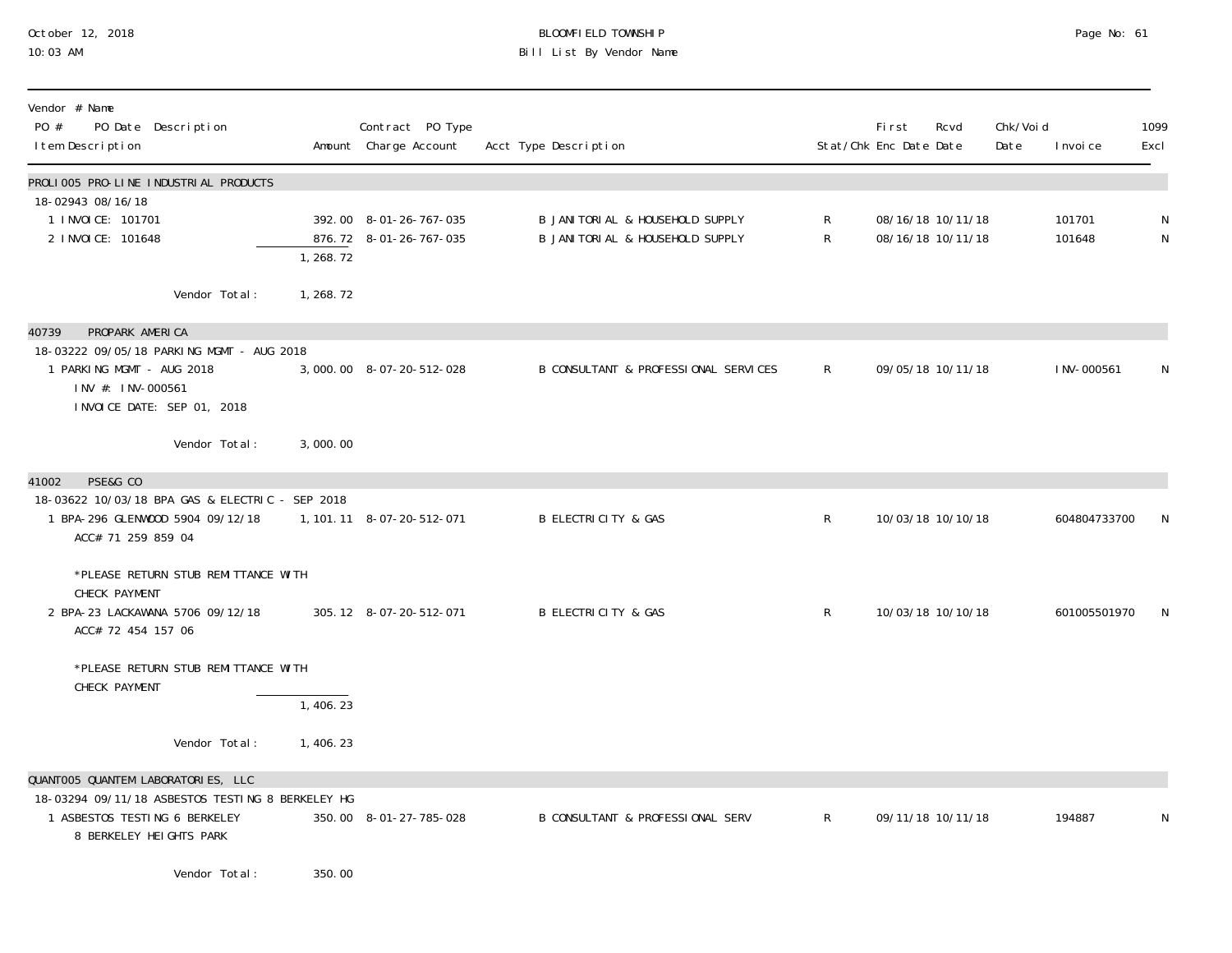# October 12, 2018 BLOOMFIELD TOWNSHIP Page No: 61 Bill List By Vendor Name

| Vendor # Name<br>PO #<br>PO Date Description<br>I tem Description                                                         |            | Contract PO Type<br>Amount Charge Account        | Acct Type Description                                                  |                              | First<br>Stat/Chk Enc Date Date | Rcvd                                   | Chk/Voi d<br>Date | I nvoi ce        | 1099<br>Excl |
|---------------------------------------------------------------------------------------------------------------------------|------------|--------------------------------------------------|------------------------------------------------------------------------|------------------------------|---------------------------------|----------------------------------------|-------------------|------------------|--------------|
| PROLIOO5 PRO-LINE INDUSTRIAL PRODUCTS                                                                                     |            |                                                  |                                                                        |                              |                                 |                                        |                   |                  |              |
| 18-02943 08/16/18<br>1 I NVOI CE: 101701<br>2 I NVOI CE: 101648                                                           | 1, 268.72  | 392.00 8-01-26-767-035<br>876.72 8-01-26-767-035 | B JANI TORI AL & HOUSEHOLD SUPPLY<br>B JANI TORI AL & HOUSEHOLD SUPPLY | $\mathsf{R}$<br>$\mathsf{R}$ |                                 | 08/16/18 10/11/18<br>08/16/18 10/11/18 |                   | 101701<br>101648 | N<br>N       |
| Vendor Total:                                                                                                             | 1, 268. 72 |                                                  |                                                                        |                              |                                 |                                        |                   |                  |              |
| PROPARK AMERICA<br>40739                                                                                                  |            |                                                  |                                                                        |                              |                                 |                                        |                   |                  |              |
| 18-03222 09/05/18 PARKING MGMT - AUG 2018<br>1 PARKING MGMT - AUG 2018<br>INV #: INV-000561<br>INVOICE DATE: SEP 01, 2018 |            | 3,000.00 8-07-20-512-028                         | B CONSULTANT & PROFESSIONAL SERVICES                                   | $\mathsf{R}$                 |                                 | 09/05/18 10/11/18                      |                   | I NV-000561      | N            |
| Vendor Total:                                                                                                             | 3,000.00   |                                                  |                                                                        |                              |                                 |                                        |                   |                  |              |
| PSE&G CO<br>41002                                                                                                         |            |                                                  |                                                                        |                              |                                 |                                        |                   |                  |              |
| 18-03622 10/03/18 BPA GAS & ELECTRIC - SEP 2018<br>1 BPA-296 GLENWOOD 5904 09/12/18<br>ACC# 71 259 859 04                 |            | 1, 101. 11 8-07-20-512-071                       | <b>B ELECTRICITY &amp; GAS</b>                                         | $\mathsf{R}$                 |                                 | 10/03/18 10/10/18                      |                   | 604804733700     | N            |
| *PLEASE RETURN STUB REMITTANCE WITH                                                                                       |            |                                                  |                                                                        |                              |                                 |                                        |                   |                  |              |
| CHECK PAYMENT<br>2 BPA-23 LACKAWANA 5706 09/12/18<br>ACC# 72 454 157 06                                                   |            | 305.12 8-07-20-512-071                           | <b>B ELECTRICITY &amp; GAS</b>                                         | $\mathsf{R}$                 |                                 | 10/03/18 10/10/18                      |                   | 601005501970     | N            |
| *PLEASE RETURN STUB REMITTANCE WITH                                                                                       |            |                                                  |                                                                        |                              |                                 |                                        |                   |                  |              |
| CHECK PAYMENT                                                                                                             | 1,406.23   |                                                  |                                                                        |                              |                                 |                                        |                   |                  |              |
| Vendor Total:                                                                                                             | 1,406.23   |                                                  |                                                                        |                              |                                 |                                        |                   |                  |              |
| QUANTOO5 QUANTEM LABORATORIES, LLC                                                                                        |            |                                                  |                                                                        |                              |                                 |                                        |                   |                  |              |
| 18-03294 09/11/18 ASBESTOS TESTING 8 BERKELEY HG<br>1 ASBESTOS TESTING 6 BERKELEY<br>8 BERKELEY HEIGHTS PARK              |            | 350.00 8-01-27-785-028                           | <b>B CONSULTANT &amp; PROFESSIONAL SERV</b>                            | $\mathsf{R}^-$               |                                 | 09/11/18 10/11/18                      |                   | 194887           | N            |
| Vendor Total:                                                                                                             | 350.00     |                                                  |                                                                        |                              |                                 |                                        |                   |                  |              |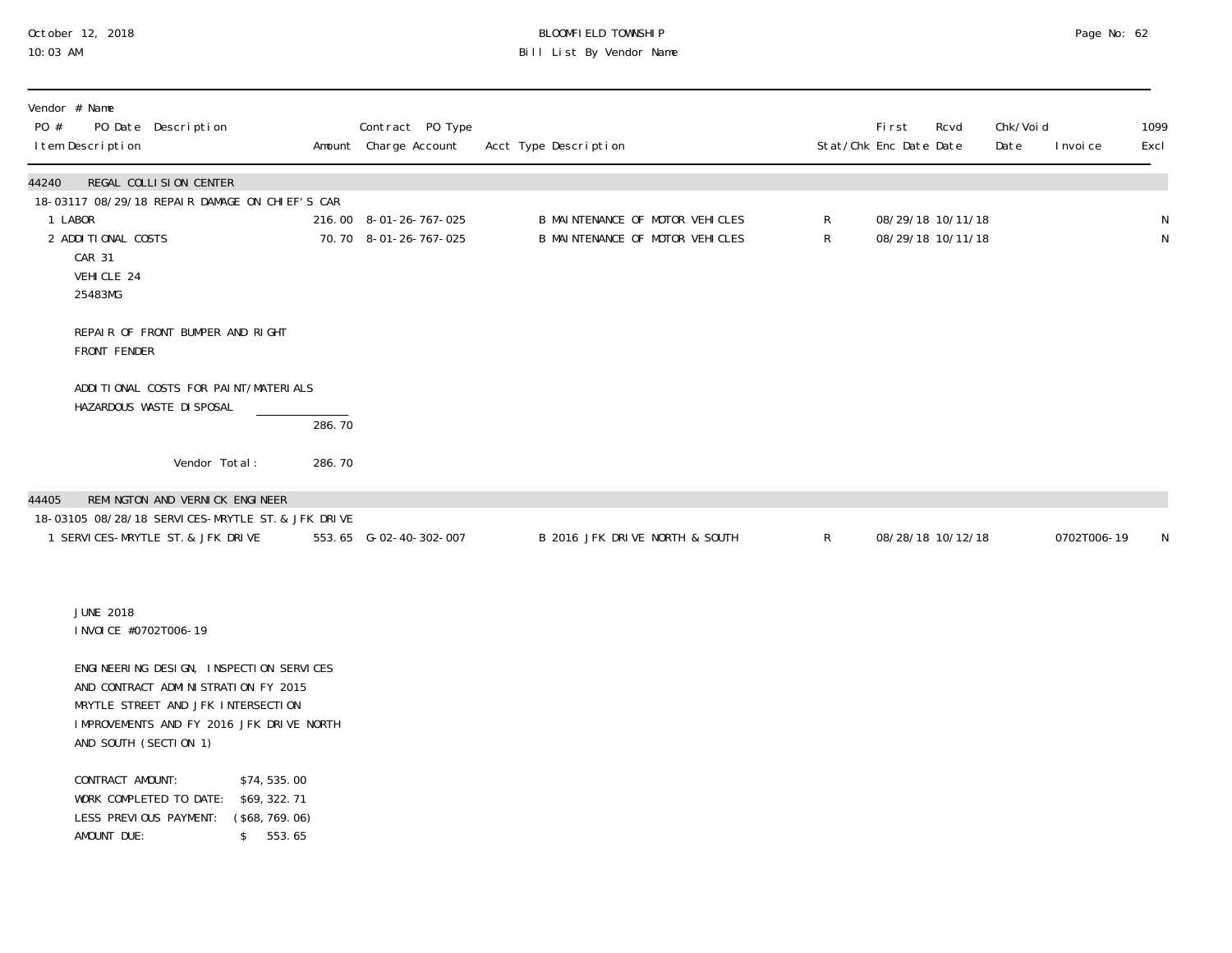# October 12, 2018 BLOOMFIELD TOWNSHIP Page No: 62 10:03 AM Bill List By Vendor Name

| Vendor # Name<br>PO #<br>PO Date Description<br>I tem Description                                                                                                                         |        | Contract PO Type<br>Amount Charge Account       | Acct Type Description                                              |                | First<br>Stat/Chk Enc Date Date | Rcvd                                   | Chk/Void<br>Date | I nvoi ce   | 1099<br>Excl                |
|-------------------------------------------------------------------------------------------------------------------------------------------------------------------------------------------|--------|-------------------------------------------------|--------------------------------------------------------------------|----------------|---------------------------------|----------------------------------------|------------------|-------------|-----------------------------|
| 44240<br>REGAL COLLISION CENTER<br>18-03117 08/29/18 REPAIR DAMAGE ON CHIEF'S CAR<br>1 LABOR<br>2 ADDITIONAL COSTS<br>CAR 31<br>VEHICLE 24<br>25483MG                                     |        | 216.00 8-01-26-767-025<br>70.70 8-01-26-767-025 | B MAINTENANCE OF MOTOR VEHICLES<br>B MAINTENANCE OF MOTOR VEHICLES | ${\sf R}$<br>R |                                 | 08/29/18 10/11/18<br>08/29/18 10/11/18 |                  |             | $\mathsf N$<br>$\mathsf{N}$ |
| REPAIR OF FRONT BUMPER AND RIGHT<br>FRONT FENDER                                                                                                                                          |        |                                                 |                                                                    |                |                                 |                                        |                  |             |                             |
| ADDITIONAL COSTS FOR PAINT/MATERIALS<br>HAZARDOUS WASTE DI SPOSAL                                                                                                                         | 286.70 |                                                 |                                                                    |                |                                 |                                        |                  |             |                             |
| Vendor Total:                                                                                                                                                                             | 286.70 |                                                 |                                                                    |                |                                 |                                        |                  |             |                             |
| REMINGTON AND VERNICK ENGINEER<br>44405<br>18-03105 08/28/18 SERVICES-MRYTLE ST. & JFK DRIVE<br>1 SERVICES-MRYTLE ST. & JFK DRIVE                                                         |        | 553.65 G-02-40-302-007                          | B 2016 JFK DRIVE NORTH & SOUTH                                     | $\mathsf{R}$   |                                 | 08/28/18 10/12/18                      |                  | 0702T006-19 | N                           |
| <b>JUNE 2018</b><br>I NVOI CE #0702T006-19                                                                                                                                                |        |                                                 |                                                                    |                |                                 |                                        |                  |             |                             |
| ENGINEERING DESIGN, INSPECTION SERVICES<br>AND CONTRACT ADMINISTRATION FY 2015<br>MRYTLE STREET AND JFK INTERSECTION<br>IMPROVEMENTS AND FY 2016 JFK DRIVE NORTH<br>AND SOUTH (SECTION 1) |        |                                                 |                                                                    |                |                                 |                                        |                  |             |                             |
| CONTRACT AMOUNT:<br>\$74,535.00<br>\$69, 322. 71<br>WORK COMPLETED TO DATE:<br>LESS PREVIOUS PAYMENT:<br>(\$68, 769.06)<br>AMOUNT DUE:<br>\$553.65                                        |        |                                                 |                                                                    |                |                                 |                                        |                  |             |                             |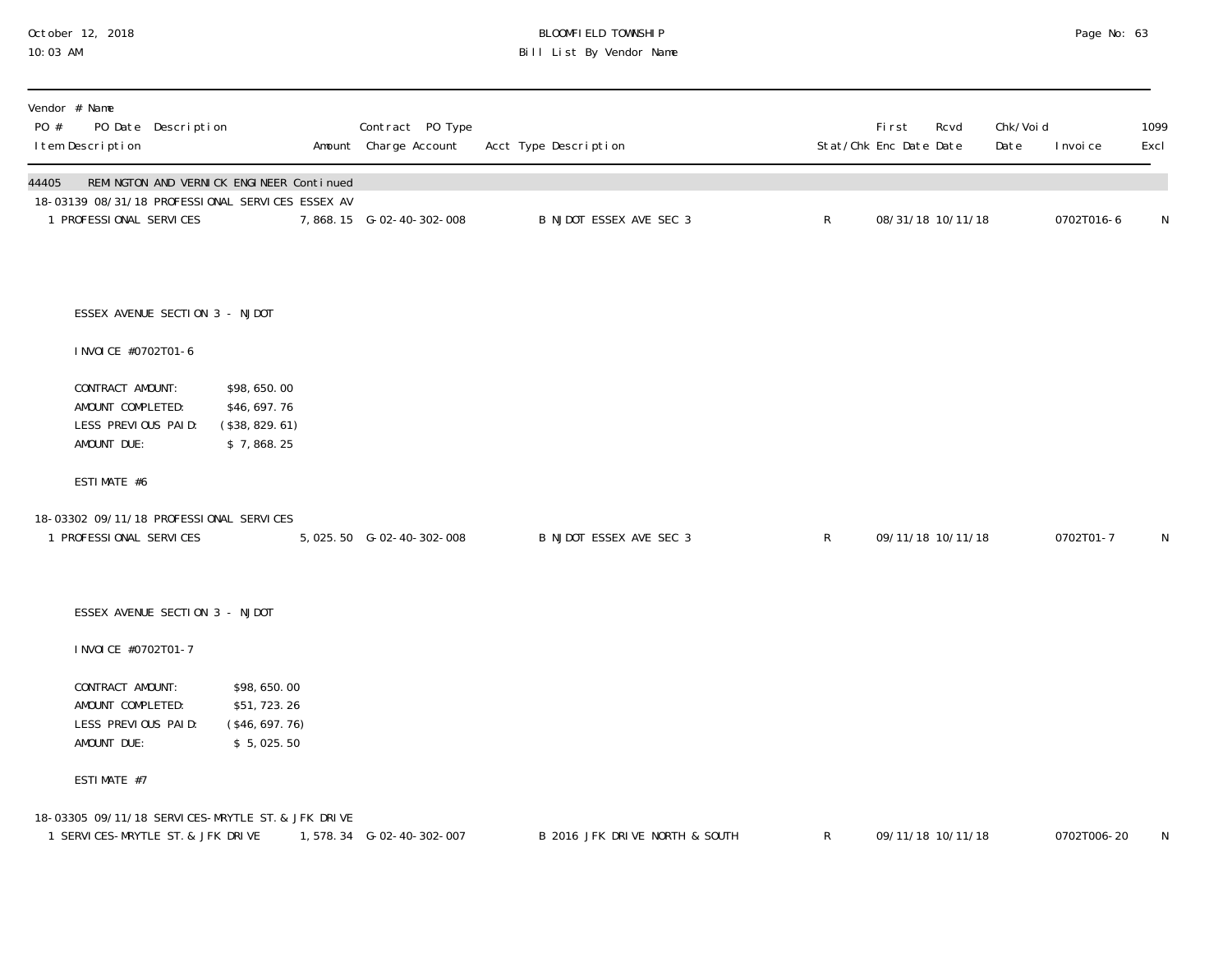# October 12, 2018 BLOOMFIELD TOWNSHIP Page No: 63 10:03 AM Bill List By Vendor Name

| PO #  | Vendor # Name<br>I tem Description                                                     | PO Date Description            |                                                             | Contract PO Type<br>Amount Charge Account | Acct Type Description          |              | First<br>Stat/Chk Enc Date Date | Rcvd | Chk/Voi d<br>Date | I nvoi ce   | 1099<br>Excl |
|-------|----------------------------------------------------------------------------------------|--------------------------------|-------------------------------------------------------------|-------------------------------------------|--------------------------------|--------------|---------------------------------|------|-------------------|-------------|--------------|
| 44405 | 18-03139 08/31/18 PROFESSIONAL SERVICES ESSEX AV<br>1 PROFESSIONAL SERVICES            |                                | REMINGTON AND VERNICK ENGINEER Continued                    | 7,868.15 G-02-40-302-008                  | B NJDOT ESSEX AVE SEC 3        | $\mathsf{R}$ | 08/31/18 10/11/18               |      |                   | 0702T016-6  | $\mathsf N$  |
|       |                                                                                        | ESSEX AVENUE SECTION 3 - NJDOT |                                                             |                                           |                                |              |                                 |      |                   |             |              |
|       | I NVOI CE #0702T01-6                                                                   |                                |                                                             |                                           |                                |              |                                 |      |                   |             |              |
|       | CONTRACT AMOUNT:<br>AMOUNT COMPLETED:<br>LESS PREVIOUS PAID:<br>AMOUNT DUE:            |                                | \$98,650.00<br>\$46,697.76<br>(\$38, 829. 61)<br>\$7,868.25 |                                           |                                |              |                                 |      |                   |             |              |
|       | ESTIMATE #6                                                                            |                                |                                                             |                                           |                                |              |                                 |      |                   |             |              |
|       | 18-03302 09/11/18 PROFESSIONAL SERVICES<br>1 PROFESSIONAL SERVICES                     |                                |                                                             |                                           | B NJDOT ESSEX AVE SEC 3        | $\mathsf{R}$ | 09/11/18 10/11/18               |      |                   | 0702T01-7   | N            |
|       |                                                                                        | ESSEX AVENUE SECTION 3 - NJDOT |                                                             |                                           |                                |              |                                 |      |                   |             |              |
|       | I NVOI CE #0702T01-7                                                                   |                                |                                                             |                                           |                                |              |                                 |      |                   |             |              |
|       | CONTRACT AMOUNT:<br>AMOUNT COMPLETED:<br>LESS PREVIOUS PAID:<br>AMOUNT DUE:            |                                | \$98,650.00<br>\$51,723.26<br>(\$46, 697.76)<br>\$5,025.50  |                                           |                                |              |                                 |      |                   |             |              |
|       | ESTIMATE #7                                                                            |                                |                                                             |                                           |                                |              |                                 |      |                   |             |              |
|       | 18-03305 09/11/18 SERVICES-MRYTLE ST. & JFK DRIVE<br>1 SERVICES-MRYTLE ST. & JFK DRIVE |                                |                                                             | 1,578.34 G-02-40-302-007                  | B 2016 JFK DRIVE NORTH & SOUTH | $\mathsf{R}$ | 09/11/18 10/11/18               |      |                   | 0702T006-20 | N            |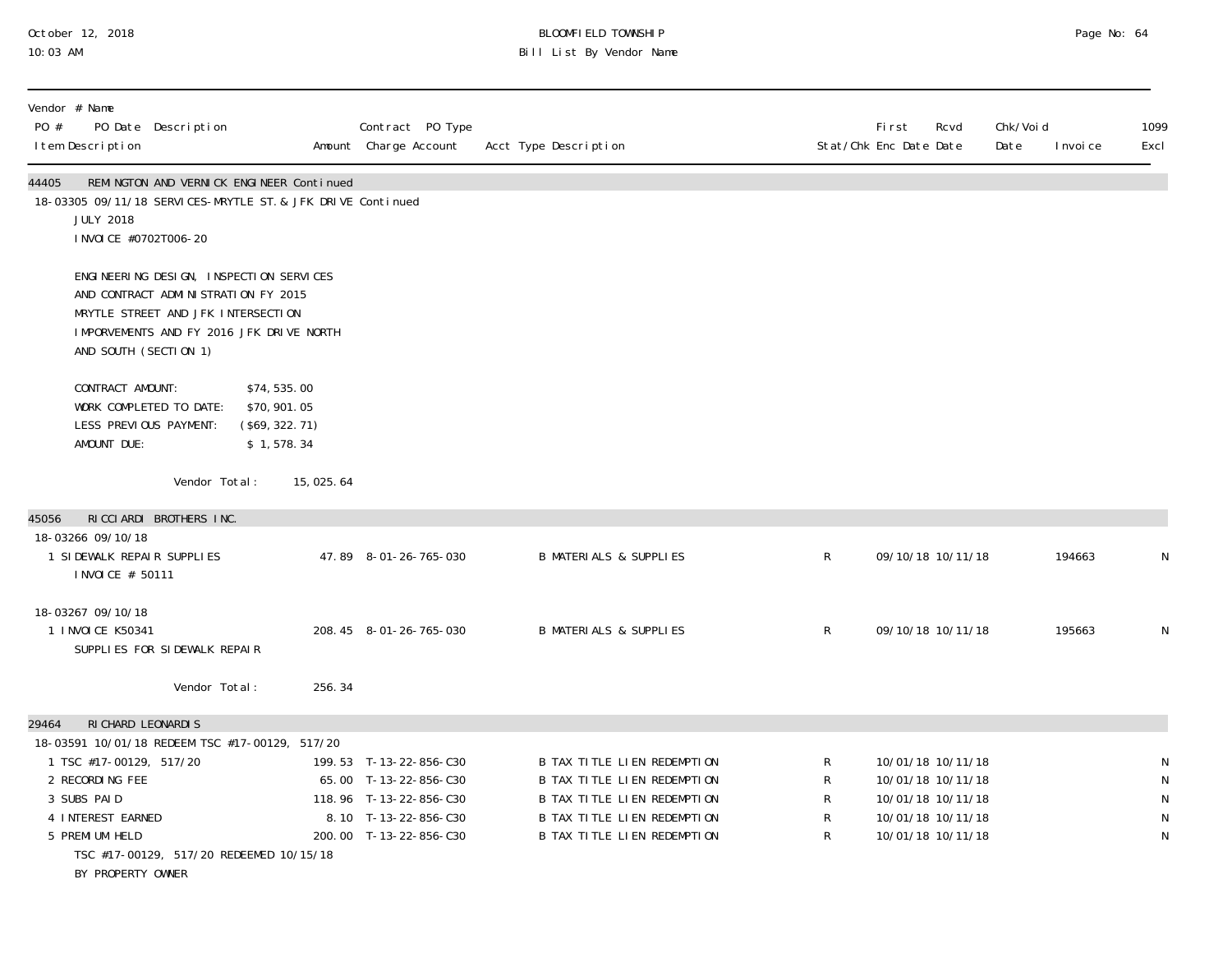## October 12, 2018 BLOOMFIELD TOWNSHIP Page No: 64 10:03 AM Bill List By Vendor Name

| Vendor # Name<br>PO #<br>I tem Description                             | PO Date Description                                                                                                                                                                       |                                                                                                         | Contract PO Type<br>Amount Charge Account                                                                                   | Acct Type Description                                                                                                                                   |                                 | <b>First</b><br>Rcvd<br>Stat/Chk Enc Date Date                                                        | Chk/Voi d<br>Date | 1099<br>I nvoi ce<br>Excl                |
|------------------------------------------------------------------------|-------------------------------------------------------------------------------------------------------------------------------------------------------------------------------------------|---------------------------------------------------------------------------------------------------------|-----------------------------------------------------------------------------------------------------------------------------|---------------------------------------------------------------------------------------------------------------------------------------------------------|---------------------------------|-------------------------------------------------------------------------------------------------------|-------------------|------------------------------------------|
| 44405<br><b>JULY 2018</b>                                              | I NVOI CE #0702T006-20                                                                                                                                                                    | REMINGTON AND VERNICK ENGINEER Continued<br>18-03305 09/11/18 SERVICES-MRYTLE ST. & JFK DRIVE Continued |                                                                                                                             |                                                                                                                                                         |                                 |                                                                                                       |                   |                                          |
|                                                                        | ENGINEERING DESIGN, INSPECTION SERVICES<br>AND CONTRACT ADMINISTRATION FY 2015<br>MRYTLE STREET AND JFK INTERSECTION<br>IMPORVEMENTS AND FY 2016 JFK DRIVE NORTH<br>AND SOUTH (SECTION 1) |                                                                                                         |                                                                                                                             |                                                                                                                                                         |                                 |                                                                                                       |                   |                                          |
| AMOUNT DUE:                                                            | CONTRACT AMOUNT:<br>WORK COMPLETED TO DATE:<br>LESS PREVIOUS PAYMENT:                                                                                                                     | \$74,535.00<br>\$70,901.05<br>(\$69, 322. 71)<br>\$1,578.34                                             |                                                                                                                             |                                                                                                                                                         |                                 |                                                                                                       |                   |                                          |
|                                                                        | Vendor Total:                                                                                                                                                                             | 15,025.64                                                                                               |                                                                                                                             |                                                                                                                                                         |                                 |                                                                                                       |                   |                                          |
| 45056                                                                  | RICCIARDI BROTHERS INC.                                                                                                                                                                   |                                                                                                         |                                                                                                                             |                                                                                                                                                         |                                 |                                                                                                       |                   |                                          |
| 18-03266 09/10/18                                                      | 1 SIDEWALK REPAIR SUPPLIES<br>I NVOI CE # 50111                                                                                                                                           |                                                                                                         | 47.89 8-01-26-765-030                                                                                                       | <b>B MATERIALS &amp; SUPPLIES</b>                                                                                                                       | $\mathsf R$                     | 09/10/18 10/11/18                                                                                     |                   | N<br>194663                              |
| 18-03267 09/10/18<br>1 INVOICE K50341                                  | SUPPLIES FOR SIDEWALK REPAIR                                                                                                                                                              |                                                                                                         | 208.45 8-01-26-765-030                                                                                                      | <b>B MATERIALS &amp; SUPPLIES</b>                                                                                                                       | $\mathsf R$                     | 09/10/18 10/11/18                                                                                     |                   | 195663<br>N                              |
|                                                                        | Vendor Total:                                                                                                                                                                             | 256.34                                                                                                  |                                                                                                                             |                                                                                                                                                         |                                 |                                                                                                       |                   |                                          |
| 29464                                                                  | RI CHARD LEONARDIS                                                                                                                                                                        |                                                                                                         |                                                                                                                             |                                                                                                                                                         |                                 |                                                                                                       |                   |                                          |
| 2 RECORDING FEE<br>3 SUBS PAID<br>4 INTEREST EARNED<br>5 PREMI UM HELD | 18-03591 10/01/18 REDEEM TSC #17-00129, 517/20<br>1 TSC #17-00129, 517/20<br>TSC #17-00129, 517/20 REDEEMED 10/15/18<br>BY PROPERTY OWNER                                                 |                                                                                                         | 199.53 T-13-22-856-C30<br>65.00 T-13-22-856-C30<br>118.96 T-13-22-856-C30<br>8.10 T-13-22-856-C30<br>200.00 T-13-22-856-C30 | B TAX TITLE LIEN REDEMPTION<br>B TAX TITLE LIEN REDEMPTION<br>B TAX TITLE LIEN REDEMPTION<br>B TAX TITLE LIEN REDEMPTION<br>B TAX TITLE LIEN REDEMPTION | R<br>R<br>$\mathsf R$<br>R<br>R | 10/01/18 10/11/18<br>10/01/18 10/11/18<br>10/01/18 10/11/18<br>10/01/18 10/11/18<br>10/01/18 10/11/18 |                   | N<br>$\mathsf{N}$<br>${\sf N}$<br>N<br>N |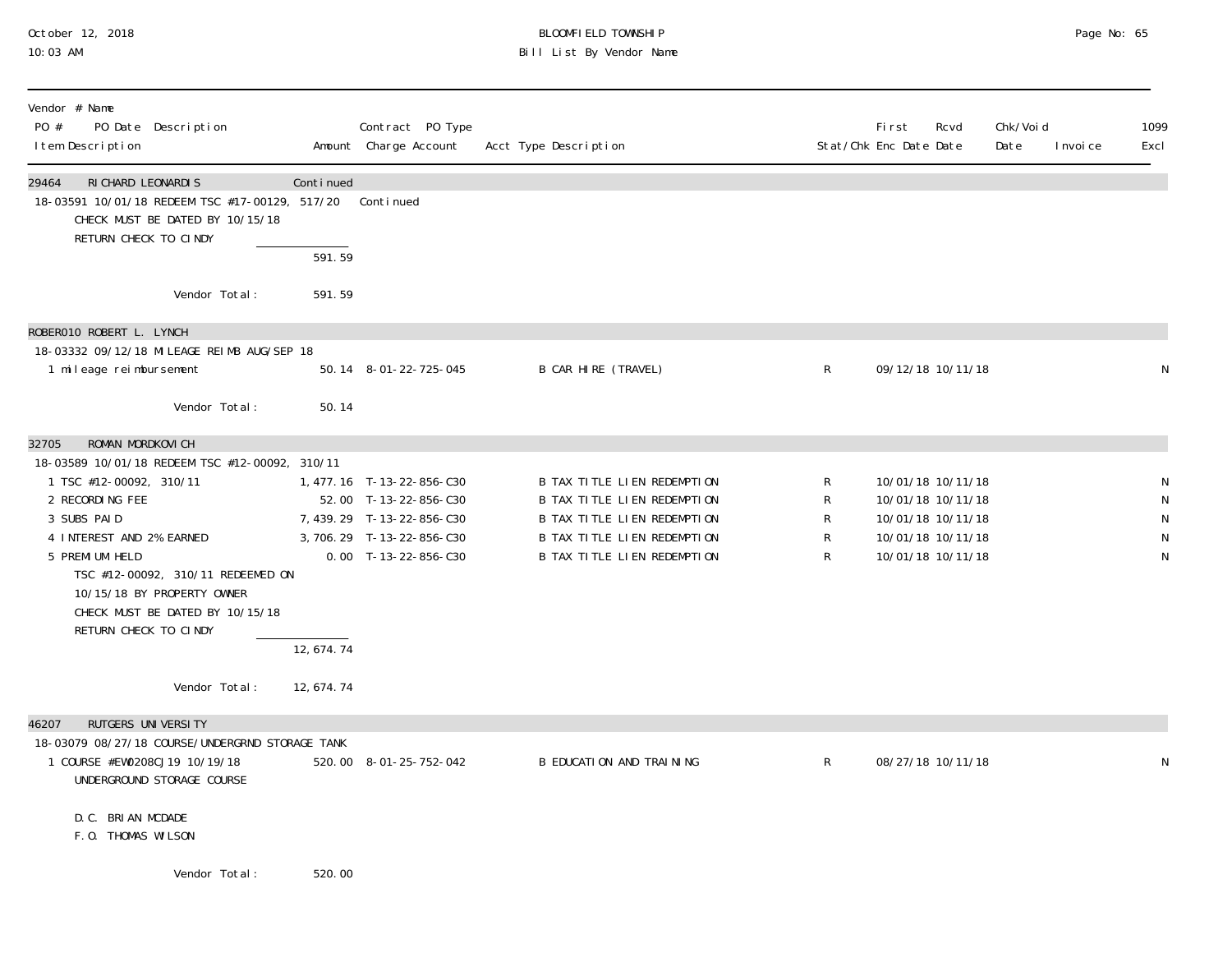# October 12, 2018 BLOOMFIELD TOWNSHIP Page No: 65 10:03 AM Bill List By Vendor Name

| Vendor # Name<br>PO #<br>PO Date Description<br>I tem Description                                                           |                     | Contract PO Type<br>Amount Charge Account                | Acct Type Description                                      |             | <b>First</b><br>Stat/Chk Enc Date Date | Rcvd                                   | Chk/Voi d<br>Date | I nvoi ce | 1099<br>Excl |
|-----------------------------------------------------------------------------------------------------------------------------|---------------------|----------------------------------------------------------|------------------------------------------------------------|-------------|----------------------------------------|----------------------------------------|-------------------|-----------|--------------|
| 29464<br>RI CHARD LEONARDI S<br>18-03591 10/01/18 REDEEM TSC #17-00129, 517/20 Continued<br>CHECK MUST BE DATED BY 10/15/18 | Continued           |                                                          |                                                            |             |                                        |                                        |                   |           |              |
| RETURN CHECK TO CINDY                                                                                                       | $\overline{591.59}$ |                                                          |                                                            |             |                                        |                                        |                   |           |              |
| Vendor Total:                                                                                                               | 591.59              |                                                          |                                                            |             |                                        |                                        |                   |           |              |
| ROBERO10 ROBERT L. LYNCH                                                                                                    |                     |                                                          |                                                            |             |                                        |                                        |                   |           |              |
| 18-03332 09/12/18 MILEAGE REIMB AUG/SEP 18<br>1 mileage reimbursement                                                       |                     | 50.14 8-01-22-725-045                                    | B CAR HIRE (TRAVEL)                                        | $\mathsf R$ |                                        | 09/12/18 10/11/18                      |                   |           | N            |
| Vendor Total:                                                                                                               | 50.14               |                                                          |                                                            |             |                                        |                                        |                   |           |              |
| ROMAN MORDKOVICH<br>32705                                                                                                   |                     |                                                          |                                                            |             |                                        |                                        |                   |           |              |
| 18-03589 10/01/18 REDEEM TSC #12-00092, 310/11<br>1 TSC #12-00092, 310/11                                                   |                     | 1,477.16 T-13-22-856-C30                                 | <b>B TAX TITLE LIEN REDEMPTION</b>                         | R           |                                        | 10/01/18 10/11/18                      |                   |           |              |
| 2 RECORDING FEE                                                                                                             |                     | 52.00 T-13-22-856-C30                                    | <b>B TAX TITLE LIEN REDEMPTION</b>                         | R           |                                        | 10/01/18 10/11/18                      |                   |           |              |
| 3 SUBS PAID<br>4 INTEREST AND 2% EARNED                                                                                     |                     | 7, 439. 29 T-13-22-856-C30<br>3, 706. 29 T-13-22-856-C30 | B TAX TITLE LIEN REDEMPTION<br>B TAX TITLE LIEN REDEMPTION | R<br>R      |                                        | 10/01/18 10/11/18<br>10/01/18 10/11/18 |                   |           | N            |
| 5 PREMI UM HELD                                                                                                             |                     | $0.00$ T-13-22-856-C30                                   | <b>B TAX TITLE LIEN REDEMPTION</b>                         | R           |                                        | 10/01/18 10/11/18                      |                   |           | N            |
| TSC #12-00092, 310/11 REDEEMED ON                                                                                           |                     |                                                          |                                                            |             |                                        |                                        |                   |           |              |
| 10/15/18 BY PROPERTY OWNER<br>CHECK MUST BE DATED BY 10/15/18                                                               |                     |                                                          |                                                            |             |                                        |                                        |                   |           |              |
| RETURN CHECK TO CINDY                                                                                                       |                     |                                                          |                                                            |             |                                        |                                        |                   |           |              |
|                                                                                                                             | 12,674.74           |                                                          |                                                            |             |                                        |                                        |                   |           |              |
| Vendor Total:                                                                                                               | 12, 674. 74         |                                                          |                                                            |             |                                        |                                        |                   |           |              |
| RUTGERS UNIVERSITY<br>46207                                                                                                 |                     |                                                          |                                                            |             |                                        |                                        |                   |           |              |
| 18-03079 08/27/18 COURSE/UNDERGRND STORAGE TANK<br>1 COURSE #EW0208CJ19 10/19/18<br>UNDERGROUND STORAGE COURSE              |                     | 520.00 8-01-25-752-042                                   | B EDUCATION AND TRAINING                                   | R           |                                        | 08/27/18 10/11/18                      |                   |           | N            |
| D. C. BRI AN MCDADE<br>F.O. THOMAS WILSON                                                                                   |                     |                                                          |                                                            |             |                                        |                                        |                   |           |              |
| Vendor Total:                                                                                                               | 520.00              |                                                          |                                                            |             |                                        |                                        |                   |           |              |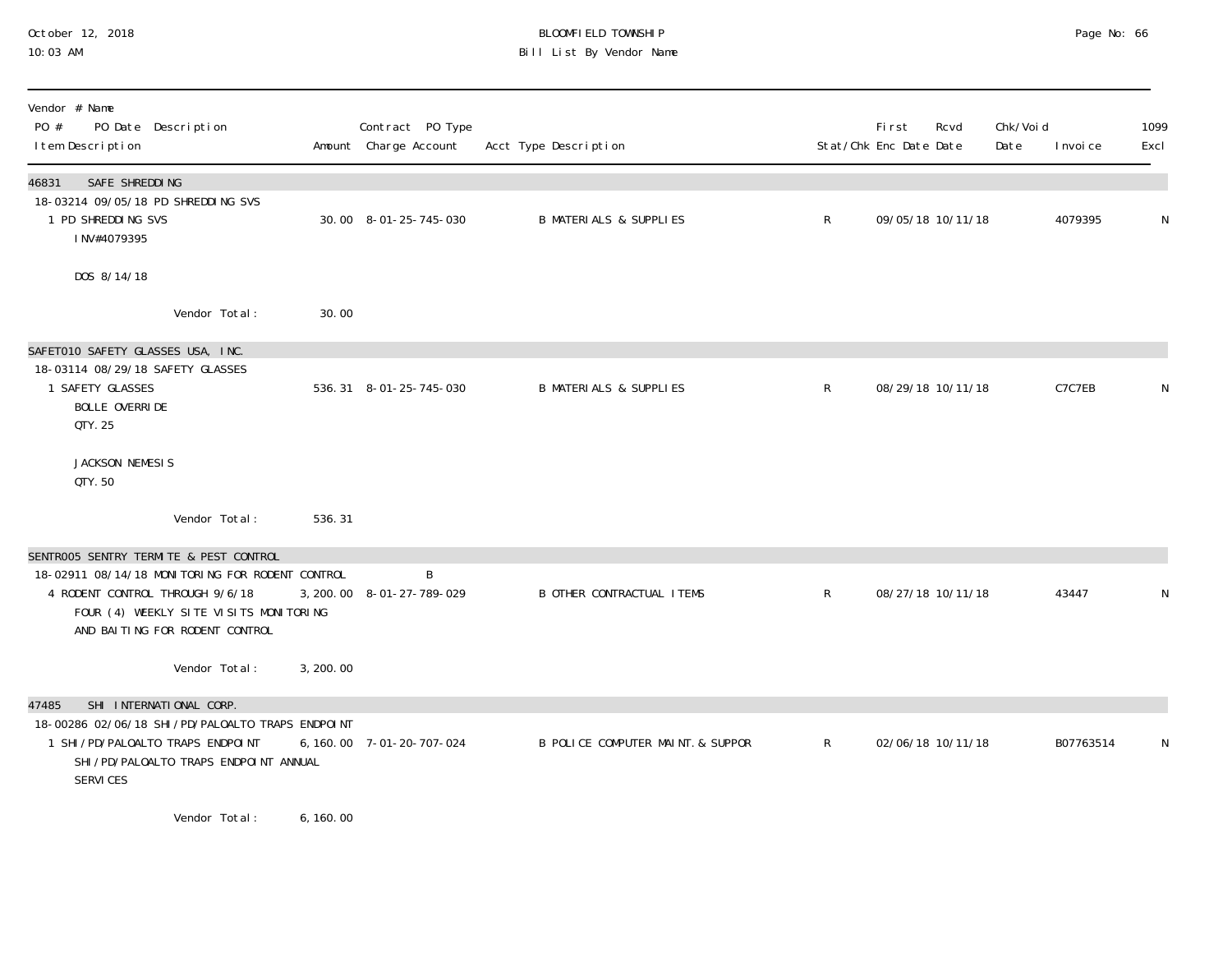# October 12, 2018 BLOOMFIELD TOWNSHIP Page No: 66 10:03 AM Bill List By Vendor Name

| Vendor # Name<br>PO #<br>PO Date Description<br>I tem Description                                                                                              |           | Contract PO Type<br>Amount Charge Account | Acct Type Description             |              | <b>First</b><br>Rcvd<br>Stat/Chk Enc Date Date | Chk/Void<br>Date | I nvoi ce | 1099<br>Excl |
|----------------------------------------------------------------------------------------------------------------------------------------------------------------|-----------|-------------------------------------------|-----------------------------------|--------------|------------------------------------------------|------------------|-----------|--------------|
| SAFE SHREDDING<br>46831                                                                                                                                        |           |                                           |                                   |              |                                                |                  |           |              |
| 18-03214 09/05/18 PD SHREDDING SVS<br>1 PD SHREDDING SVS<br>INV#4079395                                                                                        |           | 30.00 8-01-25-745-030                     | <b>B MATERIALS &amp; SUPPLIES</b> | $\mathsf{R}$ | 09/05/18 10/11/18                              |                  | 4079395   | N            |
| DOS 8/14/18                                                                                                                                                    |           |                                           |                                   |              |                                                |                  |           |              |
| Vendor Total:                                                                                                                                                  | 30.00     |                                           |                                   |              |                                                |                  |           |              |
| SAFET010 SAFETY GLASSES USA, INC.                                                                                                                              |           |                                           |                                   |              |                                                |                  |           |              |
| 18-03114 08/29/18 SAFETY GLASSES<br>1 SAFETY GLASSES<br>BOLLE OVERRIDE<br>QTY. 25                                                                              |           | 536.31 8-01-25-745-030                    | <b>B MATERIALS &amp; SUPPLIES</b> | $\mathsf{R}$ | 08/29/18 10/11/18                              |                  | C7C7EB    | N            |
| JACKSON NEMESIS<br>QTY, 50                                                                                                                                     |           |                                           |                                   |              |                                                |                  |           |              |
| Vendor Total:                                                                                                                                                  | 536.31    |                                           |                                   |              |                                                |                  |           |              |
| SENTROO5 SENTRY TERMITE & PEST CONTROL                                                                                                                         |           |                                           |                                   |              |                                                |                  |           |              |
| 18-02911 08/14/18 MONITORING FOR RODENT CONTROL<br>4 RODENT CONTROL THROUGH 9/6/18<br>FOUR (4) WEEKLY SITE VISITS MONITORING<br>AND BAITING FOR RODENT CONTROL |           | B<br>3, 200. 00 8-01-27-789-029           | <b>B OTHER CONTRACTUAL ITEMS</b>  | $\mathsf{R}$ | 08/27/18 10/11/18                              |                  | 43447     | N            |
| Vendor Total:                                                                                                                                                  | 3, 200.00 |                                           |                                   |              |                                                |                  |           |              |
| SHI INTERNATIONAL CORP.<br>47485                                                                                                                               |           |                                           |                                   |              |                                                |                  |           |              |
| 18-00286 02/06/18 SHI /PD/PALOALTO TRAPS ENDPOINT<br>1 SHI / PD/PALOALTO TRAPS ENDPOINT<br>SHI /PD/PALOALTO TRAPS ENDPOINT ANNUAL<br>SERVICES                  | 6, 160.00 | 7-01-20-707-024                           | B POLICE COMPUTER MAINT. & SUPPOR | $\mathsf{R}$ | 02/06/18 10/11/18                              |                  | B07763514 | N            |
|                                                                                                                                                                | .         |                                           |                                   |              |                                                |                  |           |              |

Vendor Total: 6,160.00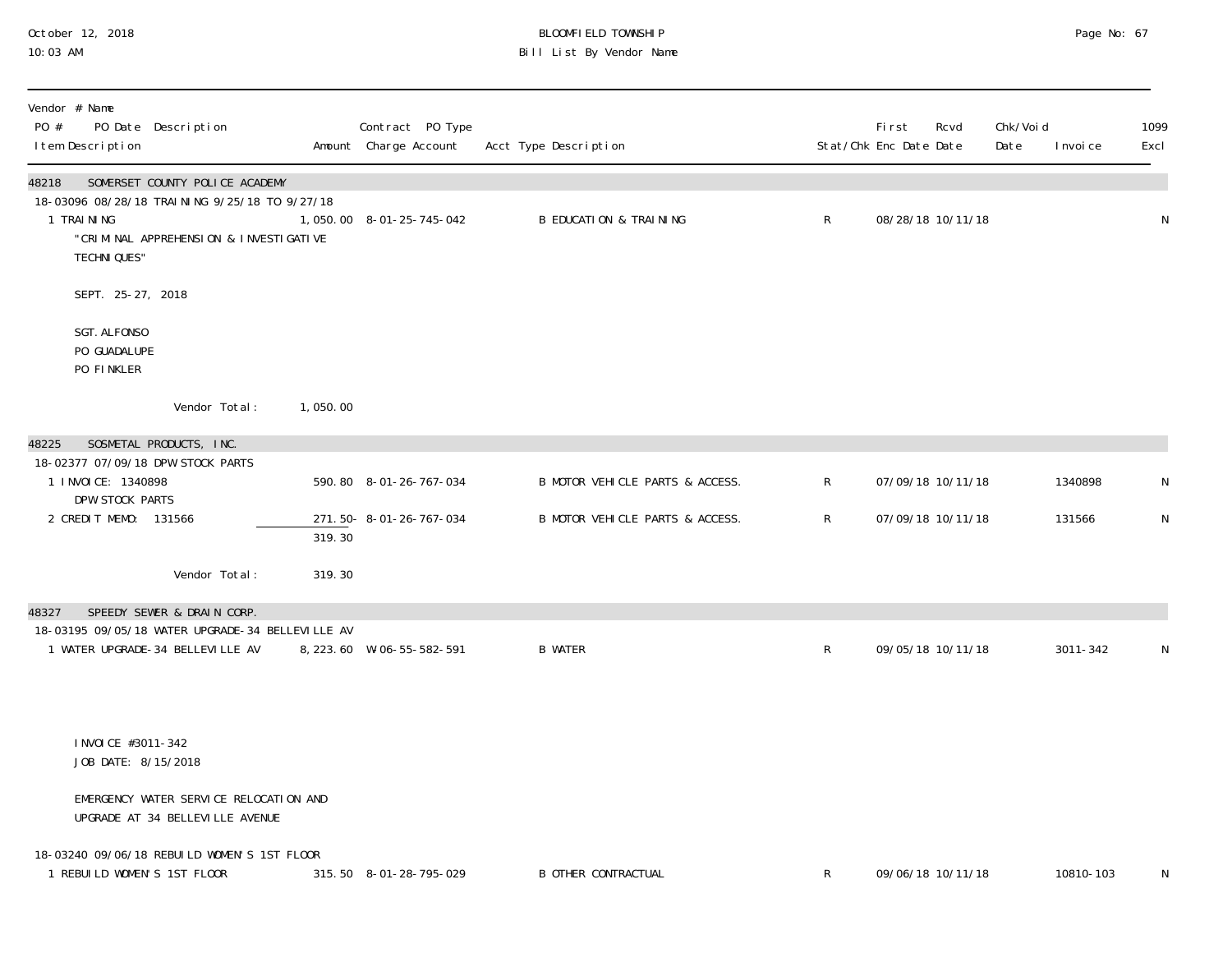## October 12, 2018 BLOOMFIELD TOWNSHIP Page No: 67 10:03 AM Bill List By Vendor Name

| Vendor # Name<br>PO #<br>I tem Description                                   | PO Date Description                                                                                                       |          | Contract PO Type<br>Amount Charge Account | Acct Type Description             |              | First<br>Rcvd<br>Stat/Chk Enc Date Date | Chk/Voi d<br>Date | 1099<br>Excl<br>I nvoi ce |
|------------------------------------------------------------------------------|---------------------------------------------------------------------------------------------------------------------------|----------|-------------------------------------------|-----------------------------------|--------------|-----------------------------------------|-------------------|---------------------------|
| 48218<br>1 TRAINING<br><b>TECHNI QUES"</b>                                   | SOMERSET COUNTY POLICE ACADEMY<br>18-03096 08/28/18 TRAINING 9/25/18 TO 9/27/18<br>"CRIMINAL APPREHENSION & INVESTIGATIVE |          | 1,050.00 8-01-25-745-042                  | <b>B EDUCATION &amp; TRAINING</b> | R            | 08/28/18 10/11/18                       |                   | N                         |
| SEPT. 25-27, 2018                                                            |                                                                                                                           |          |                                           |                                   |              |                                         |                   |                           |
| SGT. ALFONSO<br>PO GUADALUPE<br>PO FINKLER                                   |                                                                                                                           |          |                                           |                                   |              |                                         |                   |                           |
|                                                                              | Vendor Total:                                                                                                             | 1,050.00 |                                           |                                   |              |                                         |                   |                           |
| 48225                                                                        | SOSMETAL PRODUCTS, INC.                                                                                                   |          |                                           |                                   |              |                                         |                   |                           |
| 18-02377 07/09/18 DPW STOCK PARTS<br>1 I NVOI CE: 1340898<br>DPW STOCK PARTS |                                                                                                                           |          | 590.80 8-01-26-767-034                    | B MOTOR VEHICLE PARTS & ACCESS.   | R            | 07/09/18 10/11/18                       |                   | 1340898<br>N              |
| 2 CREDIT MEMO: 131566                                                        |                                                                                                                           | 319.30   | 271.50-8-01-26-767-034                    | B MOTOR VEHICLE PARTS & ACCESS.   | R            | 07/09/18 10/11/18                       |                   | ${\sf N}$<br>131566       |
|                                                                              | Vendor Total:                                                                                                             | 319.30   |                                           |                                   |              |                                         |                   |                           |
| 48327                                                                        | SPEEDY SEWER & DRAIN CORP.                                                                                                |          |                                           |                                   |              |                                         |                   |                           |
|                                                                              | 18-03195 09/05/18 WATER UPGRADE-34 BELLEVILLE AV<br>1 WATER UPGRADE-34 BELLEVILLE AV                                      |          | 8, 223.60 W-06-55-582-591                 | <b>B WATER</b>                    | $\mathsf R$  | 09/05/18 10/11/18                       |                   | 3011-342<br>N             |
| I NVOI CE #3011-342<br>JOB DATE: 8/15/2018                                   |                                                                                                                           |          |                                           |                                   |              |                                         |                   |                           |
|                                                                              | EMERGENCY WATER SERVICE RELOCATION AND<br>UPGRADE AT 34 BELLEVILLE AVENUE                                                 |          |                                           |                                   |              |                                         |                   |                           |
| 1 REBUILD WOMEN'S 1ST FLOOR                                                  | 18-03240 09/06/18 REBUILD WOMEN'S 1ST FLOOR                                                                               |          | 315.50 8-01-28-795-029                    | <b>B OTHER CONTRACTUAL</b>        | $\mathsf{R}$ | 09/06/18 10/11/18                       |                   | 10810-103<br>N            |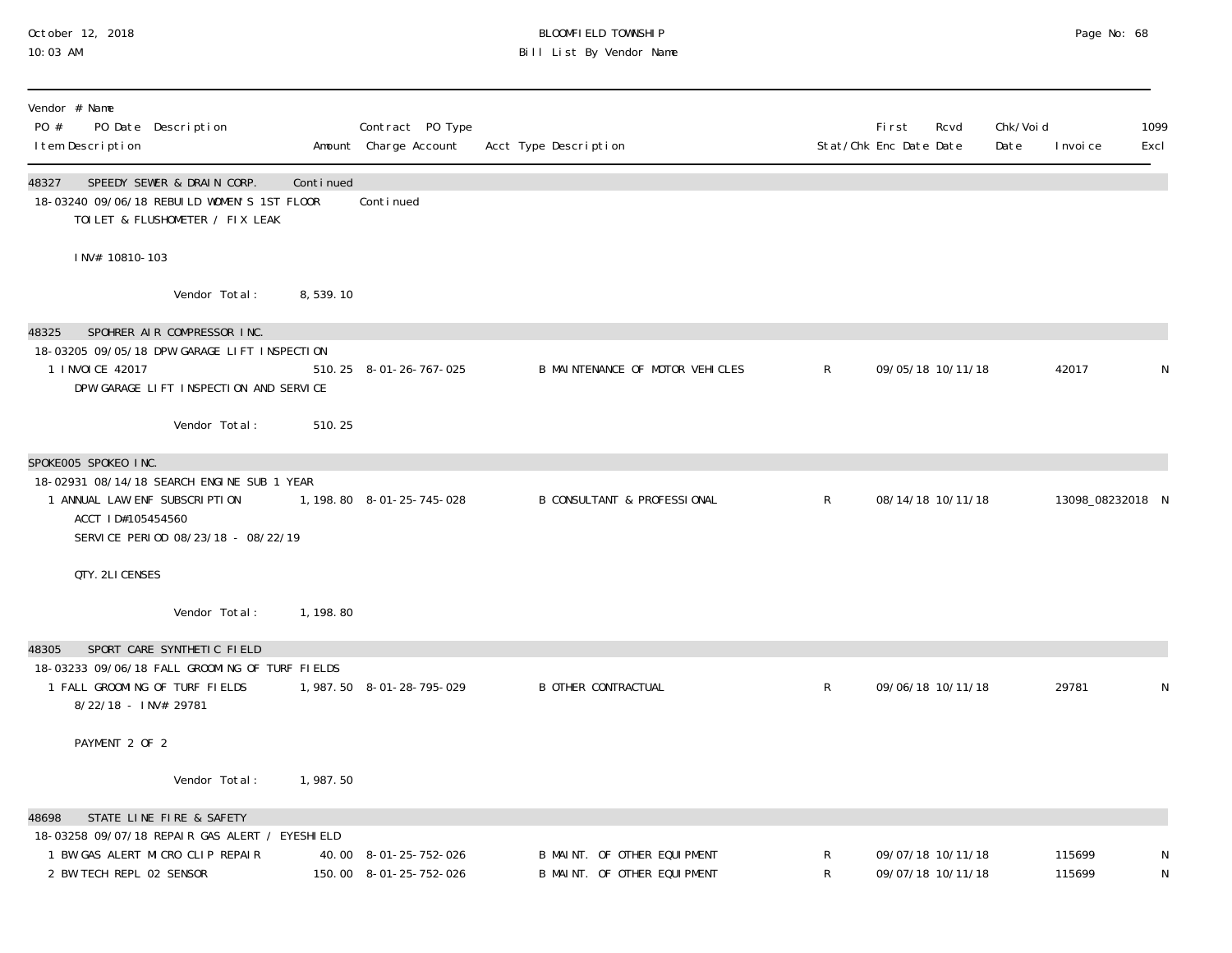#### October 12, 2018 BLOOMFIELD TOWNSHIP Page No: 68 10:03 AM Bill List By Vendor Name

| Vendor # Name<br>PO #<br>I tem Description                                 | PO Date Description                                                                                                   |           | Contract PO Type<br>Amount Charge Account | Acct Type Description                  |              | <b>First</b><br>Stat/Chk Enc Date Date | Rcvd              | Chk/Voi d<br>Date | I nvoi ce        | 1099<br>Excl |
|----------------------------------------------------------------------------|-----------------------------------------------------------------------------------------------------------------------|-----------|-------------------------------------------|----------------------------------------|--------------|----------------------------------------|-------------------|-------------------|------------------|--------------|
| 48327                                                                      | SPEEDY SEWER & DRAIN CORP.<br>18-03240 09/06/18 REBUILD WOMEN'S 1ST FLOOR<br>TOILET & FLUSHOMETER / FIX LEAK          | Continued | Conti nued                                |                                        |              |                                        |                   |                   |                  |              |
| INV# 10810-103                                                             |                                                                                                                       |           |                                           |                                        |              |                                        |                   |                   |                  |              |
|                                                                            | Vendor Total:                                                                                                         | 8,539.10  |                                           |                                        |              |                                        |                   |                   |                  |              |
| 48325<br>1 I NVOI CE 42017                                                 | SPOHRER AIR COMPRESSOR INC.<br>18-03205 09/05/18 DPW GARAGE LIFT INSPECTION<br>DPW GARAGE LIFT INSPECTION AND SERVICE |           | 510.25 8-01-26-767-025                    | B MAINTENANCE OF MOTOR VEHICLES        | $\mathsf{R}$ |                                        | 09/05/18 10/11/18 |                   | 42017            | N            |
|                                                                            | Vendor Total:                                                                                                         | 510.25    |                                           |                                        |              |                                        |                   |                   |                  |              |
| SPOKEOO5 SPOKEO INC.<br>1 ANNUAL LAW ENF SUBSCRIPTION<br>ACCT ID#105454560 | 18-02931 08/14/18 SEARCH ENGINE SUB 1 YEAR<br>SERVICE PERIOD 08/23/18 - 08/22/19                                      |           | 1, 198.80 8-01-25-745-028                 | <b>B CONSULTANT &amp; PROFESSIONAL</b> | $\mathsf{R}$ |                                        | 08/14/18 10/11/18 |                   | 13098_08232018 N |              |
| QTY. 2LI CENSES                                                            |                                                                                                                       |           |                                           |                                        |              |                                        |                   |                   |                  |              |
|                                                                            | Vendor Total:                                                                                                         | 1, 198.80 |                                           |                                        |              |                                        |                   |                   |                  |              |
| 48305<br>1 FALL GROOMING OF TURF FIELDS<br>8/22/18 - INV# 29781            | SPORT CARE SYNTHETIC FIELD<br>18-03233 09/06/18 FALL GROOMING OF TURF FIELDS                                          |           | 1,987.50 8-01-28-795-029                  | <b>B OTHER CONTRACTUAL</b>             | $\mathsf{R}$ |                                        | 09/06/18 10/11/18 |                   | 29781            | N            |
| PAYMENT 2 OF 2                                                             |                                                                                                                       |           |                                           |                                        |              |                                        |                   |                   |                  |              |
|                                                                            | Vendor Total:                                                                                                         | 1,987.50  |                                           |                                        |              |                                        |                   |                   |                  |              |
| 48698<br>1 BW GAS ALERT MICRO CLIP REPAIR                                  | STATE LINE FIRE & SAFETY<br>18-03258 09/07/18 REPAIR GAS ALERT / EYESHIELD                                            |           | 40.00 8-01-25-752-026                     | B MAINT. OF OTHER EQUIPMENT            | R            |                                        | 09/07/18 10/11/18 |                   | 115699           |              |
| 2 BW TECH REPL 02 SENSOR                                                   |                                                                                                                       |           | 150.00 8-01-25-752-026                    | B MAINT. OF OTHER EQUIPMENT            | R            |                                        | 09/07/18 10/11/18 |                   | 115699           | N            |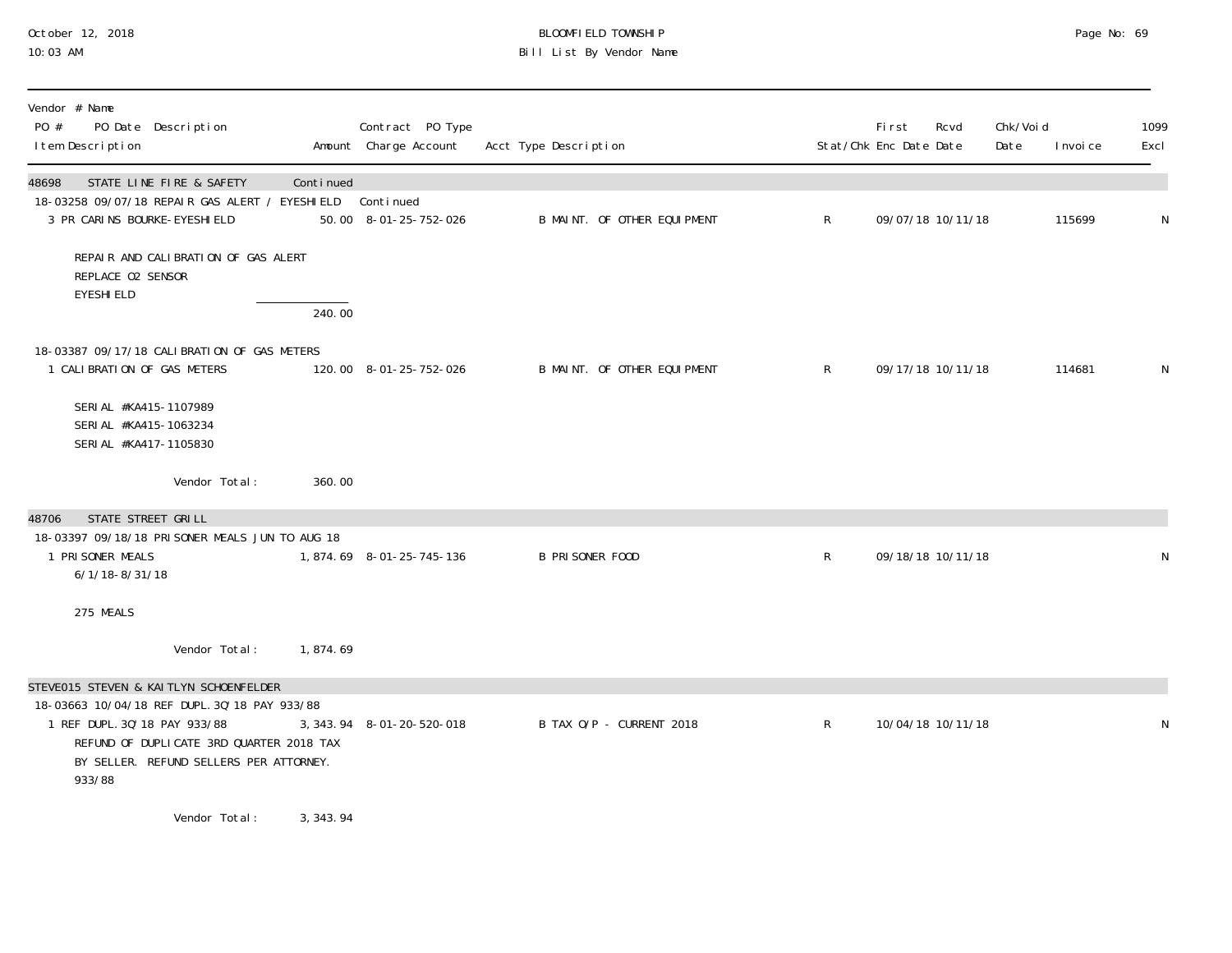# October 12, 2018 BLOOMFIELD TOWNSHIP Page No: 69 10:03 AM Bill List By Vendor Name

| Vendor # Name<br>PO #<br>PO Date Description<br>I tem Description                                                                                                                                                         |           | Contract PO Type<br>Amount Charge Account | Acct Type Description       |                | First<br>Stat/Chk Enc Date Date | Rcvd              | Chk/Void<br>Date | I nvoi ce | 1099<br>Excl |
|---------------------------------------------------------------------------------------------------------------------------------------------------------------------------------------------------------------------------|-----------|-------------------------------------------|-----------------------------|----------------|---------------------------------|-------------------|------------------|-----------|--------------|
| STATE LINE FIRE & SAFETY<br>48698<br>18-03258 09/07/18 REPAIR GAS ALERT / EYESHIELD Continued<br>3 PR CARINS BOURKE-EYESHIELD                                                                                             | Continued | 50.00 8-01-25-752-026                     | B MAINT. OF OTHER EQUIPMENT | $\mathsf{R}$   |                                 | 09/07/18 10/11/18 |                  | 115699    | N            |
| REPAIR AND CALIBRATION OF GAS ALERT<br>REPLACE 02 SENSOR<br><b>EYESHI ELD</b>                                                                                                                                             | 240.00    |                                           |                             |                |                                 |                   |                  |           |              |
| 18-03387 09/17/18 CALIBRATION OF GAS METERS<br>1 CALIBRATION OF GAS METERS                                                                                                                                                |           | 120.00 8-01-25-752-026                    | B MAINT. OF OTHER EQUIPMENT | $\mathsf{R}^-$ |                                 | 09/17/18 10/11/18 |                  | 114681    | N            |
| SERI AL #KA415-1107989<br>SERI AL #KA415-1063234<br>SERI AL #KA417-1105830                                                                                                                                                |           |                                           |                             |                |                                 |                   |                  |           |              |
| Vendor Total:                                                                                                                                                                                                             | 360.00    |                                           |                             |                |                                 |                   |                  |           |              |
| STATE STREET GRILL<br>48706<br>18-03397 09/18/18 PRISONER MEALS JUN TO AUG 18<br>1 PRI SONER MEALS<br>$6/1/18 - 8/31/18$                                                                                                  |           | 1,874.69 8-01-25-745-136                  | <b>B PRISONER FOOD</b>      | $\mathsf{R}$   |                                 | 09/18/18 10/11/18 |                  |           | N            |
| 275 MEALS                                                                                                                                                                                                                 |           |                                           |                             |                |                                 |                   |                  |           |              |
| Vendor Total:                                                                                                                                                                                                             | 1,874.69  |                                           |                             |                |                                 |                   |                  |           |              |
| STEVE015 STEVEN & KAITLYN SCHOENFELDER<br>18-03663 10/04/18 REF DUPL. 30' 18 PAY 933/88<br>1 REF DUPL. 30' 18 PAY 933/88<br>REFUND OF DUPLICATE 3RD QUARTER 2018 TAX<br>BY SELLER. REFUND SELLERS PER ATTORNEY.<br>933/88 |           | 3, 343. 94 8-01-20-520-018                | B TAX O/P - CURRENT 2018    | R              |                                 | 10/04/18 10/11/18 |                  |           | N            |
|                                                                                                                                                                                                                           |           |                                           |                             |                |                                 |                   |                  |           |              |

Vendor Total: 3,343.94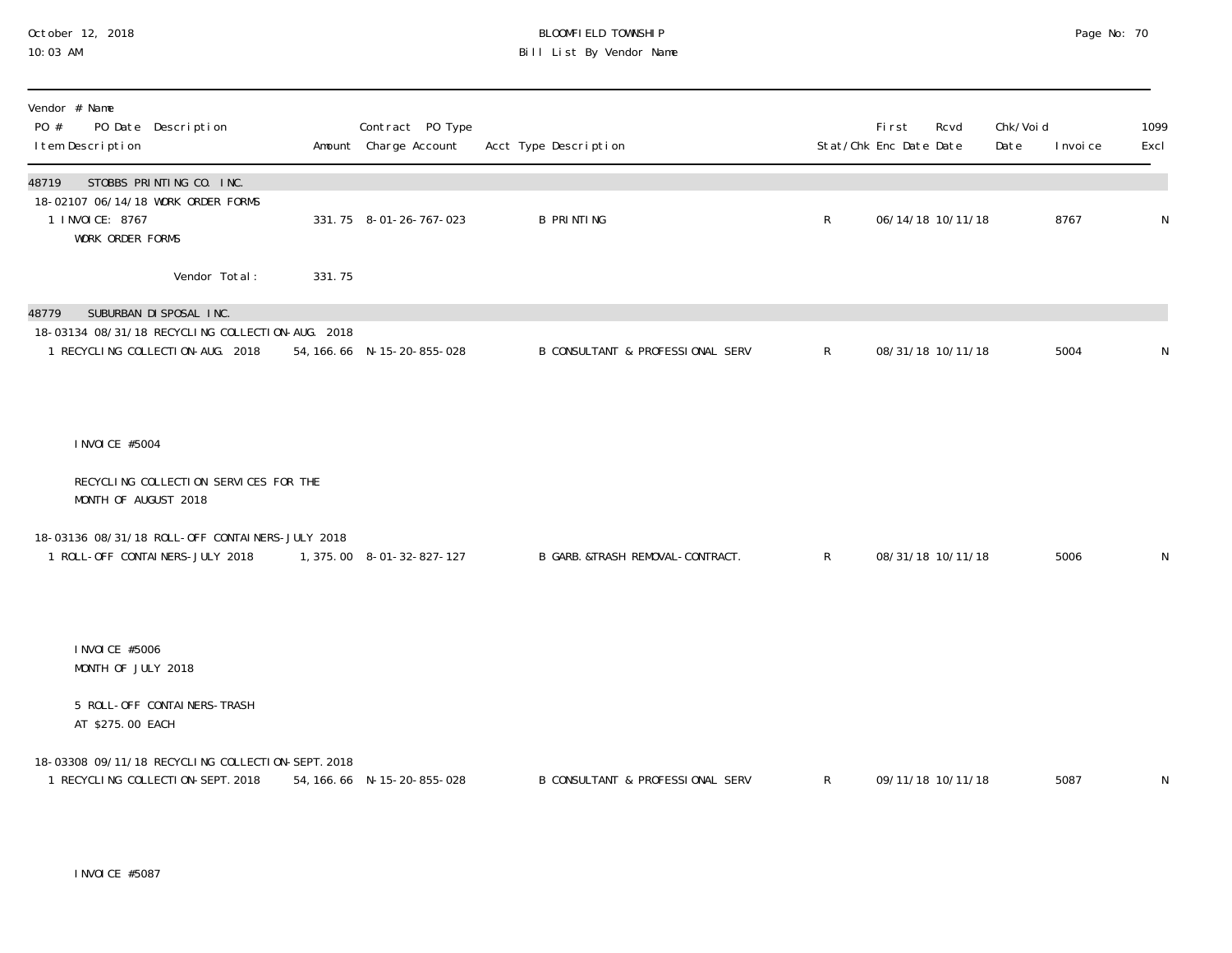#### October 12, 2018 BLOOMFIELD TOWNSHIP Page No: 70 10:03 AM Bill List By Vendor Name

| Vendor # Name<br>PO #<br>PO Date Description<br>I tem Description                      |        | Contract PO Type<br>Amount Charge Account | Acct Type Description                       |              | First<br>Stat/Chk Enc Date Date | Rcvd              | Chk/Voi d<br>Date | I nvoi ce | 1099<br>Excl |
|----------------------------------------------------------------------------------------|--------|-------------------------------------------|---------------------------------------------|--------------|---------------------------------|-------------------|-------------------|-----------|--------------|
| STOBBS PRINTING CO. INC.<br>48719<br>18-02107 06/14/18 WORK ORDER FORMS                |        |                                           |                                             |              |                                 |                   |                   |           |              |
| 1 I NVOI CE: 8767<br><b>WORK ORDER FORMS</b>                                           |        | 331.75 8-01-26-767-023                    | <b>B PRINTING</b>                           | R            |                                 | 06/14/18 10/11/18 |                   | 8767      | ${\sf N}$    |
| Vendor Total:                                                                          | 331.75 |                                           |                                             |              |                                 |                   |                   |           |              |
| SUBURBAN DI SPOSAL INC.<br>48779                                                       |        |                                           |                                             |              |                                 |                   |                   |           |              |
| 18-03134 08/31/18 RECYCLING COLLECTION-AUG. 2018<br>1 RECYCLING COLLECTION-AUG. 2018   |        | 54, 166. 66 N-15-20-855-028               | <b>B CONSULTANT &amp; PROFESSIONAL SERV</b> | $\mathsf{R}$ | 08/31/18 10/11/18               |                   |                   | 5004      | N            |
|                                                                                        |        |                                           |                                             |              |                                 |                   |                   |           |              |
| I NVOI CE #5004                                                                        |        |                                           |                                             |              |                                 |                   |                   |           |              |
| RECYCLING COLLECTION SERVICES FOR THE<br>MONTH OF AUGUST 2018                          |        |                                           |                                             |              |                                 |                   |                   |           |              |
| 18-03136 08/31/18 ROLL-OFF CONTAINERS-JULY 2018                                        |        |                                           |                                             |              |                                 |                   |                   |           |              |
| 1 ROLL-OFF CONTAINERS-JULY 2018                                                        |        | 1, 375.00 8-01-32-827-127                 | B GARB. & TRASH REMOVAL-CONTRACT.           | $\mathsf{R}$ | 08/31/18 10/11/18               |                   |                   | 5006      | N            |
| I NVOI CE #5006                                                                        |        |                                           |                                             |              |                                 |                   |                   |           |              |
| MONTH OF JULY 2018                                                                     |        |                                           |                                             |              |                                 |                   |                   |           |              |
| 5 ROLL-OFF CONTAINERS-TRASH<br>AT \$275.00 EACH                                        |        |                                           |                                             |              |                                 |                   |                   |           |              |
| 18-03308 09/11/18 RECYCLING COLLECTION-SEPT. 2018<br>1 RECYCLING COLLECTION-SEPT. 2018 |        | 54, 166. 66 N-15-20-855-028               | <b>B CONSULTANT &amp; PROFESSIONAL SERV</b> | $\mathsf{R}$ | 09/11/18 10/11/18               |                   |                   | 5087      | ${\sf N}$    |

INVOICE #5087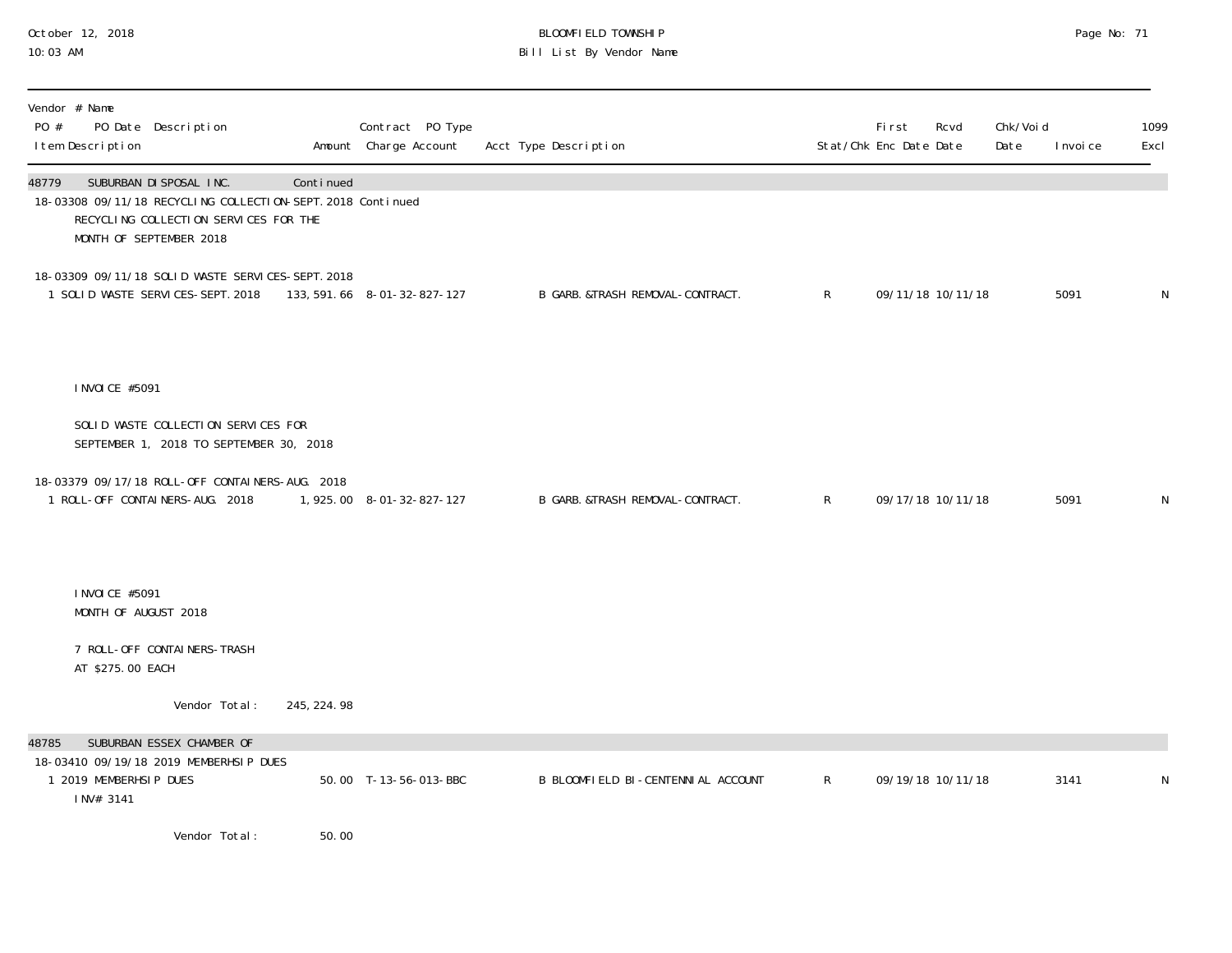# October 12, 2018 BLOOMFIELD TOWNSHIP Page No: 71 10:03 AM Bill List By Vendor Name

| Vendor # Name<br>PO #<br>I tem Description   | PO Date Description                                                                                                                                        |             | Contract PO Type<br>Amount Charge Account | Acct Type Description              |              | First<br>Stat/Chk Enc Date Date | Rcvd | Chk/Voi d<br>Date | I nvoi ce | 1099<br>Excl |
|----------------------------------------------|------------------------------------------------------------------------------------------------------------------------------------------------------------|-------------|-------------------------------------------|------------------------------------|--------------|---------------------------------|------|-------------------|-----------|--------------|
| 48779                                        | SUBURBAN DI SPOSAL INC.<br>18-03308 09/11/18 RECYCLING COLLECTION-SEPT. 2018 Continued<br>RECYCLING COLLECTION SERVICES FOR THE<br>MONTH OF SEPTEMBER 2018 | Continued   |                                           |                                    |              |                                 |      |                   |           |              |
|                                              | 18-03309 09/11/18 SOLID WASTE SERVICES-SEPT. 2018<br>1 SOLID WASTE SERVICES-SEPT. 2018                                                                     |             | 133, 591. 66  8-01-32-827-127             | B GARB. &TRASH REMOVAL-CONTRACT.   | $\mathsf{R}$ | 09/11/18 10/11/18               |      |                   | 5091      | N            |
| I NVOI CE #5091                              |                                                                                                                                                            |             |                                           |                                    |              |                                 |      |                   |           |              |
|                                              | SOLID WASTE COLLECTION SERVICES FOR<br>SEPTEMBER 1, 2018 TO SEPTEMBER 30, 2018                                                                             |             |                                           |                                    |              |                                 |      |                   |           |              |
|                                              | 18-03379 09/17/18 ROLL-OFF CONTAINERS-AUG. 2018<br>1 ROLL-OFF CONTAINERS-AUG. 2018                                                                         |             | 1, 925.00 8-01-32-827-127                 | B GARB. &TRASH REMOVAL-CONTRACT.   | $\mathsf{R}$ | 09/17/18 10/11/18               |      |                   | 5091      | N            |
| I NVOI CE #5091<br>MONTH OF AUGUST 2018      |                                                                                                                                                            |             |                                           |                                    |              |                                 |      |                   |           |              |
| AT \$275.00 EACH                             | 7 ROLL-OFF CONTAINERS-TRASH                                                                                                                                |             |                                           |                                    |              |                                 |      |                   |           |              |
|                                              | Vendor Total:                                                                                                                                              | 245, 224.98 |                                           |                                    |              |                                 |      |                   |           |              |
| 48785<br>1 2019 MEMBERHSIP DUES<br>INV# 3141 | SUBURBAN ESSEX CHAMBER OF<br>18-03410 09/19/18 2019 MEMBERHSIP DUES                                                                                        |             | 50.00 T-13-56-013-BBC                     | B BLOOMFIELD BI-CENTENNIAL ACCOUNT | $\mathsf{R}$ | 09/19/18 10/11/18               |      |                   | 3141      | N            |
|                                              | Vendor Total:                                                                                                                                              | 50.00       |                                           |                                    |              |                                 |      |                   |           |              |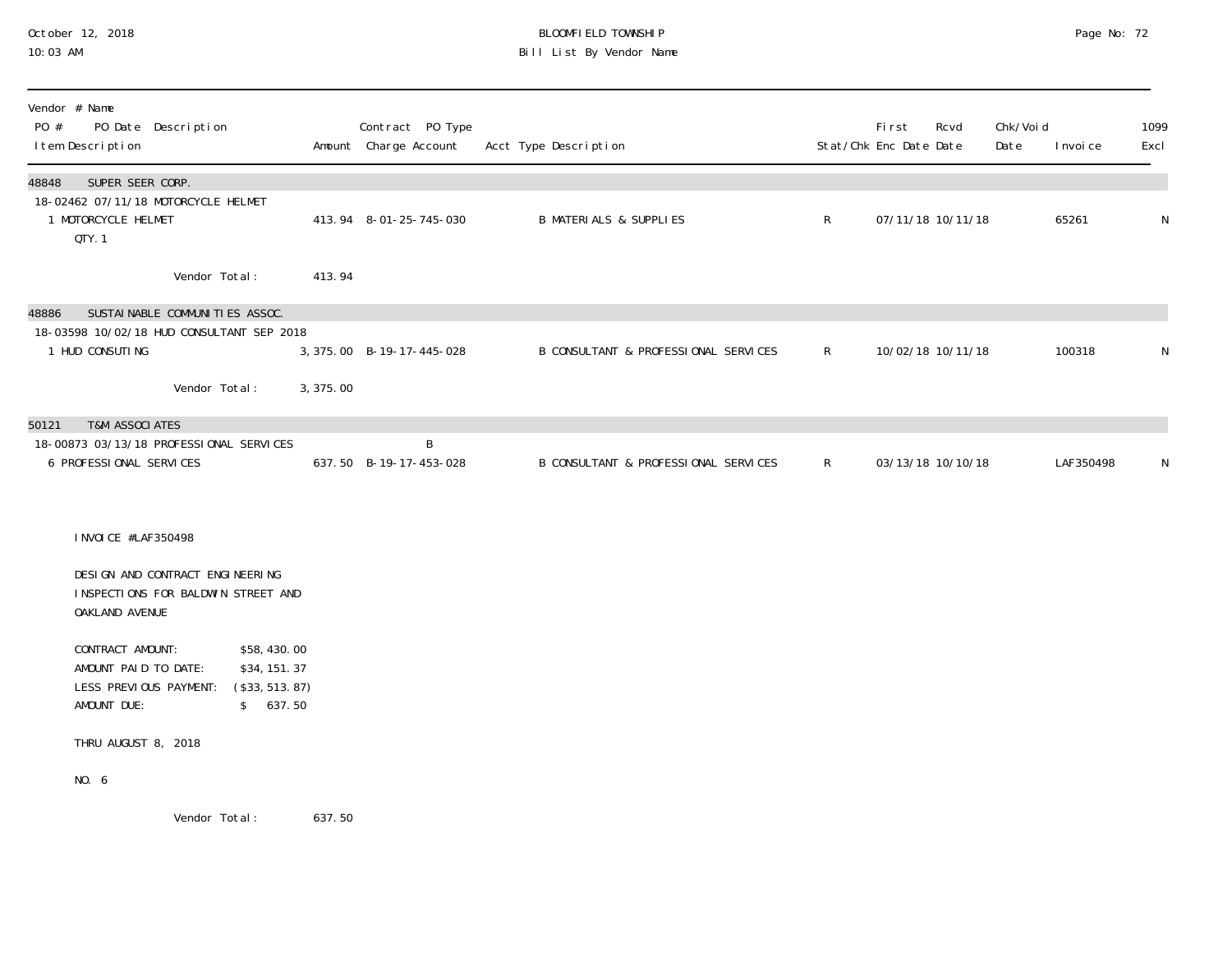### October 12, 2018 BLOOMFIELD TOWNSHIP Page No: 72 10:03 AM Bill List By Vendor Name

| Vendor # Name<br>PO #<br>I tem Description | PO Date Description                                                            |                                                             |           | Contract PO Type<br>Amount Charge Account | Acct Type Description                |              | First<br>Stat/Chk Enc Date Date | Rcvd              | Chk/Voi d<br>Date | I nvoi ce | 1099<br>Excl |
|--------------------------------------------|--------------------------------------------------------------------------------|-------------------------------------------------------------|-----------|-------------------------------------------|--------------------------------------|--------------|---------------------------------|-------------------|-------------------|-----------|--------------|
| 48848<br>1 MOTORCYCLE HELMET<br>QTY.1      | SUPER SEER CORP.<br>18-02462 07/11/18 MOTORCYCLE HELMET                        |                                                             |           | 413.94 8-01-25-745-030                    | <b>B MATERIALS &amp; SUPPLIES</b>    | $\mathsf{R}$ |                                 | 07/11/18 10/11/18 |                   | 65261     | N            |
|                                            | Vendor Total:                                                                  |                                                             | 413.94    |                                           |                                      |              |                                 |                   |                   |           |              |
| 48886<br>1 HUD CONSUTING                   | SUSTAI NABLE COMMUNI TI ES ASSOC.<br>18-03598 10/02/18 HUD CONSULTANT SEP 2018 |                                                             |           | 3, 375.00 B-19-17-445-028                 | B CONSULTANT & PROFESSIONAL SERVICES | $\mathsf{R}$ |                                 | 10/02/18 10/11/18 |                   | 100318    | $\mathsf N$  |
|                                            | Vendor Total:                                                                  |                                                             | 3, 375.00 |                                           |                                      |              |                                 |                   |                   |           |              |
| 50121<br>6 PROFESSIONAL SERVICES           | <b>T&amp;M ASSOCIATES</b><br>18-00873 03/13/18 PROFESSIONAL SERVICES           |                                                             |           | B<br>637.50 B-19-17-453-028               | B CONSULTANT & PROFESSIONAL SERVICES | $\mathsf{R}$ |                                 | 03/13/18 10/10/18 |                   | LAF350498 | N            |
|                                            | I NVOI CE #LAF350498                                                           |                                                             |           |                                           |                                      |              |                                 |                   |                   |           |              |
| OAKLAND AVENUE                             | DESIGN AND CONTRACT ENGINEERING<br>INSPECTIONS FOR BALDWIN STREET AND          |                                                             |           |                                           |                                      |              |                                 |                   |                   |           |              |
| CONTRACT AMOUNT:<br>AMOUNT DUE:            | AMOUNT PAID TO DATE:<br>LESS PREVIOUS PAYMENT:                                 | \$58,430.00<br>\$34, 151. 37<br>(\$33, 513. 87)<br>\$637.50 |           |                                           |                                      |              |                                 |                   |                   |           |              |
|                                            | THRU AUGUST 8, 2018                                                            |                                                             |           |                                           |                                      |              |                                 |                   |                   |           |              |
| NO. 6                                      |                                                                                |                                                             |           |                                           |                                      |              |                                 |                   |                   |           |              |
|                                            | Vendor Total:                                                                  |                                                             | 637.50    |                                           |                                      |              |                                 |                   |                   |           |              |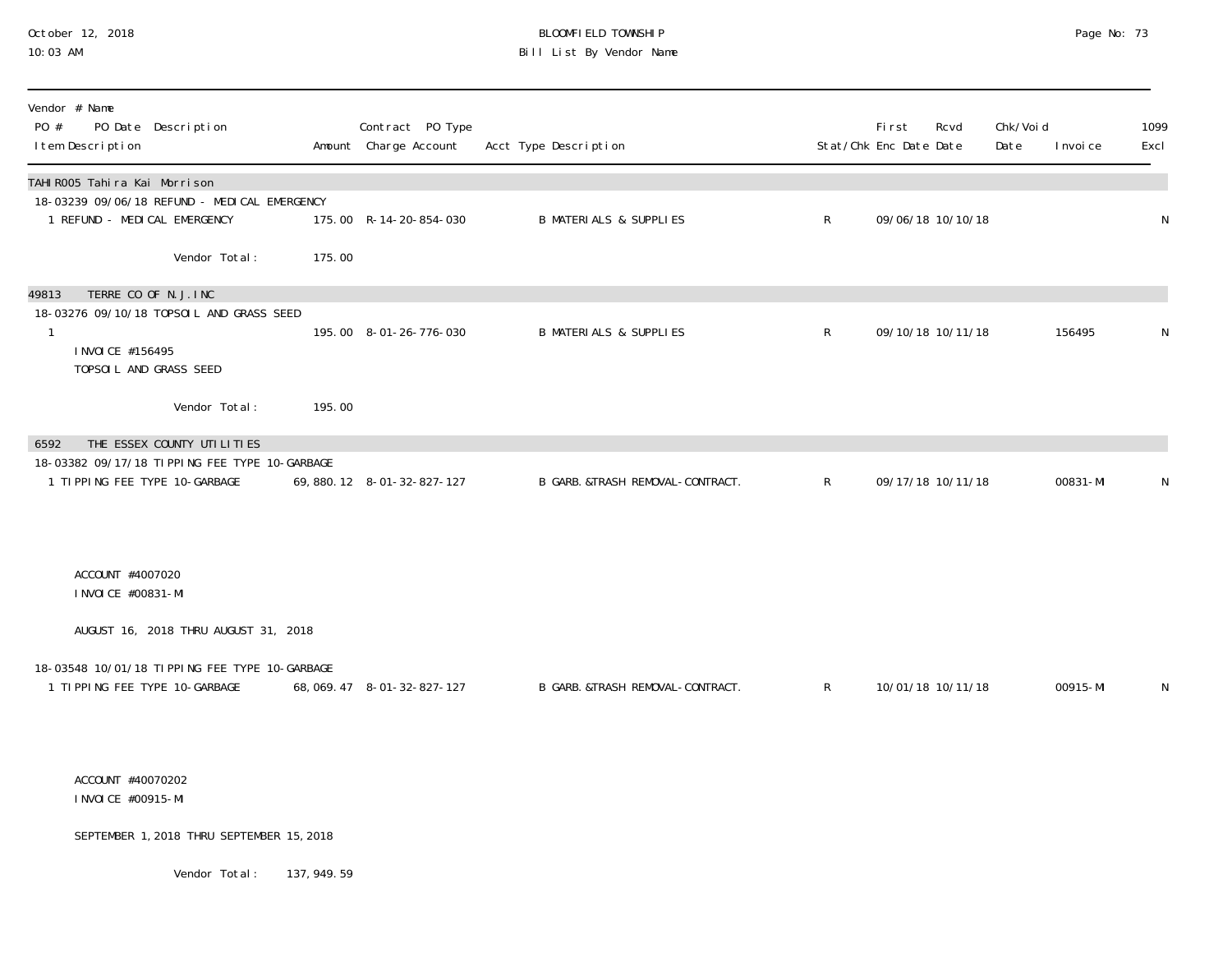#### October 12, 2018 BLOOMFIELD TOWNSHIP Page No: 73 10:03 AM Bill List By Vendor Name

| Vendor # Name<br>PO Date Description<br>PO #<br>I tem Description                                                                        |        | Contract PO Type<br>Amount Charge Account | Acct Type Description             |              | First<br>Stat/Chk Enc Date Date | Rcvd              | Chk/Voi d<br>Date | I nvoi ce | 1099<br>Excl |
|------------------------------------------------------------------------------------------------------------------------------------------|--------|-------------------------------------------|-----------------------------------|--------------|---------------------------------|-------------------|-------------------|-----------|--------------|
| TAHI ROO5 Tahira Kai Morrison<br>18-03239 09/06/18 REFUND - MEDI CAL EMERGENCY<br>1 REFUND - MEDICAL EMERGENCY                           |        | 175.00 R-14-20-854-030                    | <b>B MATERIALS &amp; SUPPLIES</b> | $\mathsf{R}$ |                                 | 09/06/18 10/10/18 |                   |           | N            |
| Vendor Total:                                                                                                                            | 175.00 |                                           |                                   |              |                                 |                   |                   |           |              |
| TERRE CO OF N.J. INC<br>49813<br>18-03276 09/10/18 TOPSOIL AND GRASS SEED<br>$\mathbf{1}$<br>I NVOI CE #156495<br>TOPSOIL AND GRASS SEED |        | 195.00 8-01-26-776-030                    | <b>B MATERIALS &amp; SUPPLIES</b> | $\mathsf{R}$ |                                 | 09/10/18 10/11/18 |                   | 156495    | N            |
| Vendor Total:                                                                                                                            | 195.00 |                                           |                                   |              |                                 |                   |                   |           |              |
| 6592<br>THE ESSEX COUNTY UTILITIES<br>18-03382 09/17/18 TIPPING FEE TYPE 10-GARBAGE<br>1 TIPPING FEE TYPE 10-GARBAGE                     |        | 69, 880. 12 8-01-32-827-127               | B GARB. &TRASH REMOVAL-CONTRACT.  | $\mathsf{R}$ |                                 | 09/17/18 10/11/18 |                   | 00831-MI  | N            |
| ACCOUNT #4007020<br>I NVOI CE #00831-MI                                                                                                  |        |                                           |                                   |              |                                 |                   |                   |           |              |
| AUGUST 16, 2018 THRU AUGUST 31, 2018                                                                                                     |        |                                           |                                   |              |                                 |                   |                   |           |              |
| 18-03548 10/01/18 TIPPING FEE TYPE 10-GARBAGE<br>1 TIPPING FEE TYPE 10-GARBAGE                                                           |        | 68, 069. 47 8-01-32-827-127               | B GARB. &TRASH REMOVAL-CONTRACT.  | $\mathsf{R}$ |                                 | 10/01/18 10/11/18 |                   | 00915-MI  | N            |
| ACCOUNT #40070202<br>I NVOI CE #00915-MI                                                                                                 |        |                                           |                                   |              |                                 |                   |                   |           |              |
| SEPTEMBER 1, 2018 THRU SEPTEMBER 15, 2018                                                                                                |        |                                           |                                   |              |                                 |                   |                   |           |              |

Vendor Total: 137, 949.59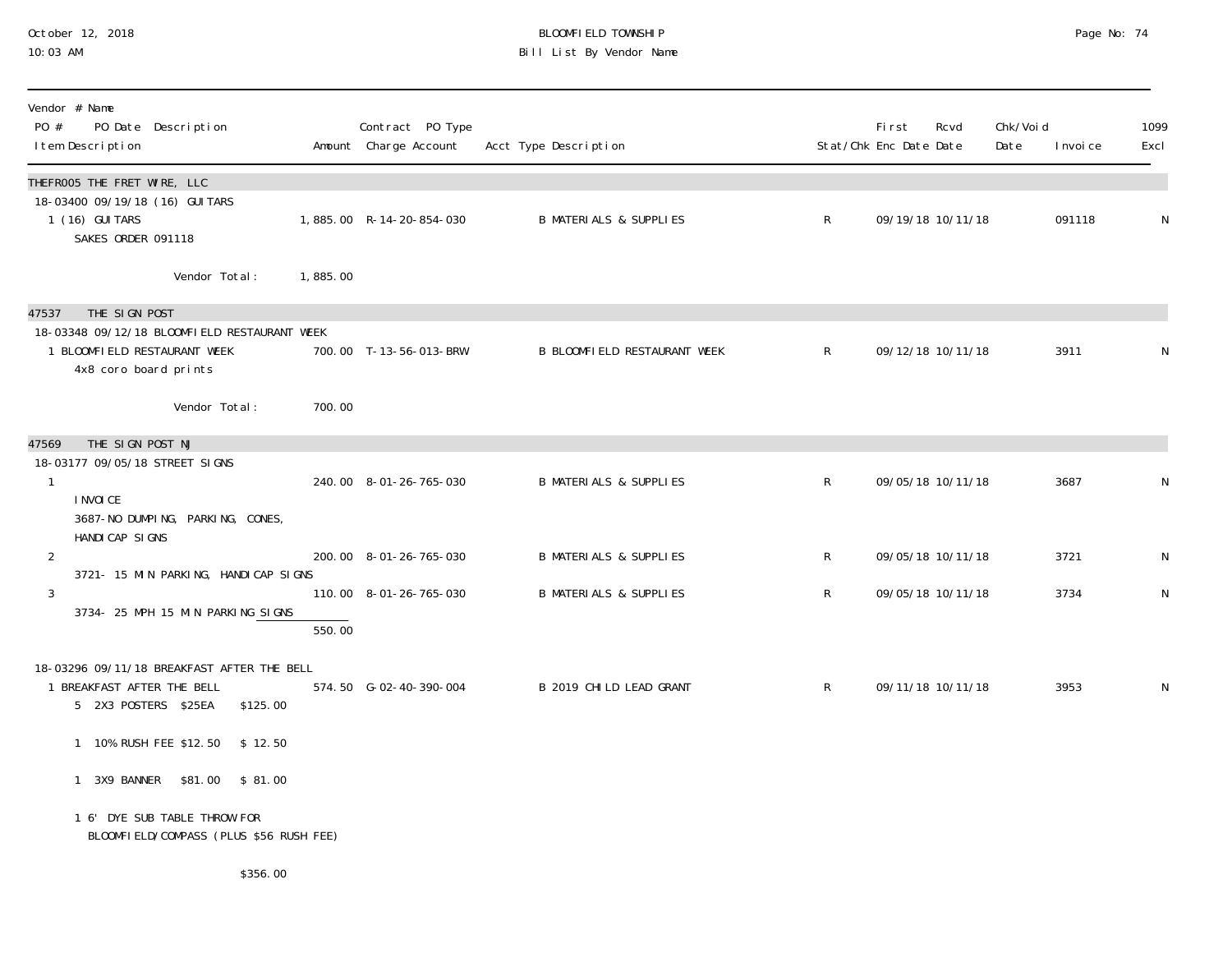#### October 12, 2018 BLOOMFIELD TOWNSHIP Page No: 74 10:03 AM Bill List By Vendor Name

| Vendor # Name<br>PO #<br>PO Date Description<br>I tem Description                                                                                |          | Contract PO Type<br>Amount Charge Account | Acct Type Description               |              | First<br>Stat/Chk Enc Date Date | Rcvd              | Chk/Void<br>Date | I nvoi ce | 1099<br>Excl |
|--------------------------------------------------------------------------------------------------------------------------------------------------|----------|-------------------------------------------|-------------------------------------|--------------|---------------------------------|-------------------|------------------|-----------|--------------|
| THEFROO5 THE FRET WIRE, LLC<br>18-03400 09/19/18 (16) GUI TARS<br>1 (16) GUI TARS<br>SAKES ORDER 091118                                          |          | 1,885.00 R-14-20-854-030                  | <b>B MATERIALS &amp; SUPPLIES</b>   | $\mathsf{R}$ |                                 | 09/19/18 10/11/18 |                  | 091118    | N            |
| Vendor Total:                                                                                                                                    | 1,885.00 |                                           |                                     |              |                                 |                   |                  |           |              |
| THE SIGN POST<br>47537<br>18-03348 09/12/18 BLOOMFIELD RESTAURANT WEEK<br>1 BLOOMFIELD RESTAURANT WEEK<br>4x8 coro board prints<br>Vendor Total: | 700.00   | 700.00 T-13-56-013-BRW                    | <b>B BLOOMFIELD RESTAURANT WEEK</b> | $\mathsf{R}$ |                                 | 09/12/18 10/11/18 |                  | 3911      | N            |
| THE SIGN POST NJ<br>47569<br>18-03177 09/05/18 STREET SIGNS<br>$\mathbf{1}$<br>I NVOI CE<br>3687-NO DUMPING, PARKING, CONES,<br>HANDI CAP SI GNS |          | 240.00 8-01-26-765-030                    | <b>B MATERIALS &amp; SUPPLIES</b>   | R            |                                 | 09/05/18 10/11/18 |                  | 3687      | N            |
| $\overline{2}$<br>3721- 15 MIN PARKING, HANDICAP SIGNS                                                                                           |          | 200.00 8-01-26-765-030                    | <b>B MATERIALS &amp; SUPPLIES</b>   | R            |                                 | 09/05/18 10/11/18 |                  | 3721      | N            |
| 3<br>3734- 25 MPH 15 MIN PARKING SIGNS                                                                                                           | 550.00   | 110.00 8-01-26-765-030                    | <b>B MATERIALS &amp; SUPPLIES</b>   | $\mathsf{R}$ |                                 | 09/05/18 10/11/18 |                  | 3734      | $\mathsf{N}$ |
| 18-03296 09/11/18 BREAKFAST AFTER THE BELL<br>1 BREAKFAST AFTER THE BELL<br>5 2X3 POSTERS \$25EA<br>\$125.00                                     |          | 574.50 G-02-40-390-004                    | B 2019 CHILD LEAD GRANT             | $\mathsf{R}$ |                                 | 09/11/18 10/11/18 |                  | 3953      | N            |
| 1 10% RUSH FEE \$12.50<br>\$12.50                                                                                                                |          |                                           |                                     |              |                                 |                   |                  |           |              |
| 1 3X9 BANNER \$81.00 \$81.00                                                                                                                     |          |                                           |                                     |              |                                 |                   |                  |           |              |
| 1 6' DYE SUB TABLE THROW FOR<br>BLOOMFIELD/COMPASS (PLUS \$56 RUSH FEE)                                                                          |          |                                           |                                     |              |                                 |                   |                  |           |              |
| \$356.00                                                                                                                                         |          |                                           |                                     |              |                                 |                   |                  |           |              |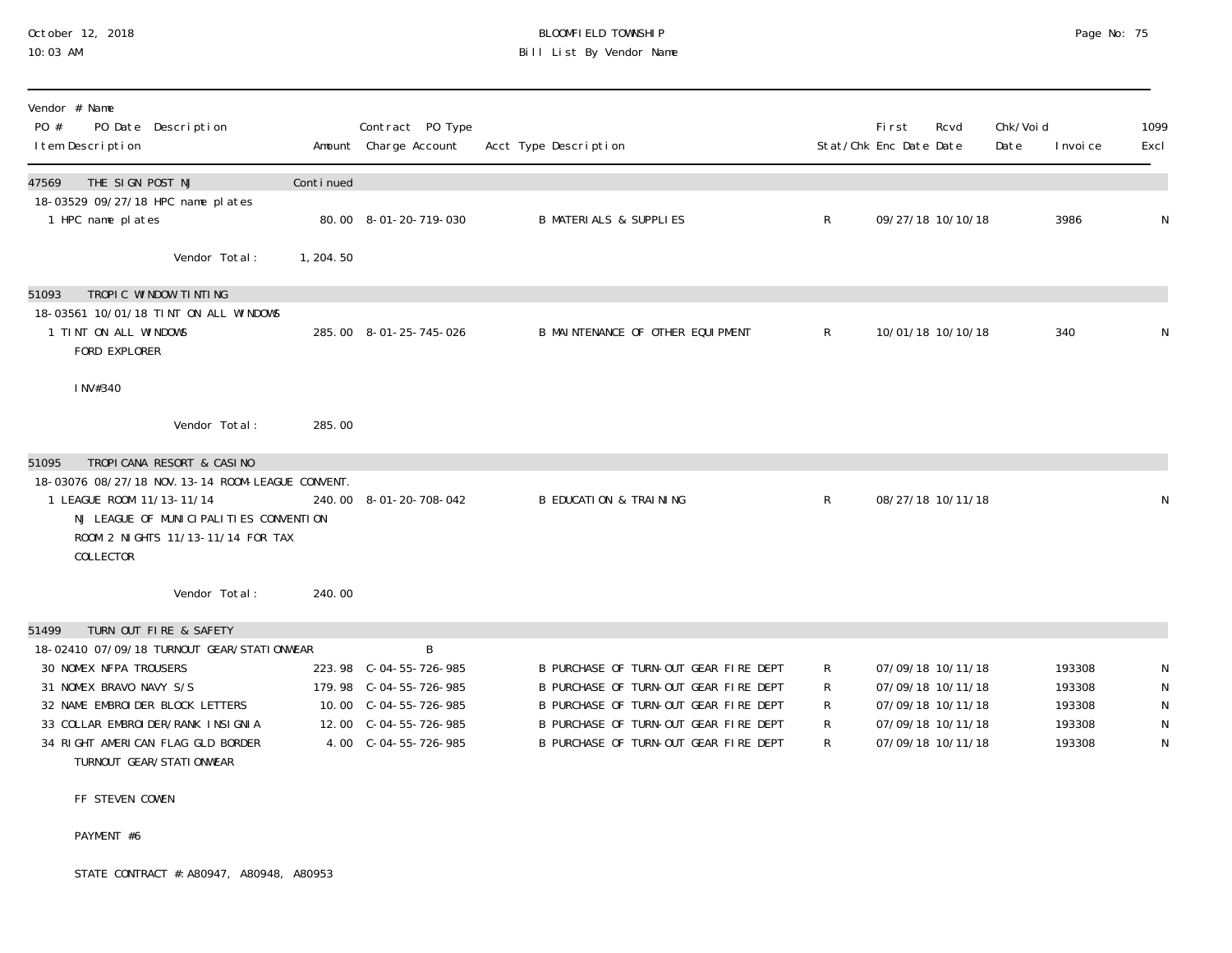# October 12, 2018 BLOOMFIELD TOWNSHIP Page No: 75 Bill List By Vendor Name

| Vendor # Name<br>PO #<br>PO Date Description<br>I tem Description                                                                                                          |           | Contract PO Type<br>Amount Charge Account        | Acct Type Description                                                          |        | <b>First</b><br>Rcvd<br>Stat/Chk Enc Date Date | Chk/Voi d<br>Date | I nvoi ce        | 1099<br>Excl                |
|----------------------------------------------------------------------------------------------------------------------------------------------------------------------------|-----------|--------------------------------------------------|--------------------------------------------------------------------------------|--------|------------------------------------------------|-------------------|------------------|-----------------------------|
| THE SIGN POST NJ<br>47569                                                                                                                                                  | Continued |                                                  |                                                                                |        |                                                |                   |                  |                             |
| 18-03529 09/27/18 HPC name plates<br>1 HPC name plates                                                                                                                     |           | 80.00 8-01-20-719-030                            | <b>B MATERIALS &amp; SUPPLIES</b>                                              | R      | 09/27/18 10/10/18                              |                   | 3986             | $\mathsf N$                 |
| Vendor Total:                                                                                                                                                              | 1, 204.50 |                                                  |                                                                                |        |                                                |                   |                  |                             |
| TROPIC WINDOW TINTING<br>51093                                                                                                                                             |           |                                                  |                                                                                |        |                                                |                   |                  |                             |
| 18-03561 10/01/18 TINT ON ALL WINDOWS<br>1 TINT ON ALL WINDOWS<br>FORD EXPLORER                                                                                            |           | 285.00 8-01-25-745-026                           | B MAINTENANCE OF OTHER EQUIPMENT                                               | R      | 10/01/18 10/10/18                              |                   | 340              | $\mathsf{N}$                |
| INV#340                                                                                                                                                                    |           |                                                  |                                                                                |        |                                                |                   |                  |                             |
| Vendor Total:                                                                                                                                                              | 285.00    |                                                  |                                                                                |        |                                                |                   |                  |                             |
| TROPICANA RESORT & CASINO<br>51095                                                                                                                                         |           |                                                  |                                                                                |        |                                                |                   |                  |                             |
| 18-03076 08/27/18 NOV. 13-14 ROOM-LEAGUE CONVENT.<br>1 LEAGUE ROOM 11/13-11/14<br>NJ LEAGUE OF MUNICIPALITIES CONVENTION<br>ROOM 2 NIGHTS 11/13-11/14 FOR TAX<br>COLLECTOR |           | 240.00 8-01-20-708-042                           | <b>B EDUCATION &amp; TRAINING</b>                                              | R      | 08/27/18 10/11/18                              |                   |                  | $\mathsf{N}$                |
| Vendor Total:                                                                                                                                                              | 240.00    |                                                  |                                                                                |        |                                                |                   |                  |                             |
| TURN OUT FIRE & SAFETY<br>51499                                                                                                                                            |           |                                                  |                                                                                |        |                                                |                   |                  |                             |
| 18-02410 07/09/18 TURNOUT GEAR/STATIONWEAR                                                                                                                                 |           | B                                                |                                                                                |        |                                                |                   |                  |                             |
| 30 NOMEX NFPA TROUSERS<br>31 NOMEX BRAVO NAVY S/S                                                                                                                          |           | 223.98 C-04-55-726-985<br>179.98 C-04-55-726-985 | B PURCHASE OF TURN-OUT GEAR FIRE DEPT<br>B PURCHASE OF TURN-OUT GEAR FIRE DEPT | R<br>R | 07/09/18 10/11/18<br>07/09/18 10/11/18         |                   | 193308<br>193308 | N<br>$\mathsf N$            |
| 32 NAME EMBROIDER BLOCK LETTERS                                                                                                                                            |           |                                                  | B PURCHASE OF TURN-OUT GEAR FIRE DEPT                                          | R      | 07/09/18 10/11/18                              |                   | 193308           | $\mathsf N$                 |
| 33 COLLAR EMBROIDER/RANK INSIGNIA<br>34 RIGHT AMERICAN FLAG GLD BORDER<br>TURNOUT GEAR/STATI ONWEAR                                                                        |           | 12.00 C-04-55-726-985<br>4.00 C-04-55-726-985    | B PURCHASE OF TURN-OUT GEAR FIRE DEPT<br>B PURCHASE OF TURN-OUT GEAR FIRE DEPT | R<br>R | 07/09/18 10/11/18<br>07/09/18 10/11/18         |                   | 193308<br>193308 | $\mathsf N$<br>$\mathsf{N}$ |
| ___ _________ ____                                                                                                                                                         |           |                                                  |                                                                                |        |                                                |                   |                  |                             |

#### FF STEVEN COWEN

#### PAYMENT #6

STATE CONTRACT #:A80947, A80948, A80953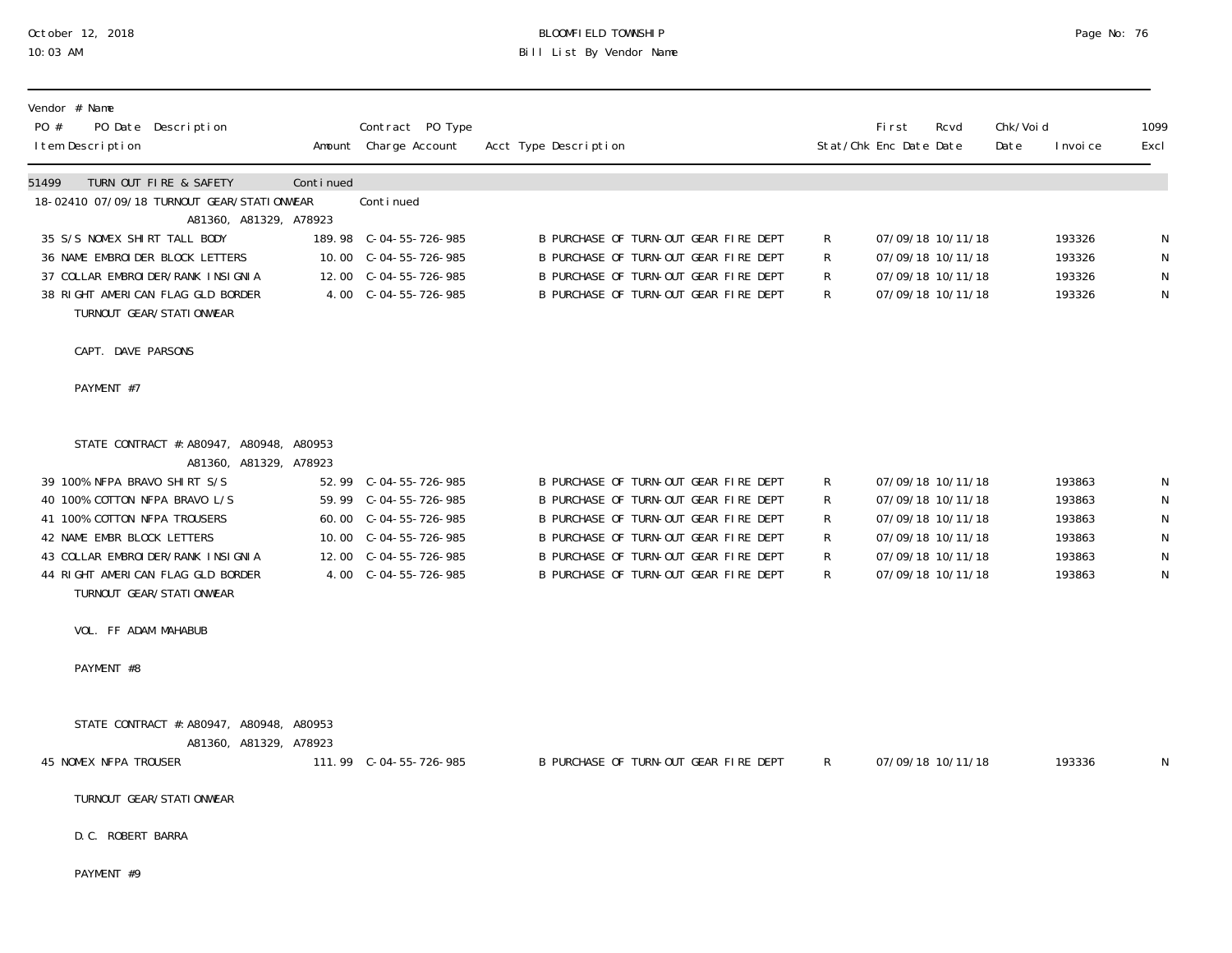# October 12, 2018 BLOOMFIELD TOWNSHIP Page No: 76 10:03 AM Bill List By Vendor Name

| Vendor # Name<br>PO Date Description<br>PO #<br>I tem Description             |           | Contract PO Type<br>Amount Charge Account      | Acct Type Description |                                                                                |        | First<br>Stat/Chk Enc Date Date | Rcvd                                   | Chk/Voi d<br>Date | I nvoi ce        | 1099<br>Excl                |
|-------------------------------------------------------------------------------|-----------|------------------------------------------------|-----------------------|--------------------------------------------------------------------------------|--------|---------------------------------|----------------------------------------|-------------------|------------------|-----------------------------|
| 51499<br>TURN OUT FIRE & SAFETY<br>18-02410 07/09/18 TURNOUT GEAR/STATIONWEAR | Continued | Continued                                      |                       |                                                                                |        |                                 |                                        |                   |                  |                             |
| A81360, A81329, A78923                                                        |           |                                                |                       |                                                                                |        |                                 |                                        |                   |                  |                             |
| 35 S/S NOMEX SHIRT TALL BODY<br>36 NAME EMBROIDER BLOCK LETTERS               |           | 10.00 C-04-55-726-985                          |                       | B PURCHASE OF TURN-OUT GEAR FIRE DEPT<br>B PURCHASE OF TURN-OUT GEAR FIRE DEPT | R<br>R |                                 | 07/09/18 10/11/18<br>07/09/18 10/11/18 |                   | 193326<br>193326 | N<br>$\mathsf N$            |
| 37 COLLAR EMBROIDER/RANK INSIGNIA                                             |           | 12.00 C-04-55-726-985                          |                       | B PURCHASE OF TURN-OUT GEAR FIRE DEPT                                          | R      |                                 | 07/09/18 10/11/18                      |                   | 193326           | $\mathsf N$                 |
| 38 RIGHT AMERICAN FLAG GLD BORDER<br>TURNOUT GEAR/STATI ONWEAR                |           | 4.00 C-04-55-726-985                           |                       | B PURCHASE OF TURN-OUT GEAR FIRE DEPT                                          | R      |                                 | 07/09/18 10/11/18                      |                   | 193326           | $\mathsf{N}$                |
| CAPT. DAVE PARSONS                                                            |           |                                                |                       |                                                                                |        |                                 |                                        |                   |                  |                             |
| PAYMENT #7                                                                    |           |                                                |                       |                                                                                |        |                                 |                                        |                   |                  |                             |
| STATE CONTRACT #: A80947, A80948, A80953<br>A81360, A81329, A78923            |           |                                                |                       |                                                                                |        |                                 |                                        |                   |                  |                             |
| 39 100% NFPA BRAVO SHIRT S/S                                                  |           |                                                |                       | B PURCHASE OF TURN-OUT GEAR FIRE DEPT                                          | R      |                                 | 07/09/18 10/11/18                      |                   | 193863           | -N                          |
| 40 100% COTTON NFPA BRAVO L/S                                                 |           |                                                |                       | B PURCHASE OF TURN-OUT GEAR FIRE DEPT                                          | R      |                                 | 07/09/18 10/11/18                      |                   | 193863           | $\mathsf{N}$                |
| 41 100% COTTON NFPA TROUSERS<br>42 NAME EMBR BLOCK LETTERS                    |           | 60.00 C-04-55-726-985<br>10.00 C-04-55-726-985 |                       | B PURCHASE OF TURN-OUT GEAR FIRE DEPT<br>B PURCHASE OF TURN-OUT GEAR FIRE DEPT | R<br>R |                                 | 07/09/18 10/11/18<br>07/09/18 10/11/18 |                   | 193863<br>193863 | $\mathsf N$<br>$\mathsf{N}$ |
| 43 COLLAR EMBROI DER/RANK INSIGNIA                                            |           | 12.00 C-04-55-726-985                          |                       | B PURCHASE OF TURN-OUT GEAR FIRE DEPT                                          | R      |                                 | 07/09/18 10/11/18                      |                   | 193863           | $\mathsf{N}$                |
| 44 RIGHT AMERICAN FLAG GLD BORDER<br>TURNOUT GEAR/STATI ONWEAR                |           |                                                |                       | B PURCHASE OF TURN-OUT GEAR FIRE DEPT                                          | R      |                                 | 07/09/18 10/11/18                      |                   | 193863           | $\mathsf{N}$                |
| VOL. FF ADAM MAHABUB                                                          |           |                                                |                       |                                                                                |        |                                 |                                        |                   |                  |                             |
| PAYMENT #8                                                                    |           |                                                |                       |                                                                                |        |                                 |                                        |                   |                  |                             |
| STATE CONTRACT #: A80947, A80948, A80953                                      |           |                                                |                       |                                                                                |        |                                 |                                        |                   |                  |                             |
| A81360, A81329, A78923<br>45 NOMEX NFPA TROUSER                               |           | 111.99         C-04-55-726-985                 |                       | B PURCHASE OF TURN-OUT GEAR FIRE DEPT                                          | R.     |                                 | 07/09/18 10/11/18                      |                   | 193336           | N                           |
| TURNOUT GEAR/STATI ONWEAR                                                     |           |                                                |                       |                                                                                |        |                                 |                                        |                   |                  |                             |
| D. C. ROBERT BARRA                                                            |           |                                                |                       |                                                                                |        |                                 |                                        |                   |                  |                             |

PAYMENT #9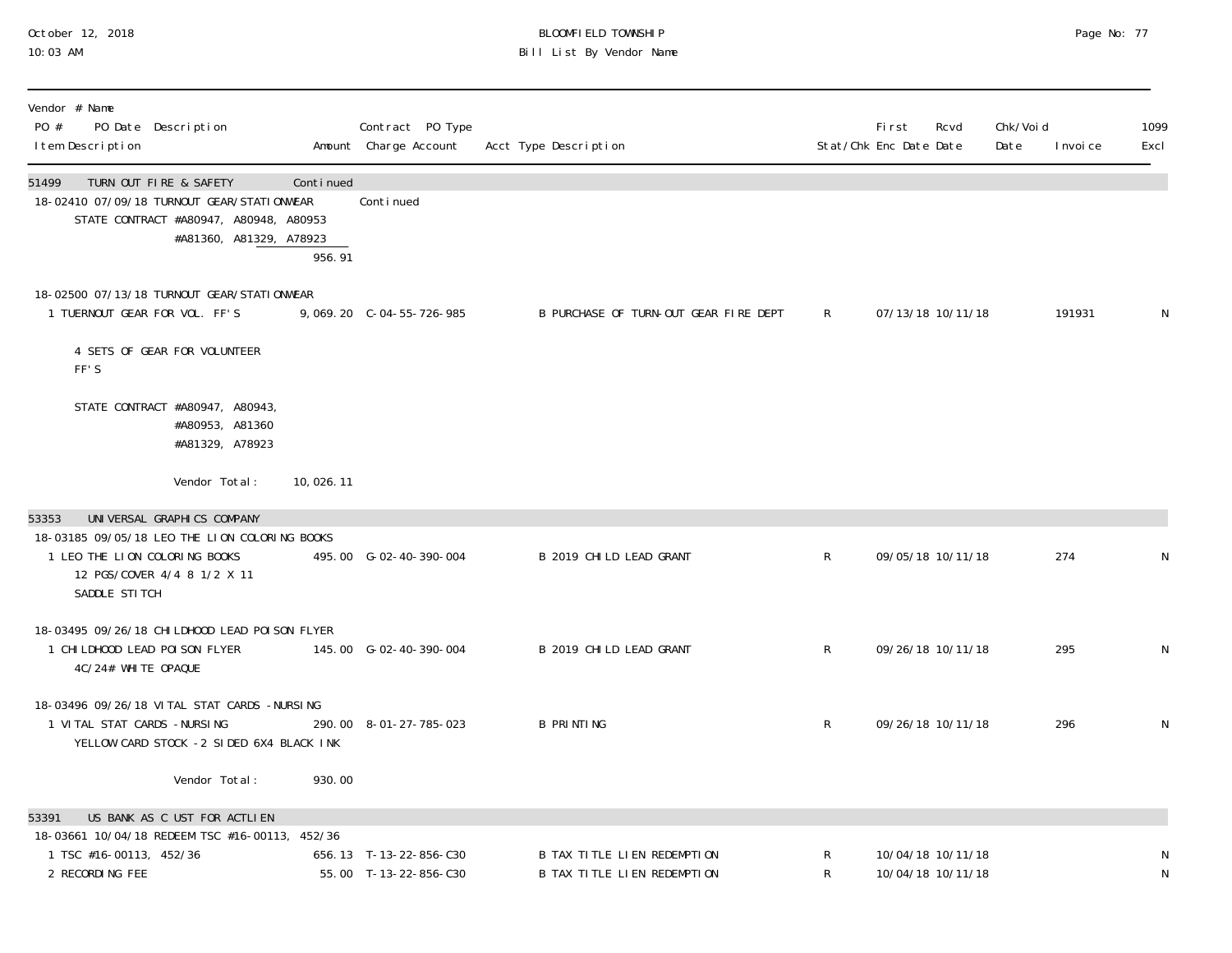# October 12, 2018 BLOOMFIELD TOWNSHIP Page No: 77 10:03 AM Bill List By Vendor Name

| Vendor # Name<br>PO #<br>PO Date Description<br>I tem Description                                                                                                     |                                                                   |                     | Contract PO Type<br>Amount Charge Account       | Acct Type Description                                             |                | <b>First</b><br>Rcvd<br>Stat/Chk Enc Date Date | Chk/Voi d<br>Date | I nvoi ce | 1099<br>Excl |
|-----------------------------------------------------------------------------------------------------------------------------------------------------------------------|-------------------------------------------------------------------|---------------------|-------------------------------------------------|-------------------------------------------------------------------|----------------|------------------------------------------------|-------------------|-----------|--------------|
| TURN OUT FIRE & SAFETY<br>51499<br>18-02410 07/09/18 TURNOUT GEAR/STATI ONWEAR                                                                                        | STATE CONTRACT #A80947, A80948, A80953<br>#A81360, A81329, A78923 | Continued<br>956.91 | Continued                                       |                                                                   |                |                                                |                   |           |              |
| 18-02500 07/13/18 TURNOUT GEAR/STATIONWEAR<br>1 TUERNOUT GEAR FOR VOL. FF'S                                                                                           |                                                                   |                     | 9,069.20 C-04-55-726-985                        | B PURCHASE OF TURN-OUT GEAR FIRE DEPT                             | R              | 07/13/18 10/11/18                              |                   | 191931    | N            |
| 4 SETS OF GEAR FOR VOLUNTEER<br>FF'S                                                                                                                                  |                                                                   |                     |                                                 |                                                                   |                |                                                |                   |           |              |
| STATE CONTRACT #A80947, A80943,                                                                                                                                       | #A80953, A81360<br>#A81329, A78923                                |                     |                                                 |                                                                   |                |                                                |                   |           |              |
|                                                                                                                                                                       | Vendor Total:                                                     | 10,026.11           |                                                 |                                                                   |                |                                                |                   |           |              |
| UNIVERSAL GRAPHICS COMPANY<br>53353<br>18-03185 09/05/18 LEO THE LION COLORING BOOKS<br>1 LEO THE LION COLORING BOOKS<br>12 PGS/COVER 4/4 8 1/2 X 11<br>SADDLE STITCH |                                                                   |                     | 495.00 G-02-40-390-004                          | B 2019 CHILD LEAD GRANT                                           | $\mathsf{R}$   | 09/05/18 10/11/18                              |                   | 274       | N            |
| 18-03495 09/26/18 CHI LDHOOD LEAD POI SON FLYER<br>1 CHI LDHOOD LEAD POI SON FLYER<br>4C/24# WHITE OPAQUE                                                             |                                                                   |                     | 145.00 G-02-40-390-004                          | B 2019 CHILD LEAD GRANT                                           | $\mathsf{R}^-$ | 09/26/18 10/11/18                              |                   | 295       | N            |
| 18-03496 09/26/18 VITAL STAT CARDS -NURSING<br>1 VITAL STAT CARDS -NURSING                                                                                            | YELLOW CARD STOCK -2 SIDED 6X4 BLACK INK                          |                     | 290.00 8-01-27-785-023                          | <b>B PRINTING</b>                                                 | $\mathsf{R}$   | 09/26/18 10/11/18                              |                   | 296       | N            |
|                                                                                                                                                                       | Vendor Total:                                                     | 930.00              |                                                 |                                                                   |                |                                                |                   |           |              |
| 53391<br>18-03661 10/04/18 REDEEM TSC #16-00113, 452/36<br>1 TSC #16-00113, 452/36<br>2 RECORDING FEE                                                                 | US BANK AS C UST FOR ACTLIEN                                      |                     | 656.13 T-13-22-856-C30<br>55.00 T-13-22-856-C30 | <b>B TAX TITLE LIEN REDEMPTION</b><br>B TAX TITLE LIEN REDEMPTION | R<br>R         | 10/04/18 10/11/18<br>10/04/18 10/11/18         |                   |           | N            |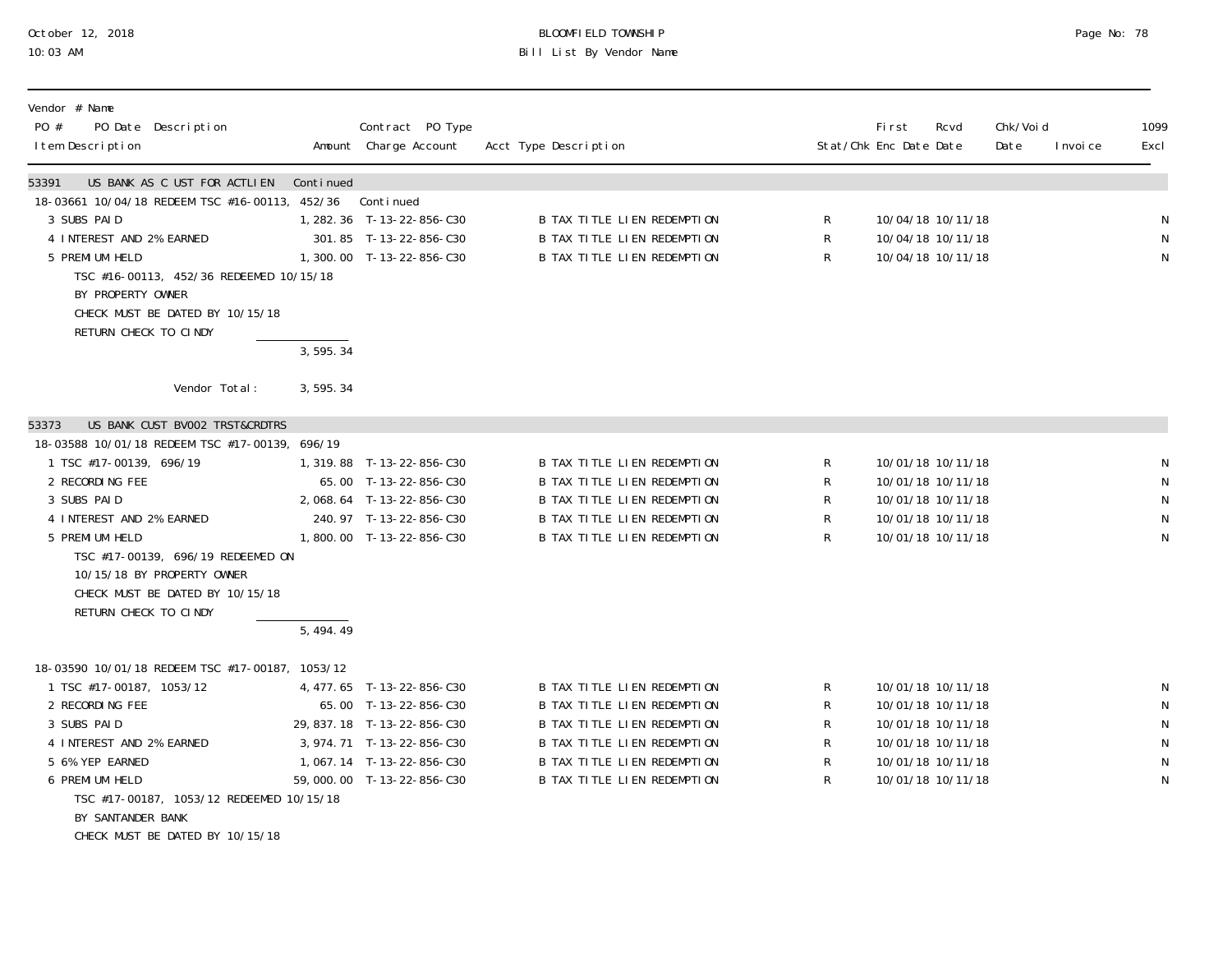# October 12, 2018 BLOOMFIELD TOWNSHIP Page No: 78 10:03 AM Bill List By Vendor Name

| Vendor # Name<br>PO #<br>PO Date Description<br>I tem Description                                                                                                                                                                                                                                                                    |                        | Contract PO Type<br>Amount Charge Account                                                                                                                                | Acct Type Description                                                                                                                                                                                |                                    | Fi rst<br>Stat/Chk Enc Date Date | Rcvd                                                                                                                       | Chk/Voi d<br>Date | I nvoi ce | 1099<br>Excl                                               |
|--------------------------------------------------------------------------------------------------------------------------------------------------------------------------------------------------------------------------------------------------------------------------------------------------------------------------------------|------------------------|--------------------------------------------------------------------------------------------------------------------------------------------------------------------------|------------------------------------------------------------------------------------------------------------------------------------------------------------------------------------------------------|------------------------------------|----------------------------------|----------------------------------------------------------------------------------------------------------------------------|-------------------|-----------|------------------------------------------------------------|
| US BANK AS C UST FOR ACTLIEN<br>53391<br>18-03661 10/04/18 REDEEM TSC #16-00113, 452/36<br>3 SUBS PAID<br>4 INTEREST AND 2% EARNED<br>5 PREMI UM HELD<br>TSC #16-00113, 452/36 REDEEMED 10/15/18<br>BY PROPERTY OWNER<br>CHECK MUST BE DATED BY 10/15/18<br>RETURN CHECK TO CINDY                                                    | Continued<br>3, 595.34 | Continued<br>1, 282. 36 T-13-22-856-C30<br>301.85 T-13-22-856-C30<br>1,300.00 T-13-22-856-C30                                                                            | B TAX TITLE LIEN REDEMPTION<br>B TAX TITLE LIEN REDEMPTION<br>B TAX TITLE LIEN REDEMPTION                                                                                                            | R<br>$\mathsf R$<br>$\mathsf{R}$   |                                  | 10/04/18 10/11/18<br>10/04/18 10/11/18<br>10/04/18 10/11/18                                                                |                   |           | N<br>N<br>N                                                |
| Vendor Total:                                                                                                                                                                                                                                                                                                                        | 3,595.34               |                                                                                                                                                                          |                                                                                                                                                                                                      |                                    |                                  |                                                                                                                            |                   |           |                                                            |
| US BANK CUST BV002 TRST&CRDTRS<br>53373<br>18-03588 10/01/18 REDEEM TSC #17-00139, 696/19<br>1 TSC #17-00139, 696/19<br>2 RECORDING FEE<br>3 SUBS PAID<br>4 INTEREST AND 2% EARNED<br>5 PREMI UM HELD<br>TSC #17-00139, 696/19 REDEEMED ON<br>10/15/18 BY PROPERTY OWNER<br>CHECK MUST BE DATED BY 10/15/18<br>RETURN CHECK TO CINDY | $\overline{5,494.49}$  | 1, 319.88 T-13-22-856-C30<br>65.00 T-13-22-856-C30<br>2,068.64 T-13-22-856-C30<br>240.97 T-13-22-856-C30<br>1,800.00 T-13-22-856-C30                                     | <b>B TAX TITLE LIEN REDEMPTION</b><br><b>B TAX TITLE LIEN REDEMPTION</b><br>B TAX TITLE LIEN REDEMPTION<br>B TAX TITLE LIEN REDEMPTION<br>B TAX TITLE LIEN REDEMPTION                                | R<br>$\mathsf R$<br>R<br>R<br>R    |                                  | 10/01/18 10/11/18<br>10/01/18 10/11/18<br>10/01/18 10/11/18<br>10/01/18 10/11/18<br>10/01/18 10/11/18                      |                   |           | N<br>${\sf N}$<br>N<br>N<br>${\sf N}$                      |
| 18-03590 10/01/18 REDEEM TSC #17-00187, 1053/12<br>1 TSC #17-00187, 1053/12<br>2 RECORDING FEE<br>3 SUBS PAID<br>4 INTEREST AND 2% EARNED<br>5 6% YEP EARNED<br>6 PREMI UM HELD<br>TSC #17-00187, 1053/12 REDEEMED 10/15/18<br>BY SANTANDER BANK<br>CHECK MUST BE DATED BY 10/15/18                                                  |                        | 4, 477.65 T-13-22-856-C30<br>65.00 T-13-22-856-C30<br>29, 837. 18 T-13-22-856-C30<br>3, 974. 71 T-13-22-856-C30<br>1,067.14 T-13-22-856-C30<br>59,000.00 T-13-22-856-C30 | B TAX TITLE LIEN REDEMPTION<br>B TAX TITLE LIEN REDEMPTION<br><b>B TAX TITLE LIEN REDEMPTION</b><br>B TAX TITLE LIEN REDEMPTION<br>B TAX TITLE LIEN REDEMPTION<br><b>B TAX TITLE LIEN REDEMPTION</b> | R<br>R<br>R<br>${\sf R}$<br>R<br>R |                                  | 10/01/18 10/11/18<br>10/01/18 10/11/18<br>10/01/18 10/11/18<br>10/01/18 10/11/18<br>10/01/18 10/11/18<br>10/01/18 10/11/18 |                   |           | N<br>${\sf N}$<br>N<br>${\sf N}$<br>${\sf N}$<br>${\sf N}$ |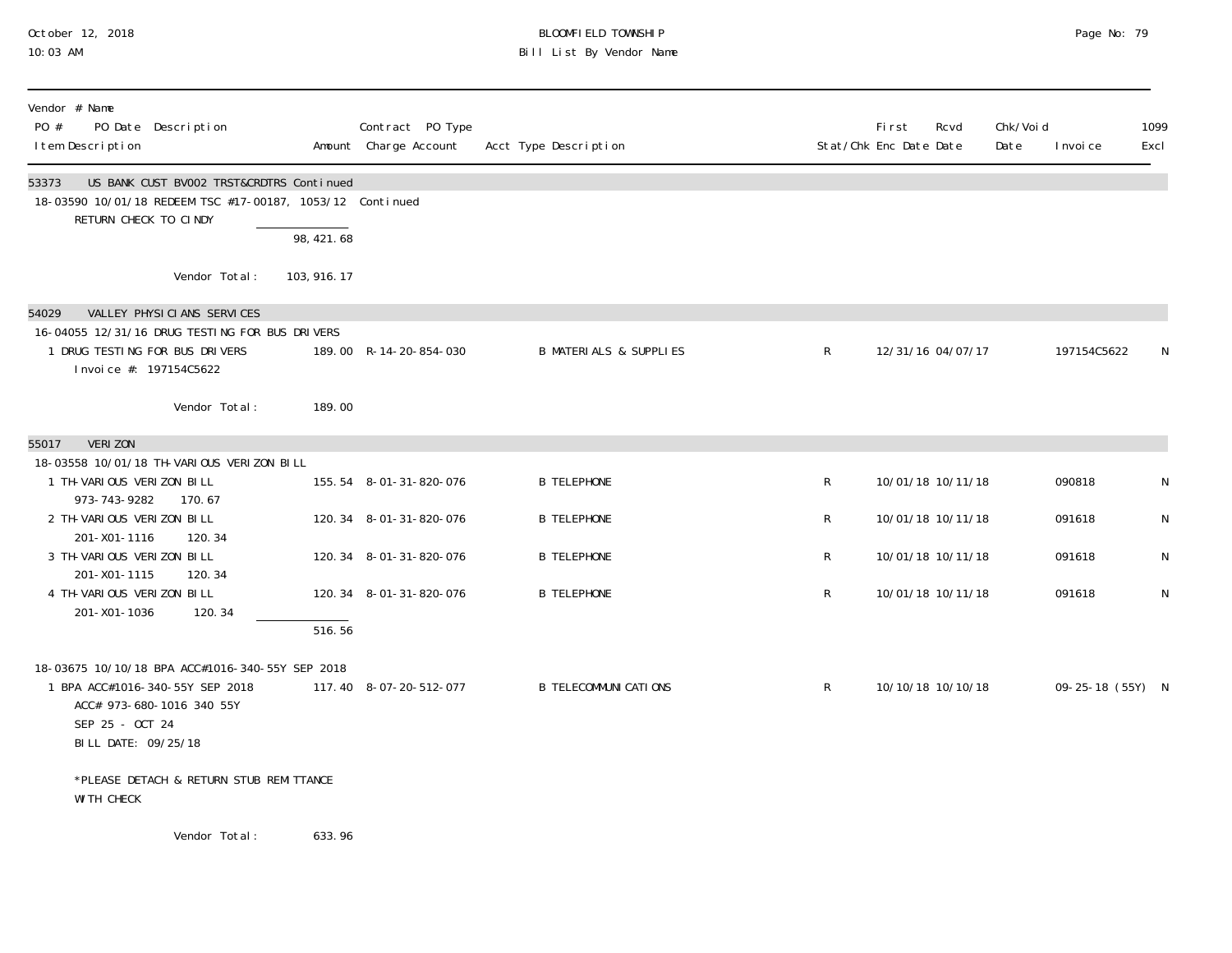# October 12, 2018 BLOOMFIELD TOWNSHIP Page No: 79 10:03 AM Bill List By Vendor Name

| Vendor # Name<br>PO #<br>PO Date Description<br>I tem Description                                                                                                  |                     | Contract PO Type<br>Amount Charge Account | Acct Type Description             | Stat/Chk Enc Date Date | First | Rcvd              | Chk/Void<br>Date | I nvoi ce        | 1099<br>Excl |
|--------------------------------------------------------------------------------------------------------------------------------------------------------------------|---------------------|-------------------------------------------|-----------------------------------|------------------------|-------|-------------------|------------------|------------------|--------------|
| US BANK CUST BV002 TRST&CRDTRS Continued<br>53373<br>18-03590 10/01/18 REDEEM TSC #17-00187, 1053/12 Continued<br>RETURN CHECK TO CINDY                            | 98,421.68           |                                           |                                   |                        |       |                   |                  |                  |              |
| Vendor Total:                                                                                                                                                      | 103, 916. 17        |                                           |                                   |                        |       |                   |                  |                  |              |
| VALLEY PHYSICIANS SERVICES<br>54029<br>16-04055 12/31/16 DRUG TESTING FOR BUS DRIVERS<br>1 DRUG TESTING FOR BUS DRIVERS<br>Invoice #: 197154C5622<br>Vendor Total: | 189.00              | 189.00 R-14-20-854-030                    | <b>B MATERIALS &amp; SUPPLIES</b> | $\mathsf{R}$           |       | 12/31/16 04/07/17 |                  | 197154C5622      | N            |
| <b>VERIZON</b><br>55017                                                                                                                                            |                     |                                           |                                   |                        |       |                   |                  |                  |              |
| 18-03558 10/01/18 TH-VARIOUS VERIZON BILL<br>1 TH-VARIOUS VERIZON BILL<br>973-743-9282<br>170.67                                                                   |                     | 155.54 8-01-31-820-076                    | <b>B TELEPHONE</b>                | R                      |       | 10/01/18 10/11/18 |                  | 090818           | N            |
| 2 TH-VARIOUS VERIZON BILL<br>201-X01-1116<br>120.34                                                                                                                |                     | 120.34 8-01-31-820-076                    | <b>B TELEPHONE</b>                | $\mathsf{R}$           |       | 10/01/18 10/11/18 |                  | 091618           | N            |
| 3 TH-VARIOUS VERIZON BILL<br>201-X01-1115<br>120.34                                                                                                                |                     | 120.34 8-01-31-820-076                    | <b>B TELEPHONE</b>                | $\mathsf R$            |       | 10/01/18 10/11/18 |                  | 091618           | N            |
| 4 TH-VARIOUS VERIZON BILL<br>120.34<br>201-X01-1036                                                                                                                |                     | 120.34 8-01-31-820-076                    | <b>B TELEPHONE</b>                | $\mathsf R$            |       | 10/01/18 10/11/18 |                  | 091618           | $\mathsf{N}$ |
|                                                                                                                                                                    | $\overline{516.56}$ |                                           |                                   |                        |       |                   |                  |                  |              |
| 18-03675 10/10/18 BPA ACC#1016-340-55Y SEP 2018<br>1 BPA ACC#1016-340-55Y SEP 2018<br>ACC# 973-680-1016 340 55Y<br>SEP 25 - OCT 24<br>BILL DATE: 09/25/18          |                     | 117.40 8-07-20-512-077                    | <b>B TELECOMMUNI CATIONS</b>      | $\mathsf{R}$           |       | 10/10/18 10/10/18 |                  | 09-25-18 (55Y) N |              |
| *PLEASE DETACH & RETURN STUB REMITTANCE<br>WI TH CHECK                                                                                                             |                     |                                           |                                   |                        |       |                   |                  |                  |              |
| Vendor Total:                                                                                                                                                      | 633.96              |                                           |                                   |                        |       |                   |                  |                  |              |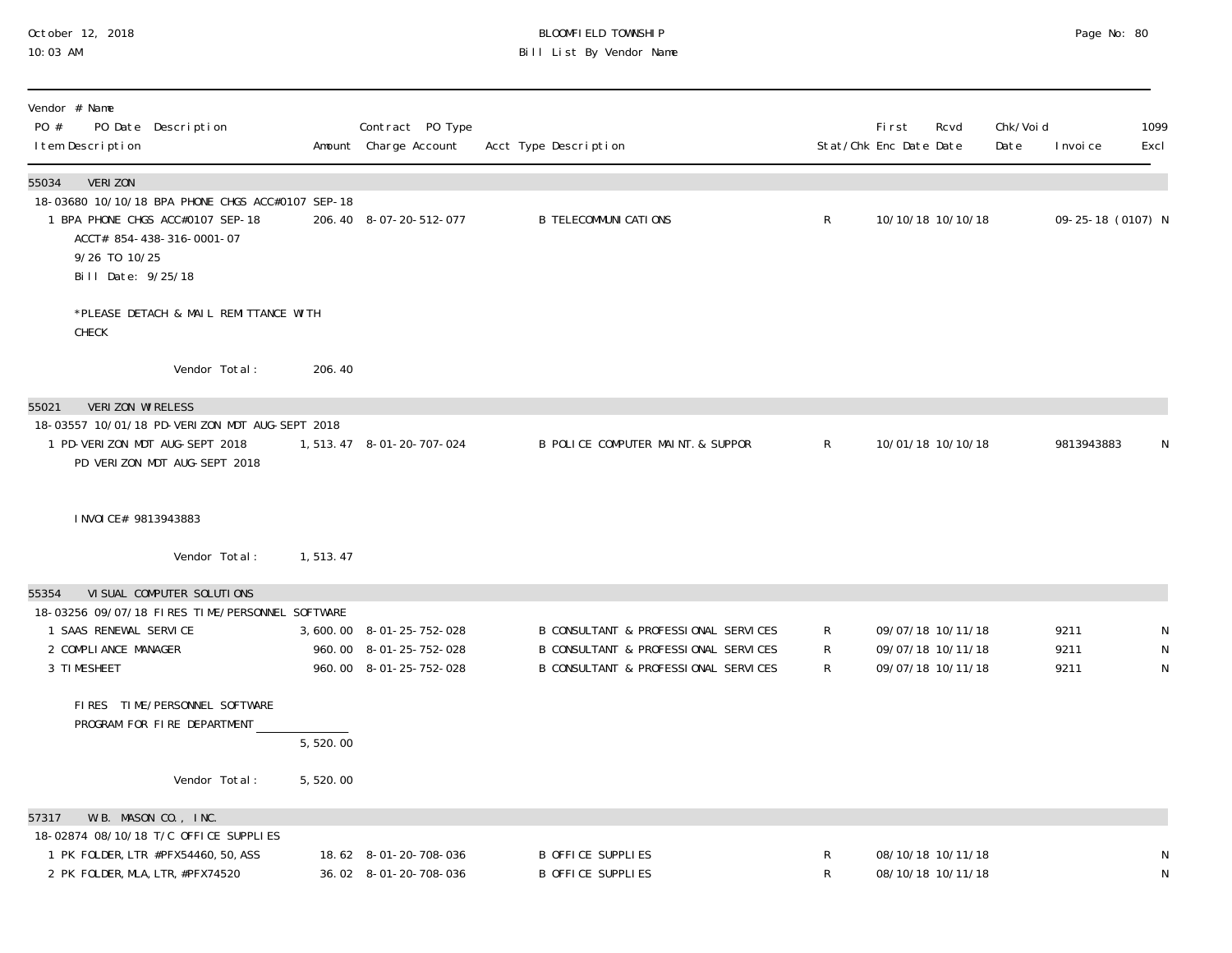#### October 12, 2018 BLOOMFIELD TOWNSHIP Page No: 80 10:03 AM Bill List By Vendor Name

| Vendor # Name<br>PO #<br>PO Date Description<br>I tem Description                                    |                       | Contract PO Type<br>Amount Charge Account | Acct Type Description                |                | Fi rst<br>Stat/Chk Enc Date Date | Rcvd | Chk/Voi d<br>Date | I nvoi ce         | 1099<br>Excl |
|------------------------------------------------------------------------------------------------------|-----------------------|-------------------------------------------|--------------------------------------|----------------|----------------------------------|------|-------------------|-------------------|--------------|
| 55034<br>VERI ZON<br>18-03680 10/10/18 BPA PHONE CHGS ACC#0107 SEP-18                                |                       |                                           |                                      |                |                                  |      |                   |                   |              |
| 1 BPA PHONE CHGS ACC#0107 SEP-18<br>ACCT# 854-438-316-0001-07<br>9/26 TO 10/25<br>Bill Date: 9/25/18 |                       | 206.40 8-07-20-512-077                    | <b>B TELECOMMUNI CATIONS</b>         | $\mathsf{R}$   | 10/10/18 10/10/18                |      |                   | 09-25-18 (0107) N |              |
| *PLEASE DETACH & MAIL REMITTANCE WITH<br>CHECK                                                       |                       |                                           |                                      |                |                                  |      |                   |                   |              |
| Vendor Total:                                                                                        | 206.40                |                                           |                                      |                |                                  |      |                   |                   |              |
| VERIZON WIRELESS<br>55021                                                                            |                       |                                           |                                      |                |                                  |      |                   |                   |              |
| 18-03557 10/01/18 PD-VERIZON MDT AUG-SEPT 2018<br>1 PD-VERIZON MDT AUG-SEPT 2018                     |                       | 1, 513. 47 8-01-20-707-024                | B POLICE COMPUTER MAINT. & SUPPOR    | $\mathsf{R}^-$ | 10/01/18 10/10/18                |      |                   | 9813943883        | N            |
| PD VERIZON MDT AUG-SEPT 2018                                                                         |                       |                                           |                                      |                |                                  |      |                   |                   |              |
| I NVOI CE# 9813943883                                                                                |                       |                                           |                                      |                |                                  |      |                   |                   |              |
| Vendor Total:                                                                                        | 1,513.47              |                                           |                                      |                |                                  |      |                   |                   |              |
| VI SUAL COMPUTER SOLUTIONS<br>55354<br>18-03256 09/07/18 FIRES TIME/PERSONNEL SOFTWARE               |                       |                                           |                                      |                |                                  |      |                   |                   |              |
| 1 SAAS RENEWAL SERVICE                                                                               |                       | 3,600.00 8-01-25-752-028                  | B CONSULTANT & PROFESSIONAL SERVICES | R              | 09/07/18 10/11/18                |      |                   | 9211              | N            |
| 2 COMPLIANCE MANAGER                                                                                 |                       | 960.00 8-01-25-752-028                    | B CONSULTANT & PROFESSIONAL SERVICES | R              | 09/07/18 10/11/18                |      |                   | 9211              | N            |
| 3 TIMESHEET                                                                                          |                       | 960.00 8-01-25-752-028                    | B CONSULTANT & PROFESSIONAL SERVICES | R              | 09/07/18 10/11/18                |      |                   | 9211              | ${\sf N}$    |
| FIRES TIME/PERSONNEL SOFTWARE<br>PROGRAM FOR FIRE DEPARTMENT                                         |                       |                                           |                                      |                |                                  |      |                   |                   |              |
|                                                                                                      | $\overline{5,520.00}$ |                                           |                                      |                |                                  |      |                   |                   |              |
| Vendor Total:                                                                                        | 5,520.00              |                                           |                                      |                |                                  |      |                   |                   |              |
| W.B. MASON CO., INC.<br>57317                                                                        |                       |                                           |                                      |                |                                  |      |                   |                   |              |
| 18-02874 08/10/18 T/C OFFICE SUPPLIES<br>1 PK FOLDER, LTR #PFX54460, 50, ASS                         |                       | 18.62 8-01-20-708-036                     | <b>B OFFICE SUPPLIES</b>             | R              | 08/10/18 10/11/18                |      |                   |                   | N            |
| 2 PK FOLDER, MLA, LTR, #PFX74520                                                                     |                       | 36.02 8-01-20-708-036                     | <b>B OFFICE SUPPLIES</b>             | R              | 08/10/18 10/11/18                |      |                   |                   | ${\sf N}$    |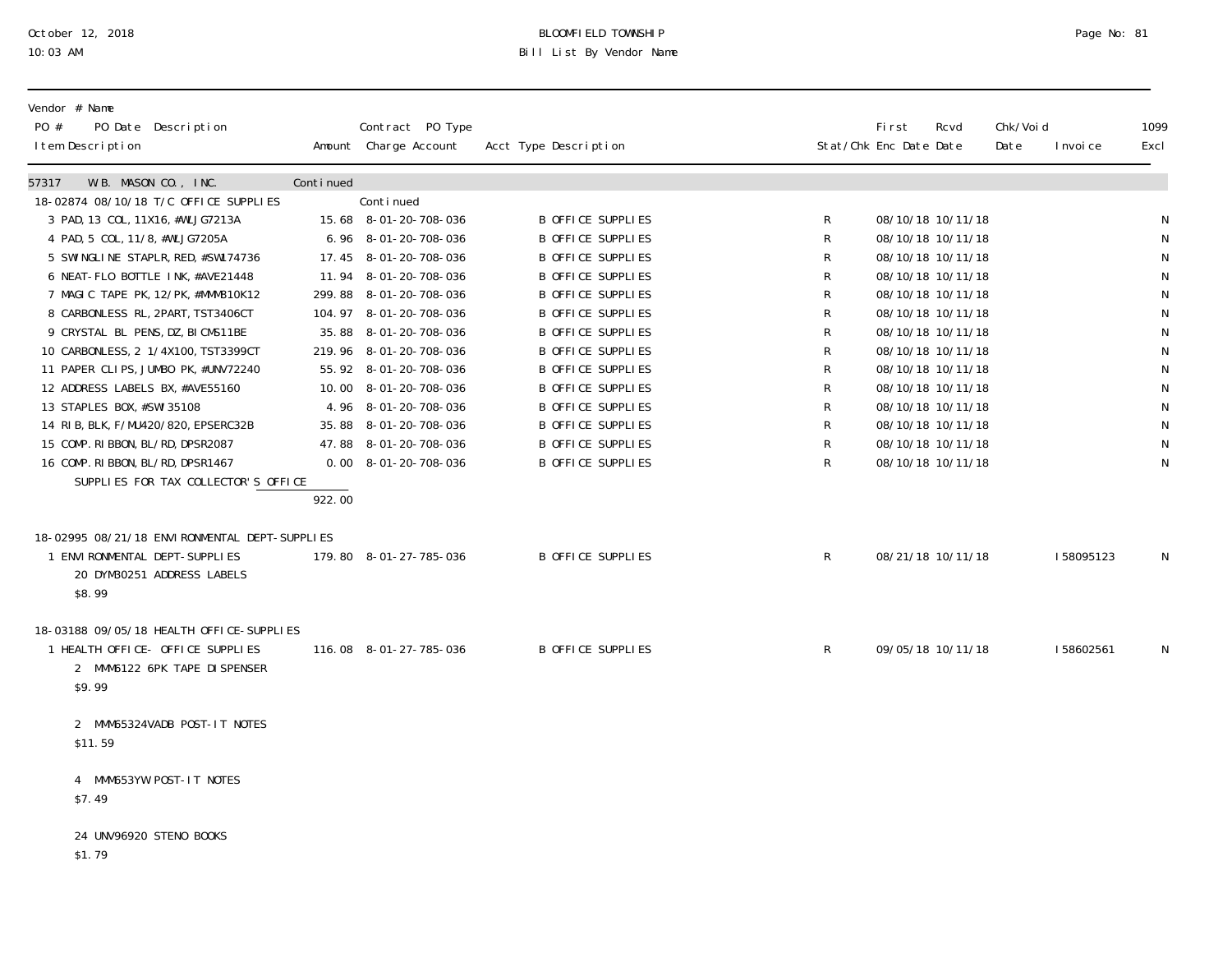# October 12, 2018 BLOOMFIELD TOWNSHIP Page No: 81 10:03 AM Bill List By Vendor Name

| Vendor # Name<br>PO Date Description<br>PO #<br>I tem Description |           | Contract PO Type<br>Amount Charge Account | Acct Type Description    |   | Fi rst<br>Stat/Chk Enc Date Date | Rcvd | Chk/Voi d<br>Date | I nvoi ce | 1099<br>Excl |
|-------------------------------------------------------------------|-----------|-------------------------------------------|--------------------------|---|----------------------------------|------|-------------------|-----------|--------------|
| 57317<br>W.B. MASON CO., INC.                                     | Continued |                                           |                          |   |                                  |      |                   |           |              |
| 18-02874 08/10/18 T/C OFFICE SUPPLIES                             |           | Continued                                 |                          |   |                                  |      |                   |           |              |
| 3 PAD, 13 COL, 11X16, #WLJG7213A                                  |           | 15.68 8-01-20-708-036                     | B OFFICE SUPPLIES        | R | 08/10/18 10/11/18                |      |                   |           | N            |
| 4 PAD, 5 COL, 11/8, #WLJG7205A                                    |           | 6.96 8-01-20-708-036                      | <b>B OFFICE SUPPLIES</b> | R | 08/10/18 10/11/18                |      |                   |           | ${\sf N}$    |
| 5 SWI NGLI NE STAPLR, RED, #SW174736                              |           | 17.45 8-01-20-708-036                     | <b>B OFFICE SUPPLIES</b> | R | 08/10/18 10/11/18                |      |                   |           | $\mathsf N$  |
| 6 NEAT-FLO BOTTLE INK, #AVE21448                                  |           | 11.94 8-01-20-708-036                     | <b>B OFFICE SUPPLIES</b> | R | 08/10/18 10/11/18                |      |                   |           | ${\sf N}$    |
| 7 MAGIC TAPE PK, 12/PK, #MMM810K12                                |           | 299.88 8-01-20-708-036                    | B OFFICE SUPPLIES        | R | 08/10/18 10/11/18                |      |                   |           | $\mathsf{N}$ |
| 8 CARBONLESS RL, 2PART, TST3406CT                                 |           | 104.97 8-01-20-708-036                    | <b>B OFFICE SUPPLIES</b> | R | 08/10/18 10/11/18                |      |                   |           | ${\sf N}$    |
| 9 CRYSTAL BL PENS, DZ, BI CMS11BE                                 |           | 35.88 8-01-20-708-036                     | B OFFICE SUPPLIES        | R | 08/10/18 10/11/18                |      |                   |           | $\mathsf N$  |
| 10 CARBONLESS, 2 1/4X100, TST3399CT                               |           | 219.96 8-01-20-708-036                    | B OFFICE SUPPLIES        | R | 08/10/18 10/11/18                |      |                   |           | ${\sf N}$    |
| 11 PAPER CLIPS, JUMBO PK, #UNV72240                               |           | 55.92 8-01-20-708-036                     | B OFFICE SUPPLIES        | R | 08/10/18 10/11/18                |      |                   |           | ${\sf N}$    |
| 12 ADDRESS LABELS BX, #AVE55160                                   |           | 10.00 8-01-20-708-036                     | <b>B OFFICE SUPPLIES</b> | R | 08/10/18 10/11/18                |      |                   |           | ${\sf N}$    |
| 13 STAPLES BOX, #SWI 35108                                        |           | 4.96 8-01-20-708-036                      | B OFFICE SUPPLIES        | R | 08/10/18 10/11/18                |      |                   |           | ${\sf N}$    |
| 14 RIB, BLK, F/MU420/820, EPSERC32B                               |           | 35.88 8-01-20-708-036                     | B OFFICE SUPPLIES        | R | 08/10/18 10/11/18                |      |                   |           | $\mathsf N$  |
| 15 COMP. RIBBON, BL/RD, DPSR2087                                  |           | 47.88 8-01-20-708-036                     | B OFFICE SUPPLIES        | R | 08/10/18 10/11/18                |      |                   |           | ${\sf N}$    |
| 16 COMP. RIBBON, BL/RD, DPSR1467                                  |           | $0.00 \quad 8 - 01 - 20 - 708 - 036$      | <b>B OFFICE SUPPLIES</b> | R | 08/10/18 10/11/18                |      |                   |           | N            |
| SUPPLIES FOR TAX COLLECTOR'S OFFICE                               |           |                                           |                          |   |                                  |      |                   |           |              |
|                                                                   | 922.00    |                                           |                          |   |                                  |      |                   |           |              |
| 18-02995 08/21/18 ENVIRONMENTAL DEPT-SUPPLIES                     |           |                                           |                          |   |                                  |      |                   |           |              |
| 1 ENVIRONMENTAL DEPT-SUPPLIES                                     |           | 179.80 8-01-27-785-036                    | B OFFICE SUPPLIES        | R | 08/21/18 10/11/18                |      |                   | 158095123 | N            |
| 20 DYM30251 ADDRESS LABELS                                        |           |                                           |                          |   |                                  |      |                   |           |              |
| \$8.99                                                            |           |                                           |                          |   |                                  |      |                   |           |              |
|                                                                   |           |                                           |                          |   |                                  |      |                   |           |              |
| 18-03188 09/05/18 HEALTH OFFICE-SUPPLIES                          |           |                                           |                          |   |                                  |      |                   |           |              |
| 1 HEALTH OFFICE- OFFICE SUPPLIES                                  |           | 116.08 8-01-27-785-036                    | B OFFICE SUPPLIES        | R | 09/05/18 10/11/18                |      |                   | 158602561 | $\mathsf{N}$ |
| 2 MMM6122 6PK TAPE DI SPENSER                                     |           |                                           |                          |   |                                  |      |                   |           |              |
| \$9.99                                                            |           |                                           |                          |   |                                  |      |                   |           |              |
|                                                                   |           |                                           |                          |   |                                  |      |                   |           |              |
| 2 MMM65324VADB POST-IT NOTES                                      |           |                                           |                          |   |                                  |      |                   |           |              |
| \$11.59                                                           |           |                                           |                          |   |                                  |      |                   |           |              |
|                                                                   |           |                                           |                          |   |                                  |      |                   |           |              |
| 4 MMM653YW POST-IT NOTES                                          |           |                                           |                          |   |                                  |      |                   |           |              |
| \$7.49                                                            |           |                                           |                          |   |                                  |      |                   |           |              |
|                                                                   |           |                                           |                          |   |                                  |      |                   |           |              |
| 24 UNV96920 STENO BOOKS                                           |           |                                           |                          |   |                                  |      |                   |           |              |
| \$1.79                                                            |           |                                           |                          |   |                                  |      |                   |           |              |
|                                                                   |           |                                           |                          |   |                                  |      |                   |           |              |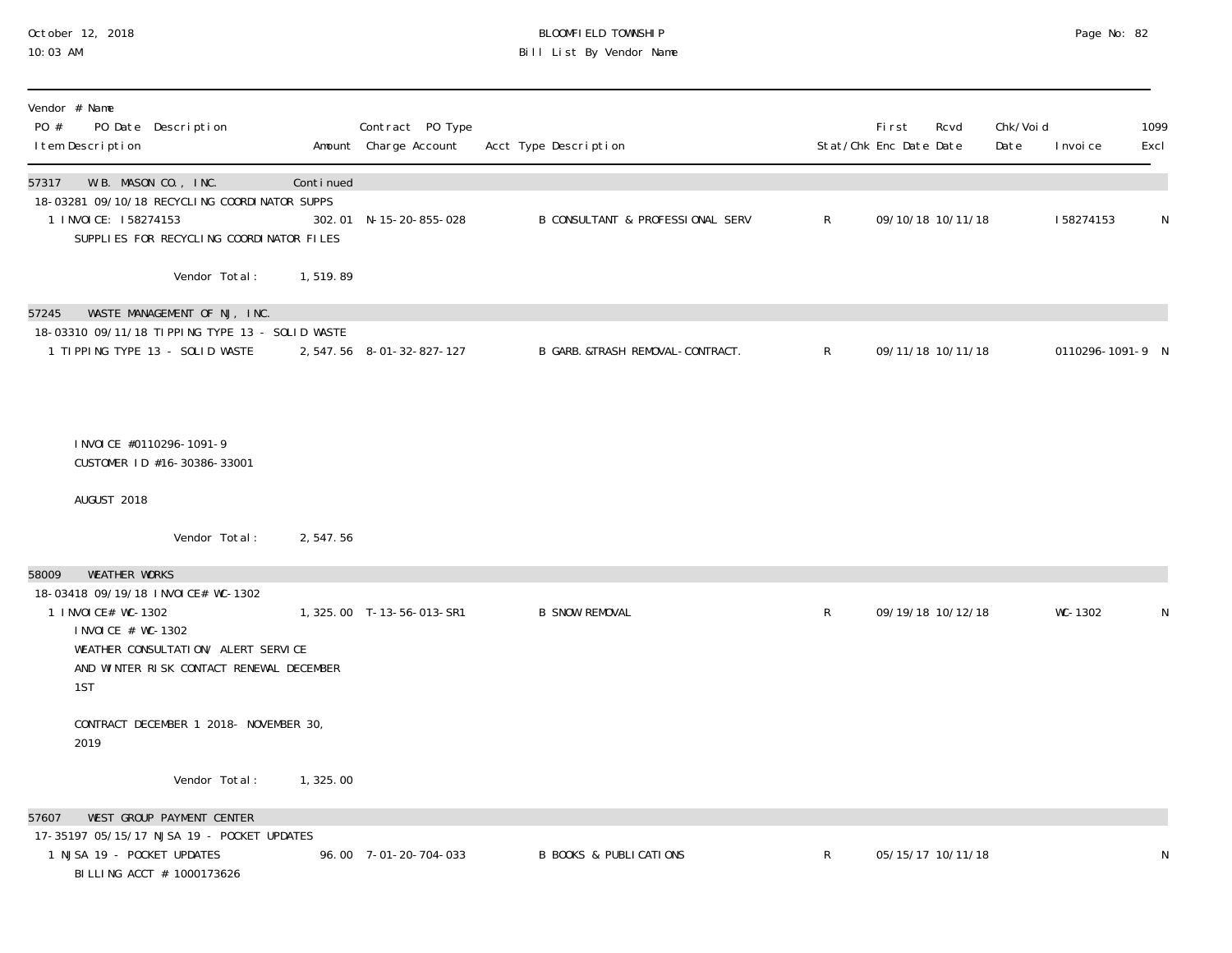#### October 12, 2018 BLOOMFIELD TOWNSHIP Page No: 82 10:03 AM Bill List By Vendor Name

| Vendor # Name<br>PO #<br>PO Date Description<br>I tem Description                                                                                                                                          |           | Contract PO Type<br>Amount Charge Account | Acct Type Description                       |              | Fi rst<br>Stat/Chk Enc Date Date | Rcvd              | Chk/Voi d<br>Date | I nvoi ce        | 1099<br>Excl |
|------------------------------------------------------------------------------------------------------------------------------------------------------------------------------------------------------------|-----------|-------------------------------------------|---------------------------------------------|--------------|----------------------------------|-------------------|-------------------|------------------|--------------|
| 57317<br>W.B. MASON CO., INC.<br>18-03281 09/10/18 RECYCLING COORDINATOR SUPPS<br>1 INVOICE: 158274153<br>SUPPLIES FOR RECYCLING COORDINATOR FILES                                                         | Continued | 302.01 N-15-20-855-028                    | <b>B CONSULTANT &amp; PROFESSIONAL SERV</b> | $\mathsf{R}$ |                                  | 09/10/18 10/11/18 |                   | 158274153        | $\mathsf N$  |
| Vendor Total:                                                                                                                                                                                              | 1,519.89  |                                           |                                             |              |                                  |                   |                   |                  |              |
| 57245<br>WASTE MANAGEMENT OF NJ, INC.<br>18-03310 09/11/18 TIPPING TYPE 13 - SOLID WASTE<br>1 TIPPING TYPE 13 - SOLID WASTE                                                                                |           | 2, 547.56 8-01-32-827-127                 | B GARB. &TRASH REMOVAL-CONTRACT.            | $\mathsf{R}$ |                                  | 09/11/18 10/11/18 |                   | 0110296-1091-9 N |              |
| INVOICE #0110296-1091-9<br>CUSTOMER ID #16-30386-33001                                                                                                                                                     |           |                                           |                                             |              |                                  |                   |                   |                  |              |
| AUGUST 2018                                                                                                                                                                                                |           |                                           |                                             |              |                                  |                   |                   |                  |              |
| Vendor Total:                                                                                                                                                                                              | 2,547.56  |                                           |                                             |              |                                  |                   |                   |                  |              |
| <b>WEATHER WORKS</b><br>58009<br>18-03418 09/19/18 INVOICE# WC-1302<br>1 INVOICE# WC-1302<br>I NVOI CE # WC-1302<br>WEATHER CONSULTATION/ ALERT SERVICE<br>AND WINTER RISK CONTACT RENEWAL DECEMBER<br>1ST |           | 1, 325.00 T-13-56-013-SR1                 | <b>B SNOW REMOVAL</b>                       | $\mathsf{R}$ |                                  | 09/19/18 10/12/18 |                   | WC-1302          | N            |
| CONTRACT DECEMBER 1 2018- NOVEMBER 30,<br>2019                                                                                                                                                             |           |                                           |                                             |              |                                  |                   |                   |                  |              |
| Vendor Total:                                                                                                                                                                                              | 1,325.00  |                                           |                                             |              |                                  |                   |                   |                  |              |
| WEST GROUP PAYMENT CENTER<br>57607<br>17-35197 05/15/17 NJSA 19 - POCKET UPDATES<br>1 NJSA 19 - POCKET UPDATES<br>BI LLI NG ACCT # 1000173626                                                              |           | 96.00 7-01-20-704-033                     | <b>B BOOKS &amp; PUBLICATIONS</b>           | $\mathsf{R}$ |                                  | 05/15/17 10/11/18 |                   |                  | N            |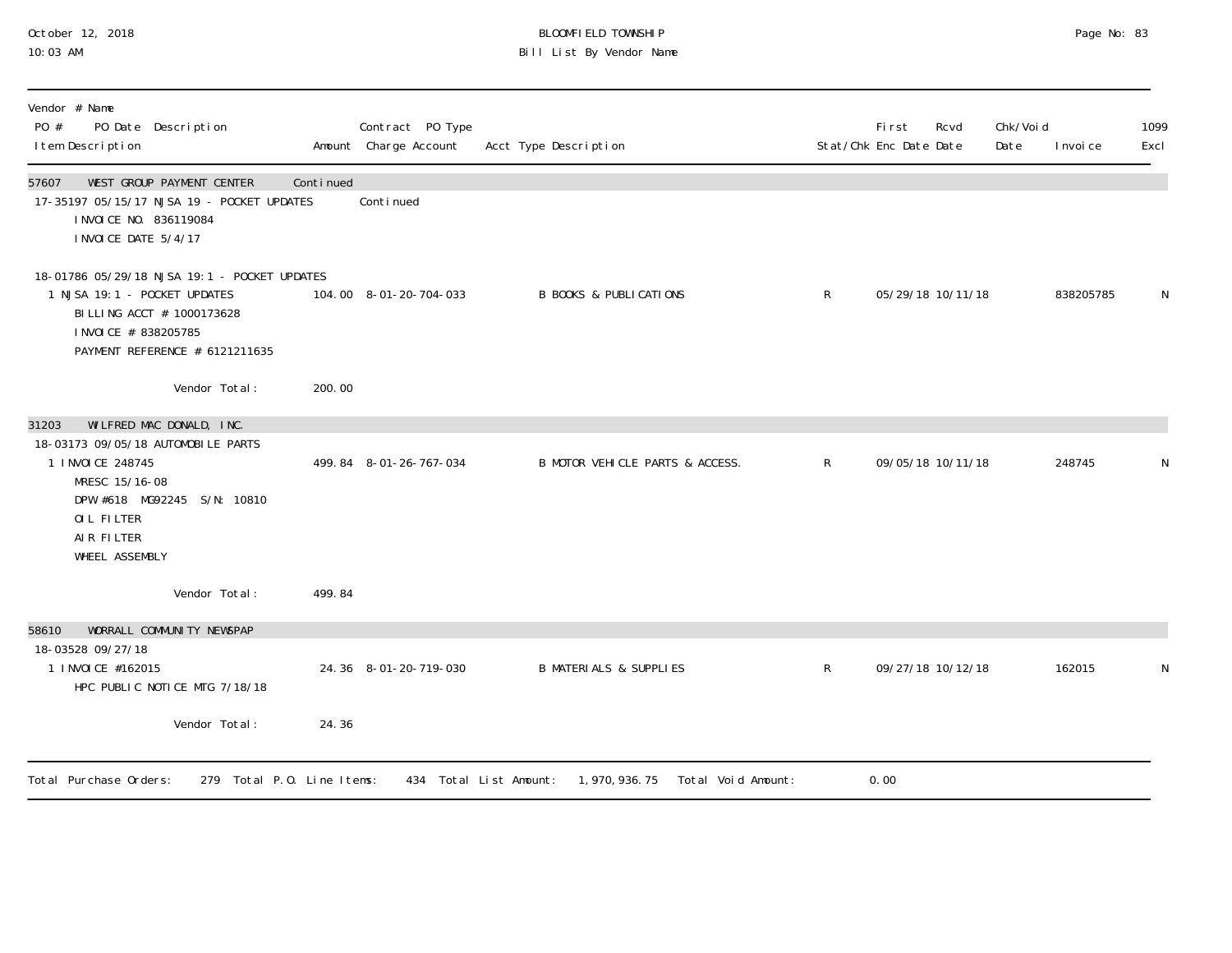## October 12, 2018 BLOOMFIELD TOWNSHIP Page No: 83 10:03 AM Bill List By Vendor Name

| Vendor # Name<br>PO #<br>PO Date Description<br>I tem Description                                                                                                                            |           | Contract PO Type<br>Amount Charge Account | Acct Type Description                                           |              | First<br>Stat/Chk Enc Date Date | Rcvd | Chk/Voi d<br>Date | I nvoi ce | 1099<br>Excl |
|----------------------------------------------------------------------------------------------------------------------------------------------------------------------------------------------|-----------|-------------------------------------------|-----------------------------------------------------------------|--------------|---------------------------------|------|-------------------|-----------|--------------|
| WEST GROUP PAYMENT CENTER<br>57607<br>17-35197 05/15/17 NJSA 19 - POCKET UPDATES<br>I NVOI CE NO. 836119084<br>I NVOI CE DATE 5/4/17                                                         | Continued | Continued                                 |                                                                 |              |                                 |      |                   |           |              |
| 18-01786 05/29/18 NJSA 19:1 - POCKET UPDATES<br>1 NJSA 19:1 - POCKET UPDATES<br>BI LLI NG ACCT # 1000173628<br>I NVOI CE # 838205785<br>PAYMENT REFERENCE # 6121211635                       |           | 104.00 8-01-20-704-033                    | <b>B BOOKS &amp; PUBLICATIONS</b>                               | R            | 05/29/18 10/11/18               |      |                   | 838205785 |              |
| Vendor Total:                                                                                                                                                                                | 200.00    |                                           |                                                                 |              |                                 |      |                   |           |              |
| WILFRED MAC DONALD, INC.<br>31203<br>18-03173 09/05/18 AUTOMOBILE PARTS<br>1 I NVOI CE 248745<br>MRESC 15/16-08<br>DPW #618 MG92245 S/N: 10810<br>OIL FILTER<br>AIR FILTER<br>WHEEL ASSEMBLY |           | 499.84 8-01-26-767-034                    | B MOTOR VEHICLE PARTS & ACCESS.                                 | $\mathsf{R}$ | 09/05/18 10/11/18               |      |                   | 248745    |              |
| Vendor Total:                                                                                                                                                                                | 499.84    |                                           |                                                                 |              |                                 |      |                   |           |              |
| WORRALL COMMUNITY NEWSPAP<br>58610                                                                                                                                                           |           |                                           |                                                                 |              |                                 |      |                   |           |              |
| 18-03528 09/27/18<br>1 INVOICE #162015<br>HPC PUBLIC NOTICE MTG 7/18/18                                                                                                                      |           | 24.36 8-01-20-719-030                     | <b>B MATERIALS &amp; SUPPLIES</b>                               | $\mathsf R$  | 09/27/18 10/12/18               |      |                   | 162015    |              |
| Vendor Total:                                                                                                                                                                                | 24.36     |                                           |                                                                 |              |                                 |      |                   |           |              |
| Total Purchase Orders:<br>279 Total P.O. Line Items:                                                                                                                                         |           |                                           | 434 Total List Amount:<br>Total Void Amount:<br>1, 970, 936. 75 |              | 0.00                            |      |                   |           |              |